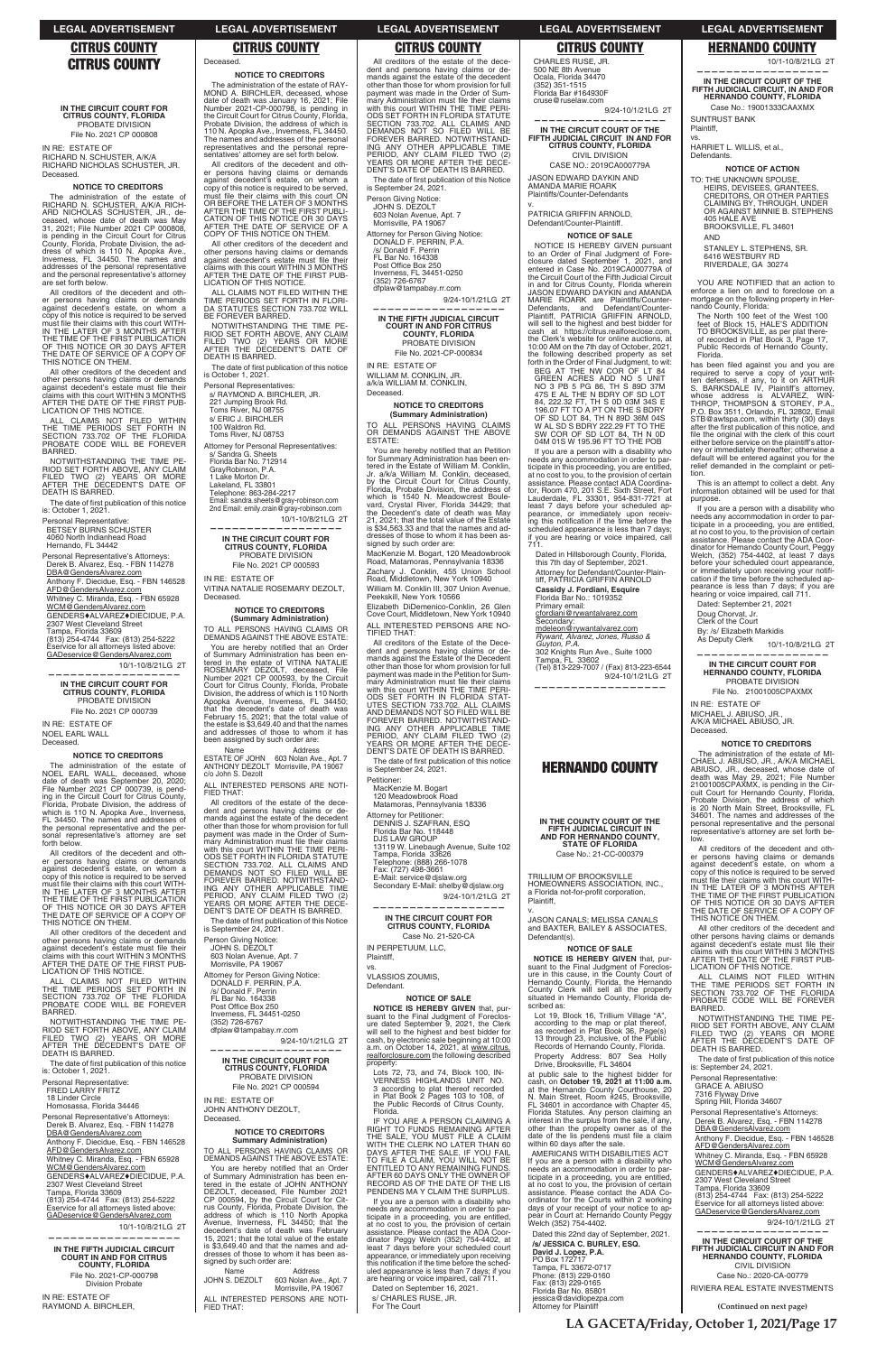# **CITRUS COUNTY**

# **IN THE CIRCUIT COURT FOR CITRUS COUNTY, FLORIDA** PROBATE DIVISION File No. 2021 CP 000808

IN RE: ESTATE OF RICHARD N. SCHUSTER, A/K/A RICHARD NICHOLAS SCHUSTER, JR. Deceased.

### **NOTICE TO CREDITORS**

The administration of the estate of RICHARD N. SCHUSTER, A/K/A RICH-ARD NICHOLAS SCHUSTER, JR., de-ceased, whose date of death was May 31, 2021; File Number 2021 CP 000808, is pending in the Circuit Court for Citrus County, Florida, Probate Division, the address of which is 110 N. Apopka Ave., Inverness, FL 34450. The names and addresses of the personal representative and the personal representative's attorney are set forth below.

ALL CLAIMS NOT FILED WITHIN<br>THE TIME PERIODS SET FORTH IN<br>SECTION 733.702 OF THE FLORIDA PROBATE CODE WILL BE FOREVER BARRED.

NOTWITHSTANDING THE TIME PE-<br>RIOD SET FORTH ABOVE, ANY CLAIM<br>FILED TWO (2) YEARS OR MORE<br>AFTER THE DECEDENT'S DATE OF<br>DEATH IS BARRED.

The date of first publication of this notice is: October 1, 2021.

All creditors of the decedent and other persons having claims or demands against decedent's estate, on whom a copy of this notice is required to be served must file their claims with this court must file their claims with this court WITH-<br>IN THE LATER OF 3 MONTHS AFTER<br>THE TIME OF THE FIRST PUBLICATION<br>OF THIS NOTICE OR 30 DAYS AFTER THE DATE OF SERVICE OF A COPY OF THIS NOTICE ON THEM.

Personal Representative's Attorneys: Derek B. Alvarez, Esq. - FBN 114278 DBA@GendersAlvarez.com

Anthony F. Diecidue, Esg. - FBN 146528 AFD@GendersAlvarez.com Whitney C. Miranda, Esq. - FBN 65928

WCM@GendersAlvarez.com GENDERS♦ALVAREZ♦DIECIDUE, P.A.<br>2307 West Cleveland Street

Tampa, Florida 33609<br>(813) 254-4744 Fax: (813) 254-5222<br>Eservice for all attorneys listed above: GADeservice@GendersAlvarez.com

10/1-10/8/21LG 2T **——————————————————**

All other creditors of the decedent and other persons having claims or demands<br>against decedent's estate must file their<br>claims with this court WITHIN 3 MONTHS<br>AFTER THE DATE OF THE FIRST PUB-LICATION OF THIS NOTICE.

The administration of the estate of<br>NOEL EARL WALL, deceased, whose<br>date of death was September 20, 2020; File Number 2021 CP 000739, is pend-<br>ing in the Circuit Court for Citrus County,<br>Florida, Probate Division, the address of which is 110 N. Apopka Ave., Inverness, FL 34450. The names and addresses of the personal representative and the personal representative's attorney are set forth below.

Personal Representative: BETSEY BURNS SCHUSTER 4060 North Indianhead Road Hernando, FL 34442

| SECTION 733.702 OF THE FLORIDA |  |  |  |
|--------------------------------|--|--|--|
| PROBATE CODE WILL BE FOREVER   |  |  |  |
| BARRED.                        |  |  |  |
|                                |  |  |  |

NOTWITHSTANDING THE TIME PE-<br>RIOD SET FORTH ABOVE, ANY CLAIM<br>FILED TWO (2) YEARS OR MORE<br>AFTER THE DECEDENT'S DATE OF DEATH IS BARRED.

The date of first publication of this notice is: October 1, 2021.

Personal Representative's Attorneys: Derek B. Alvarez, Esq. - FBN 114278 DBA@GendersAlvarez.com

Anthony F. Diecidue, Esq. - FBN 146528 AFD@GendersAlvarez.com Whitney C. Miranda, Esq. - FBN 65928 WCM@GendersAlvarez.com GENDERS♦ALVAREZ♦DIECIDUE, P.A.<br>2307 West Cleveland Street Tampa, Florida 33609 ----(CZ- - Eservice for all attorneys listed above: GADeservice@GendersAlvarez.com

10/1-10/8/21LG 2T

**IN THE CIRCUIT COURT FOR CITRUS COUNTY, FLORIDA** PROBATE DIVISION

File No. 2021 CP 000739

IN RE: ESTATE OF NOEL EARL WALL Deceased.

### **NOTICE TO CREDITORS**

All other creditors of the decedent and other persons having claims or demands against decedent's estate must file their claims with this court WITHIN 3 MONTHS<br>AFTER THE DATE OF THE FIRST PUB-<br>LICATION OF THIS NOTICE. ALL CLAIMS NOT FILED WITHIN THE TIME PERIODS SET FORTH IN FLORI-<br>DA STATUTES SECTION 733.702 WILL

NOTWITHSTANDING THE TIME PE-RIOD SET FORTH ABOVE, ANY CLAIM<br>FILED TWO (2) YEARS OR MORE<br>AFTER THE DECEDENT'S DATE OF

The date of first publication of this notice<br>is October 1, 2021.

All creditors of the decedent and other persons having claims or demands<br>against decedent's estate, on whom a<br>copy of this notice is required to be served<br>must file their claims with this court WITH-<br>IN THE LATER OF THE FIRST PUBLICATION<br>OF THIS NOTICE OR 30 THE DATE OF SERVICE OF A COPY OF THIS NOTICE ON THEM. **—————————————————— IN THE CIRCUIT COURT FOR CITRUS COUNTY, FLORIDA** PROBATE DIVISION File No. 2021 CP 000593

**NOTICE TO CREDITORS (Summary Administration)** TO ALL PERSONS HAVING CLAIMS OR DEMANDS AGAINST THE ABOVE ESTATE: You are hereby notified that an Order

of Summary Administration has been en-<br>tered in the estate of VITINA NATALIE<br>ROSEMARY DEZOLT, deceased, File<br>Number 2021 CP 000593, by the Circuit<br>Court for Citrus County, Florida, Probate<br>Division, the address of which is

All other creditors of the decedent and other persons having claims or demands<br>against decedent's estate must file their<br>claims with this court WITHIN 3 MONTHS<br>AFTER THE DATE OF THE FIRST PUB-LICATION OF THIS NOTICE.

ALL CLAIMS NOT FILED WITHIN<br>THE TIME PERIODS SET FORTH IN<br>SECTION 733.702 OF THE FLORIDA

Apopka Avenue, Inverness, FL 34450; that the decedent's date of death was<br>February 15, 2021; that the total value of<br>the estate is \$3,649.40 and that the names and addresses of those to whom it has been assigned by such order are: Name Address ESTATE OF JOHN 603 Nolan Ave., Apt. 7<br>ANTHONY DEZOLT Morrisville, PA 19067

All creditors of the estate of the decedent and persons having claims or de-mands against the estate of the decedent other than those for whom provision for full payment was made in the Order of Summary Administration must file their claims<br>with this court WITHIN THE TIME PERI-<br>ODS SET FORTH IN FLORIDA STATUTE

SECTION 733.702. ALL CLAIMS AND<br>DEMANDS NOT SO FILED WILL BE<br>FOREVER BARRED. NOTWITHSTAND<br>ING ANY OTHER APPLICABLE TIME

PERIOD, ANY CLAIM FILED TWO (2)<br>YEARS OR MORE AFTER THE DECE-<br>DENT'S DATE OF DEATH IS BARRED. The date of first publication of this Notice<br>is September 24, 2021.

10/1-10/8/21LG 2T

Personal Representative: FRED LARRY FRITZ 18 Linder Circle Homosassa, Florida 34446

9/24-10/1/21LG 2T **——————————————————**

**IN THE CIRCUIT COURT FOR CITRUS COUNTY, FLORIDA** PROBATE DIVISION File No. 2021 CP 000594

**——————————————————**

**IN THE FIFTH JUDICIAL CIRCUIT COURT IN AND FOR CITRUS COUNTY, FLORIDA** File No. 2021-CP-000798 Division Probate

IN RE: ESTATE OF RAYMOND A. BIRCHLER, Deceased.

Name Address JOHN S. DEZOLT 603 Nolan Ave., Apt. 7 Morrisville, PA 19067 ALL INTERESTED PERSONS ARE NOTI-FIED THAT:

**NOTICE TO CREDITORS** The administration of the estate of RAY-<br>MOND\_A. BIRCHLER, deceased, whose MOND A. BIRCHLER, deceased, whose<br>date of death was January 16, 2021; File<br>Number 2021-CP-000798, is pending in<br>the Circuit Court for Citrus County, Florida, Probate Division, the address of which is 110 N. Apopka Ave., Inverness, FL 34450. The names and addresses of the personal representatives and the personal repre-sentatives' attorney are set forth below. All creditors of the decedent and oth-er persons having claims or demands

against decedent's estate, on whom a<br>copy of this notice is required to be served,<br>must file their claims with this court ON<br>OR BEFORE THE LATER OF 3 MONTHS<br>AFTER THE TIME OF THE FIRST PUBLI-<br>CATION OF THIS NOTICE OR 30 DA

The date of first publication of this Notice is September 24, 2021.

Person Giving Notice: JOHN S. DEZOLT

603 Nolan Avenue, Apt. 7<br>Morrisville, PA 19067

Attorney for Person Giving Notice:

FL Bar No. 164338<br>Post Office Box 250 Inverness, FL 34451-0250

(352) 726-6767<br>dfplaw@tampabay.rr.com

9/24-10/1/21LG 2T

WILLIAM M. CONKLIN, JR.<br>a/k/a WILLIAM M. CONKLIN, Deceased.

TO ALL PERSONS HAVING CLAIMS<br>OR DEMANDS AGAINST THE ABOVE ESTATE:

You are hereby notified that an Petition for Summary Administration has been en-<br>tered in the Estate of William M. Conklin, Jr. a/k/a William M. Conklin, deceased,<br>by the Circuit Court for Citrus County,<br>Florida, Probate Division, the address of which is 1540 N. Meadowcrest Boule-<br>vard, Crystal River, Florida 34429; that<br>the Decedent's date of death was May 21, 2021; that the total value of the Estate is \$34,563.33 and that the names and addresses of those to whom it has been assigned by such order are:

MacKenzie M. Bogart, 120 Meadowbrook Road, Matamoras, Pennsylvania 18336 Zachary J. Conklin, 455 Union School<br>Road, Middletown, New York 10940 William M. Conklin III, 307 Union Avenue, Peekskill, New York 10566

Elizabeth DiDemenico-Conklin, 26 Glen<br>Cove Court, Middletown, New York 10940 ALL INTERESTED PERSONS ARE NO-TIFIED THAT:

All creditors of the Estate of the Dece dent and persons having claims or de-mands against the Estate of the Decedent other than those for whom provision for full payment was made in the Petition for Summary Administration must file their claims with this court WITHIN THE TIME PERI-<br>ODS SET FORTH IN FLORIDA STAT-<br>UTES SECTION 733.702. ALL CLAIMS AND DEMANDS NOT SO FILED WILL BE<br>FOREVER BARRED. NOTWITHSTAND-<br>ING ANY OTHER APPLICABLE TIME PERIOD, ANY CLAIM FILED TWO (2)<br>YEARS OR MORE AFTER THE DECE-<br>DENT'S DATE OF DEATH IS BARRED.

BE FOREVER BARRED.

DEATH IS BARRED.

Personal Representatives:

s/ RAYMOND A. BIRCHLER, JR. 221 Jumping Brook Rd. Toms River, NJ 08755

The date of first publication of this notice is September 24, 2021.

s/ ERIC J. BIRCHLER 100 Waldron Rd. Toms River, NJ 08753

Attorney for Personal Representatives:

E-Mail: service@djslaw.org Secondary E-Mail: shelby@djslaw.org

9/24-10/1/21LG 2T

s/ Sandra G. Sheets Florida Bar No. 712914 GrayRobinson, P.A. 1 Lake Morton Dr. Lakeland, FL 33801 Telephone: 863-284-2217

Email: sandra.sheets@gray-robinson.com 2nd Email: emily.crain@gray-robinson.com

IN RE: ESTATE OF

VITINA NATALIE ROSEMARY DEZOLT,

9/24-10/1/21LG 2T **——————————————————**

**IN THE CIRCUIT COURT OF THE FIFTH JUDICIAL CIRCUIT IN AND FOR CITRUS COUNTY, FLORIDA** CIVIL DIVISION CASE NO.: 2019CA000779A

JASON EDWARD DAYKIN AND AMANDA MARIE ROARK Plaintiffs/Counter-Defendants

v. PATRICIA GRIFFIN ARNOLD, Defendant/Counter-Plaintiff.

c/o John S. Dezolt

ALL INTERESTED PERSONS ARE NOTI-

FIED THAT:

**Deceased** 

NOTICE IS HEREBY GIVEN pursuant to an Order of Final Judgment of Fore-<br>closure dated September 1, 2021, and<br>entered in Case No. 2019CA000779A of<br>the Circuit Court of the Fifth Judicial Circuit in and for Citrus County, Florida wherein<br>JASON EDWARD DAYKIN and AMANDA MARIE ROARK are Plaintiffs/Counter-Defendants, and Defendant/Counter-<br>Plaintiff, PATRICIA-GRIFFIN-ARNOLD, will sell to the highest and best bidder for<br>cash at https://citrus.realforeclose.com,<br>the Clerk's website for online auctions, at 10:00 AM on the 7th day of October, 2021,

the following described property as set forth in the Order of Final Judgment, to wit: BEG AT THE NW COR OF LT 84<br>GREEN ACRES ADD NO 5 UNIT<br>NO 3 PB 5 PG 86, TH S 89D 37M 47S E AL THE N BDRY OF SD LOT<br>84, 222.32 FT, TH S 0D 03M 34S E<br>196.07 FT TO A PT ON THE S BDRY OF SD LOT 84, TH N 89D 36M 04S<br>W AL SD S BDRY 222.29 FT TO THE SW COR OF SD LOT 84, TH N 0D<br>04M 01S W 195.96 FT TO THE POB

Dated in Hillsborough County, Florida, this 7th day of September, 2021. Attorney for Defendant/Counter-Plaintiff, PATRICIA GRIFFIN ARNOLD **Cassidy J. Fordiani, Esquire**<br>Florida Bar No.: 1019352 Primary email: cfordiani@rywantalvarez.com

Secondary:<br>*mde*leon @rywantalvarez.com<br>*Rywant, Alvarez, Jones, Russo &<br>Guyton, P.A.<br>302 Knights Run Ave., Suite 1000<br>Tampa, FL 33602<br>(Tel) 813-229-7007 / (Fax) 813-223-6544* 9/24-10/1/21LG 2T

DONALD F. PERRIN, P.A. /s/ Donald F. Perrin FL Bar No. 164338 Post Office Box 250 Inverness, FL 34451-0250 (352) 726-6767 dfplaw@tampabay.rr.com

Person Giving Notice: JOHN S. DEZOLT<br>603 Nolan Avenue, Apt. 7<br>Morrisville, PA 19067 Attorney for Person Giving Notice: **IN THE COUNTY COURT OF THE FIFTH JUDICIAL CIRCUIT IN AND FOR HERNANDO COUNTY, STATE OF FLORIDA** Case No.: 21-CC-000379

JASON CANALS; MELISSA CANALS and BAXTER, BAILEY & ASSOCIATES, Defendant(s).

### IN RE: ESTATE OF JOHN ANTHONY DEZOLT, Deceased.

**NOTICE IS HEREBY GIVEN** that, pursuant to the Final Judgment of Foreclos-<br>Hernando County, Florida, the Hernando<br>County Clerk will sell all the property<br>situated in Hernando County, Florida de-

### **NOTICE TO CREDITORS Summary Administration)**

TO ALL PERSONS HAVING CLAIMS OR DE MANDS AGAINST THE ABOVE ESTATE:

You are hereby notified that an Order of Summary Administration has been entered in the estate of JOHN ANTHONY<br>DEZOLT, deceased, File Number 2021<br>CP 000594, by the Circuit Court for Cit-CP 000594, by the Circuit Court for Cit-<br>rus County, Florida, Probate Division, the<br>address of which is 110 North Apopka<br>Avenue, Inverness, FL 34450; that the decedent's date of death was February 15, 2021; that the total value of the estate is \$3,649.40 and that the names and dresses of those to whom it has been assigned by such order are:

Lot 19, Block 16, Trillium Village "A", according to the map or plat thereof,<br>as recorded in Plat Book 36, Page(s)<br>13 through 23, inclusive, of the Public Records of Hernando County, Florida.

at public sale to the highest bidder for cash, on **October 19, 2021 at 11:00 a.m.** at the Hernando County Courthouse, 20 N. Main Street, Room #245, Brooksville, FL 34601 in accordance with Chapter 45, Florida Statutes. Any person claiming an interest in the surplus from the sale, if any, other than the propelty owner as of the date of the lis pendens must file a claim<br>within 60 days after the sale.

AMERICANS WITH DISABILITIES ACT If you are a person with a disability who needs an accommodation in order to participate in a proceeding, you are entitled, at no cost to you, the provision of certain assistance. Please contact the ADA Coordinator for the Courts within 2 working<br>days of your receipt of your notice to ap-<br>pear in Court at: Hernando County Peggy<br>Welch (352) 754-4402.

Case No.: 19001333CAAXMX SUNTRUST BANK

HARRIET L. WILLIS, et al., Defendants.

TO: THE UNKNOWN SPOUSE, HEIRS, DEVISEES, GRANTEES,<br>CREDITORS, OR OTHER PARTIES<br>CLAIMING BY, THROUGH, UNDER<br>OR AGAINST MINNIE B. STEPHENS 405 HALE AVE BROOKSVILLE, FL 34601 AND

STANLEY L. STEPHENS, SR. 6416 WESTBURY RD RIVERDALE, GA 30274

All creditors of the estate of the dece-dent and persons having claims or demands against the estate of the decedent other than those for whom provision for full payment was made in the Order of Summary Administration must file their claims<br>with this court WITHIN THE TIME PERI-<br>ODS SET FORTH IN FLORIDA STATUTE<br>SECTION 733.702. ALL CLAIMS AND<br>DEMANDS NOT SO FILED WILL BE<br>FOREVER BARRED. NOTWITHSTAND-<br>NG ANY OTHER APPL DENT'S DATE OF DEATH IS BARRED.

> YOU ARE NOTIFIED that an action to enforce a lien on and to foreclose on a mortgage on the following property in Hernando County, Florida:

The North 100 feet of the West 100<br>feet of Block 15, HALE'S ADDITION<br>TO BROOKSVILLE, as per plat there-<br>of recorded in Plat Book 3, Page 17, Public Records of Hernando County, Florida.

has been filed against you and you are required to serve a copy of your writ-ten defenses, if any, to it on ARTHUR S. BARKSDALE IV, Plaintiff's attorney, whose address is ALVAREZ, WIÑ-<br>THROP, THOMPSON & STOREY, P.A.,<br>P.O. Box 3511, Orlando, FL 32802, Email STB@awtspa.com, within thirty (30) days<br>after the first publication of this notice, and<br>file the original with the clerk of this court either before service on the plaintiff's attorney or immediately thereafter; otherwise a default will be entered against you for the relief demanded in the complaint or petition.

DONALD F. PERRIN, P.A. /s/ Donald F. Perrin

**—————————————————— IN THE FIFTH JUDICIAL CIRCUIT COURT IN AND FOR CITRUS COUNTY, FLORIDA** PROBATE DIVISION File No. 2021-CP-000834

IN RE: ESTATE OF

By: /s/ Elizabeth Markidis As Deputy Clerk

### **NOTICE TO CREDITORS (Summary Administration)**

All creditors of the decedent and other persons having claims or demands against decedent's estate, on whom a copy of this notice is required to be served<br>must file their claims with this court WITH-<br>IN THE LATER OF 3 MONTHS AFTER

All other creditors of the decedent and other persons having claims or demands<br>against decedent's estate must file their claims with this court WITHIN 3 MONTHS<br>AFTER THE DATE OF THE FIRST PUB-<br>LICATION OF THIS NOTICE. ALL CLAIMS NOT FILED WITHIN

THE TIME PERIODS SET FORTH IN<br>SECTION 733.702 OF THE FLORIDA<br>PROBATE CODE WILL BE FOREVER BARRED.

NOTWITHSTANDING THE TIME PE-<br>RIOD SET FORTH ABOVE, ANY CLAIM<br>FILED TWO (2) YEARS OR MORE<br>AFTER THE DECEDENT'S DATE OF<br>DEATH IS BARRED.

The date of first publication of this notice<br>is: September 24, 2021.

Personal Representative's Attorneys: Derek B. Alvarez, Esq. - FBN 114278<br><u>DBA@GendersAlvarez.com</u> Anthony F. Diecidue, Esq. - FBN 146528 AFD@GendersAlvarez.com Whitney C. Miranda, Esq. - FBN 65928 WCM@GendersAlvarez.com )'0&'45ALVAREZDIECIDUE, P.A. 2307 West Cleveland Street Tampa, Florida 33609 (813) 254-4744 Fax: (813) 254-5222 Eservice for all attorneys listed above:<br>GADeservice@GendersAlvarez.com

9/24-10/1/21LG 2T

# Petitioner:

MacKenzie M. Bogart 120 Meadowbrook Road

Matamoras, Pennsylvania 18336

Attorney for Petitioner: DENNIS J. SZAFRAN, ESQ Florida Bar No. 118448

DJS LAW GROUP<br>13119 W. Linebaugh Avenue, Suite 102<br>Tampa, Florida 33626 Telephone: (888) 266-1078<br>Fax: (727) 498-3661

# **—————————————————— IN THE CIRCUIT COURT FOR CITRUS COUNTY, FLORIDA** Case No. 21-520-CA

IN PERPETUUM, LLC, Plaintiff,

vs.

VLASSIOS ZOUMIS, Defendant.

**NOTICE OF SALE**

**NOTICE IS HEREBY GIVEN** that, pursuant to the Final Judgment of Foreclos-<br>ure dated September 9, 2021, the Clerk<br>will sell to the highest and best bidder for cash, by electronic sale beginning at 10:00 a.m. on October 14, 2021, at www.citrus. realforclosure.com the following described property:

Lots 72, 73, and 74, Block 100, IN-VERNESS HIGHLANDS UNIT NO.<br>3 according to plat thereof recorded<br>in Plat Book 2 Pages 103 to 108, of<br>the Public Records of Citrus County, Florida.

IF YOU ARE A PERSON CLAIMING A RIGHT TO FUNDS REMAINING AFTER THE SALE, YOU MUST FILE A CLAIM<br>WITH THE CLERK NO LATER THAN 60 DAYS AFTER THE SALE. IF YOU FAIL<br>TO FILE A CLAIM, YOU WILL NOT BE<br>ENTITLED TO ANY REMAINING FUNDS. AFTER 60 DAYS ONLY THE OWNER OF<br>RECORD AS OF THE DATE OF THE LIS<br>PENDENS MA Y CLAIM THE SURPLUS.

If you are a person with a disability who needs any accommodation in order to participate in a proceeding, you are entitled, at no cost to you, the provision of certain assistance. Please contact the ADA Coordinator Peggy Welch (352) 754-4402, at<br>least 7 days before your scheduled court appearance, or immediately upon receiving this notification if the time before the sched-<br>uled appearance is less than 7 days; if you are hearing or voice impaired, call 711. Dated on September 16, 2021. s/ CHARLES RUSE, JR. For The Court

CHARLES RUSE, JR. 500 NE 8th Avenue Ocala, Florida 34470 (352) 351-1515<br>Florida Bar #164930F cruse@ruselaw.com

# **NOTICE OF SALE**

If you are a person with a disability who needs any accommodation in order to participate in this proceeding, you are entitled, at no cost to you, to the provision of certain assistance. Please contact ADA Coordinator, Room 470, 201 S.E. Sixth Street, Fort<br>Lauderdale, FL 33301, 954-831-7721 at least 7 days before your scheduled appearance, or immediately upon receiving this notification if the time before the scheduled appearance is less than 7 days; if you are hearing or voice impaired, call 711.

**——————————————————**

# **HERNANDO COUNTY**

TRILLIUM OF BROOKSVILLE HOMEOWNERS ASSOCIATION, INC., a Florida not-for-profit corporation, Plaintiff,

v.

# **NOTICE OF SALE**

scribed as:

Property Address: 807 Sea Holly Drive, Brooksville, FL 34604

Dated this 22nd day of September, 2021. **/s/ JESSICA C. BURLEY, ESQ. David J. Lopez, P.A.**<br>PO Box 172717 Tampa, FL 33672-0717 Phone: (813) 229-0160<br>Fax: (813) 229-0165<br>Florida Bar No. 85801 jessica@davidlopezpa.com Attorney for Plaintiff

**—————————————————— IN THE CIRCUIT COURT OF THE FIFTH JUDICIAL CIRCUIT, IN AND FOR HERNANDO COUNTY, FLORIDA**

Plaintiff, vs.

**NOTICE OF ACTION**

This is an attempt to collect a debt. Any information obtained will be used for that purpose.

If you are a person with a disability who needs any accommodation in order to par-ticipate in a proceeding, you are entitled, at no cost to you, to the provision of certain assistance. Please contact the ADA Coor-dinator for Hernando County Court, Peggy Welch, (352) 754-4402, at least 7 days before your scheduled court appearance,<br>or immediately upon receiving your notifi-<br>cation if the time before the scheduled appearance is less than 7 days; if you are hearing or voice impaired, call 711.

Dated: September 21, 2021 Doug Chorvat, Jr. Clerk of the Court

**—————————————————— IN THE CIRCUIT COURT FOR HERNANDO COUNTY, FLORIDA**

2T

PROBATE DIVISION File No. 21001005CPAXMX

IN RE: ESTATE OF MICHAEL J. ABIUSO, JR., A/K/A MICHAEL ABIUSO, JR. Deceased.

# **NOTICE TO CREDITORS** The administration of the estate of MI-CHAEL J. ABIUSO, JR., A/K/A MICHAEL

ABIUSO, JR., deceased, whose date of<br>death was May 29, 2021; File Number<br>21001005CPAXMX, is pending in the Cir-

cuit Court for Hernando County, Florida, Probate Division, the address of which is 20 North Main Street, Brooksville, FL 34601. The names and addresses of the personal representative and the personal representative's attorney are set forth be-

low.

THE TIME OF THE FIRST PUBLICATION OF THIS NOTICE OR 30 DAYS AFTER THE DATE OF SERVICE OF A COPY OF

THIS NOTICE ON THEM.

Personal Representative: GRACE A. ABIUSO 7316 Flyway Drive Spring Hill, Florida 34607

**——————————————————**

**IN THE CIRCUIT COURT OF THE FIFTH JUDICIAL CIRCUIT IN AND FOR HERNANDO COUNTY, FLORIDA** CIVIL DIVISION Case No.: 2020-CA-00779 RIVIERA REAL ESTATE INVESTMENTS

**(Continued on next page)**

# **LEGAL ADVERTISEMENT LEGAL ADVERTISEMENT LEGAL ADVERTISEMENT LEGAL ADVERTISEMENT LEGAL ADVERTISEMENT**

# **CITRUS COUNTY CITRUS COUNTY CITRUS COUNTY CITRUS COUNTY HERNANDO COUNTY**

10/1-10/8/21LG 2T

**LA GACETA/Friday, October 1, 2021/Page 17**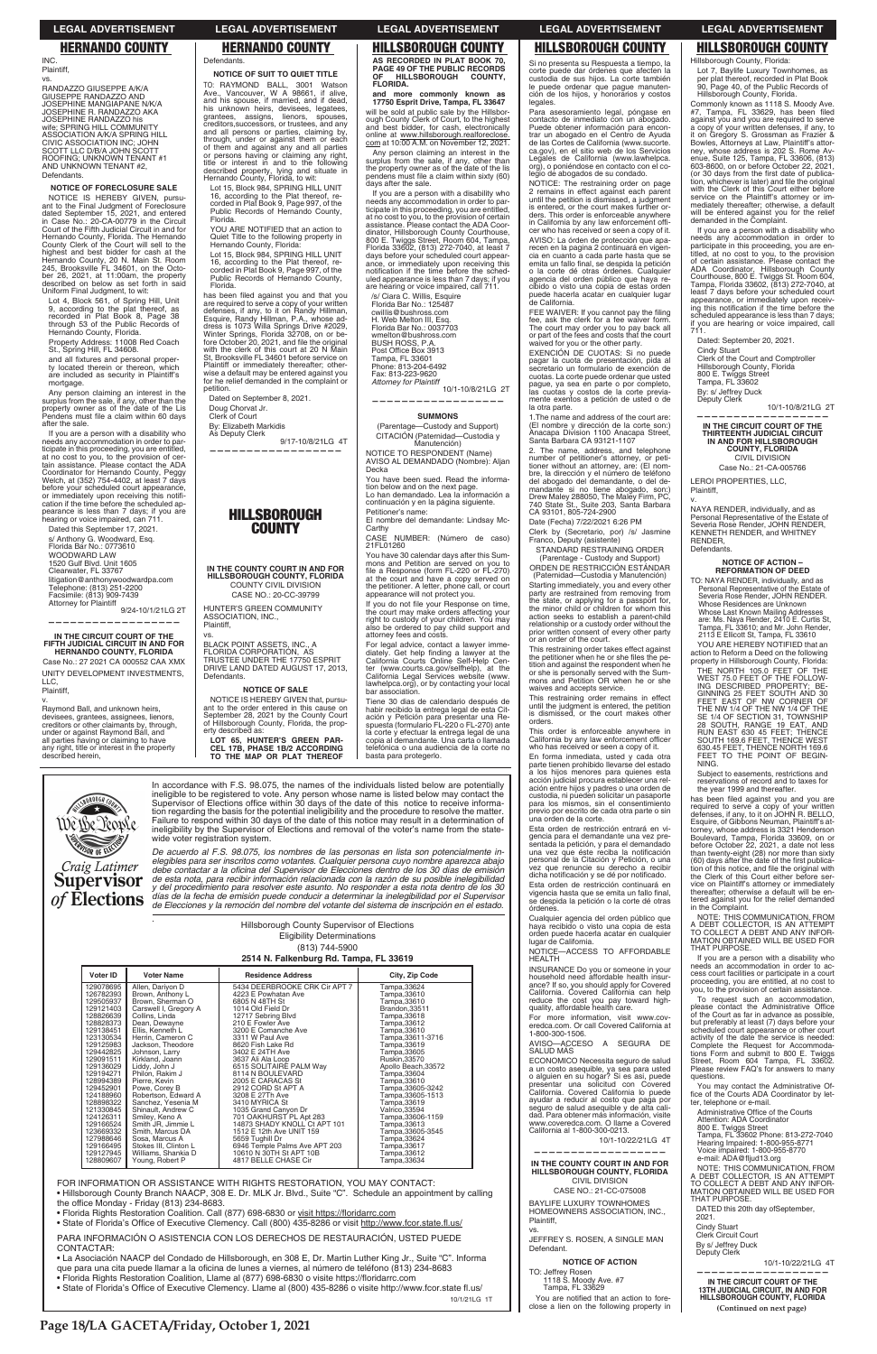In accordance with F.S. 98.075, the names of the individuals listed below are potentially ineligible to be registered to vote. Any person whose name is listed below may contact the Supervisor of Elections office within 30 days of the date of this notice to receive information regarding the basis for the potential ineligibility and the procedure to resolve the matter. Failure to respond within 30 days of the date of this notice may result in a determination of ineligibility by the Supervisor of Elections and removal of the voter's name from the statewide voter registration system.

**SOR OF ELLE** Craig Latimer **Supervisor** *of* Elections

**ROROUGHC** 

Wêrbe People

 $\overline{a}$ Vote *De acuerdo al F.S. 98.075, los nombres de las personas en lista son potencialmente inelegibles para ser inscritos como votantes. Cualquier persona cuyo nombre aparezca abajo*  debe contactar a la oficina del Supervisor de Elecciones dentro de los 30 días de emisión de esta nota, para recibir información relacionada con la razón de su posible inelegibilidad y del procedimiento para resolver este asunto. No responder a esta nota dentro de los 30<br>días de la fecha de emisión puede conducir a determinar la inelegibilidad por el Supervisor de Elecciones y la remoción del nombre del votante del sistema de inscripción en el estado.

*.* 

ough County Clerk of Court, to the highest and best bidder, for cash, electronically<br>online at www.hillsborough.realforeclose.<br>com at 10:00 A.M. on November 12, 2021.

Hillsborough County Supervisor of Elections Eligibility Determinations (813) 744-5900 **2514 N. Falkenburg Rd. Tampa, FL 33619**

| Voter ID  | <b>Voter Name</b>         | <b>Residence Address</b>      | City, Zip Code |
|-----------|---------------------------|-------------------------------|----------------|
| 129078695 | Allen, Darivon D          | 5434 DEERBROOKE CRK Cir APT 7 | Tampa,33624    |
|           | $126782393$ Rrown Anthony | 4223 E Powhatan Ave           | Tamna 33610    |

If you are a person with a disability who needs any accommodation in order to participate in this proceeding, you are entitled, at no cost to you, to the provision of certain<br>assistance. Please contact the ADA Coor-<br>dinator, Hillsborough County Courthouse,<br>800 E. Twiggs Street, Room 604, Tampa,<br>Florida 33602, (813) 272-7040, at least 7 days before your scheduled court appearance, or immediately upon receiving this notification if the time before the schednotification if the time before the sched-<br>uled appearance is less than 7 days; if you<br>are hearing or voice impaired, call 711.

/s/ Ciara C. Willis, Esquire Florida Bar No.: 125487 cwiIIis@bushross.com H. Web Melton III, Esq. Florida Bar No.: 0037703 wmelton@bushross.com BUSH ROSS, P.A. Post Office Box 3913 Tampa, FL 33601<br>Phone: 813-204-6492 Fax: 813-223-9620 *Attorney for Plaintiff*

10/1-10/8/21LG 2T **——————————————————**

If you do not file your Response on time, the court may make orders affecting your right to custody of your children. You may also be ordered to pay child support and attorney fees and costs.

For legal advice, contact a lawyer imme-<br>diately. Get help finding a lawyer at the<br>California Courts Online Self-Help Center (www.courts.ca.gov/selfhelp), at the<br>California Legal Services website (www. lawhelpca.org), or by contacting your local bar association.

RANDAZZO GIUSEPPE A/K/A GIUSEPPE RANDAZZO AND<br>JOSEPHINE MANGIAPANE N/K/A JOSEPHINE R. RANDAZZO AKA JOSEPHINE RANDAZZO his<br>wife; SPRING HILL COMMUNITY<br>ASSOCIATION A/K/A SPRING HILL CIVIC ASSOCIATION INC; JOHN SCOTT LLC D/B/A JOHN SCOTT ROOFING; UNKNOWN TENANT #1 AND UNKNOWN TENANT #2, Defendants.

NOTICE IS HEREBY GIVEN, pursuant to the Final Judgment of Foreclosure<br>dated September 15, 2021, and entered<br>in Case No.: 20-CA-00779 in the Circuit Court of the Fifth Judicial Circuit in and for Hernando County, Florida. The Hernando County Clerk of the Court will sell to the highest and best bidder for cash at the Hernando County, 20 N. Main St. Room 245, Brooksville FL 34601, on the October 26, 2021, at 11:00am, the property described on below as set forth in said Uniform Final Judgment, to wit:

Lot 4, Block 561, of Spring Hill, Unit 9, according to the plat thereof, as<br>recorded in Plat Book 8, Page 38 through 53 of the Public Records of Hernando County, Florida.

**AS RECORDED IN PLAT BOOK 70, PAGE 49 OF THE PUBLIC RECORDS OF HILLSBOROUGH COUNTY, FLORIDA.**

and all fixtures and personal proper-<br>ty located therein or thereon, which<br>are included as security in Plaintiff's mortgage.

**and more commonly known as 17750 Esprit Drive, Tampa, FL 33647** will be sold at public sale by the Hillsbor-

Any person claiming an interest in the<br>surplus from the sale, if any, other than the<br>property owner as of the date of the Lis<br>Pendens must file a claim within 60 days after the sale.

If you are a person with a disability who needs any accommodation in order to participate in this proceeding, you are entitled,<br>at no cost to you, to the provision of cer-<br>tain assistance. Please contact the ADA<br>Coordinator for Hernando County, Peggy<br>Welch, at (352) 754-4402, at least 7 days before your scheduled court appearance, or immediately upon receiving this notifi-<br>cation if the time before the scheduled ap-<br>pearance is less than 7 days; if you are<br>hearing or voice impaired, can 711.

Dated this September 17, 2021. s/ Anthony G. Woodward, Esq.<br>Florida Bar No.: 0773610 WOODWARD LAW 1520 Gulf Blvd. Unit 1605<br>Clearwater, FL 33767 litigation@anthonywoodwardpa.com<br>Telephone: (813) 251-2200<br>Facsimile: (813) 909-7439

Any person claiming an interest in the surplus from the sale, if any, other than<br>the property owner as of the date of the lis<br>pendens must file a claim within sixty (60) days after the sale.

9/24-10/1/21LG 2T **——————————————————**

Lot 15, Block 984, SPRING HILL UNIT 16, according to the Plat thereof, recorded in Plat Book 9, Page 997, of the Public Records of Hernando County, Florida.

YOU ARE NOTIFIED that an action to Quiet Title to the following property in Hernando County, Florida:

Lot 15, Block 984, SPRING HILL UNIT 16, according to the Plat thereof, recorded in Plat Book 9, Page 997, of the Public Records of Hernando County, Florida.

### **SUMMONS**

(Parentage-Custody and Support) CITACIÓN (Paternidad-Custodia y Manutención)

NOTICE TO RESPONDENT (Name) AVISO AL DEMANDADO (Nombre): Aljan **Decka** 

has been filed against you and that you are required to serve a copy of your written<br>defenses, if any, to it on Randy Hillman,<br>Esquire, Randy Hillman, P.A., whose ad-<br>dress is 1073 Willa Springs Drive #2029,<br>Winter Springs, Florida 32708, on or be-<br>fore October Plaintiff or immediately thereafter; otherwise a default may be entered against you for he relief demanded in the complaint or petition.

9/17-10/8/21LG 4T **——————————————————**

You have been sued. Read the information below and on the next page.<br>Lo han demandado. Lea la información a continuación y en la página siguiente.

CASE NO.: 20-CC-39799 HUNTER'S GREEN COMMUNITY ASSOCIATION, INC., Plaintiff,

Petitioner's name: El nombre del demandante: Lindsay Mc-Carthy

CASE NU<br>21FL01260 NUMBER: (Número de caso)

NOTICE IS HEREBY GIVEN that, pursu-<br>ant to the order entered in this cause on September 28, 2021 by the County Court of Hillsborough County, Florida, the property described as:

You have 30 calendar days after this Summons and Petition are served on you to<br>file a Response (form FL-220 or FL-270) at the court and have a copy served on the petitioner. A letter, phone call, or court appearance will not protect you.

FEE WAIVER: If you cannot pay the filing fee, ask the clerk for a fee waiver form The court may order you to pay back all or part of the fees and costs that the court waived for you or the other party.

Tiene 30 dias de calendario después de habir recibido la entrega legal de esta Cit-<br>ación y Petición para presentar una Re-<br>spuesta (formulario FL-220 o FL-270) ante la corte y efectuar la entrega legal de una copia al demandante. Una carta o llamada telefónica o una audiencia de la corte no basta para protegerlo.

1.The name and address of the court are: (El nombre y dirección de la corte son:)<br>Anacapa Division 1100 Anacapa Street,<br>Santa Barbara CA 93121-1107

2. The name, address, and telephone number of petitioner's attorney, or petitioner without an attorney, are: (El nom-<br>bre, la dirección y el número de teléfono<br>del abogado del demandante, o del de-<br>del abogado del demandante, o del demandante si no tiene abogado, son:) Drew Maley 288050, The Maley Firm, PC,<br>740 State St., Suite 203, Santa Barbara<br>CA 93101, 805-724-2900

Date (Fecha) 7/22/2021 6:26 PM

Clerk by (Secretario, por) /s/ Jasmine<br>Franco, Deputy (asistente)

INC. Plaintiff, vs.

> STANDARD RESTRAINING ORDER (Parentage - Custody and Support) ORDEN DE RESTRICCIÓN ESTÁNDAR

### **NOTICE OF FORECLOSURE SALE**

(Paternidad-Custodia y Manutención) Starting immediately, you and every other party are restrained from removing from the state, or applying for a passport for, the minor child or children for whom this action seeks to establish a parent-child relationship or a custody order without the prior written consent of every other party or an order of the court.

This order is enforceable anywhere in California by any law enforcement officer<br>who has received or seen a copy of it.

Property Address: 11008 Red Coach St., Spring Hill, FL 34608.

lugar de California. NOTICE-ACCESS TO AFFORDABLE **HEALTH** 

Hillsborough County, Florida: Lot 7, Baylife Luxury Townhomes, as<br>per plat thereof, recorded in Plat Book<br>90, Page 40, of the Public Records of<br>Hillsborough County, Florida.

Attorney for Plaintiff

**IN THE CIRCUIT COURT OF THE FIFTH JUDICIAL CIRCUIT IN AND FOR HERNANDO COUNTY, FLORIDA** Case No.: 27 2021 CA 000552 CAA XMX

UNITY DEVELOPMENT INVESTMENTS, LLC,

Plaintiff,

ℾ

v. Raymond Ball, and unknown heirs, devisees, grantees, assignees, lienors, creditors or other claimants by, through, under or against Raymond Ball, and all parties having or claiming to have any right, title or interest in the property described herein,

# **Defendants**

NAYA RENDER, individually, and as Personal Representative of the Estate of Severia Rose Render, JOHN RENDER, KENNETH RENDER, and WHITNEY RENDER, **Defendants** 

YOU ARE HEREBY NOTIFIED that an action to Reform a Deed on the following property in Hillsborough County, Florida:

THE NORTH 105.0 FEET OF THE WEST 75.0 FEET OF THE FOLLOW-<br>ING DESCRIBED PROPERTY; BE-<br>GINNING 25 FEET SOUTH AND 30<br>FEET EAST OF NW CORNER OF THE NW 1/4 OF THE NW 1/4 OF THE<br>SE 1/4 OF SECTION 31, TOWNSHIP<br>28 SOUTH, RANGE 19 EAT, AND<br>RUN EAST 630 45 FEET; THENCE<br>SOUTH 169.6 FEET, THENCE WEST<br>630.45 FEET, THENCE NORTH 169.6 FEET TO THE POINT OF BEGIN- $NING.$ 

**NOTICE OF SUIT TO QUIET TITLE** TO: RAYMOND BALL, 3001 Watson Ave., Vancouver, W A 98661, if alive,<br>and his spouse, if married, and if dead, his unknown heirs, devisees, legatees grantees, assigns, lienors, spouses, creditors,successors, or trustees, and any and all persons or parties, claiming by, through, under or against them or each of them and against any and all parties or persons having or claiming any right, title or interest in and to the following described property, lying and situate in Hernando County, Florida, to wit:

> Subject to easements, restrictions and reservations of record and to taxes for the year 1999 and thereafter.

has been filed against you and you are required to serve a copy of your written<br>defenses, if any, to it on JOHN R. BELLO,<br>Esquire, of Gibbons Neuman, Plainitif's at-<br>torney, whose address is 3321 Henderson Boulevard, Tampa, Florida 33609, on or<br>before October 22, 2021, a date not less than twenty-eight (28) nor more than sixty<br>(60) days after the date of the first publica-(60) days after the date of the first publica-<br>tion of this notice, and file the original with<br>the Clerk of this Court either before service on Plaintiff's attorney or immediately thereafter; otherwise a default will be entered against you for the relief demanded in the Complaint.

Dated on September 8, 2021. Doug Chorvat Jr. Clerk of Court

By: Elizabeth Markidis As Deputy Clerk

# **HILLSBOROUGH COUNTY**

**IN THE COUNTY COURT IN AND FOR HILLSBOROUGH COUNTY, FLORIDA** COUNTY CIVIL DIVISION

vs. BLACK POINT ASSETS, INC., A FLORIDA CORPORATION, AS<br>TRUSTEE UNDER THE 17750 ESPRIT<br>DRIVE LAND DATED AUGUST 17, 2013, Defendants.

**NOTICE OF SALE**

| 129078695<br>Allen, Darivon D<br>126782393<br>Brown. Anthony L<br>Brown, Sherman O<br>129505937<br>Carswell I, Gregory A<br>129121403<br>128826639<br>Collins, Linda<br>128828373<br>Dean, Dewayne<br>129138451<br>Ellis. Kenneth L<br>123130534<br>Herrin. Cameron C<br>129125983<br>Jackson, Theodore<br>129442825<br>Johnson, Larry<br>129091511<br>Kirkland, Joann<br>129136029<br>Liddy, John J<br>129194271<br>Philon, Rakim J<br>128994389<br>Pierre, Kevin<br>129452901<br>Powe, Corey B<br>124188960<br>Robertson, Edward A<br>128898322<br>Sanchez, Yesenia M<br>121330845<br>Shinault, Andrew C<br>124126311<br>Smiley, Keno A<br>Smith JR. Jimmie L<br>129166524<br>123669332<br>Smith. Marcus DA<br>127988646<br>Sosa, Marcus A<br>129166495<br>Stokes III. Clinton L<br>129127945<br>Williams, Shankia D<br>128809607<br>Young, Robert P                                                                                                                                                         | 5434 DEERBROOKE CRK Cir APT 7<br>4223 E Powhatan Ave<br>6805 N 48TH St<br>1014 Old Field Dr<br>12717 Sebring Blvd<br>210 E Fowler Ave<br>3200 E Comanche Ave<br>3311 W Paul Ave<br>8620 Fish Lake Rd<br>3402 E 24TH Ave<br>3637 Ali Ala Loop<br>6515 SOLITAIRE PALM Wav<br>8114 N BOULEVARD<br>2005 E CARACAS St<br>2912 CORD St APT A<br>3208 E 27Th Ave<br>3410 MYRICA St<br>1035 Grand Canyon Dr<br>701 OAKHURST PL Apt 283<br>14873 SHADY KNOLL Ct APT 101<br>1512 E 12th Ave UNIT 159<br>5659 Tughill Dr<br>6946 Temple Palms Ave APT 203<br>10610 N 30TH St APT 10B<br>4817 BELLE CHASE Cir | Tampa, 33624<br>Tampa, 33610<br>Tampa, 33610<br>Brandon.33511<br>Tampa, 33618<br>Tampa, 33612<br>Tampa, 33610<br>Tampa, 33611-3716<br>Tampa, 33619<br>Tampa, 33605<br>Ruskin.33570<br>Apollo Beach.33572<br>Tampa, 33604<br>Tampa, 33610<br>Tampa, 33605-3242<br>Tampa, 33605-1513<br>Tampa, 33619<br>Valrico, 33594<br>Tampa, 33606-1159<br>Tampa, 33613<br>Tampa, 33605-3545<br>Tampa, 33624<br>Tampa, 33617<br>Tampa, 33612<br>Tampa, 33634 |  | you, to the provision of certain assistance.<br>To request such an accommodation,<br>please contact the Administrative Office<br>of the Court as far in advance as possible,<br>but preferably at least (7) days before your<br>scheduled court appearance or other court<br>activity of the date the service is needed:<br>Complete the Request for Accommoda-<br>tions Form and submit to 800 E. Twiggs<br>Street, Room 604 Tampa, FL 33602.<br>Please review FAQ's for answers to many<br>questions.<br>You may contact the Administrative Of-<br>fice of the Courts ADA Coordinator by let-<br>ter, telephone or e-mail.<br>Administrative Office of the Courts<br>Attention: ADA Coordinator<br>800 E. Twiggs Street<br>Tampa, FL 33602 Phone: 813-272-7040<br>Hearing Impaired: 1-800-955-8771<br>Voice impaired: 1-800-955-8770<br>e-mail: ADA@fljud13.org |                                                                                                                                                                                                                                                                                                                                                                                                                                                          |
|----------------------------------------------------------------------------------------------------------------------------------------------------------------------------------------------------------------------------------------------------------------------------------------------------------------------------------------------------------------------------------------------------------------------------------------------------------------------------------------------------------------------------------------------------------------------------------------------------------------------------------------------------------------------------------------------------------------------------------------------------------------------------------------------------------------------------------------------------------------------------------------------------------------------------------------------------------------------------------------------------------------|---------------------------------------------------------------------------------------------------------------------------------------------------------------------------------------------------------------------------------------------------------------------------------------------------------------------------------------------------------------------------------------------------------------------------------------------------------------------------------------------------------------------------------------------------------------------------------------------------|------------------------------------------------------------------------------------------------------------------------------------------------------------------------------------------------------------------------------------------------------------------------------------------------------------------------------------------------------------------------------------------------------------------------------------------------|--|-------------------------------------------------------------------------------------------------------------------------------------------------------------------------------------------------------------------------------------------------------------------------------------------------------------------------------------------------------------------------------------------------------------------------------------------------------------------------------------------------------------------------------------------------------------------------------------------------------------------------------------------------------------------------------------------------------------------------------------------------------------------------------------------------------------------------------------------------------------------|----------------------------------------------------------------------------------------------------------------------------------------------------------------------------------------------------------------------------------------------------------------------------------------------------------------------------------------------------------------------------------------------------------------------------------------------------------|
| FOR INFORMATION OR ASSISTANCE WITH RIGHTS RESTORATION. YOU MAY CONTACT:<br>• Hillsborough County Branch NAACP, 308 E. Dr. MLK Jr. Blvd., Suite "C". Schedule an appointment by calling<br>the office Monday - Friday (813) 234-8683.<br>. Florida Rights Restoration Coalition. Call (877) 698-6830 or visit https://floridarrc.com<br>• State of Florida's Office of Executive Clemency. Call (800) 435-8286 or visit http://www.fcor.state.fl.us/<br>PARA INFORMACIÓN O ASISTENCIA CON LOS DERECHOS DE RESTAURACIÓN, USTED PUEDE<br>CONTACTAR:<br>• La Asociación NAACP del Condado de Hillsborough, en 308 E, Dr. Martin Luther King Jr., Suite "C". Informa<br>gue para una cita puede llamar a la oficina de lunes a viernes, al número de teléfono (813) 234-8683<br>• Florida Rights Restoration Coalition, Llame al (877) 698-6830 o visite https://floridarrc.com<br>• State of Florida's Office of Executive Clemency. Llame al (800) 435-8286 o visite http://www.fcor.state fl.us/<br>10/1/21LG 1T |                                                                                                                                                                                                                                                                                                                                                                                                                                                                                                                                                                                                   |                                                                                                                                                                                                                                                                                                                                                                                                                                                |  | IN THE COUNTY COURT IN AND FOR<br>HILLSBOROUGH COUNTY, FLORIDA<br><b>CIVIL DIVISION</b><br>CASE NO.: 21-CC-075008<br>BAYLIFE LUXURY TOWNHOMES<br>HOMEOWNERS ASSOCIATION, INC.,<br>Plaintiff.<br>VS.<br>JEFFREY S. ROSEN, A SINGLE MAN<br>Defendant.<br><b>NOTICE OF ACTION</b><br>TO: Jeffrev Rosen<br>1118 S. Moody Ave. #7<br>Tampa, FL 33629<br>You are notified that an action to fore-<br>close a lien on the following property in                                                                                                                                                                                                                                                                                                                                                                                                                          | NOTE: THIS COMMUNICATION, FROM<br>A DEBT COLLECTOR, IS AN ATTEMPT<br>TO COLLECT A DEBT AND ANY INFOR-<br>MATION OBTAINED WILL BE USED FOR<br>THAT PURPOSE.<br>DATED this 20th day ofSeptember,<br>2021.<br><b>Cindy Stuart</b><br>Clerk Circuit Court<br>By s/ Jeffrey Duck<br>Deputy Clerk<br>10/1-10/22/21LG 4T<br>IN THE CIRCUIT COURT OF THE<br><b>13TH JUDICIAL CIRCUIT, IN AND FOR</b><br>HILLSBOROUGH COUNTY, FLORIDA<br>(Continued on next page) |

**LOT 65, HUNTER'S GREEN PAR-CEL 17B, PHASE 1B/2 ACCORDING TO THE MAP OR PLAT THEREOF** 



Si no presenta su Respuesta a tiempo, la

corte puede dar órdenes que afecten la custodia de sus hijos. La corte también le puede ordenar que pague manutención de los hijos, y honorarios y costos legales.

Para asesoramiento legal, póngase en contacto de inmediato con un abogado. Puede obtener información para encontrar un abogado en el Centro de Ayuda<br>de las Cortes de California (www.sucorte. ca.gov), en el sitio web de los Servicios<br>Legales de California (www.lawhelpca.<br>org), o poniéndose en contacto con el colegio de abogados de su condado.

NOTICE: The restraining order on page 2 remains in effect against each parent until the petition is dismissed, a judgment is entered, or the court makes further orders. This order is enforceable anywhere in California by any law enforcement cer who has received or seen a copy of it. AVISO: La órden de protección que aparecen en la pagina 2 continuará en vigen-cia en cuanto a cada parte hasta que se emita un fallo final, se despida la petición o la corte dé otras órdenes. Cualquier<br>agencia del orden público que haya recibido o visto una copia de estas orden puede hacerla acatar en cualquier lugar de California.

EXENCIÓN DE CUOTAS: Si no puede pagar la cuota de presentación, pida al<br>secretario un formulario de exención de cuotas. La corte puede ordenar que usted pague, ya sea en parte o por completo, las cuotas y costos de la corte previamente exentos a petición de usted o de la otra parte.

This restraining order takes effect against the petitioner when he or she files the petition and against the respondent when he or she is personally served with the Sum-mons and Petition OR when he or she waives and accepts service.

This restraining order remains in effect until the judgment is entered, the petition is dismissed, or the court makes other orders.

En forma inmediata, usted y cada otra parte tienen prohibido llevarse del estado a los hijos menores para quienes esta acción judicial procura establecer una relación entre hijos y padres o una orden de custodia, ni pueden solicitar un pasaporte para los mismos, sin el consentimiento previo por escrito de cada otra parte o sin una orden de la corte.

Esta orden de restricción entrará en vigencia para el demandante una vez presentada la petición, y para el demandado<br>una vez que éste reciba la notificación<br>personal de la Citación y Petición, o una<br>vez que renuncie su derecho a recibir dicha notificación y se dé por notificado. Esta orden de restricción continuará en vigencia hasta que se emita un fallo final, se despida la petición o la corte dé otras

órdenes. Cualquier agencia del orden público que<br>haya recibido o visto una copia de esta orden puede hacerla acatar en cualquier

INSURANCE Do you or someone in your household need affordable health insur-ance? If so, you should apply for Covered Commonly known as 1118 S. Moody Ave. #7, Tampa, FL 33629, has been filed<br>against you and you are required to serve a copy of your written defenses, if any, to it on Gregory S. Grossman as Frazier it on Gregory S. Grossman as Frazier &<br>Bowles, Attorneys at Law, Plaintiff's attor-<br>ney, whose address is 202 S. Rome Av-<br>enue, Suite 125, Tampa, FL 33606, (813)<br>603-8600, on or before October 22, 2021, (or 30 days from the first date of publica-<br>tion, whichever is later) and file the original<br>with the Clerk of this Court either before service on the Plaintiff's attorney or immediately thereafter; otherwise, a default will be entered against you for the relief demanded in the Complaint.

If you are a person with a disability who needs any accommodation in order to participate in this proceeding, you are en-<br>titled, at no cost to you, to the provision<br>of certain assistance. Please contact the<br>ADA Coordinator, Hillsborough Court<br>Courthouse, 800 E. Twiggs St. Room 604,<br>Tampa, Florida 3 least 7 days before your scheduled court appearance, or immediately upon receiv-<br>ing this notification if the time before the scheduled appearance is less than 7 days; if you are hearing or voice impaired, call 711.

Dated: September 20, 2021. Cindy Stuart Clerk of the Court and Comptroller Hillsborough County, Florida 800 E. Twiggs Street Tampa, FL 33602 By: s/ Jeffrey Duck

10/1-10/8/21LG 2T

Deputy Clerk

**—————————————————— IN THE CIRCUIT COURT OF THE THIRTEENTH JUDICIAL CIRCUIT IN AND FOR HILLSBOROUGH COUNTY, FLORIDA** CIVIL DIVISION

Case No.: 21-CA-005766

LEROI PROPERTIES, LLC, Plaintiff, v.

# **NOTICE OF ACTION – REFORMATION OF DEED**

TO: NAYA RENDER, individually, and as Personal Representative of the Estate of Severia Rose Render, JOHN RENDER. Whose Residences are Unknown Whose Last Known Mailing Addresses are: Ms. Naya Render, 2410 E. Curtis St, Tampa, FL 33610; and Mr. John Render, 2113 E Ellicott St, Tampa, FL 33610

NOTE: THIS COMMUNICATION, FROM A DEBT COLLECTOR, IS AN ATTEMPT<br>TO COLLECT A DEBT AND ANY INFOR-<br>MATION OBTAINED WILL BE USED FOR THAT PURPOSE.

If you are a person with a disability who needs an accommodation in order to access court facilities or participate in a court proceeding, you are entitled, at no cost to

# **LEGAL ADVERTISEMENT LEGAL ADVERTISEMENT LEGAL ADVERTISEMENT LEGAL ADVERTISEMENT LEGAL ADVERTISEMENT**

# **HERNANDO COUNTY HERNANDO COUNTY HILLSBOROUGH COUNTY HILLSBOROUGH COUNTY HILLSBOROUGH COUNTY**

**Page 18/LA GACETA/Friday, October 1, 2021**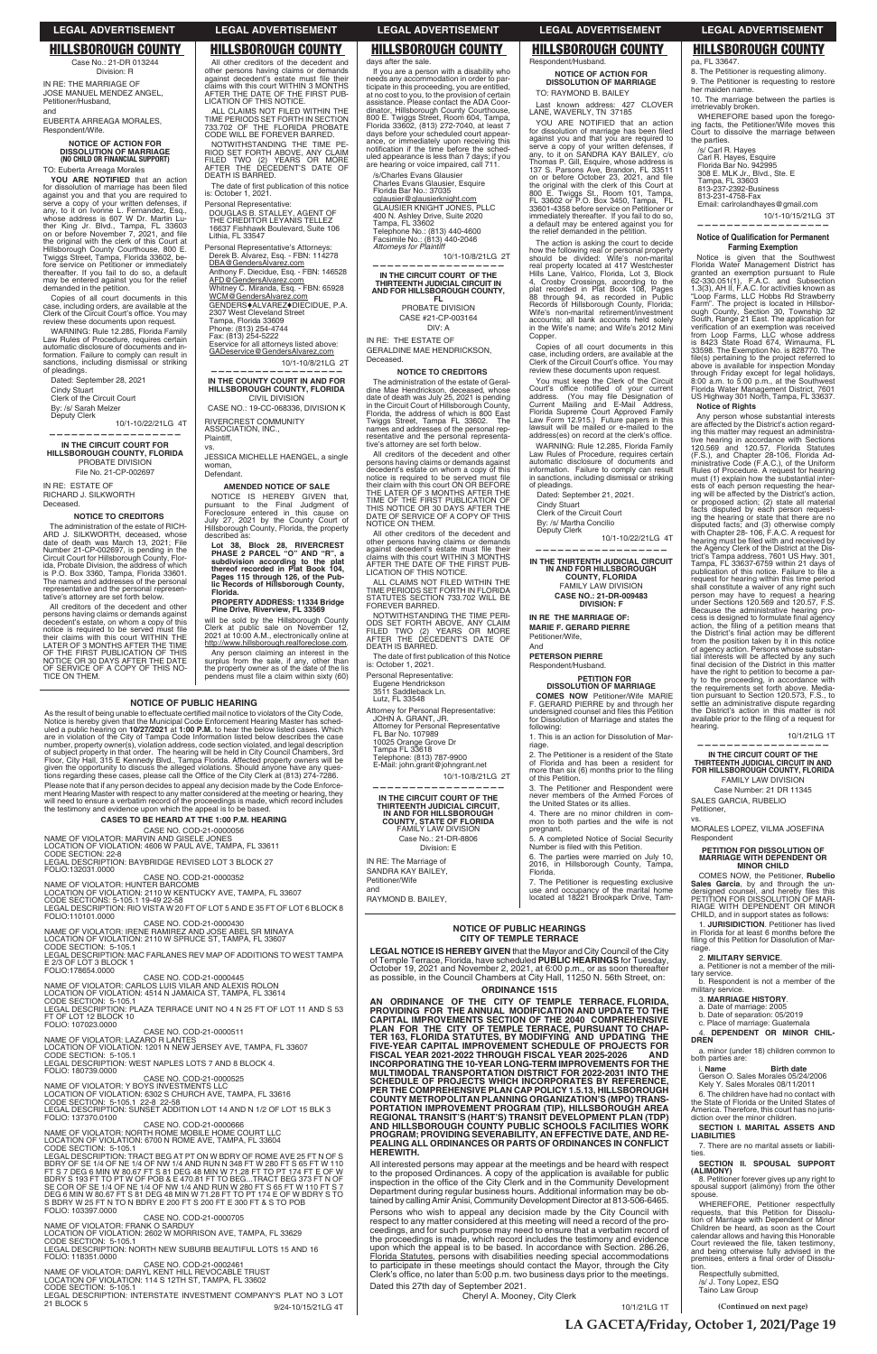**NOTICE OF PUBLIC HEARINGS CITY OF TEMPLE TERRACE LEGAL NOTICE IS HEREBY GIVEN** that the Mayor and City Council of the City of Temple Terrace, Florida, have scheduled **PUBLIC HEARINGS** for Tuesday, October 19, 2021 and November 2, 2021, at 6:00 p.m., or as soon thereafter as possible, in the Council Chambers at City Hall, 11250 N. 56th Street, on: **ORDINANCE 1515**

All interested persons may appear at the meetings and be heard with respect to the proposed Ordinances. A copy of the application is available for public inspection in the office of the City Clerk and in the Community Development Department during regular business hours. Additional information may be obtained by calling Amir Anisi, Community Development Director at 813-506-6465.

**AN ORDINANCE OF THE CITY OF TEMPLE TERRACE, FLORIDA, PROVIDING FOR THE ANNUAL MODIFICATION AND UPDATE TO THE CAPITAL IMPROVEMENTS SECTION OF THE 2040 COMPREHENSIVE PLAN FOR THE CITY OF TEMPLE TERRACE, PURSUANT TO CHAP-TER 163, FLORIDA STATUTES, BY MODIFYING AND UPDATING THE FIVE-YEAR CAPITAL IMPROVEMENT SCHEDULE OF PROJECTS FOR FISCAL YEAR 2021-2022 THROUGH FISCAL YEAR 2025-2026 AND INCORPORATING THE 10-YEAR LONG-TERM IMPROVEMENTS FOR THE MULTIMODAL TRANSPORTATION DISTRICT FOR 2022-2031 INTO THE SCHEDULE OF PROJECTS WHICH INCORPORATES BY REFERENCE, PER THE COMPREHENSIVE PLAN CAP POLICY 1.5.13, HILLSBOROUGH COUNTY METROPOLITAN PLANNING ORGANIZATION'S (MPO) TRANS-PORTATION IMPROVEMENT PROGRAM (TIP), HILLSBOROUGH AREA REGIONAL TRANSIT'S (HART'S) TRANSIT DEVELOPMENT PLAN (TDP) AND HILLSBOROUGH COUNTY PUBLIC SCHOOLS FACILITIES WORK PROGRAM; PROVIDING SEVERABILITY, AN EFFECTIVE DATE, AND RE-PEALING ALL ORDINANCES OR PARTS OF ORDINANCES IN CONFLICT HEREWITH.**

Persons who wish to appeal any decision made by the City Council with respect to any matter considered at this meeting will need a record of the proceedings, and for such purpose may need to ensure that a verbatim record of the proceedings is made, which record includes the testimony and evidence upon which the appeal is to be based. In accordance with Section. 286.26, Florida Statutes, persons with disabilities needing special accommodations to participate in these meetings should contact the Mayor, through the City Clerk's office, no later than 5:00 p.m. two business days prior to the meetings.

Dated this 27th day of September 2021.

Cheryl A. Mooney, City Clerk

10/1/21LG 1T

## **NOTICE OF PUBLIC HEARING**

As the result of being unable to effectuate certified mail notice to violators of the City Code,<br>Notice is hereby given that the Municipal Code Enforcement Hearing Master has sched-<br>uled a public hearing on **10/27/2021** at number, property owner(s), violation address, code section violated, and legal description<br>of subject property in that order. The hearing will be held in City Council Chambers, 3rd<br>Floor, City Hall, 315 E Kennedy Blvd., Ta

Please note that if any person decides to appeal any decision made by the Code Enforce-<br>ment Hearing Master with respect to any matter considered at the meeting or hearing, they<br>will need to ensure a verbatim record of the

The date of first publication of this notice is: October 1, 2021.

Personal Representative: DOUGLAS B. STALLEY, AGENT OF<br>THE CREDITOR LEYANIS TELLEZ

# **CASES TO BE HEARD AT THE 1:00 P.M. HEARING**

CASE NO. COD-21-0000056

NAME OF VIOLATOR: MARVIN AND GISELE JONES LOCATION OF VIOLATION: 4606 W PAUL AVE, TAMPA, FL 33611<br>CODE SECTION: 22-8 LEGAL DESCRIPTION: BAYBRIDGE REVISED LOT 3 BLOCK 27

FOLIO:132031.0000 CASE NO. COD-21-0000352

NAME OF VIOLATOR: HUNTER BARCOMB<br>LOCATION OF VIOLATION: 2110 W KENTUCKY AVE, TAMPA, FL 33607<br>CODE SECTIONS: 5-105.1 19-49 22-58 LEGAL DESCRIPTION: RIO VISTA W 20 FT OF LOT 5 AND E 35 FT OF LOT 6 BLOCK 8

FOLIO:110101.0000<br>NAME OF VIOLATOR: IRENE RAMIREZ AND JOSE ABEL SR MINAYA<br>LOCATION OF VIOLATION: 2110 W SPRUCE ST, TAMPA, FL 33607<br>CODE SECTION: 5-105.1<br>LEGAL DESCRIPTION: MAC FARLANES REV MAP OF ADDITIONS TO V

WEST TAMPA E 2/3 OF LOT 3 BLC<br>FOLIO:178654.0000 2/3 OF LOT 3 BLOCK 1

CASE NO. COD-21-0000445 NAME OF VIOLATOR: CARLOS LUIS VILAR AND ALEXIS ROLON<br>LOCATION OF VIOLATION: 4514 N JAMAICA ST, TAMPA, FL 33614 CODE SECTION: 5-105.1<br>LEGAL DESCRIPTION: PLAZA TERRACE UNIT NO 4 N 25 FT OF LOT 11 AND S 53<br>FT OF LOT 12 BLOCK 10

10/1-10/8/21LG 2T **——————————————————**

CASE NO.: 19-CC-068336, DIVISION K RIVERCREST COMMUNITY ASSOCIATION, INC., Plaintiff,

NOTICE IS HEREBY GIVEN that,<br>pursuant to the Final Judgment of<br>Foreclosure entered in this cause on July 27, 2021 by the County Court of Hillsborough County, Florida, the property described as:

Any person claiming an interest in the surplus from the sale, if any, other than the property owner as of the date of the lis pendens must file a claim within sixty (60)

IN RE: THE MARRIAGE OF JOSE MANUEL MENDEZ ANGEL, Petitioner/Husband, and

EUBERTA ARREAGA MORALES, Respondent/Wife.

Copies of all court documents in this case, including orders, are available at the Clerk of the Circuit Court's office. You may<br>review these documents upon request.

WARNING: Rule 12.285, Florida Family Law Rules of Procedure, requires certain automatic disclosure of documents and in-formation. Failure to comply can result in sanctions, including dismissal or striking of pleadings.

**HILLSBOROUGH COUNTY, FLORIDA** PROBATE DIVISION File No. 21-CP-002697

The administration of the estate of RICH-<br>ARD J. SILKWORTH, deceased, whose<br>date of death was March 13, 2021; File Number 21-CP-002697, is pending in the<br>Circuit Court for Hillsborough County, Florida, Probate Division, the address of which is P.O. Box 3360, Tampa, Florida 33601.<br>The names and addresses of the personal representative and the personal representative's attorney are set forth below.

All creditors of the decedent and other<br>persons having claims or demands against<br>decedent's estate, on whom a copy of this<br>notice is required to be served must file<br>their claims with this court WITHIN THE<br>LATER OF 3 MONTHS OF THE FIRST PUBLICATION OF THIS NOTICE OR 30 DAYS AFTER THE DATE OF SERVICE OF A COPY OF THIS NO-TICE ON THEM.

10/1-10/8/21LG 2T **——————————————————**

### **NOTICE TO CREDITORS** The administration of the estate of Geral-

6 **(Continued on next page)**

All other creditors of the decedent and other persons having claims or demands<br>against decedent's estate must file their<br>claims with this court WITHIN 3 MONTHS AFTER THE DATE OF THE FIRST PUB-LICATION OF THIS NOTICE.

ALL CLAIMS NOT FILED WITHIN THE TIME PERIODS SET FORTH IN SECTION 733.702 OF THE FLORIDA PROBATE CODE WILL BE FOREVER BARRED. NOTWITHSTANDING THE TIME PE-<br>RIOD SET FORTH ABOVE, ANY CLAIM<br>FILED TWO (2) YEARS OR MORE<br>AFTER THE DECEDENT'S DATE OF<br>DEATH IS BARRED.

> ALL CLAIMS NOT FILED WITHIN THE<br>TIME PERIODS SET FORTH IN FLORIDA<br>STATUTES SECTION 733.702 WILL BE FOREVER BARRED.

> NOTWITHSTANDING THE TIME PERI-<br>ODS SET FORTH ABOVE, ANY CLAIM<br>FILED TWO (2) YEARS OR MORE<br>AFTER THE DECEDENT'S DATE OF<br>DEATH IS BARRED.

The date of first publication of this Notice<br>is: October 1, 2021.

Telephone: (813) 787-9900 E-Mail: john.grant@johngrant.net

10/1-10/8/21LG 2T **——————————————————**

Petitioner/Wife and RAYMOND B. BAILEY,

Last known address: 427 CLOVER LANE, WAVERLY, TN 37185

16637 Fishhawk Boulevard, Suite 106 Lithia, FL 33547 Personal Representative's Attorneys: Derek B. Alvarez, Esq. - FBN: 114278

DBA@GendersAlvarez.com Anthony F. Diecidue, Esq. - FBN: 146528 AFD@GendersAlvarez.com

Whitney C. Miranda, Esq. - FBN: 65928 <u>WCM@GendersAlvarez.com</u><br>GENDERS♦ALVAREZ♦DIECIDUE, P.A. 2307 West Cleveland Street Tampa, Florida 33609<br>Phone: (813) 254-4744

Fax: (813) 254-5222 Eservice for all attorneys listed above: GADeservice @ GendersAlvarez.com

YOU ARE NOTIFIED that an action for dissolution of marriage has been filed against you and that you are required to serve a copy of your written defenses, if any, to it on SANDRA KAY BAILEY, c/o Thomas P. Gill, Esquire, whose address is<br>137 S. Parsons Ave, Brandon, FL 33511 on or before October 23, 2021, and file the original with the clerk of this Court at 800 E. Twiggs St., Room 101, Tampa, FL 33602 or P.O. Box 3450, Tampa, FL 33601-4358 before service on Petitioner or immediately thereafter. If you fail to do so, a default may be entered against you for the relief demanded in the petition.

**IN THE COUNTY COURT IN AND FOR HILLSBOROUGH COUNTY, FLORIDA** CIVIL DIVISION

vs. JESSICA MICHELLE HAENGEL, a single woman, Defendant.

You must keep the Clerk of the Circuit Court's office notified of your current<br>address. (You may file Designation of Current Mailing and E-Mail Address,<br>Florida Supreme Court Approved Family<br>Law Form 12.915.) Future papers in this<br>lawsuit will be mailed or e-mailed to the address(es) on record at the clerk's office.

# **AMENDED NOTICE OF SALE**

WARNING: Rule 12.285, Florida Family Law Rules of Procedure, requires certain automatic disclosure of documents and information. Failure to comply can result in sanctions, including dismissal or striking of pleadings.

**Lot 38, Block 28, RIVERCREST PHASE 2 PARCEL "O" AND "R", a sub division according to the plat there of recorded in Plat Book 104, Pages 115 through 126, of the Pub-lic Rec ords of Hillsborough County, Florida.**

> **IN RE THE MARRIAGE OF: MARIE F. GERARD PIERRE** Petitioner/Wife,

## **PROPERTY ADDRESS: 11334 Bridge Pine Drive, Riverview, FL 33569**

**COMES NOW** Petitioner/Wife MARIE<br>F. GERARD PIERRE by and through her<br>undersigned counsel and files this Petition for Dissolution of Marriage and states the following:

will be sold by the Hillsborough County Clerk at public sale on November 12, 2021 at 10:00 A.M., electronically online at http://www.hillsborough.realforeclose.com.

> of Florida and has been a resident for<br>more than six (6) months prior to the filing of this Petition.

> 4. There are no minor children in common to both parties and the wife is not pregnant.

5. A completed Notice of Social Security<br>Number is filed with this Petition.

Case No.: 21-DR 013244 Division: R

> 7. The Petitioner is requesting exclusive use and occupancy of the marital home located at 18221 Brookpark Drive, Tam-

FOLIO: 107023.0000<br>CASE NO. COD-21-0000511<br>NAME OF VIOLATOR: LAZARO R LANTES LOCATION OF VIOLATION: 1201 N NEW JERSEY AVE, TAMPA, FL 33607<br>CODE SECTION: 5-105.1<br>LEGAL DESCRIPTION: WEST NAPLES LOTS 7 AND 8 BLOCK 4.

FOLIO: 180739.0000

CASE NO. COD-21-0000525<br>NAME OF VIOLATOR: Y BOYS INVESTMENTS LLC LOCATION OF VIOLATION: 6302 S CHURCH AVE, TAMPA, FL 33616<br>CODE SECTION: 5-105.1 22-8 22-58<br>LEGAL DESCRIPTION: SUNSET ADDITION LOT 14 AND N 1/2 OF LOT 15 BLK 3

FOLIO: 137370.0100<br>
NAME OF VIOLATOR: NORTH ROME MOBILE HOME COURT LLC<br>
LOCATION OF VIOLATION: 6700 N ROME AVE, TAMPA, FL 33604<br>
CODE SECTION: 5-105.1<br>
LEGAL DESCRIPTION: TRACT BEG AT PT ON W BDRY OF ROME AVE 25 FT N OF S<br>

8. The Petitioner is requesting alimony. 9. The Petitioner is requesting to restore

Carl R. Hayes, Esquire<br>Florida Bar No. 942995<br>308 E. MLK Jr., Blvd., Ste. E

CASE NO. COD-21-0000705<br>NAME OF VIOLATOR: FRANK O SARDUY

LOCATION OF VIOLATION: 2602 W MORRISON AVE, TAMPA, FL 33629<br>CODE SECTION: 5-105.1<br>LEGAL DESCRIPTION: NORTH NEW SUBURB BEAUTIFUL LOTS 15 AND 16

FOLIO: 118351.0000

CASE NO. COD-21-0002461<br>NAME OF VIOLATOR: DARYL KENT HILL REVOCABLE TRUST LOCATION OF VIOLATION: 114 S 12TH ST, TAMPA, FL 33602<br>CODE SECTION: 5-105.1<br>LEGAL DESCRIPTION: INTERSTATE INVESTMENT COMPANY'S PLAT NO 3 LOT 21 BLOCK

9/24-10/15/21LG 4T

# **NOTICE OF ACTION FOR DISSOLUTION OF MARRIAGE (NO CHILD OR FINANCIAL SUPPORT)** TO: Euberta Arreaga Morales

**—————————————————— Notice of Qualification for Permanent Farming Exemption** 

Notice is given that the Southwest<br>Florida Water Management District has<br>granted an exemption pursuant to Rule<br>62-330.051(1), F.A.C. and Subsection<br>1.3(3), AH II, F.A.C. for activities known as<br>"Loop Farms, LLC Hobbs Rd St

Farm". The project is located in Hillsbor-<br>ough County, Section 30, Township 32<br>South, Range 21 East. The application for

verification of an exemption was received<br>from Loop Farms, LLC whose address<br>is 8423 State Road 674, Wimauma, FL

33598. The Exemption No. is 828770. The<br>file(s) pertaining to the project referred to<br>above is available for inspection Monday

**YOU ARE NOTIFIED** that an action for dissolution of marriage has been filed against you and that you are required to serve a copy of your written defenses, if any, to it on Ivonne L. Fernandez, Esq., whose address is 607 W Dr. Martin Lu-<br>ther King Jr. Blvd., Tampa, FL 33603<br>on or before November 7, 2021, and file<br>the original with the clerk of this Court at<br>Hillsborough County Courthouse, 800 E. Twiggs Street, Tampa, Florida 33602, before service on Petitioner or immediately thereafter. If you fail to do so, a default may be entered against you for the relief demanded in the petition.

> through Friday except for legal holidays,<br>8:00 a.m. to 5:00 p.m., at the Southwest<br>Florida Water Management District, 7601 US Highway 301 North, Tampa, FL 33637.

Any person whose substantial interests are affected by the District's action regarding this matter may request an administrative hearing in accordance with Sections<br>120.569 and 120.57, Florida Statutes<br>(F.S.), and Chapter 28-106, Florida Ad-

ministrative Code (F.A.C.), of the Uniform<br>Rules of Procedure. A request for hearing<br>must (1) explain how the substantial inter-

ests of each person requesting the hear-<br>ing will be affected by the District's action,<br>or proposed action; (2) state all material<br>facts disputed by each person request-<br>ing the hearing or state that there are no<br>disputed

trict's Tampa address, 7601 US Hwy. 301,<br>Tampa, FL 33637-6759 within 21 days of<br>publication of this notice. Failure to file a

Dated: September 28, 2021 Cindy Stuart Clerk of the Circuit Court

By: /s/ Sarah Melzer Deputy Clerk

10/1-10/22/21LG 4T

**—————————————————— IN THE CIRCUIT COURT FOR** 

IN RE: ESTATE OF RICHARD J. SILKWORTH Deceased.

> tion pursuant to Section 120.573, F.S., to settle an administrative dispute regarding the District's action in this matter is not available prior to the filing of a request for

### **NOTICE TO CREDITORS**

# days after the sale.

If you are a person with a disability who needs any accommodation in order to par-ticipate in this proceeding, you are entitled, at no cost to you, to the provision of certain<br>assistance. Please contact the ADA Coor-<br>dinator, Hillsborough County Courthouse, 800 E. Twiggs Street, Room 604, Tampa,<br>Florida 33602, (813) 272-7040, at least 7<br>days before your scheduled court appearance, or immediately upon receiving this<br>notification if the time before the sched-<br>uled appearance is less than 7 days; if you are hearing or voice impaired, call 711.

/s/Charles Evans Glausier<br>Charles Evans Glausier, Esquire Florida Bar No.: 37035 cglausier@glausierknight.com GLAUSIER KNIGHT JONES, PLLC 400 N. Ashley Drive, Suite 2020 Tampa, FL 33602 Telephone No.: (813) 440-4600<br>Facsimile No.: (813) 440-2046<br>*Attorneys for Plaintiff* 

**IN THE CIRCUIT COURT OF THE THIRTEENTH JUDICIAL CIRCUIT IN AND FOR HILLSBOROUGH COUNTY, FL** PROBATE DIVISION CASE #21-CP-003164

DIV: A IN RE: THE ESTATE OF

GERALDINE MAE HENDRICKSON, **Deceased** 

dine Mae Hendrickson, deceased, whose date of death was July 25, 2021 is pending in the Circuit Court of Hillsborough County, Florida, the address of which is 800 East Twiggs Street, Tampa FL 33602. The names and addresses of the personal representative and the personal representa-tive's attorney are set forth below.

All creditors of the decedent and other persons having claims or demands against decedent's estate on whom a copy of this<br>notice is required to be served must file<br>their claim with this court ON OR BEFORE THE LATER OF 3 MONTHS AFTER THE TIME OF THE FIRST PUBLICATION OF THIS NOTICE OR 30 DAYS AFTER THE DATE OF SERVICE OF A COPY OF THIS NOTICE ON THEM.

All other creditors of the decedent and other persons having claims or demands against decedent's estate must file their<br>claims with this court WITHIN 3 MONTHS<br>AFTER THE DATE OF THE FIRST PUB-LICATION OF THIS NOTICE.

Personal Representative:

Eugene Hendrickson 3511 Saddleback Ln. Lutz, FL 33548

Attorney for Personal Representative:

JOHN A. GRANT, JR.<br>Attorney for Personal Representative<br>FL Bar No. 107989

10025 Orange Grove Dr<br>Tampa FL 33618

**IN THE CIRCUIT COURT OF THE THIRTEENTH JUDICIAL CIRCUIT, IN AND FOR HILLSBOROUGH COUNTY, STATE OF FLORIDA**<br>FAMILY LAW DIVISION Case No.: 21-DR-8806 Division: E

IN RE: The Marriage of SANDRA KAY BAILEY,

# Respondent/Husband. **NOTICE OF ACTION FOR**

**DISSOLUTION OF MARRIAGE** TO: RAYMOND B. BAILEY

The action is asking the court to decide how the following real or personal property<br>should be divided: Wife's non-marital<br>pread property located at 417 Westchester<br>Hills Lane, Valrico, Florida, Lot 3, Block<br>4, Crosby Crossings, according to the<br>plat recorded in accounts; all bank accounts held solely in the Wife's name; and Wife's 2012 Mini Copper.

Copies of all court documents in this case, including orders, are available at the<br>Clerk of the Circuit Court's office. You may review these documents upon request.

Dated: September 21, 2021. Cindy Stuart Clerk of the Circuit Court

By: /s/ Martha Concilio Deputy Clerk

10/1-10/22/21LG 4T

**—————————————————— IN THE THIRTENTH JUDICIAL CIRCUIT IN AND FOR HILLSBOROUGH COUNTY, FLORIDA** FAMILY LAW DIVISION **CASE NO.: 21-DR-009483 DIVISION: F**

And **PETERSON PIERRE** Respondent/Husband.

# **PETITION FOR**

**DISSOLUTION OF MARRIAGE**

1. This is an action for Dissolution of Marriage. 2. The Petitioner is a resident of the State

3. The Petitioner and Respondent were members of the Armed Forces of the United States or its allies.

6. The parties were married on July 10, 2016, in Hillsborough County, Tampa, Florida.

pa, FL 33647.

her maiden name.

10. The marriage between the parties is

WHEREFORE based upon the foregoing facts, the Petitioner/Wife moves this<br>Court to dissolve the marriage between

irretrievably broken.

the parties. /s/ Carl R. Hayes

Email: carlrolandhayes@gmail.com

**Notice of Rights**

10/1-10/15/21LG 3T

Tampa, FL 33603<br>813-237-2392-Business<br>813-231-4758-Fax

request for hearing within this time period shall constitute a waiver of any right such person may have to request a hearing

under Sections 120.569 and 120.57, F.S.<br>Because the administrative hearing pro-<br>cess is designed to formulate final agency

action, the filing of a petition means that<br>the District's final action may be different<br>from the position taken by it in this notice

of agency action. Persons whose substan-<br>tial interests will be affected by any such<br>final decision of the District in this matter

have the right to petition to become a par-ty to the proceeding, in accordance with the requirements set forth above. Media-

hearing.

**—————————————————— IN THE CIRCUIT COURT OF THE THIRTEENTH JUDICIAL CIRCUIT IN AND FOR HILLSBOROUGH COUNTY, FLORIDA** FAMILY LAW DIVISION Case Number: 21 DR 11345

Petitioner, vs.

MORALES LOPEZ, VILMA JOSEFINA

Respondent

**PETITION FOR DISSOLUTION OF MARRIAGE WITH DEPENDENT OR MINOR CHILD** COMES NOW, the Petitioner, Rubelio Sales Garcia, by and through the un-<br>dersigned counsel, and hereby files this<br>PETITION FOR DISSOLUTION OF MAR-RIAGE WITH DEPENDENT OR MINOR CHILD, and in support states as follows: 1. **JURISIDICTION**. Petitioner has lived in Florida for at least 6 months before the filing of this Petition for Dissolution of Mar-<br>riage. 2. **MILITARY SERVICE**. a. Petitioner is not a member of the mili-

SALES GARCIA, RUBELIO

10/1/21LG 1T

tary service.

b. Respondent is not a member of the

i. **Name**<br>Gerson O. Sales Morales 05/24/2006<br>Kely Y. Sales Morales 08/11/2011

military service.

3. **MARRIAGE HISTORY**. a. Date of marriage: 2005 b. Date of separation: 05/2019 c. Place of marriage: Guatemala 4. **DEPENDENT OR MINOR CHIL-DREN**

a. minor (under 18) children common to<br>both parties are:

6. The children have had no contact with the State of Florida or the United States of America. Therefore, this court has no jurisdiction over the minor children.

# **SECTION I. MARITAL ASSETS AND LIABILITIES**

7. There are no marital assets or liabilities.

**SECTION II. SPOUSAL SUPPORT (ALIMONY)**

8. Petitioner forever gives up any right to spousal support (alimony) from the other spouse.

WHEREFORE, Petitioner respectfully requests, that this Petition for Dissolution of Marriage with Dependent or Minor Children be heard, as soon as the Court calendar allows and having this Honorable<br>Court reviewed the file, taken testimony,<br>and being otherwise fully advised in the premises, enters a final order of Dissolu-

tion.<br>Respectfully submitted,<br>/s/ J. Tony Lopez, ESQ<br>Taino Law Group

# **LEGAL ADVERTISEMENT LEGAL ADVERTISEMENT LEGAL ADVERTISEMENT LEGAL ADVERTISEMENT LEGAL ADVERTISEMENT**

**LA GACETA/Friday, October 1, 2021/Page 19**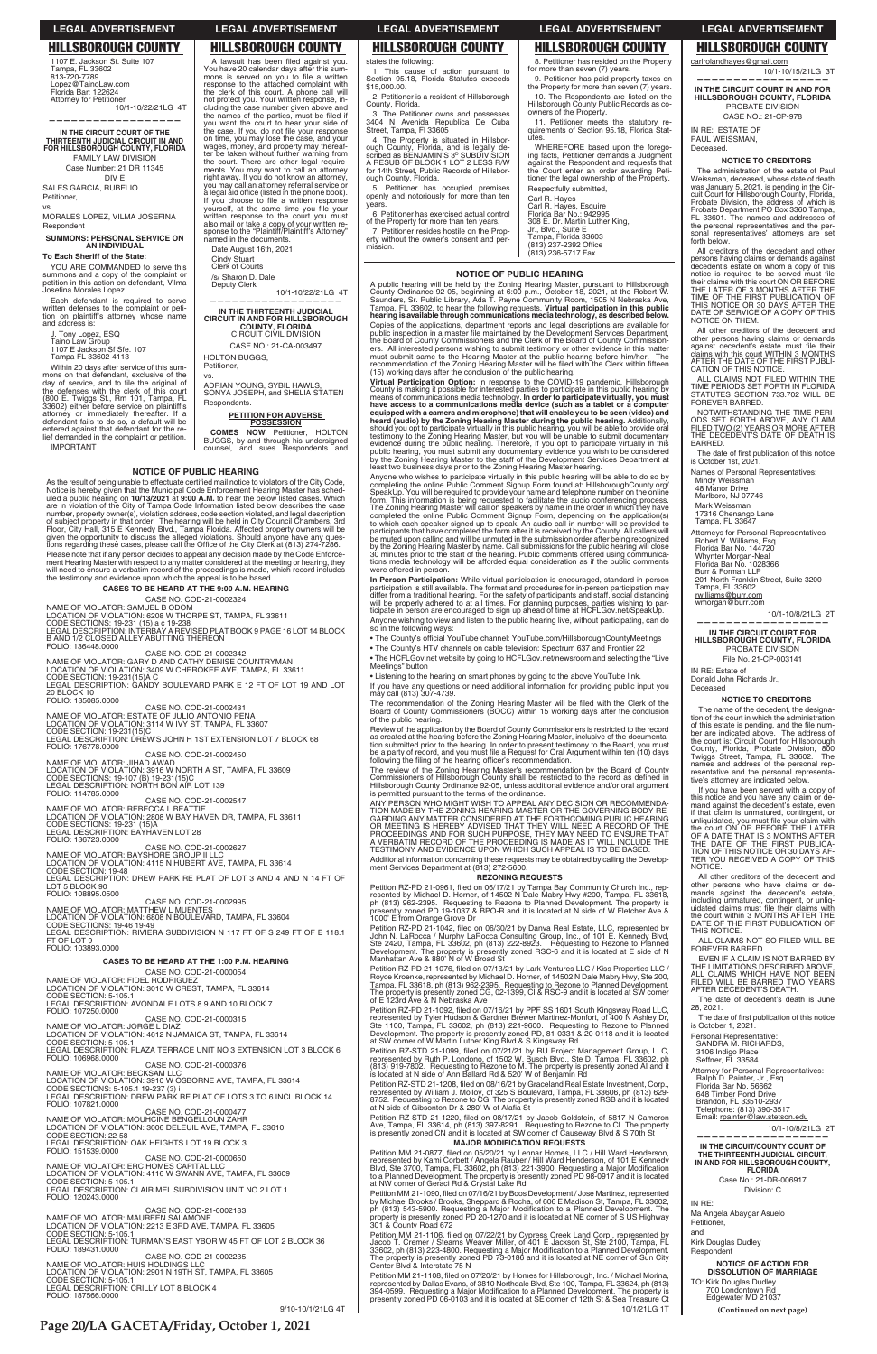### **NOTICE OF PUBLIC HEARING**

As the result of being unable to effectuate certified mail notice to violators of the City Code,<br>Notice is hereby given that the Municipal Code Enforcement Hearing Master has scheel<br>and a public hearing on 10/13/2021 at 9: Please note that if any person decides to appeal any decision made by the Code Please note that if any person decides to appeal any decision made by the Code Enforce-<br>ment Hearing Master with respect to any matter considered at the meeting or hearing, they<br>will need to ensure a verbatim record of the

# **CASES TO BE HEARD AT THE 9:00 A.M. HEARING**

CASE NO. COD-21-0002324<br>NAME OF VIOLATOR: SAMUEL B ODOM<br>LOCATION OF VIOLATION: 6208 W THORPE ST, TAMPA, FL 33611

CODE SECTIONS: 19-231 (15) a c 19-238<br>LEGAL DESCRIPTION: INTERBAY A REVISED PLAT BOOK 9 PAGE 16 LOT 14 BLOCK<br>B AND 1/2 CLOSED ALLEY ABUTTING THEREON

FOLIO: 136448.0000

# CASE NO. COD-21-0002342<br>NAME OF VIOLATOR: GARY D AND CATHY DENISE COUNTRYMAN

LOCATION OF VIOLATION: 3409 W CHEROKEE AVE, TAMPA, FL 33611<br>CODE SECTION: 19-231(15)A C<br>LEGAL DESCRIPTION: GANDY BOULEVARD PARK E 12 FT OF LOT 19 AND LOT

20 BLOCK 10<br>FOLIO: 135085.0000

# CASE NO. COD-21-0002431

NAME OF VIOLATOR: ESTATE OF JULIO ANTONIO PENA<br>LOCATION OF VIOLATION: 3114 W IVY ST, TAMPA, FL 33607<br>CODE SECTION: 19-231(15)C LEGAL DESCRIPTION: ĎRÉW'S JOHN H 1ST EXTENSION LOT 7 BLOCK 68<br>FOLIO: 176778.0000

FOLIO: 176778.0000 CASE NO. COD-21-0002450

NAME OF VIOLATOR: JIHAD AWAD<br>LOCATION OF VIOLATION: 3916 W NORTH A ST, TAMPA, FL 33609<br>CODE SECTIONS: 19-107 (B) 19-231(15)C LEGAL DESCRIPTION: NORTH BON AIR LOT 139<br>FOLIO: 114785.0000

# CASE NO. COD-21-0002547

NAME OF VIOLATOR: REBECCA L BEATTIE<br>LOCATION OF VIOLATION: 2808 W BAY HAVEN DR, TAMPA, FL 33611<br>CODE SECTIONS: 19-231 (15)A LEGAL DESCRIPTION: BAYHAVEN LOT 28<br>FOLIO: 136723.0000

# CASE NO. COD-21-0002627

NAME OF VIOLATOR: BAYSHORE GROUP II LLC<br>LOCATION OF VIOLATION: 4115 N HUBERT AVE, TAMPA, FL 33614<br>CODE SECTION: 19-48

LEGAL DESCRIPTION: DREW PARK RE PLAT OF LOT 3 AND 4 AND N 14 FT OF<br>LOT 5 BLOCK 90 FOLIO: 108895.0500

CASE NO. COD-21-0002995<br>NAME OF VIOLATOR: MATTHEW L MUENTES<br>LOCATION OF VIOLATION: 6808 N BOULEVARD, TAMPA, FL 33604 CODE SECTIONS: 19-46 19-49<br>LEGAL DESCRIPTION: RIVIERA SUBDIVISION N 117 FT OF S 249 FT OF E 118.1<br>FT OF LOT 9

SALES GARCIA, RUBELIO Petitioner, vs.

YOU ARE COMMANDED to serve this summons and a copy of the complaint or petition in this action on defendant, Vilma Josefina Morales Lopez.

Within 20 days after service of this sum-<br>mons on that defendant, exclusive of the<br>day of service, and to file the original of the defenses with the clerk of this court<br>
(800 E. Twiggs St., Rm 101, Tampa, FL<br>
33602) either before service on plantiff's<br>
attorney or immediately thereafter. If a<br>
defendant fails to do so, a default will be entered against that defendant for the re-lief demanded in the complaint or petition.

# **CASES TO BE HEARD AT THE 1:00 P.M. HEARING**

CASE NO. COD-21-0000054<br>NAME OF VIOLATOR: FIDEL RODRIGUEZ LOCATION OF VIOLATION: 3010 W CREST, TAMPA, FL 33614<br>CODE SECTION: 5-105.1

**—————————————————— IN THE THIRTEENTH JUDICIAL CIRCUIT IN AND FOR HILLSBOROUGH COUNTY, FLORIDA** CIRCUIT CIVIL DIVISION CASE NO.: 21-CA-003497

ADRIAN YOUNG, SYBIL HAWLS,<br>SONYA JOSEPH, and SHELIA STATEN

HOLTON BUGGS, Petitioner, vs.

**PETITION FOR ADVERSE POSSESSION COMES NOW** Petitioner, HOLTON BUGGS, by and through his undersigned<br>counsel, and sues Respondents and

10/1-10/22/21LG 4T

states the following: 1. This cause of action pursuant to Section 95.<br>\$15,000.00. 95.18, Florida Statutes exceeds

6. Petitioner has exercised actual control of the Property for more than ten years.

9. Petitioner has paid property taxes on the Property for more than seven (7) years. 10. The Respondents are listed on the Hillsborough County Public Records as co-

11. Petitioner meets the statutory re-<br>quirements of Section 95.18, Florida Stat-

WHEREFORE based upon the foregoing facts, Petitioner demands a Judgment against the Respondent and requests that the Court enter an order awarding Petitioner the legal ownership of the Property.

Respectfully submitted, Carl R. Hayes<br>Carl R. Hayes, Esquire<br>Florida Bar No.: 942995

for more than seven (7) years.

(813) 237-2392 Office<br>(813) 236-5717 Fax

**IN THE CIRCUIT COURT IN AND FOR HILLSBOROUGH COUNTY, FLORIDA** PROBATE DIVISION CASE NO.: 21-CP-978

6 **(Continued on next page)**

9/10-10/1/21LG 4T

1107 E. Jackson St. Suite 107 Tampa, FL 33602<br>813-720-7789 Lopez@TainoLaw.com Florida Bar: 122624 Attorney for Petitioner

10/1-10/22/21LG 4T

**——————————————————**

The administration of the estate of Paul<br>Weissman, deceased, whose date of death<br>was January 5, 2021, is pending in the Cir-<br>cuit Court for Hillsborough County, Florida,<br>Probate Division, the address of which is Probate Department PO Box 3360 Tampa,<br>FL 33601. The names and addresses of<br>the personal representatives and the personal representatives' attorneys are set forth below.

**IN THE CIRCUIT COURT OF THE THIRTEENTH JUDICIAL CIRCUIT IN AND FOR HILLSBOROUGH COUNTY, FLORIDA** FAMILY LAW DIVISION Case Number: 21 DR 11345 DIV E

MORALES LOPEZ, VILMA JOSEFINA Respondent

**SUMMONS: PERSONAL SERVICE ON AN INDIVIDUAL**

### **To Each Sheriff of the State:**

ALL CLAIMS NOT FILED WITHIN THE<br>TIME PERIODS SET FORTH IN FLORIDA<br>STATUTES SECTION 733.702 WILL BE FOREVER BARRED.

NOTWITHSTANDING THE TIME PERI-ODS SET FORTH ABOVE, ANY CLAIM<br>FILED TWO (2) YEARS OR MORE AFTER<br>THE DECEDENT'S DATE OF DEATH IS BARRED.

The date of first publication of this notice<br>is October 1st, 2021.

Each defendant is required to serve written defenses to the complaint or petition on plaintiff's attorney whose name and address is:

J. Tony Lopez, ESQ<br>Taino Law Group<br>1107 E Jackson Sf Sfe. 107

Mark Weissman 17316 Chenango Lane Tampa, FL 33647

Attorneys for Personal Representatives Robert V. Williams, Esq. Florida Bar No. 144720 Whynter Morgan-Neal<br>Florida Bar No. 1028366

Tampa FL 33602-4113

10/1-10/8/21LG 2T **——————————————————**

The name of the decedent, the designation of the court in which the administration of this estate is pending, and the file num-<br>ber are indicated above. The address of the court is: Circuit Court for Hillsborough<br>County, Florida, Probate Division, 800<br>Twiggs Street, Tampa, FL 33602. The<br>names and address of the personal rep-<br>resentative and the personal representa-<br>tive's attorney are in

IMPORTANT

You have 20 calendar days after this summons is served on you to file a written response to the attached complaint with the clerk of this court. A phone call will not protect you. Your written response, in-

cluding the case number given above and<br>the names of the parties, must be filed if<br>you want the court to hear your side of<br>the case. If you do not file your response<br>on time, you may lose the case, and your<br>wages, money, a

ALL CLAIMS WHICH HAVE NOT BEEN<br>FILED WILL BE BARRED TWO YEARS<br>AFTER DECEDENT'S DEATH. The date of decedent's death is June 28, 2021.

The date of first publication of this notice<br>is October 1, 2021.

Attorney for Personal Representatives: Ralph D. Painter, Jr., Esq. Florida Bar No. 56662 648 Timber Pond Drive<br>Brandon, FL 33510-2937 Telephone: (813) 390-3517 Email: rpainter@law.stetson.edu

10/1-10/8/21LG 2T

Case No.: 21-DR-006917 Division: C

the court. There are other legal require-ments. You may want to call an attorney

right away. If you do not know an attorney,<br>you may call an attorney referral service or<br>a legal aid office (listed in the phone book).<br>If you choose to file a written response

yourself, at the same time you file your<br>written response to the court you must<br>also mail or take a copy of your written re-<br>sponse to the "Plaintiff/Plaintiff's Attorney"

Kirk Douglas Dudley Respondent

named in the documents. Date August 16th, 2021 Cindy Stuart Clerk of Courts /s/ Sharon D. Dale Deputy Clerk

Respondents.

# A lawsuit has been filed against you.

2. Petitioner is a resident of Hillsborough County, Florida.

3. The Petitioner owns and possesses 3404 N Avenida Republica De Cuba Street, Tampa, Fl 33605

4. The Property is situated in Hillsborough County, Florida, and is legally de-<br>scribed as BENJAMIN'S 3º SUBDIVISION<br>A RESUB OF BLOCK 1 LOT 2 LESS R/W for 14th Street, Public Records of Hillsborough County, Florida.

5. Petitioner has occupied premises openly and notoriously for more than ten years.

7. Petitioner resides hostile on the Property without the owner's consent and permission.

8. Petitioner has resided on the Property

owners of the Property.

utes.

A public hearing will be held by the Zoning Hearing Master, pursuant to Hillsborough<br>County Ordinance 92-05, beginning at 6:00 p.m., October 18, 2021, at the Robert W.<br>Saunders, Sr. Public Library, Ada T. Payne Community R Copies of the applications, department reports and legal descriptions are available for public inspection in a master file maintained by the Development Services Department, the Board of County Commissioners and the Clerk of the Board of County Commission-<br>ters. All interested persons wishing to submit testim

Virtual Participation Option: In response to the COVID-19 pandemic, Hillsborough County is making it possible for interested parties to participate in this public hearing by means of communications media technology. In order to participate virtually, you must have access to a communications media devic equipped with a camera and microphone) that will enable you to be seen (video) and<br>heard (audio) by the Zoning Hearing Master during the public hearing. Additionally,<br>should you opt to participate virtually in this public

308 E. Dr. Martin Luther King, Jr., Blvd., Suite E Tampa, Florida 33603

Review of the application by the Board of County Commissioners is restricted to the record as created at the hearing before the Zoning Hearing Master, inclusive of the documenta-<br>tion submitted prior to the hearing. In order to present testimony to the Board, you must<br>be a party of record, and you must file a Re

The review of the Zoning Hearing Master's recommendation by the Board of County<br>Commissioners of Hillsborough County shall be restricted to the record as defined in<br>Hillsborough County Ordinance 92-05, unless additional ev

ANY PERSON WHO MIGHT WISH TO APPEAL ANY DECISION OR RECOMMENDA-TION MADE BY THE ZONING HEARING AND THE GOVERNING<br>TION MADE BY THE ZONING HEARING MASTER OR THE GOVERNING BODY RE-<br>GARDING ANY MATTER CONSIDERED AT THE FORTHCO TESTIMONY AND EVIDENCE UPON WHICH SUCH APPEAL IS TO BE BASED.

Additional information concerning these requests may be obtained by calling the Develop-<br>ment Services Department at (813) 272-5600.

carlrolandhayes@gmail.com 10/1-10/15/21LG 3T **——————————————————**

IN RE: ESTATE OF PAUL WEISSMAN, Deceased.

### **NOTICE TO CREDITORS**

All creditors of the decedent and other persons having claims or demands against decedent's estate on whom a copy of this notice is required to be served must file notice is required to be served must file<br>their claims with this court ON OR BEFORE<br>THE LATER OF 3 MONTHS AFTER THE<br>TIME OF THE FIRST PUBLICATION OF<br>THIS NOTICE OR 30 DAYS AFTER THE<br>DATE OF SERVICE OF A COPY OF THIS NOTICE ON THEM.

All other creditors of the decedent and other persons having claims or demands against decedent's estate must file their<br>claims with this court WITHIN 3 MONTHS<br>AFTER THE DATE OF THE FIRST PUBLI-CATION OF THIS NOTICE.

# Names of Personal Representatives:

Mindy Weissman<br>48 Manor Drive<br>Marlboro, NJ 07746

Burr & Forman LLP

201 North Franklin Street, Suite 3200 Tampa, FL 33602

rwilliams@burr.com

wmorgan@burr.com

**IN THE CIRCUIT COURT FOR HILLSBOROUGH COUNTY, FLORIDA** 

PROBATE DIVISION File No. 21-CP-003141

### IN RE: Estate of Donald John Richards Jr., Deceased

# **NOTICE TO CREDITORS**

If you have been served with a copy of this notice and you have any claim or de-mand against the decedent's estate, even if that claim is unmatured, contingent, or unliquidated, you must file your claim with<br>the court ON OR BEFORE THE LATER<br>OF A DATE THAT IS 3 MONTHS AFTER<br>THE DATE OF THE FIRST PUBLICA-TION OF THIS NOTICE OR 30 DAYS AF-TER YOU RECEIVED A COPY OF THIS NOTICE.

All other creditors of the decedent and other persons who have claims or de-mands against the decedent's estate, including unmatured, contingent, or unliq-<br>uidated claims must file their claims with<br>the court within 3 MONTHS AFTER THE<br>DATE OF THE FIRST PUBLICATION OF THIS NOTICE.

ALL CLAIMS NOT SO FILED WILL BE

FOREVER BARRED.

EVEN IF A CLAIM IS NOT BARRED BY THE LIMITATIONS DESCRIBED ABOVE,

LEGAL DESCRIPTION: AVONDALE LOTS 8 9 AND 10 BLOCK 7 FOLIO: 107250.0000

CASE NO. COD-21-0000315<br>NAME OF VIOLATOR: JORGE L DIAZ

LOCATION OF VIOLATION: 4612 N JAMAICA ST, TAMPA, FL 33614<br>CODE SECTION: 5-105.1<br>LEGAL DESCRIPTION: PLAZA TERRACE UNIT NO 3 EXTENSION LOT 3 BLOCK 6

FOLIO: 106968.0000

CASE NO. COD-21-0000376<br>NAME OF VIOLATOR: BECKSAM LLC

LOCATION OF VIOLATION: 3910 W OSBORNE AVE, TAMPA, FL 33614<br>CODE SECTIONS: 5-105.1 19-237 (3) i<br>LEGAL DESCRIPTION: DREW PARK RE PLAT OF LOTS 3 TO 6 INCL BLOCK 14

FOLIO: 107821.0000

CASE NO. COD-21-0000477<br>NAME OF VIOLATOR: MOUHCINE BENGELLOUN ZAHR LOCATION OF VIOLATION: 3006 DELEUIL AVE, TAMPA, FL 33610<br>CODE SECTION: 22-58<br>LEGAL DESCRIPTION: OAK HEIGHTS LOT 19 BLOCK 3

FOLIO: 151539.0000

FOLIO: 103893.0000

CASE NO. COD-21-0000650<br>NAME OF VIOLATOR: ERC HOMES CAPITAL LLC LOCATION OF VIOLATION: 4116 W SWANN AVE, TAMPA, FL 33609<br>CODE SECTION: 5-105.1<br>LEGAL DESCRIPTION: CLAIR MEL SUBDIVISION UNIT NO 2 LOT 1

FOLIO: 120243.0000

CASE NO. COD-21-0002183<br>NAME OF VIOLATOR: MAUREEN SALAMONE<br>LOCATION OF VIOLATION: 2213 E 3RD AVE, TAMPA, FL 33605 CODE SECTION: 5-105.1<br>LEGAL DESCRIPTION: TURMAN'S EAST YBOR W 45 FT OF LOT 2 BLOCK 36

FOLIO: 189431.0000

CASE NO. COD-21-0002235<br>NAME OF VIOLATOR: HUIS HOLDINGS LLC<br>LOCATION OF VIOLATION: 2901 N 19TH ST, TAMPA, FL 33605

CODE SECTION: 5-105.1<br>LEGAL DESCRIPTION: CRILLY LOT 8 BLOCK 4<br>FOLIO: 187566.0000

Personal Representative: SANDRA M. RICHARDS, 3106 Indigo Place Seffner, FL 33584

| IN THE CIRCUIT/COUNTY COURT OF   |
|----------------------------------|
| THE THIRTEENTH JUDICIAL CIRCUIT, |
| IN AND FOR HILLSBOROUGH COUNTY,  |
| <b>FLORIDA</b>                   |
|                                  |

IN RE:

Ma Angela Abaygar Asuelo Petitioner,

and

# **NOTICE OF ACTION FOR DISSOLUTION OF MARRIAGE**

TO: Kirk Douglas Dudley 700 Londontown Rd Edgewater MD 21037

# **LEGAL ADVERTISEMENT LEGAL ADVERTISEMENT LEGAL ADVERTISEMENT LEGAL ADVERTISEMENT LEGAL ADVERTISEMENT**

# **HILLSBOROUGH COUNTY HILLSBOROUGH COUNTY HILLSBOROUGH COUNTY HILLSBOROUGH COUNTY HILLSBOROUGH COUNTY**

**Page 20/LA GACETA/Friday, October 1, 2021**

### **NOTICE OF PUBLIC HEARING**

Anyone who wishes to participate virtually in this public hearing will be able to do so by completing the online Public Comment Signup Form found at: HillsboroughCounty.org/ SpeakUp. You will be required to provide your name and telephone number on the online<br>form. This information is being requested to facilitate the audio conferencing process.<br>The Zoning Hearing Master will call on speakers be muted upon calling and will be unmuted in the submission order after being recognized<br>by the Zoning Hearing Master by name. Call submissions for the public hearing will close<br>30 minutes prior to the start of the hearing tions media technology will be afforded equal consideration as if the public comments were offered in person.

**In Person Participation:** While virtual participation is encouraged, standard in-person participation is still available. The format and procedures for in-person participation may<br>differ from a traditional hearing. For the safety of participants and staff, social distancing<br>will be properly adhered to at all Anyone wishing to view and listen to the public hearing live, without participating, can do so in the following ways:

• The County's official YouTube channel: YouTube.com/HillsboroughCountyMeetings

• The County's HTV channels on cable television: Spectrum 637 and Frontier 22

• The HCFLGov.net website by going to HCFLGov.net/newsroom and selecting the "Live Meetings" button

• Listening to the hearing on smart phones by going to the above YouTube link. If you have any questions or need additional information for providing public input you<br>If you have any questions or need additional information for providing public input you<br>may call (813) 307-4739.

The recommendation of the Zoning Hearing Master will be filed with the Clerk of the<br>Board of County Commissioners (BOCC) within 15 working days after the conclusion<br>of the public hearing.

# **REZONING REQUESTS**

Petition RZ-PD 21-0961, filed on 06/17/21 by Tampa Bay Community Church Inc., rep-<br>resented by Michael D. Horner, of 14502 N Dale Mabry Hwy #200, Tampa, FL 33618,<br>ph (813) 962-2395. Requesting to Rezone to Planned Develop 1000' E from Orange Grove Dr

Petition RZ-PD 21-1042, filed on 06/30/21 by Danva Real Estate, LLC, represented by<br>John N. LaRocca / Murphy LaRocca Consulting Group, Inc., of 101 E. Kennedy Blvd,<br>Ste 2420, Tampa, FL 33602, ph (813) 222-8923. Requesting

Petition RZ-PD 21-1076, filed on 07/13/21 by Lark Ventures LLC / Kiss Properties LLC /<br>Royce Kroenke, represented by Michael D. Homer, of 14502 N Dale Mabry Hwy, Ste 200,<br>Tampa, FL 33618, ph (813) 962-2395. Requesting to R of E 123rd Ave & N Nebraska Ave Petition RZ-PD 21-1092, filed on 07/16/21 by PPF SS 1601 South Kingsway Road LLC,<br>represented by Tyler Hudson & Gardner Brewer Martinez-Monfort, of 400 N Ashley Dr,<br>Ste 1100, Tampa, FL 33602, ph (813) 221-9600. Requesting Petition RZ-STD 21-1099, filed on 07/21/21 by RU Project Management Group, LLC,<br>represented by Ruth P. Londono, of 1502 W. Busch Blvd., Ste D, Tampa, FL 33602, ph<br>(813) 919-7802. Requesting to Rezone to M. The property is Petition RZ-STD 21-1208, filed on 08/16/21 by Graceland Real Estate Investment, Corp.,<br>represented by William J. Molloy, of 325 S Boulevard, Tampa, FL 33606, ph (813) 629-<br>8752. Requesting to Rezone to CG. The property is Petition RZ-STD 21-1220, filed on 08/17/21 by Jacob Goldstein, of 5817 N Cameron<br>Ave, Tampa, FL 33614, ph (813) 397-8291. Requesting to Rezone to Cl. The property<br>is presently zoned CN and it is located at SW corner of Cau

# **MAJOR MODIFICATION REQUESTS**

Petition MM 21-0877, filed on 05/20/21 by Lennar Homes, LLC / Hill Ward Henderson,<br>represented by Kami Corbett / Angela Rauber / Hill Ward Henderson, of 101 E Kennedy<br>Blvd, Ste 3700, Tampa, FL 33602, ph (813) 221-3900. Req

Petition MM 21-1090, filed on 07/16/21 by Boos Development / Jose Martinez, represented<br>by Michael Brooks / Brooks, Sheppard & Rocha, of 606 E Madison St, Tampa, FL 33602,<br>ph (813) 543-5900. Requesting a Major Modification

Petition MM 21-1106, filed on 07/22/21 by Cypress Creek Land Corp., represented by<br>Jacob T. Cremer / Stearns Weaver Miller, of 401 E Jackson St, Ste 2100, Tampa, FL<br>33602, ph (813) 223-4800. Requesting a Major Modification

Petition MM 21-1108, filed on 07/20/21 by Homes for Hillsborough, Inc. / Michael Morina,<br>represented by Dallas Evans, of 3810 Northdale Blvd, Ste 100, Tampa, FL 33624, ph (813)<br>394-0599. Requesting a Major Modification to

10/1/21LG 1T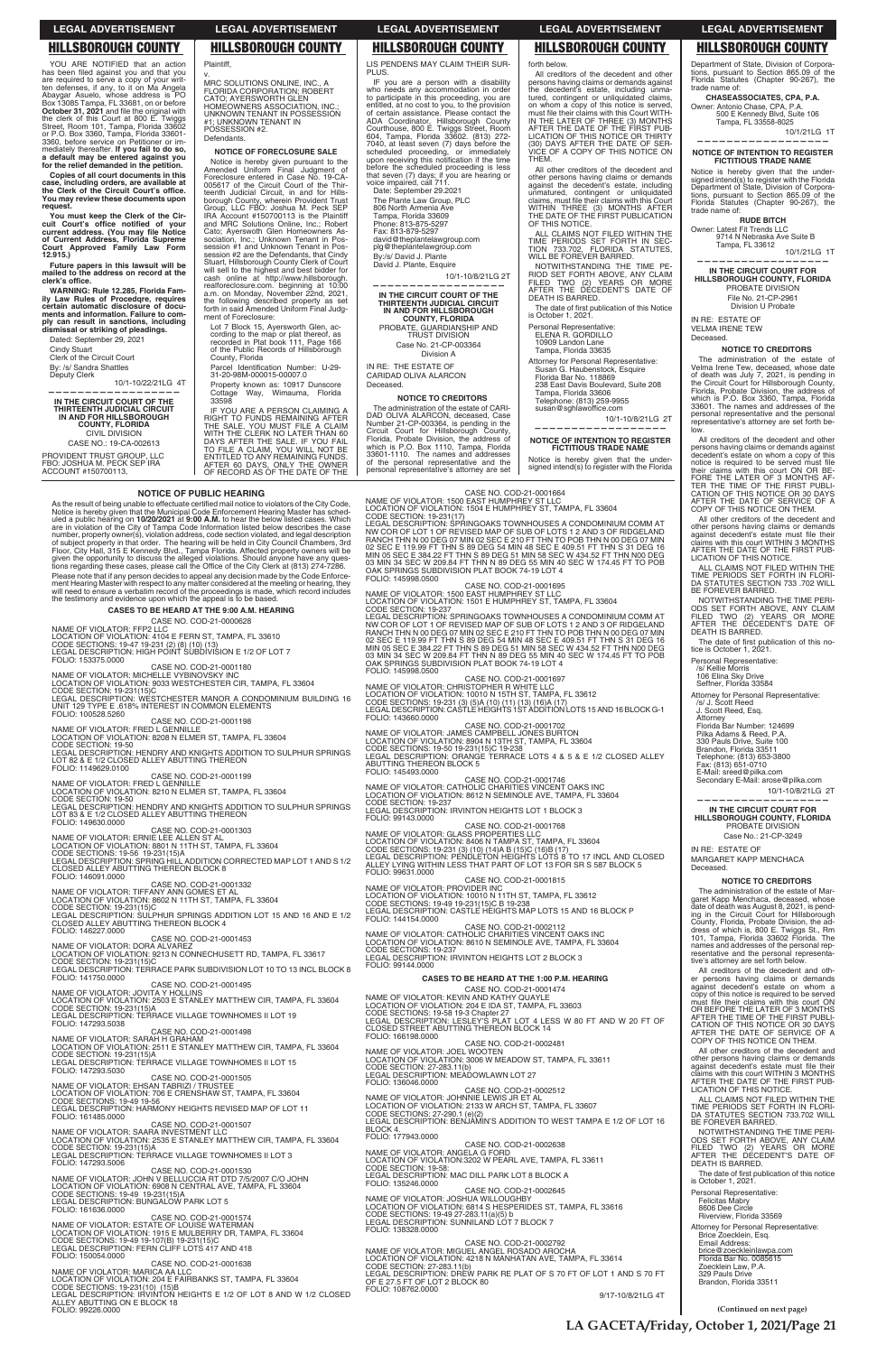# **LEGAL ADVERTISEMENT**

**LEGAL ADVERTISEMENT** 

**HILLSBOROUGH COUNTY** 

MRC SOLUTIONS ONLINE, INC., A<br>FLORIDA CORPORATION; ROBERT

#1: UNKNOWN TENANT IN POSSESSION #2.

CATO; AYERSWORTH GLEN<br>HOMEOWNERS ASSOCIATION, INC.;<br>UNKNOWN TENANT IN POSSESSION

NOTICE OF FORECLOSURE SALE

Notice is hereby given pursuant to the<br>Amended Uniform Final Judgment of<br>Foreclosure entered in Case No. 19-CA-

Professional enteries in Case No. 19-CA-<br>
005617 of the Circuit Court of the Thir-<br>
teenth Judicial Circuit, in and for Hills-<br>
borough Courty, wherein Provident Trust<br>
Group, LLC FBO: Joshua M. Peck SEP<br>
IRA Account #1507

and which Solutions Uniter, inc.; Houten<br>Cato; Ayerswoth Glen Homeowners Association, Inc.; Unknown Tenant in Pos-<br>session #1 and Unknown Tenant in Pos-<br>session #1 are the Defendants, that Cindy<br>Stuart, Hillsborough County

Stuart, importing the thighest and best bidder for<br>cash online at http://www.hillsborough.<br>realforeclosure.com. beginning at 10:00<br>a.m. on Monday, November 22nd, 2021,<br>the following described property as set<br>forth in said

Lot 7 Block 15. Aversworth Glen, ac-

cording to the map or plat thereof, as<br>recorded in Plat book 111, Page 166<br>of the Public Records of Hillsborough

Parcel Identification Number: U-29-<br>31-20-98M-000015-00007.0

Property known as: 10917 Dunscore<br>Cottage Way, Wimauma, Florida

IF YOU ARE A PERSON CLAIMING A<br>RIGHT TO FUNDS REMAINING AFTER<br>THE SALE, YOU MUST FILE A CLAIM

THE SALL, TOO MUST THE CLERK NO LATER THAN 60<br>DAYS AFTER THE SALE. IF YOU FAIL<br>TO FILE A CLAIM, YOU WILL NOT BE

ENTITLED TO ANY REMAINING FUNDS.<br>AFTER 60 DAYS, ONLY THE OWNER<br>OF RECORD AS OF THE DATE OF THE

ment of Foreclosure:

County, Florida

33598

Plaintiff.

Defendants.

# **HILLSBOROUGH COUNTY**

YOU ARE NOTIFIED that an action<br>has been filed against you and that you<br>are required to serve a copy of your writ-<br>ten defenses, if any, to it on Ma Angela<br>Abaygar Asuelo, whose address is PO<br>Box 13085 Tampa, FL 33681, on YOU ARE NOTIFIED that an action a default may be entered against you for the relief demanded in the petition.

Copies of all court documents in this<br>case, including orders, are available at<br>the Clerk of the Circuit Court's office. You may review these documents upon request.

You must keep the Clerk of the Cir-Fournant Reep tile Letter of the Current address.<br>Current address. (You may file Notice<br>of Current Address, Florida Supreme<br>Court Approved Family Law Form<br>12.915.)

Future papers in this lawsuit will be mailed to the address on record at the clerk's office.

WARNING: Rule 12.285. Florida Family Law Rules of Procedgre, requires<br>certain automatic disclosure of docubecause ments and information. Failure to com-<br>ply can result in sanctions, including<br>dismissal or striking of pleadings.

Dated: September 29, 2021 **Cindy Stuart** Clerk of the Circuit Court By: /s/ Sandra Shattles

Deputy Clerk 10/1-10/22/21LG 4T

IN THE CIRCUIT COURT OF THE THIRTEENTH JUDICIAL CIRCUIT<br>THIRTEENTH JUDICIAL CIRCUIT<br>IN AND FOR HILLSBOROUGH<br>COUNTY, FLORIDA **CIVIL DIVISION** CASE NO.: 19-CA-002613

PROVIDENT TRUST GROUP, LLC FBO: JOSHUA M. PECK SEP IRA ACCOUNT #150700113,

# **NOTICE OF PUBLIC HEARING**

As the result of being unable to effectuate certified mail notice to violators of the City Code, Notice is hereby given that the Municipal Code Enforcement Hearing Master has sched-The discrete property on 10/20/2021 at 9:00 A.M. to hear the below listed cases. Which<br>are in violation of the City of Tampa Code Information listed below describes the case<br>number, property owner(s), violation address, co of subject property in that order. The hearing will be held in City Council Chambers, and<br>Floor, City Hall, 315 E Kennedy Blvd., Tampa Florida. Affected property owners will be<br>given the opportunity to discuss the alleged tions regarding these cases, please call the Office of the City Clerk at (813) 274-7286. Please note that if any person decides to appeal any decision made by the Code Enforcement Hearing Master with respect to any matter considered at the meeting or hearing, they will need to ensure a verbatim record of the p the testimony and evidence upon which the appeal is to be based.

# **CASES TO BE HEARD AT THE 9:00 A.M. HEARING** CASE NO. COD-21-0000628

NAME OF VIOLATOR: FFP2 LLC<br>LOCATION OF VIOLATION: 4104 E FERN ST, TAMPA, FL 33610<br>CODE SECTIONS: 19-47 19-231 (2) (8) (10) (13)<br>LEGAL DESCRIPTION: HIGH POINT SUBDIVISION E 1/2 OF LOT 7 FOLIO: 153375.0000

CASE NO. COD-21-0001180

NAME OF VIOLATOR: MICHELLE VYBINOVSKY INC.

NAME OF VIOLATION: 9033 WESTCHESTER CIR, TAMPA, FL 33604<br>CODE SECTION: 19-231(15)C<br>CODE SECTION: 19-231(15)C<br>LEGAL DESCRIPTION: WESTCHESTER MANOR A CONDOMINIUM BUILDING 16<br>LEMAL DESCRIPTION: WESTCHESTER MANOR A CONDOMINIUM

FOLIO: 100528.5260<br>
NAME OF VIOLATOR: FRED L GENNILLE<br>
LOCATION OF VIOLATOR: 8208 N ELMER ST, TAMPA, FL 33604<br>
CODE SECTION: 19-50<br>
LEGAL DESCRIPTION: HENDRY AND KNIGHTS ADDITION TO SULPHUR SPRINGS<br>
LEGAL DESCRIPTION: HEND FOLIO: 1149629.0100

# NAME OF VIOLATOR: FRED L GENNILLE

LOCATION OF VIOLATION: 8210 N ELMER ST, TAMPA, FL 33604<br>CODE SECTION: 19-50<br>LEGAL DESCRIPTION: HENDRY AND KNIGHTS ADDITION TO SULPHUR SPRINGS

LOT 83 & E 1/2 CLOSED ALLEY ABUTTING THEREON FOLIO: 149630.0000 CASE NO. COD-21-0001303

NAME OF VIOLATOR: ERNIE LEE ALLEN ST AL<br>LOCATION OF VIOLATION: 8801 N 11TH ST, TAMPA, FL 33604<br>CODE SECTIONS: 19-56 19-231(15)A

LEGAL DESCRIPTION: SPRING HILL ADDITION CORRECTED MAP LOT 1 AND S 1/2<br>CLOSED ALLEY ABUTTING THEREON BLOCK 8<br>FOLIO: 146091.0000

CASE NO. COD-21-0001332<br>NAME OF VIOLATOR: TIFFANY ANN GOMES ET AL<br>LOCATION OF VIOLATION: 8602 N 11TH ST, TAMPA, FL 33604 CODE SECTION: 19-231(15)C<br>LEGAL DESCRIPTION: SULPHUR SPRINGS ADDITION LOT 15 AND 16 AND E 1/2<br>CLOSED ALLEY ABUTTING THEREON BLOCK 4

FOLIO: 146227,0000 CASE NO. COD-21-0001453<br>NAME OF VIOLATOR: DORA ALVAREZ

LOCATION OF VIOLATION: 9213 N CONNECHUSETT RD, TAMPA, FL 33617<br>CODE SECTION: 19-231(15)C<br>LEGAL DESCRIPTION: TERRACE PARK SUBDIVISION LOT 10 TO 13 INCL BLOCK 8 FOLIO: 141750.0000

CASE NO. COD-21-0001495<br>ITA Y HOLLINS NAME OF VIOLATOR: JOVI'

# **LEGAL ADVERTISEMENT**

# **HILLSBOROUGH COUNTY**

LIS PENDENS MAY CLAIM THEIR SUR-PLUS.

IF you are a person with a disability<br>who needs any accommodation in order<br>to participate in this proceeding, you are to participate in this proceeding, you are<br>entitled, at no cost to you, to the provision<br>of certain assistance. Please contact the<br>ADA Coordinator, Hillsborough County<br>Courthouse, 800 E. Twiggs Street, Room<br>604, Tampa, Flo

The Plante Law Group, PLC 806 North Armenia Ave<br>Tampa, Florida 33609<br>Phone: 813-875-5297 Friorie: 613-673-3257<br>Fax: 813-879-5297<br>david@theplantelawgroup.com plg@theplantelawgroup.com

By /s/ David J. Plante David J. Plante, Esquire

10/1-10/8/21LG 2T

IN THE CIRCUIT COURT OF THE<br>THIRTEENTH JUDICIAL CIRCUIT ININIERNIH JUDICIAL CIRCUIT<br>IN AND FOR HILLSBOROUGH<br>COUNTY, FLORIDA<br>PROBATE, GUARDIANSHIP AND<br>TRUST DIVISION Case No. 21-CP-003364 Division A

IN RE: THE ESTATE OF CARIDAD OLIVA ALARCON Deceased.

### **NOTICE TO CREDITORS**

The administration of the estate of CARI-<br>DAD OLIVA ALARCON, deceased, Case DAD OLIVA ALANCOIN, deceased, Case<br>
Unimber 21-CP-003364, is pending in the<br>
Circuit Court for Hillsborough County,<br>
Florida, Probate Division, the address of<br>
which is P.O. Box 1110, Tampa, Florida<br>
33601-1110. The names personal representative's attorney are set **LEGAL ADVERTISEMENT** 

forth below

THEM.

**HILLSBOROUGH COUNTY** 

All creditors of the decedent and other

persons having claims or demands against<br>the decedent's estate, including unma-

tured, contingent or unliquidated claims<br>on whom a copy of this notice is served

must file their claims with this Court WITH-<br>IN THE LATER OF THREE (3) MONTHS

AFTER THE DATE OF THE FIRST PUB-<br>LICATION OF THIS NOTICE OR THIRTY<br>(30) DAYS AFTER THE DATE OF SER-

VICE OF A COPY OF THIS NOTICE ON

All other creditors of the decedent and

other persons having claims or demands<br>against the decedent's estate, including

unmatured, contingent or unliquidated<br>claims, must file their claims with this Court

VIITHIN THREE (3) MONTHS AFTER<br>THE DATE OF THE FIRST PUBLICATION<br>OF THIS NOTICE.

ALL CLAIMS NOT FILED WITHIN THE TIME PERIODS SET FORTH IN SECTION 733.702, FLORIDA STATUTES,<br>WILL BE FOREVER BARRED.

NOTWITHSTANDING THE TIME PE-

RIOD SET FORTH ABOVE, ANY CLAIM<br>FILED TWO (2) YEARS OR MORE<br>AFTER THE DECEDENT'S DATE OF

The date of first publication of this Notice<br>is October 1, 2021.

Attorney for Personal Representative:

238 East Davis Boulevard, Suite 208

NOTICE OF INTENTION TO REGISTER

FICTITIOUS TRADE NAME

Notice is hereby given that the under-<br>signed intend(s) to register with the Florida

10/1-10/8/21LG 2T

Susan G. Haubenstock, Esquire

DEATH IS BARRED.

Personal Representative:

ELENA R. GORDILLO<br>10909 Landon Lane

Tampa, Florida 33635

Florida Bar No. 118869

Tampa. Florida 33606

Telephone: (813) 259-9955

susan@sghlawoffice.com

# **LEGAL ADVERTISEMENT HILLSBOROUGH COUNTY**

Department of State. Division of Corpora beginning of States (Chapter 90-267), the<br>Florida Statutes (Chapter 90-267), the trade name of:

CHASEASSOCIATES, CPA, P.A. Owner: Antonio Chase, CPA, P.A.<br>500 E Kennedy Blvd, Suite 106<br>7ampa, FL 33558-8025

10/1/21LG 1T

### NOTICE OF INTENTION TO REGISTER **FICTITIOUS TRADE NAME**

Notice is hereby given that the under-<br>signed intend(s) to register with the Florida<br>Department of State, Division of Corpora-Leparametric of Statute, Envision of Sorporations, pursuant to Section 865.09 of the<br>Florida Statutes (Chapter 90-267), the trade name of:

**RUDE BITCH** Owner: Latest Fit Trends LLC<br>9714 N Nebraska Ave Suite B Tampa, FL 33612

10/1/21LG 1T

IN THE CIRCUIT COURT FOR HILLSBOROUGH COUNTY, FLORIDA PROBATE DIVISION File No. 21-CP-2961

Division U Probate IN RE: ESTATE OF **VELMA IRENE TEW** 

Deceased

### **NOTICE TO CREDITORS**

The administration of the estate of The administration of the exame of the examed the Circuit Country of death was July 7, 2021, is pending in the Circuit Country Found, Probate Division, the address of which is P.O. Box 3360, Tampa, Florida 33601. The names and addresses of the personal representative and the personal<br>representative's attorney are set forth be-

All creditors of the decedent and other Persons having claims or demands against<br>decedent's estate on whom a copy of this decedents usually on the served must allow oncide is required to be served must file<br>their claims with this court ON OR BE-<br>FORE THE LATER OF 3 MONTHS AF-<br>TER THE TIME OF THE FIRST PUBLI-<br>CATION OF THIS NOTICE OR 30 DAYS<br>A

All other creditors of the decedent and All other creations of the decedent and<br>other persons having claims or demands<br>against decedent's estate must file their<br>claims with this court WITHIN 3 MONTHS<br>AFTER THE DATE OF THE FIRST PUB-<br>LICATION OF THIS NOTICE.

ALL CLAIMS NOT FILED WITHIN THE<br>TIME PERIODS SET FORTH IN FLORI-<br>DA STATUTES SECTION 733 .702 WILL<br>BE FOREVER BARRED.

NOTWITHSTANDING THE TIME PERI-<br>ODS SET FORTH ABOVE, ANY CLAIM<br>FILED TWO (2) YEARS OR MORE<br>AFTER THE DECEDENT'S DATE OF<br>DEATH IS BARRED.

The date of first publication of this notice is October 1, 2021.

Personal Representative:

/s/ Kellie Morris 106 Elina Sky Drive<br>Seffner, Florida 33584

Attorney for Personal Representative:

/s/ J. Scott Reed<br>J. Scott Reed, Esq.

3. Southeed, Lsq.<br>Attorney<br>Florida Bar Number: 124699<br>Pilka Adams & Reed, P.A.<br>330 Pauls Drive, Suite 100<br>Brandon, Florida 33511

Telephone: (813) 653-3800

Fax: (813) 651-0710

E-Mail: sreed@pilka.com<br>E-Mail: sreed@pilka.com<br>Secondary E-Mail: arose@pilka.com

10/1-10/8/21LG 2T

# IN THE CIRCUIT COURT FOR<br>HILLSBOROUGH COUNTY, FLORIDA PROBATE DIVISION

Case No.: 21-CP-3249 IN RE: ESTATE OF

MARGARET KAPP MENCHACA Deceased.

# **NOTICE TO CREDITORS**

The administration of the estate of Margaret Kapp Menchaca, deceased, whose<br>date of death was August 8, 2021, is penddiate of detail was August of ZOZT, is performed in the Circuit Court for Hillsborough<br>County, Florida, Probate Division, the address of which is, 800 E. Twiggs St., Rm<br>101, Tampa, Florida 33602 Florida. The<br>names and addr tive's attorney are set forth below.

All creditors of the decedent and other persons having claims or demands against decedent's estate on whom a notice is copy of this notice is required to be served<br>must file their claims with this court ON<br>OR BEFORE THE LATER OF 3 MONTHS<br>AFTER THE TIME OF THE FIRST PUBLI-<br>CATION OF THIS NOTICE OR 30 DAYS<br>AFTER THE DATE OF SERVICE OF A COPY OF THIS NOTICE ON THEM. All other creditors of the decedent and<br>other persons having claims or demands against decedent's estate must file their Claims with this court WITHIN 3 MONTHS<br>AFTER THE DATE OF THE FIRST PUB-<br>LICATION OF THIS NOTICE. LICATION OF THIS TOTICE.<br>
ALL CLAIMS NOT FILED WITHIN THE<br>
TIME PERIODS SET FORTH IN FLORI-<br>
DA STATUTES SECTION 733.702 WILL<br>
BE FOREVER BARRED. NOTWITHSTANDING THE TIME PERI-NOTIVILITY AND THE TIME TO SET FORTH ABOVE, ANY CLAIM<br>FILED TWO (2) YEARS OR MORE<br>AFTER THE DECEDENT'S DATE OF<br>DEATH IS BARRED. The date of first publication of this notice<br>is October 1, 2021. Personal Representative: Fischunder<br>Felicitas Mabry Penchas Masry<br>8606 Dee Circle<br>Riverview, Florida 33569 Attorney for Personal Representative:<br>Brice Zoecklein, Esq. Email Address: brice@zoeckleinlawpa.com<br>Florida Bar No. 0085615 Franchise Law, P.A.<br>329 Pauls Drive<br>Brandon, Florida 33511

CASE NO. COD-21-0001474

CASE NO. COD-21-0001664<br>NAME OF VIOLATOR: 1500 EAST HUMPHREY ST LLC<br>LOCATION OF VIOLATION: 1504 E HUMPHREY ST, TAMPA, FL 33604

LOCATION OF VIOLATION: 1504 E HUMPHREY ST, TAMPA, FL 33604<br>CODE SECTION: 19-231(17)<br>LEGAL DESCRIPTION: SPRINGOAKS TOWNHOUSES A CONDOMINIUM COMM AT<br>NW COR OF LOT 1 OF REVISED MAP OF SUB OF LOTS 1 2 AND 3 OF RIDGELAND<br>RANCH FOLIO: 145998.0500

CASE NO. COD-21-0001695<br>NAME OF VIOLATOR: 1500 EAST HUMPHREY ST LLC<br>LOCATION OF VIOLATION: 1501 E HUMPHREY ST, TAMPA, FL 33604 CODE SECTION: 19-237

CODE SECTION: 19-237<br>LEGAL DESCRIPTION: SPRINGOAKS TOWNHOUSES A CONDOMINIUM COMM AT<br>LEGAL DESCRIPTION: SPRINGOAKS TOWNHOUSES A CONDOMINIUM COMM AT<br>NW COR OF LOT 1 OF REVISED MAP OF SUB OF LOTS 1 2 AND 3 OF RIDGELAND<br>RANCH FOLIO: 145998.0500

# FOLIO: 143996.0500<br>NAME OF VIOLATOR: CHRISTOPHER R WHITE LLC<br>LOCATION OF VIOLATOR: 10010 N 15TH ST, TAMPA, FL 33612<br>CODE SECTIONS: 19-231 (3) (5)A (10) (11) (13) (16)A (17)<br>LEGAL DESCRIPTION: CASTLE HEIGHTS 1ST ADDITION LO

FOLIO: 143660.0000 CASE NO. COD-21-0001702

NAME OF VIOLATOR: JAMES CAMPBELL JONES BURTON<br>LOCATION OF VIOLATION: 8904 N 13TH ST, TAMPA, FL 33604

CODE SECTIONS: 19-50 19-231(15)C 19-238<br>LEGAL DESCRIPTION: ORANGE TERRACE LOTS 4 & 5 & E 1/2 CLOSED ALLEY ABUTTING THEREON BLOCK 5

CASE NO. COD-21-0001746<br>NAME OF VIOLATOR: CATHOLIC CHARITIES VINCENT OAKS INC<br>LOCATION OF VIOLATION: 8612 N SEMINOLE AVE, TAMPA, FL 33604<br>CODE SECTION: 19-237<br>LEGAL DESCRIPTION: IN INTERNATION

LEGAL DESCRIPTION: IRVINTON HEIGHTS LOT 1 BLOCK 3 FOLIO: 99143.0000 CASE NO. COD-21-0001768

# NAME OF VIOLATOR: GLASS PROPERTIES LLC<br>LOCATION OF VIOLATION: 8406 N TAMPA ST, TAMPA, FL 33604<br>CODE SECTIONS: 19-231 (3) (10) (14)A B (15)C (16)B (17)<br>LEGAL DESCRIPTION: PENDLETON HEIGHTS LOTS 8 TO 17 INCL AND CLOSED<br>LEGAL

ALLEY LYING WITHIN LESS THAT PART OF LOT 13 FOR SR S 587 BLOCK 5 FOLIO: 99631.0000 CASE NO. COD-21-0001815

NAME OF VIOLATOR: PROVIDER INC<br>LOCATION OF VIOLATION: 10010 N 11TH ST, TAMPA, FL 33612<br>CODE SECTIONS: 19-49 19-231(15)C B 19-238<br>LEGAL DESCRIPTION: CASTLE HEIGHTS MAP LOTS 15 AND 16 BLOCK P

# CASE NO. COD-21-0002112<br>
NAME OF VIOLATOR: CATHOLIC CHARITIES VINCENT OAKS INC<br>
LOCATION OF VIOLATION: 8610 N SEMINOLE AVE, TAMPA, FL 33604<br>
CODE SECTIONS: 19-237<br>
LEGAI DESCRIPTION: 17: 11: 12: 12: 12: 12: 12: 12: 12: 12: LEGAL DESCRIPTION: IRVINTON HEIGHTS LOT 2 BLOCK 3 FOLIO: 99144.0000

CASES TO BE HEARD AT THE 1:00 P.M. HEARING

LOCATION OF VIOLATION: 2503 E STANLEY MATTHEW CIR, TAMPA, FL 33604<br>CODE SECTION: 19-231(15)A<br>LEGAL DESCRIPTION: TERRACE VILLAGE TOWNHOMES II LOT 19 FOLIO: 147293.5038 CASE NO. COD-21-0001498<br>NAME OF VIOLATOR: SARAH H GRAHAM LOCATION OF VIOLATION: 2511 E STANLEY MATTHEW CIR, TAMPA, FL 33604<br>CODE SECTION: 19-231(15)A<br>LEGAL DESCRIPTION: TERRACE VILLAGE TOWNHOMES II LOT 15 FOLIO: 147293.5030 FOLIO: 147293.5050<br>CASE NO. COD-21-0001505<br>NAME OF VIOLATOR: EHSAN TABRIZI / TRUSTEE LOCATION OF VIOLATION: 706 E CRENSHAW ST, TAMPA, FL 33604<br>CODE SECTIONS: 19-49 19-56<br>LEGAL DESCRIPTION: HARMONY HEIGHTS REVISED MAP OF LOT 11 FOLIO: 161485.0000 FOLIO: 161463.0000<br>CASE NO. COD-21-0001507<br>NAME OF VIOLATOR: SAARA INVESTMENT LLC LOCATION OF VIOLATION: 2535 E STANLEY MATTHEW CIR, TAMPA, FL 33604<br>CODE SECTION: 19-231(15)A<br>LEGAL DESCRIPTION: TERRACE VILLAGE TOWNHOMES II LOT 3 FOLIO: 147293.5006 FOLIO: 147293.3006<br>NAME OF VIOLATOR: JOHN V BELLUCCIA RT DTD 7/5/2007 C/O JOHN LOCATION OF VIOLATION: 6908 N CENTRAL AVE, TAMPA, FL 33604<br>CODE SECTIONS: 19-49 19-231(15)A<br>LEGAL DESCRIPTION: BUNGALOW PARK LOT 5 FOLIO: 161636.0000 FOLIO: 161636.0000<br>NAME OF VIOLATOR: ESTATE OF LOUISE WATERMAN<br>LOCATION OF VIOLATOR: 1915 E MULBERRY DR, TAMPA, FL 33604<br>CODE SECTIONS: 19-49 19-107(B) 19-231(15)C<br>LEGAL DESCRIPTION: FERN CLIFF LOTS 417 AND 418 FOLIO: 150054.0000 FOLIO: 150054.0000<br>NAME OF VIOLATOR: MARICA AA LLC<br>LOCATION OF VIOLATOR: 104 E FAIRBANKS ST, TAMPA, FL 33604<br>CODE SECTIONS: 19-231(10) (15)B<br>LEGAL DESCRIPTION: IRVINTON HEIGHTS E 1/2 OF LOT 8 AND W 1/2 CLOSED ALLEY ABUTTING ON E BLOCK 18 FOLIO: 99226.0000

NAME OF VIOLATOR: KEVIN AND KATHY QUAYLE<br>LOCATION OF VIOLATION: 204 E IDA ST, TAMPA, FL 33603<br>CODE SECTIONS: 19-58 19-3 Chapter 27<br>LEGAL DESCRIPTION: LESLEY'S PLAT LOT 4 LESS W 80 FT AND W 20 FT OF CASE NO. COD-21-0002481<br>
NAME OF VIOLATOR: JOEL WOOTEN<br>
LOCATION OF VIOLATION: 3006 W MEADOW ST, TAMPA, FL 33611<br>
LEGAL DESCRIPTION: MEADOWLAWN LOT 27<br>
LEGAL DESCRIPTION: MEADOWLAWN LOT 27<br>
FOLIO: 136046.0000<br>
AACT : CLOSED STREET ABUTTING THEREON BLOCK 14 FOLIO: 136046.0000<br>NAME OF VIOLATOR: JOHNNIE LEWIS JR ET AL<br>LOCATION OF VIOLATOR: 2013 W ARCH ST, TAMPA, FL 33607<br>CODE SECTIONS: 27-290.1 (e)(2)<br>LEGAL DESCRIPTION: BENJAMIN'S ADDITION TO WEST TAMPA E 1/2 OF LOT 16 BLOCK 4.<br>FOLIO: 177943.0000 CASE NO. COD-21-0002638 VAME OF VIOLATOR: ANGELANC. COD-21-0002638<br>LOCATION OF VIOLATION:3202 W PEARL AVE, TAMPA, FL 33611<br>CODE SECTION: 19-58:<br>LEGAL DESCRIPTION: MAC DILL PARK LOT 8 BLOCK A FOLIO: 135246.0000 FOLIO: 135246.0000<br>NAME OF VIOLATOR: JOSHUA WILLOUGHBY<br>LOCATION OF VIOLATOR: 6814 S HESPERIDES ST, TAMPA, FL 33616<br>CODE SECTIONS: 19-49 27-283.11(a)(5) b<br>LEGAL DESCRIPTION: SUNNILAND LOT 7 BLOCK 7 FOLIO: 138328.0000 CASE NO. COD-21-0002792<br>NAME OF VIOLATOR: MIGUEL ANGEL ROSADO AROCHA<br>LOCATION OF VIOLATION: 4218 N MANHATAN AVE, TAMPA, FL 33614 CODE SECTION: 27-283.11(b)<br>CODE SECTION: 27-283.11(b)<br>LEGAL DESCRIPTION: DREW PARK RE PLAT OF S 70 FT OF LOT 1 AND S 70 FT OF E 27.5 FT OF LOT 2 BLOCK 80 FOLIO: 108762.0000 9/17-10/8/21LG 4T

(Continued on next page)

LA GACETA/Friday, October 1, 2021/Page 21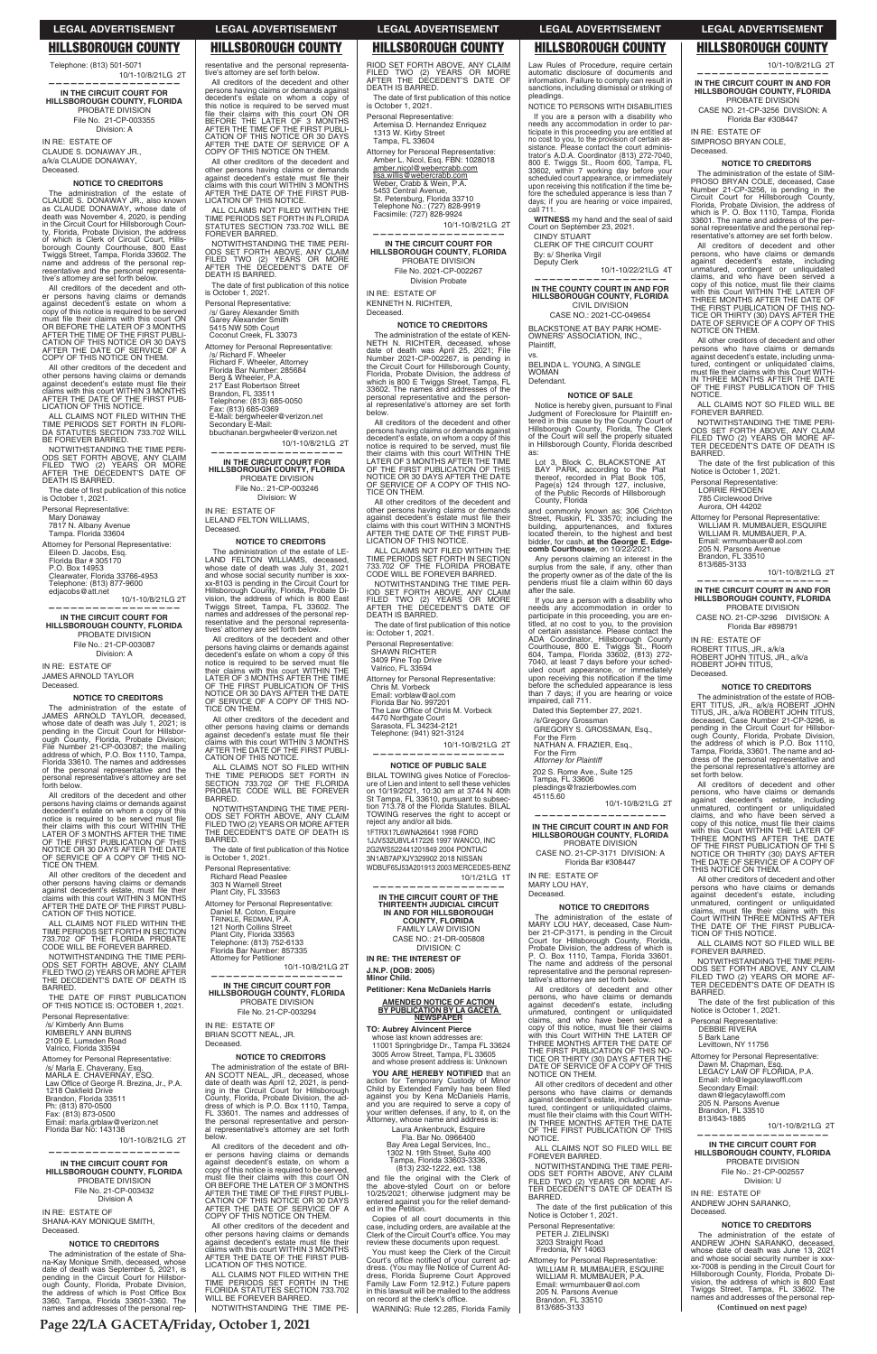**Page 22/LA GACETA/Friday, October 1, 2021**

**(Continued on next page)**

**—————————————————— IN THE CIRCUIT COURT IN AND FOR HILLSBOROUGH COUNTY, FLORIDA** PROBATE DIVISION CASE NO. 21-CP-3256 DIVISION: A Florida Bar #308447

IN RE: ESTATE OF SIMPROSO BRYAN COLE,

Deceased.

**NOTICE TO CREDITORS** The administration of the estate of SIM-PROSO BRYAN COLE, deceased, Case Number 21-CP-3256, is pending in the Circuit Court for Hillsborough County, Florida, Probate Division, the address of<br>which is P. O. Box 1110, Tampa, Florida 33601. The name and address of the personal representative and the personal representative's attorney are set forth below. All creditors of decedent and other

persons, who have claims or demands<br>against decedent's estate, including<br>unmatured, contingent or unliquidated<br>claims, and who have been served a<br>copy of this notice, must file their claims<br>with this Court WITHIN THE LATER

TICE OR THIRTY (30) DAYS AFTER THE<br>DATE OF SERVICE OF A COPY OF THIS

All other creditors of decedent and other persons who have claims or demands against decedent's estate, including unmatured, contingent or unliquidated claims,<br>must file their claims with this Court WITH-<br>IN THREE MONTHS AFTER THE DATE<br>OF THE FIRST PUBLICATION OF THIS

ALL CLAIMS NOT SO FILED WILL BE<br>FOREVER BARRED. NOTWITHSTANDING THE TIME PERI-ODS SET FORTH ABOVE, ANY CLAIM<br>FILED TWO (2) YEARS OR MORE AF-<br>TER DECEDENT'S DATE OF DEATH IS

The date of the first publication of this

10/1-10/8/21LG 2T

**—————————————————— IN THE CIRCUIT COURT IN AND FOR HILLSBOROUGH COUNTY, FLORIDA** PROBATE DIVISION CASE NO. 21-CP-3296 DIVISION: A Florida Bar #898791

**NOTICE TO CREDITORS** The administration of the estate of ROB-ERT TITUS, JR., a/k/a ROBERT JOHN<br>TITUS, JR., a/k/a ROBERT JOHN TITUS,<br>deceased, Case Number 21-CP-3296, is

NOTICE ON THEM.

pending in the Circuit Court for Hillsbor-<br>ough County, Florida, Probate Division,<br>the address of which is P.O. Box 1110, Tampa, Florida, 33601. The name and address of the personal representative and the personal representative's attorney are

NOTICE.

BARRED.

THE DATE OF THE FIRST PUBLICA-TION OF THIS NOTICE. ALL CLAIMS NOT SO FILED WILL BE

NOTWITHSTANDING THE TIME PERI-ODS SET FORTH ABOVE, ANY CLAIM<br>FILED TWO (2) YEARS OR MORE AF-<br>TER DECEDENT'S DATE OF DEATH IS

THIS NOTICE ON THEM.

Notice is October 1, 2021. Personal Representative: LORRIE RHODEN 785 Circlewood Drive Aurora, OH 44202

Attorney for Personal Representative: WILLIAM R. MUMBAUER, ESQUIRE<br>WILLIAM R. MUMBAUER, P.A. Email: wrmumbauer@aol.com 205 N. Parsons Avenue Brandon, FL 33510 813/685-3133

The date of the first publication of this Notice is October 1, 2021. Personal Representative: DEBBIE RIVERA 5 Bark Lane Levittown, NY 11756 Attorney for Personal Representative: Dawn M. Chapman, Esq.<br>LEGACY LAW OF FLORIDA, P.A. Email: info@legacylawoffl.com<br>Secondary Email: dawn@legacylawoffl.com 205 N. Parsons Avenue Brandon, FL 33510 813/643-1885 -10/1-10/8/21LG 2T **—————————————————— IN THE CIRCUIT COURT FOR HILLSBOROUGH COUNTY, FLORIDA**  PROBATE DIVISION File No.: 21-CP-002557 Division: U IN RE: ESTATE OF ANDREW JOHN SARANKO, Deceased.

IN RE: ESTATE OF

ROBERT TITUS, JR., a/k/a ROBERT JOHN TITUS, JR., a/k/a ROBERT JOHN TITUS,

Deceased.

set forth below.

All creditors of decedent and other persons, who have claims or demands against decedent's estate, including

unmatured, contingent or unliquidated<br>claims, and who have been served a<br>copy of this notice, must file their claims<br>with this Court WITHIN THE LATER OF<br>THREE MONTHS AFTER THE DATE<br>OF THE FIRST PUBLICATION OF THIS<br>NOTICE O

ALL CLAIMS NOT FILED WITHIN THE TIME PERIODS SET FORTH IN FLORI-<br>DA STATUTES SECTION 733.702 WILL BE FOREVER BARRED.

NOTWITHSTANDING THE TIME NOTWITHSTANDING THE TIME PERI-<br>ODS SET FORTH ABOVE, ANY CLAIM<br>FILED TWO (2) YEARS OR MORE<br>AFTER THE DECEDENT'S DATE OF<br>DEATH IS BARRED.

The date of first publication of this notice is October 1, 2021.

All other creditors of decedent and other

persons who have claims or demands<br>against decedent's estate, including<br>unmatured, contingent or unliquidated<br>claims, must file their claims with this<br>Court WITHIN THREE MONTHS AFTER

Eileen D. Jacobs, Esq.<br>Florida Bar # 305170<br>P.O. Box 14953 Clearwater, Florida 33766-4953<br>Telephone: (813) 877-9600 edjacobs@att.net

10/1-10/8/21LG 2T **——————————————————**

FOREVER BARRED.

BARRED.

All creditors of the decedent and other<br>persons having claims or demands against<br>decedent's estate on whom a copy of this<br>notice is required to be served must file<br>their claims with this court WITHIN THE<br>LATER OF 3 MONTHS TICE ON THEM.

All other creditors of the decedent and other persons having claims or demands against decedent's estate, must file their<br>claims with this court WITHIN 3 MONTHS<br>AFTER THE DATE OF THE FIRST PUBLI-<br>CATION OF THIS NOTICE.

ALL CLAIMS NOT FILED WITHIN THE TIME PERIODS SET FORTH IN SECTION<br>733.702 OF THE FLORIDA PROBATE<br>CODE WILL BE FOREVER BARRED.

NOTWITHSTANDING THE TIME PERI-ODS SET FORTH ABOVE, ANY CLAIM<br>FILED TWO (2) YEARS OR MORE AFTER<br>THE DECEDENT'S DATE OF DEATH IS **BARRED** 

Personal Representative: /s/ Kimberly Ann Burns<br>KIMBERLY ANN BURNS 2109 E. Lumsden Road<br>Valrico, Florida 33594

### **NOTICE TO CREDITORS**

The administration of the estate of Sha-na-Kay Monique Smith, deceased, whose date of death was September 5, 2021, is pending in the Circuit Court for Hillsbor-ough County, Florida, Probate Division, the address of which is Post Office Box<br>3360, Tampa, Florida 33601-3360. The<br>names and addresses of the personal rep-

The administration of the estate of ANDREW JOHN SARANKO, deceased, whose date of death was June 13, 2021 and whose social security number is xxxxx-7008 is pending in the Circuit Court for<br>Hillsborough County, Florida, Probate Di-<br>vision, the address of which is 800 East Twiggs Street, Tampa, FL 33602. The names and addresses of the personal rep-

**—————————————————— IN THE CIRCUIT COURT FOR HILLSBOROUGH COUNTY, FLORIDA** PROBATE DIVISION File No. 21-CP-003355

Division: A

IN RE: ESTATE OF CLAUDE S. DONAWAY JR., a/k/a CLAUDE DONAWAY, Deceased.

### **NOTICE TO CREDITORS**

ALL CLAIMS NOT FILED WITHIN THE TIME PERIODS SET FORTH IN FLORIDA<br>STATUTES SECTION 733.702 WILL BE FOREVER BARRED.

NOTWITHSTANDING THE TIME PERI-<br>ODS SET FORTH ABOVE, ANY CLAIM<br>FILED TWO (2) YEARS OR MORE<br>AFTER THE DECEDENT'S DATE OF DEATH IS BARRED.

The date of first publication of this notice<br>is October 1, 2021.

The administration of the estate of CLAUDE S. DONAWAY JR., also known<br>as CLAUDE DONAWAY, whose date of<br>death was November 4, 2020, is pending in the Circuit Court for Hillsborough County, Florida, Probate Division, the address of which is Clerk of Circuit Court, Hillsborough County Courthouse, 800 East Twiggs Street, Tampa, Florida 33602. The name and address of the personal representative and the personal representa-tive's attorney are set forth below.

> 10/1-10/8/21LG 2T **——————————————————**

File No.: 21-CP-003246 Division: W

All creditors of the decedent and other persons having claims or demands<br>against decedent's estate on whom a<br>copy of this notice is required to be served<br>must file their claims with this court ON OR BEFORE THE LATER OF 3 MONTHS AFTER THE TIME OF THE FIRST PUBLI-CATION OF THIS NOTICE OR 30 DAYS AFTER THE DATE OF SERVICE OF A COPY OF THIS NOTICE ON THEM.

> All other creditors of the decedent and other persons having claims or demands against decedent's estate must file their claims with this court WITHIN 3 MONTHS<br>AFTER THE DATE OF THE FIRST PUBLI-<br>CATION OF THIS NOTICE.

> ALL CLAIMS NOT SO FILED WITHIN THE TIME PERIODS SET FORTH IN<br>SECTION 733.702 OF THE FLORIDA<br>PROBATE CODE WILL BE FOREVER **BARRED**

All other creditors of the decedent and other persons having claims or demands against decedent's estate must file their<br>claims with this court WITHIN 3 MONTHS<br>AFTER THE DATE OF THE FIRST PUB-LICATION OF THIS NOTICE.

> NOTWITHSTANDING THE TIME PERI-ODS SET FORTH ABOVE, ANY CLAIM<br>FILED TWO (2) YEARS OR MORE AFTER<br>THE DECEDENT'S DATE OF DEATH IS BARRED.

The date of first publication of this Notice is October 1, 2021.

303 N Warnell Street<br>Plant City, FL 33563 Attorney for Personal Representative:

Telephone: (813) 752-6133 Florida Bar Number: 857335 Attorney for Petitioner

10/1-10/8/21LG 2T **—————————————————— IN THE CIRCUIT COURT FOR**

**LSBOROUGH COUNTY, FL** 

## PROBATE DIVISION File No. 21-CP-003294

Personal Representative: Mary Donaway 7817 N. Albany Avenue Tampa. Florida 33604

Attorney for Personal Representative:

**IN THE CIRCUIT COURT FOR HILLSBOROUGH COUNTY, FLORIDA** PROBATE DIVISION

File No.: 21-CP-003087 Division: A

IN RE: ESTATE OF JAMES ARNOLD TAYLOR Deceased.

### **NOTICE TO CREDITORS**

The administration of the estate of JAMES ARNOLD TAYLOR, deceased, whose date of death was July 1, 2021; is pending in the Circuit Court for Hillsbor-<br>ough County, Florida, Probate Division;<br>File Number 21-CP-003087; the mailing<br>address of which, P.O. Box 1110, Tampa,<br>Florida 33610. The names and addresses<br>of the personal repres personal representative's attorney are set forth below.

RIOD SET FORTH ABOVE, ANY CLAIM<br>FILED TWO (2) YEARS OR MORE<br>AFTER THE DECEDENT'S DATE OF DEATH IS BARRED.

The date of first publication of this notice<br>is October 1, 2021.

Personal Representative: Artemisa D. Hernandez Enriquez 1313 W. Kirby Street<br>Tampa, FL 33604

amber.nicol@webercrabb.com <u>lisa.willis@webercrabb.com</u><br>Weber, Crabb & Wein, P.A.

5453 Central Avenue,<br>St. Petersburg, Florida 33710<br>Telephone No.: (727) 828-9919

Facsimile: (727) 828-9924 10/1-10/8/21LG 2T **——————————————————**

NOTWITHSTANDING THE TIME PER-IOD SET FORTH ABOVE, ANY CLAIM<br>FILED TWO (2) YEARS OR MORE<br>AFTER THE DECEDENT'S DATE OF DEATH IS BARRED.

The date of first publication of this notice is: October 1, 2021.

Personal Representative: SHAWN RICHTER<br>3409 Pine Top Drive<br>Valrico, FL 33594

THE DATE OF FIRST PUBLICATION OF THIS NOTICE IS: OCTOBER 1, 2021.

10/1-10/8/21LG 2T **——————————————————**

Attorney for Personal Representative: /s/ Marla E. Chaverany, Esq. MARLA E. CHAVERNAY, ESQ. Law Office of George R. Brezina, Jr., P.A.<br>1218 Oakfield Drive Brandon, Florida 33511<br>Ph: (813) 870-0500 Fax: (813) 873-0500<br>Email: marla.grblaw@verizon.net Florida Bar No: 143138

10/1-10/8/21LG 2T

BILAL TOWING gives Notice of Foreclosure of Lien and intent to sell these vehicles on 10/19/2021, 10:30 am at 3744 N 40th<br>St Tampa, FL 33610, pursuant to subsec-<br>tion 713.78 of the Florida Statutes. BILAL TOWING reserves the right to accept or reject any and/or all bids. 1FTRX17L6WNA26641 1998 FORD 1JJV532U8VL417226 1997 WANCO, INC 2G2WS522441201849 2004 PONTIAC 3N1AB7APXJY329902 2018 NISSAN

# **IN THE CIRCUIT COURT OF THE THIRTEENTH JUDICIAL CIRCUIT IN AND FOR HILLSBOROUGH COUNTY, FLORIDA** FAMILY LAW DIVISION

**J.N.P. (DOB: 2005) Minor Child.** 

**——————————————————**

**IN THE CIRCUIT COURT FOR HILLSBOROUGH COUNTY, FLORIDA** PROBATE DIVISION File No. 21-CP-003432 Division A

**YOU ARE HEREBY NOTIFIED** that an action for Temporary Custody of Minor<br>Child by Extended Family has been filed<br>against you by Kena McDaniels Harris,<br>and you are required to serve a copy of<br>your written defenses, if any, to it, on the<br>Attorney, whose name

IN RE: ESTATE OF SHANA-KAY MONIQUE SMITH, Deceased.

### **NOTICE TO CREDITORS**

Laura Ankenbruck, Esquire Fla. Bar No. 0966400<br>,Bay Area Legal Services, Inc.<br>1302 N. 19th Street, Suite 400 Tampa, Florida 33603-3336,<br>(813) 232-1222, ext. 138

and file the original with the Clerk of<br>the above-styled Court on or before<br>00/25/2021; otherwise judgment may be<br>entered against you for the relief demand-<br>ed in the Petition.

You must keep the Clerk of the Circuit Court's office notified of your current address. Florida Supreme Court<br>Aress, Florida Supreme Court Approved<br>Family Law Form 12.912.) Future papers<br>in this lawsuit will be mailed to the address on record at the clerk's office. WARNING: Rule 12.285, Florida Family

# resentative and the personal representa-tive's attorney are set forth below.

All creditors of the decedent and other persons having claims or demands against decedent's estate on whom a copy of this notice is required to be served must file their claims with this court ON OR BEFORE THE LATER OF 3 MONTHS AFTER THE TIME OF THE FIRST PUBLI-CATION OF THIS NOTICE OR 30 DAYS AFTER THE DATE OF SERVICE OF A COPY OF THIS NOTICE ON THEM.

needs any accommodation in order to par-ticipate in this proceeding you are entitled at no cost to you, to the provision of certain assistance. Please contact the court administrator's A.D.A. Coordinator (813) 272-7040,<br>800 E. Twiggs St., Room 600, Tampa, FL<br>33602, within 7 working day before your<br>scheduled court appearance, or immediately<br>upon receiving

All other creditors of the decedent and other persons having claims or demands against decedent's estate must file their<br>claims with this court WITHIN 3 MONTHS<br>AFTER THE DATE OF THE FIRST PUB-LICATION OF THIS NOTICE.

> 10/1-10/22/21LG 4T **——————————————————**

BLACKSTONE AT BAY PARK HOME-<br>OWNERS' ASSOCIATION, INC., Plaintiff,

BELINDA L. YOUNG, A SINGLE **WOMAN** Defendant.

Notice is hereby given, pursuant to Final Judgment of Foreclosure for Plaintiff en-tered in this cause by the County Court of Hillsborough County, Florida, The Clerk of the Court will sell the properly situated in Hillsborough County, Florida described as:

Personal Representative: /s/ Garey Alexander Smith<br>Garey Alexander Smith<br>5415 NW 50th Court Coconut Creek, FL 33073

> Any persons claiming an interest in the surplus from the sale, if any, other than the property owner as of the date of the lis pendens must file a claim within 60 days

Attorney for Personal Representative: /s/ Richard F. Wheeler<br>Richard F. Wheeler, Attorney Florida Bar Number: 285684<br>Berg & Wheeler, P.A.<br>217 East Robertson Street Brandon, FL 33511<br>Telephone: (813) 685-0050<br>Fax: (813) 685-0369 E-Mail: bergwheeler@verizon.net Secondary E-Mail:

bbuchanan.bergwheeler@verizon.net

Dated this September 27, 2021. /s/Gregory Grossman

**IN THE CIRCUIT COURT FOR HILLSBOROUGH COUNTY, FLORIDA**  PROBATE DIVISION

IN RE: ESTATE OF LELAND FELTON WILLIAMS, Deceased.

# **NOTICE TO CREDITORS**

The administration of the estate of LE- LAND FELTON WILLIAMS, deceased, whose date of death was July 31, 2021 and whose social security number is xxx-<br>xx-8103 is pending in the Circuit Court for Hillsborough County, Florida, Probate Division, the address of which is 800 East Twiggs Street, Tampa, FL 33602. The names and addresses of the personal representative and the personal representatives' attorney are set forth below.

All creditors of the decedent and other persons having claims or demands against decedent's estate on whom a copy of this<br>notice is required to be served must file<br>their claims with this court WITHIN THE<br>LATER OF 3 MONTHS AFTER THE TIME OF THE FIRST PUBLICATION OF THIS NOTICE OR 30 DAYS AFTER THE DATE OF SERVICE OF A COPY OF THIS NO-TICE ON THEM.

> NOTWITHSTANDING THE TIME PERI-ODS SET FORTH ABOVE, ANY CLAIM<br>FILED TWO (2) YEARS OR MORE AF-<br>TER DECEDENT'S DATE OF DEATH IS BARRED.

The date of the first publication of this Notice is October 1, 2021.

Attorney for Personal Representative:<br>WILLIAM R. MUMBAUER, ESQUIRE<br>WILLIAM R. MUMBAUER, P.A. Email: wrmumbauer@aol.com 205 N. Parsons Avenue Brandon, FL 33510 813/685-3133

Personal Representative: Richard Read Peaslee

Daniel M. Coton, Esquire TRINKLE, REDMAN, P.A. 121 North Collins Street Plant City, Florida 33563

IN RE: ESTATE OF BRIAN SCOTT NEAL, JR. Deceased.

### **NOTICE TO CREDITORS**

The administration of the estate of BRI-AN SCOTT NEAL, JR., deceased, whose date of death was April 12, 2021, is pending in the Circuit Court for Hillsborough<br>County, Florida, Probate Division, the ad-<br>dress of which is P.O. Box 1110, Tampa, FL 33601. The names and addresses of the personal representative and person-al representative's attorney are set forth below.

All creditors of the decedent and oth-er persons having claims or demands against decedent's estate, on whom a copy of this notice is required to be served,<br>must\_file\_their\_claims\_with\_this\_court\_ON<br>OR BEFORE THE LATER OF 3 MONTHS AFTER THE TIME OF THE FIRST PUBLI-CATION OF THIS NOTICE OR 30 DAYS AFTER THE DATE OF SERVICE OF A COPY OF THIS NOTICE ON THEM.

All other creditors of the decedent and<br>other persons having claims or demands<br>against decedent's estate must file their claims with this court WITHIN 3 MONTHS<br>AFTER THE DATE OF THE FIRST PUB-<br>LICATION OF THIS NOTICE.

ALL CLAIMS NOT FILED WITHIN THE TIME PERIODS SET FORTH IN THE<br>FLORIDA STATUTES SECTION 733.702<br>WILL BE FOREVER BARRED.

NOTWITHSTANDING THE TIME PE-

Attorney for Personal Representative: Amber L. Nicol, Esq. FBN: 1028018

**IN THE CIRCUIT COURT FOR HILLSBOROUGH COUNTY, FLORIDA** PROBATE DIVISION File No. 2021-CP-002267

Division Probate

IN RE: ESTATE OF KENNETH N. RICHTER, Deceased.

# **NOTICE TO CREDITORS**

The administration of the estate of KEN-NETH N. RICHTER, deceased, whose date of death was April 25, 2021; File Number 2021-CP-002267, is pending in the Circuit Court for Hillsborough County, Florida, Probate Division, the address of which is 800 E Twiggs Street, Tampa, FL 33602. The names and addresses of the al representative's attorney are set forth below.

All creditors of the decedent and other persons having claims or demands against decedent's estate, on whom a copy of this notice is required to be served, must file their claims with this court WITHIN THE<br>LATER OF 3 MONTHS AFTER THE TIME<br>OF THE FIRST PUBLICATION OF THIS NOTICE OR 30 DAYS AFTER THE DATE OF SERVICE OF A COPY OF THIS NO-TICE ON THEM.

All other creditors of the decedent and other persons having claims or demands<br>against decedent's estate must file their<br>claims with this court WITHIN 3 MONTHS<br>AFTER THE DATE OF THE FIRST PUB-LICATION OF THIS NOTICE.

ALL CLAIMS NOT FILED WITHIN THE TIME PERIODS SET FORTH IN SECTION 733.702 OF THE FLORIDA PROBATE CODE WILL BE FOREVER BARRED.

Attorney for Personal Representative: Chris M. Vorbeck Email: vorblaw@aol.com Florida Bar No. 997201 The Law Office of Chris M. Vorbeck 4470 Northgate Court Sarasota, FL 34234-2121

Telephone: (941) 921-3124

# **NOTICE OF PUBLIC SALE**

WDBUF65J53A201913 2003 MERCEDES-BENZ 10/1/21LG 1T **——————————————————**

CASE NO.: 21-DR-005808 DIVISION: C **IN RE: THE INTEREST OF** 

**Petitioner: Kena McDaniels Harris**

# **AMENDED NOTICE OF ACTION BY PUBLICATION BY LA GACETA NEWSPAPER**

# **TO: Aubrey Alvincent Pierce**  whose last known addresses are:<br>11001 Springbridge Dr., Tampa FL 33624 3005 Arrow Street, Tampa, FL 33605 and whose present address is: Unknown

Copies of all court documents in this case, including orders, are available at the<br>Clerk of the Circuit Court's office. You may review these documents upon request.

# Law Rules of Procedure, require certain automatic disclosure of documents and information. Failure to comply can result in

10/1-10/8/21LG 2T

sanctions, including dismissal or striking of pleadings. NOTICE TO PERSONS WITH DISABILITIES If you are a person with a disability who

**WITNESS** my hand and the seal of said Court on September 23, 2021. CINDY STUART

CLERK OF THE CIRCUIT COURT By: s/ Sherika Virgil Deputy Clerk

**IN THE COUNTY COURT IN AND FOR HILLSBOROUGH COUNTY, FLORIDA** CIVIL DIVISION

CASE NO.: 2021-CC-049654

### vs.

### **NOTICE OF SALE**

Lot 3, Block C, BLACKSTONE AT BAY PARK, according to the Plat<br>thereof, recorded in Plat Book 105,<br>Page(s) 124 through 127, inclusive, of the Public Records of Hillsborough County, Florida

and commonly known as: 306 Crichton Street, Ruskin, FL 33570; including the building, appurtenances, and fixtures<br>located therein, to the highest and best<br>bidder, for cash, **at the George E. Edgecomb Courthouse**, on 10/22/2021.

after the sale.

If you are a person with a disability who needs any accommodation in order to participate in this proceeding, you are en-titled, at no cost to you, to the provision of certain assistance. Please contact the

ADA Coordinator, Hillsborough County<br>Courthouse, 800 E. Twiggs St., Room<br>604, Tampa, Florida 33602, (813) 272-

7040, at least 7 days before your sched-<br>uled court appearance, or immediately<br>upon receiving this notification if the time<br>before the scheduled appearance is less<br>than 7 days; if you are hearing or voice<br>impaired, call 71

For the Firm

NATHAN A. FRAZIER, Esq., For the Firm *Attorney for Plaintiff*

202 S. Rome Ave., Suite 125 Tampa, FL 33606 pleadings@frazierbowles.com

45115.60

**—————————————————— IN THE CIRCUIT COURT IN AND FOR HILLSBOROUGH COUNTY, FLORIDA** PROBATE DIVISION CASE NO. 21-CP-3171 DIVISION: A Florida Bar #308447

IN RE: ESTATE OF MARY LOU HAY, Deceased.

**NOTICE TO CREDITORS** The administration of the estate of MARY LOU HAY, deceased, Case Number 21-CP-3171, is pending in the Circuit Court for Hillsborough County, Florida,<br>Probate Division, the address of which is<br>P. O. Box 1110, Tampa, Florida 33601. The name and address of the personal representative and the personal representative's attorney are set forth below. All creditors of decedent and other

10/1-10/8/21LG 2T

GREGORY S. GROSSMAN, Esq.,

persons, who have claims or demands against decedent's estate, including unmatured, contingent or unliquidated claims, and who have been served a copy of this notice, must file their claims<br>with this Court WITHIN THE LATER OF<br>THREE MONTHS AFTER THE DATE OF<br>THE FIRST PUBLICATION OF THIS NO-TICE OR THIRTY (30) DAYS AFTER THE<br>DATE OF SERVICE OF A COPY OF THIS NOTICE ON THEM.

All other creditors of decedent and other persons who have claims or demands against decedent's estate, including unmatured, contingent or unliquidated claims,<br>must file their claims with this Court WITH-<br>IN THREE MONTHS AFTER THE DATE OF THE FIRST PUBLICATION OF THIS NOTICE.

ALL CLAIMS NOT SO FILED WILL BE<br>FOREVER BARRED.

Personal Representative: PETER J. ZIELINSKI 3203 Straight Road Fredonia, NY 14063

# **LEGAL ADVERTISEMENT LEGAL ADVERTISEMENT LEGAL ADVERTISEMENT LEGAL ADVERTISEMENT LEGAL ADVERTISEMENT**

# **HILLSBOROUGH COUNTY HILLSBOROUGH COUNTY HILLSBOROUGH COUNTY HILLSBOROUGH COUNTY HILLSBOROUGH COUNTY**

Telephone: (813) 501-5071 10/1-10/8/21LG 2T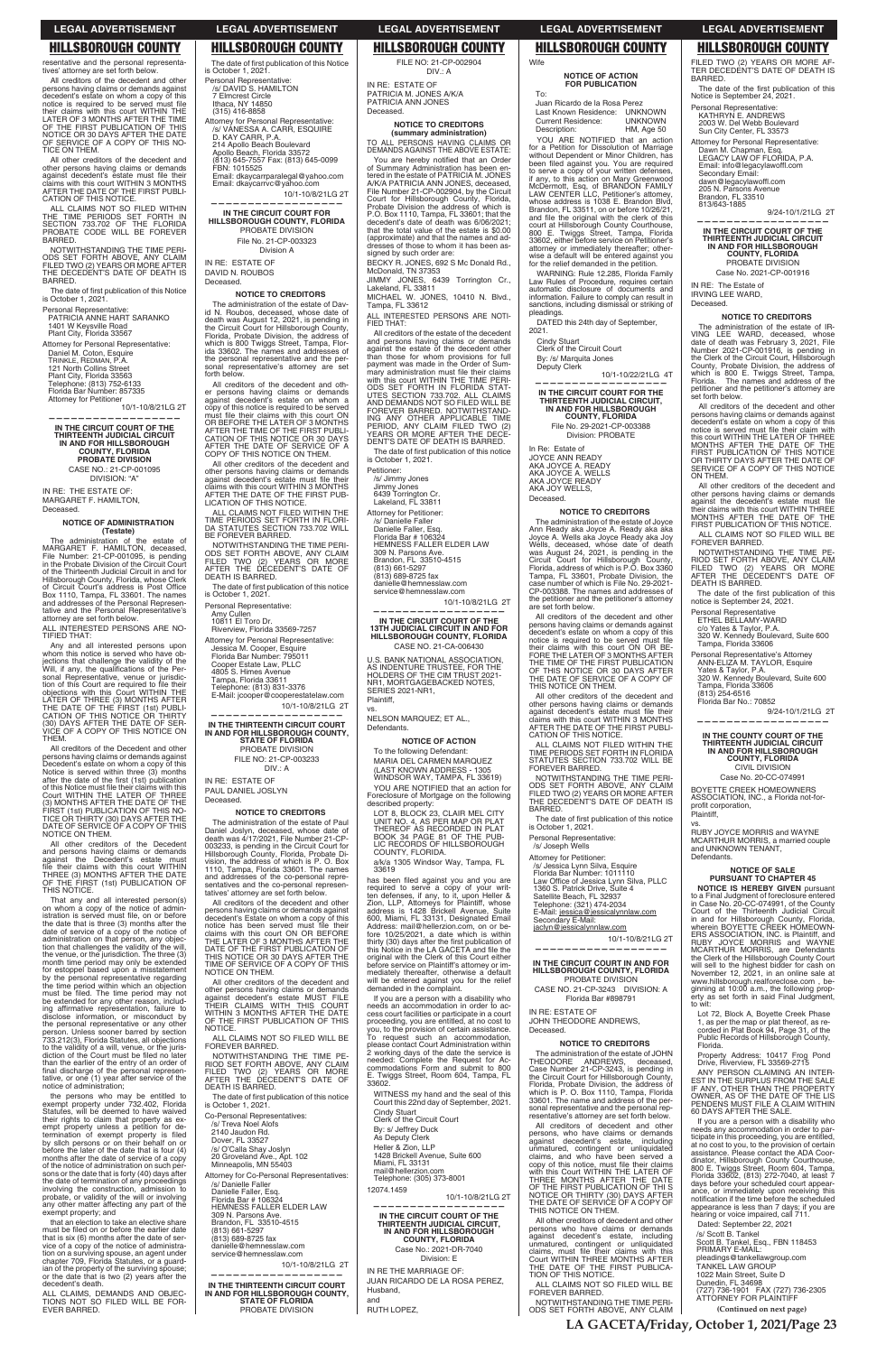# **LEGAL ADVERTISEMENT**

# **HILLSBOROUGH COUNTY**

resentative and the personal representa tives' attorney are set forth below.

All creditors of the decedent and other persons having claims or demands against<br>decedent's estate on whom a copy of this notice is required to be served must file their claims with this court WITHIN THE<br>LATER OF 3 MONTHS AFTER THE TIME OF THE FIRST PUBLICATION OF THIS NOTICE OR 30 DAYS AFTER THE DATE<br>OF SERVICE OF A COPY OF THIS NO-TICE ON THEM.

All other creditors of the decedent and other persons having claims or demands<br>against decedent's estate must file their claims with this court WITHIN 3 MONTHS<br>AFTER THE DATE OF THE FIRST PUBLI-CATION OF THIS NOTICE.

ALL CLAIMS NOT SO FILED WITHIN THE TIME PERIODS SET FORTH IN<br>SECTION 733.702 OF THE FLORIDA<br>PROBATE CODE WILL BE FOREVER BARRED.

NOTWITHSTANDING THE TIME PERI-ODS SET FORTH ABOVE, ANY CLAIM<br>FILED TWO (2) YEARS OR MORE AFTER THE DECEDENT'S DATE OF DEATH IS **BARRED** 

The date of first publication of this Notice<br>is October 1, 2021. Personal Representative:

**PATRICIA ANNE HART SARANKO<br>1401 W Keysville Road<br>Plant City, Florida 33567** 

Attorney for Personal Representative: Daniel M. Coton, Esquire<br>TRINKLE, REDMAN, P.A.<br>121 North Collins Street Plant City, Florida 33563 Telephone: (813) 752-6133<br>Florida Bar Number: 857335 **Attorney for Petitioner** 

10/1-10/8/21LG 2T

IN THE CIRCUIT COURT OF THE<br>THIRTEENTH JUDICIAL CIRCUIT<br>IN AND FOR HILLSBOROUGH COUNTY, FLORIDA **PROBATE DIVISION** CASE NO.: 21-CP-001095 DIVISION: "A"

IN RE: THE ESTATE OF: MARGARET F. HAMILTON, Deceased.

### **NOTICE OF ADMINISTRATION** (Testate)

The administration of the estate of MARGARET F. HAMILTON, deceased,<br>File Number: 21-CP-001095, is pending<br>in the Probate Division of the Circuit Court of the Thirteenth Judicial Circuit in and for of the interesting bounds Circuit in ainto the Circuit Court's address is Post Office<br>of Circuit Court's address is Post Office<br>and addresses of the Personal Representative<br>and addresses of the Personal Representative's attorney are set forth below

ALL INTERESTED PERSONS ARE NO-TIFIED THAT:

Any and all interested persons upon<br>whom this notice is served who have objections that challenge the validity of the<br>Will, if any, the qualifications of the Per-<br>sonal Representative, venue or jurisdiction of this Court are required to file their Follow the Figure of the Figure 10 meter that the LATER OF THREE (3) MONTHS AFTER<br>THE DATE OF THE FIRST (1st) PUBLI-<br>CATION OF THIS NOTICE OR THIRTY<br>(30) DAYS AFTER THE DATE OF SER-<br>YICE OF A COPY OF THIS NOTICE ON THFM.

All creditors of the Decedent and other<br>persons having claims or demands against Decedent's estate on whom a copy of this<br>Notice is served within three (3) months<br>after the date of the first (1st) publication of this Notice must file their claims with this<br>Court WITHIN THE LATER OF THREE COUNTINUES THE LATER OF THELE<br>
(3) MONTHS AFTER THE DATE OF THE<br>
FIRST (1st) PUBLICATION OF THIS NO-<br>
TICE OR THIRTY (30) DAYS AFTER THE<br>
DATE OF SERVICE OF A COPY OF THIS NOTICE ON THEM.

All other creditors of the Decedent All other Gregory of the Decedent<br>and persons having claims or demands<br>against the Decedent's estate must<br>file their claims with this court WITHIN<br>THEEE (3) MONTHS AFTER THE DATE<br>OF THE FIRST (1st) PUBLICATION OF<br>THIS NOTI

That any and all interested person(s) on whom a copy of the notice of administration is served must file, on or before the date that is three (3) months after the date of service of a copy of the notice of<br>administration on that person, any objection that challenges the validity of the will,<br>the venue, or the jurisdiction. The three (3)<br>month time period may only be extended for estoppel based upon a misstatement<br>by the personal representative regarding<br>the time period within which an objection must be filed. The time period may not

# **LEGAL ADVERTISEMENT**

**HILLSBOROUGH COUNTY** 

Attorney for Personal Representative:<br>/s/ VANESSA A. CARR, ESQUIRE

Email: dkaycarrvc@yahoo.com

214 Apollo Beach Boulevard<br>
214 Apollo Beach, Florida 33572<br>
(813) 645-7557 Fax: (813) 645-0099<br>
FBN: 1015525

IN THE CIRCUIT COURT FOR

HILLSBOROUGH COUNTY, FLORIDA PROBATE DIVISION

File No. 21-CP-003323

Division A

**NOTICE TO CREDITORS** 

increased. whose date of<br>death was August 12, 2021, is pending in

the Circuit Court for Hillsborough County,<br>Florida, Probate Division, the address of

which is 800 Twiggs Street, Tampa, Florida 33602. The names and addresses of

the personal representative and the per-

sonal representative's attorney are set

All creditors of the decedent and oth

er persons having claims or demands<br>against decedent's estate on whom a

must file their claims with this court ON<br>OR BEFORE THE LATER OF 3 MONTHS

STER THE TIME OF THE FIRST PUBLICATION OF THIS NOTICE OR 30 DAYS<br>AFTER THE TIME OF THE FIRST PUBLI-<br>AFTER THE DATE OF SERVICE OF A

All other creditors of the decedent and

other persons having claims or demands

against decedent's estate must file their

against vector in sexual claims with this court WITHIN 3 MONTHS<br>AFTER THE DATE OF THE FIRST PUB-<br>LICATION OF THIS NOTICE.

TIME PERIODS SET FORTH IN FLORI-<br>DA STATUTES SECTION 733.702 WILL<br>BE FOREVER BARRED.

NOTWITHSTANDING THE TIME PERI-

NOT CONTROL AND CLAIM<br>FILED TWO (2) YEARS OR MORE<br>AFTER THE DECEDENT'S DATE OF

The date of first publication of this notice<br>is October 1, 2021.

Riverview, Florida 33569-7257

Jessica M. Cooper, Esquire

Florida Bar Number; Zaquire<br>Florida Bar Number: 795011<br>Cooper Estate Law, PLLC<br>4805 S. Himes Avenue

Tampa, Florida 33611<br>Tampa, Florida 33611<br>Telephone: (813) 831-3376

Attorney for Personal Representative:

E-Mail: jcooper@cooperestatelaw.com

IN THE THIRTEENTH CIRCUIT COURT

IN AND FOR HILLSBOROUGH COUNTY,<br>STATE OF FLORIDA

PROBATE DIVISION

FILE NO: 21-CP-003233

 $DIV: A$ 

**NOTICE TO CREDITORS** 

The administration of the estate of Paul Daniel Joslyn, deceased, whose date of<br>death was 4/17/2021, File Number 21-CP-<br>003233, is pending in the Circuit Court for

Substitution County, Florida, Probate Division, the address of which is P. O. Box<br>1110, Tampa, Florida 33601. The names

and addresses of the co-personal repre-

sentatives and the co-personal representatives' attorney are set forth below.

All creditors of the decedent and other

Am General and one of the decedent and one of the presons having claims or demands against<br>decedent's Estate on whom a copy of this<br>notice has been served must file their<br>claims with this court ON OR BEFORE<br>THE LATER OF 3

DATE OF THE FIRST PUBLICATION OF THIS NOTICE OR 30 DAYS AFTER THE

TIME OF SERVICE OF A COPY OF THIS

All other creditors of the decedent and

10/1-10/8/21LG 2T

DEATH IS BARRED.

10811 El Toro Dr.

IN RE: ESTATE OF

PAUL DANIEL JOSLYN

Amy Cullen

Personal Representative:

ALL CLAIMS NOT FILED WITHIN THE

COPY OF THIS NOTICE ON THEM.

copy of this notice is required to be served

administration of the estate of Dav

10/1-10/8/21LG 2T

is October 1, 2021.

Personal Representative:<br>/s/ DAVID S. HAMILTON<br>7 Elmcrest Circle

Ithaca, NY 14850

D. KAY CARR. P.A.

 $(315)$  416-8858

IN RE: ESTATE OF

DAVID N. ROUBOS

Deceased

forth below.

The date of first publication of this Notice

# **LEGAL ADVERTISEMENT HILLSBOROUGH COUNTY**

FILE NO: 21-CP-002904  $DIV.: A$ 

IN RE: ESTATE OF PATRICIA M. JONES A/K/A PATRICIA ANN JONES Deceased

### NOTICE TO CREDITORS (summary administration)

TO ALL PERSONS HAVING CLAIMS OR DEMANDS AGAINST THE ABOVE ESTATE:

You are hereby notified that an Order<br>of Summary Administration has been en-<br>tered in the estate of PATRICIA M. JONES A/K/A PATRICIA ANN JONES, deceased, File Number 21-CP-002904, by the Circuit<br>File Number 21-CP-002904, by the Circuit<br>Court for Hillsborough County, Florida,<br>Probate Division the address of which is<br>the decedent's date of death was 6/06/2021; that the total value of the estate is \$0.00 (approximate) and that the names and addresses of those to whom it has been assigned by such order are: BECKY B. JONES, 692 S.Mc Donald Bd.

McDonald, TN 37353

JIMMY JONES, 6439 Torrington Cr., Lakeland, FL 33811

MICHAEL W. JONES, 10410 N. Blvd., MIOITALL W. 60<br>Tampa, FL 33612

INTERESTED PERSONS ARE NOTI-FIED THAT:

All creditors of the estate of the decedent and persons having claims or demands<br>against the estate of the decedent other than those for whom provisions for full payment was made in the Order of Summary administration must file their claims<br>with this court WITHIN THE TIME PERI-WIND SET FORTH IN FLORIDA STAT-<br>UTES SECTION 733.702. ALL CLAIMS<br>AND DEMANDS NOT SO FILED WILL BE FOREVER BARRED. NOTWITHSTAND-<br>ING ANY OTHER APPLICABLE TIME<br>PERIOD, ANY CLAIM FILED TWO (2) YEARS OR MORE AFTER THE DECENTER THE SATE OF DEATH IS BARRED.

The date of first publication of this notice is October 1, 2021.

Petitioner:

/s/ Jimmy Jones Jimmy Jones<br>6439 Torrington Cr.<br>Lakeland, FL 33811

Attorney for Petitioner: /s/ Danielle Faller<br>Danielle Faller, Esg. Pamelle Tallet, Esq.<br>Florida Bar # 106324<br>HEMNESS FALLER ELDER LAW 309 N. Parsons Ave.

Brandon, FL 33510-4515<br>(813) 661-5297<br>(813) 689-8725 fax danielle@hemnesslaw.com

service@hemnesslaw.com 10/1-10/8/21LG 2T

IN THE CIRCUIT COURT OF THE<br>13TH JUDICIAL CIRCUIT IN AND FOR HILLSBOROUGH COUNTY, FLORIDA CASE NO. 21-CA-006430

U.S. BANK NATIONAL ASSOCIATION,<br>AS INDENTURE TRUSTEE, FOR THE<br>HOLDERS OF THE CIM TRUST 2021-NR1, MORTGAGEBACKED NOTES, SERÍES 2021-NR1, Plaintiff,

**VS** NELSON MARQUEZ: ET AL.. Defendants.

**NOTICE OF ACTION** 

To the following Defendant: MARIA DEL CARMEN MARQUEZ (LAST KNOWN ADDRESS - 1305<br>WINDSOR WAY, TAMPA, FL 33619) YOU ARE NOTIFIED that an action for

Foreclosure of Mortgage on the following described property:

SCILING PIPER, SCIENCE CONTRACT UNIT NO. 4, AS PER MAP OR PLAT<br>THEREOF AS RECORDED IN PLAT<br>BOOK 34 PAGE 81 OF THE PUB-<br>LIC RECORDS OF HILLSBOROUGH COUNTY, FLORIDA

a/k/a 1305 Windsor Way, Tampa, FL 33619

has been filed against you and you are required to serve a copy of your written defenses, if any, to it, upon Heller & Zion, LLP, Attorneys for Plaintiff, whose address is 1428 Brickell Avenue, Suite address is 1426 Brickell Avenue, Suite<br>600, Miami, FL 33131, Designated Email<br>Address: mail@hellerzion.com, on or before  $10/25/2021$  a date which is within  $\frac{1}{100}$  (30) days after the first publication of<br>this Notice in the LA GACETA and file the<br>original with the Clerk of this Court either before service on Plaintiff's attorney or im-<br>mediately thereafter, otherwise a default will be entered against you for the relief demanded in the complaint.

# **LEGAL ADVERTISEMENT HILLSBOROUGH COUNTY**

# **NOTICE OF ACTION FOR PUBLICATION**

Wife

To: Juan Ricardo de la Rosa Perez Last Known Residence: UNKNOWN **UNKNOWN Current Residence:** HM, Age 50 Description:

YOU ARE NOTIFIED that an action for a Petition for Dissolution of Marriage<br>without Dependent or Minor Children, has<br>been filed against you. You are required been line against your written defenses,<br>to serve a copy of your written defenses,<br>if any, to this action on Mary Greenwood<br>McDermott, Esq, of BRANDON FAMILY<br>LAW CENTER LLC, Petitioner's attomey,<br>whose address is 1038 E. B and file the original with the clerk of this<br>court at Hillsborough County Courthouse,<br>800 E. Twiggs Street, Tampa, Florida 33602, either before service on Petitioner's<br>attorney or immediately thereafter; otherwise a default will be entered against you for the relief demanded in the petition.

WARNING: Rule 12.285, Florida Family Law Rules of Procedure, requires certain<br>automatic disclosure of documents and information. Failure to comply can result in<br>sanctions, including dismissal or striking of pleadings.

DATED this 24th day of September, 2021.

Cindy Stuart<br>Clerk of the Circuit Court By: /s/ Marquita Jones Deputy Clerk

10/1-10/22/21LG 4T

IN THE CIRCUIT COURT FOR THE THIRTEENTH JUDICIAL CIRCUIT,<br>THIRTEENTH JUDICIAL CIRCUIT, **COUNTY, FLORIDA** File No. 29-2021-CP-003388<br>Division: PROBATE

In Re: Estate of IT NE. LSIATE OF<br>JOYCE ANN READY<br>AKA JOYCE A. READY<br>AKA JOYCE A. WELLS<br>AKA JOYCE READY<br>AKA JOY WELLS,

Deceased.

# **NOTICE TO CREDITORS**

The administration of the estate of Joyce Ann Ready aka Joyce A. Ready aka aka<br>Joyce A. Wells aka Joyce Ready aka Joy<br>Wells, deceased, whose date of death was August 24, 2021, is pending in the<br>Circuit Court for Hillsborough County,<br>Florida, address of which is P.O. Box 3360 Fampa, FL 33601, Probate Division, the<br>case number of which is File No. 29-2021-<br>CP-003388. The names and addresses of the petitioner and the petitioner's attorney<br>are set forth below.

All creditors of the decedent and other persons having claims or demands against persons namily damins of denaities against<br>decedent's estate on whom a copy of this<br>notice is required to be served must file<br>their claims with this court ON OR BE-<br>FORE THE LATER OF 3 MONTHS AFTER<br>THE TIME OF THE FIRST PU THE DATE OF SERVICE OF A COPY OF THIS NOTICE ON THEM.

All other creditors of the decedent and other persons having claims or demands against decedent's estate must file their<br>claims with this court WITHIN 3 MONTHS<br>AFTER THE DATE OF THE FIRST PUBLI-CATION OF THIS NOTICE.

ALL CLAIMS NOT FILED WITHIN THE<br>TIME PERIODS SET FORTH IN FLORIDA<br>STATUTES SECTION 733.702 WILL BE FOREVER BARRED.

NOTWITHSTANDING THE TIME PERI-ODS SET FORTH ABOVE, ANY CLAIM<br>FILED TWO (2) YEARS OR MORE AFTER

THE DECEDENT'S DATE OF DEATH IS BARRED.

The date of first publication of this notice<br>is October 1, 2021.

Personal Representative: /s/ Joseph Wells

Attorney for Petitioner: /s/ Jessica Lynn Silva, Esquire<br>Florida Bar Number: 1011110 Law Office of Jessica Lynn Silva, PLLC<br>1360 S. Patrick Drive, Suite 4<br>Satellite Beach, FL 32937 Telephone: (321) 474-2034<br>E-Mail: <u>jessica@jessicalynnlaw.com</u><br>Secondary E-Mail: jaclyn@jessicalynnlaw.com

10/1-10/8/21LG 2T

IN THE CIRCUIT COURT IN AND FOR HILLSBOROUGH COUNTY, FLORIDA<br>PROBATE DIVISION

# **LEGAL ADVERTISEMENT HILLSBOROUGH COUNTY**

FILED TWO (2) YEARS OR MORE AF-TER DECEDÈNT'S DATE OF DEATH IS **BARRED** 

The date of the first publication of this<br>Notice is September 24, 2021.

Personal Representative: Elsonial Representative.<br>KATHRYN E. ANDREWS<br>2003 W. Del Webb Boulevard Sun City Center, FL 33573

Attorney for Personal Representative: Dawn M. Chapman, Esq.<br>LEGACY LAW OF FLORIDA, P.A. Email: info@legacylawoffl.com Secondary Email: dawn@legacylawoffl.com<br>205 N. Parsons Avenue<br>Brandon, FL 33510 813/643-1885

9/24-10/1/21LG 2T

IN THE CIRCUIT COURT OF THE THIRTEENTH JUDICIAL CIRCUIT<br>THIRTEENTH JUDICIAL CIRCUIT<br>IN AND FOR HILLSBOROUGH **COUNTY, FLORIDA** PROBATE DIVISION Case No. 2021-CP-001916

IN RE: The Estate of

IRVING LEE WARD, Deceased.

# **NOTICE TO CREDITORS**

The administration of the estate of IR-The administration, deceased, whose<br>date of death was February 3, 2021, File<br>Number 2021-CP-001916, is pending in Number 2021-0-011916, is benong in<br>the Clerk of the Circuit Court, Hillsborough<br>County, Probate Division, the address of<br>which is 800 E. Twiggs Street, Tampa,<br>Fiorida. The names and address of the<br>petitioner and the petiti set forth below.

All creditors of the decedent and other persons having claims or demands against decedent's estate on whom a copy of this notice is served must file their claim with notice is served must file their claim with<br>this court WITHIN THE LATER OF THREE<br>MONTHS AFTER THE DATE OF THE<br>FIRST PUBLICATION OF THIS NOTICE<br>OR THIRTY DAYS AFTER THE DATE OF<br>SERVICE OF A COPY OF THIS NOTICE<br>ON THEM.

All other creditors of the decedent and other persons having claims or demands<br>against the decedent's estate must file<br>their claims with this court WITHIN THREE MONTHS AFTER THE DATE OF THE FIRST PUBLICATION OF THIS NOTICE. THE

ALL CLAIMS NOT SO FILED WILL BE FOREVER BARRED.

NOTWITHSTANDING THE TIME PE-NOT SET FORTH ABOVE, ANY CLAIM<br>FILED TWO (2) YEARS OR MORE<br>AFTER THE DECEDENT'S DATE OF DEATH IS BARRED.

The date of the first publication of this<br>notice is September 24, 2021.

Personal Representative ETHEL BELLAMY-WARD

c/o Yates & Taylor, P.A.<br>320 W. Kennedy Boulevard, Suite 600<br>Tampa, Florida 33606

Personal Representative's Attorney<br>ANN-ELIZA M. TAYLOR, Esquire Yates & Taylor, P.A. 320 W. Kennedy Boulevard, Suite 600 Tampa, Florida 33606<br>(813) 254-6516 Florida Bar No.: 70852

9/24-10/1/21LG 2T

IN THE COUNTY COURT OF THE THIRTEENTH JUDICIAL CIRCUIT<br>THIRTEENTH JUDICIAL CIRCUIT<br>IN AND FOR HILLSBOROUGH **COUNTY, FLORIDA** 

**CIVIL DIVISION** Case No. 20-CC-074991

BOYETTE CREEK HOMEOWNERS ASSOCIATION, INC., a Florida not-forprofit corporation, Plaintiff,

RUBY JOYCE MORRIS and WAYNE MCARTHUR MORRIS, a married couple and UNKNOWN TENANT Defendants.

### **NOTICE OF SALE PURSUANT TO CHAPTER 45**

**NOTICE IS HEREBY GIVEN pursuant** to a Final Judgment of foreclosure entered<br>in Case No. 20-CC-074991, of the County The Case No. 20-00-074991, of the United Circuit<br>in and for Hillsborough County, Florida,<br>wherein BOYETTE CREEK HOMEOWN-<br>ERS ASSOCIATION, INC. is Plaintiff, and<br>RUBY JOYCE MORRIS, are Defendants<br>MCARTHUR MORRIS, are Defend Western Ford the Hillsborough County Court<br>will sell to the highest bidder for cash on<br>November 12, 2021, in an online sale at www.hillsborough.realforeclose.com, be-<br>ginning at 10:00 a.m., the following prop-

CASE NO. 21-CP-3243 DIVISION: A

the persons who may be entitled to<br>exempt property under 732.402, Florida<br>Statutes, will be deemed to have waived their rights to claim that property as exempt property unless a petition for de-<br>termination of exempt property is filed by slich persons or on their behalf on or<br>before the later of the date that is four (4)<br>months after the date of service of a copy of the notice of administration on such perof the notice of administration on such per-<br>sons or the date that is forty (40) days after<br>the date of termination of any proceedings involving the construction, admission to<br>probate, or validity of the will or involving<br>any other matter affecting any part of the exempt property; and

that an election to take an elective share must be filed on or before the earlier date<br>that is six (6) months after the date of sersince of a copy of the notice of administration on a surviving spouse, an agent under<br>chapter 709, Florida Statutes, or a guardian of the property of the surviving spouse;<br>or the date that is two (2) years after the<br>decedent's death.

ALL CLAIMS, DEMANDS AND OBJECTIONS NOT SO FILED WILL BE FOR-**EVER BARRED.** 

other persons having claims or demands<br>against decedent's estate MUST FILE<br>THEIR CLAIMS WITH THIS COURT<br>WITHIN 3 MONTHS AFTER THE DATE OF THE FIRST PUBLICATION OF THIS NOTICE.

ALL CLAIMS NOT SO FILED WILL BE<br>FOREVER BARRED.

NOTWITHSTANDING THE TIME PE-RIOD SET FORTH ABOVE, ANY CLAIM<br>FILED TWO (2) YEARS OR MORE<br>AFTER THE DECEDENT'S DATE OF DEATH IS BARRED.

The date of first publication of this notice<br>is October 1, 2021.

Co-Personal Representatives:

/s/ Treva Noel Alofs<br>2140 Jaudon Rd. Dover, FL 33527

NOTICE ON THEM.

/s/ O'Calla Shay Joslyn 20 Groveland Ave., Apt. 102<br>Minneapolis, MN 55403

Attorney for Co-Personal Representatives: /s/ Danielle Faller<br>Danielle Faller, Esq.<br>Florida Bar # 106324 HEMNESS FALLER ELDER LAW 309 N. Parsons Ave.<br>Brandon, FL 33510-4515 (813) 661-5297<br>(813) 689-8725 fax danielle@hemnesslaw.com service@hemnesslaw.com

10/1-10/8/21LG 2T

IN THE THIRTEENTH CIRCUIT COURT IN AND FOR HILLSBOROUGH COUNTY,<br>STATE OF FLORIDA PROBATE DIVISION

If you are a person with a disability who needs an accommodation in order to access court facilities or participate in a court<br>proceeding, you are entitled, at no cost to you, to the provision of certain assistance.<br>To request such an accommodation, Figure school Administration within<br>2 working days of the date the service is<br>needed: Complete the Request for Accommodations Form and submit to 800<br>E. Twiggs Street, Room 604, Tampa, FL 33602

WITNESS my hand and the seal of this<br>Court this 22nd day of September, 2021. Cindy Stuart<br>Clerk of the Circuit Court By: s/ Jeffrey Duck As Deputy Clerk Heller & Zion, LLP 1428 Brickell Avenue, Suite 600 Miami, FL 33131

mail@hellerzion.com<br>Telephone: (305) 373-8001

12074.1459

10/1-10/8/21LG 2T

IN THE CIRCUIT COURT OF THE THIRTEENTH JUDICIAL CIRCUIT,<br>THIRTEENTH JUDICIAL CIRCUIT,<br>IN AND FOR HILLSBOROUGH **COUNTY, FLORIDA** Case No.: 2021-DR-7040 Division: E

IN RE THE MARRIAGE OF JUAN RICARDO DE LA ROSA PEREZ, Husband, and

RUTH LOPEZ,

Florida Bar #898791

### IN RE: ESTATE OF JOHN THEODORE ANDREWS, Deceased.

## **NOTICE TO CREDITORS**

The administration of the estate of JOHN<br>THEODORE ANDREWS, deceased,<br>Case Number 21-CP-3243, is pending in the Circuit Court for Hillsborough County,<br>Florida, Probate Division, the address of which is P. O. Box 1110, Tampa, Florida 33601. The name and address of the per-<br>sonal representative and the personal representative's attorney are set forth below.

All creditors of decedent and other persons, who have claims or demands<br>against decedent's estate, including<br>unmatured, contingent or unliquidated claims, and who have been served a<br>copy of this notice, must file their claims<br>with this Court WITHIN THE LATER OF THREE MONTHS AFTER THE DATE OF THE FIRST PUBLICATION OF THI S<br>NOTICE OR THIRTY (30) DAYS AFTER THE DATE OF SERVICE OF A COPY OF<br>THIS NOTICE ON THEM.

All other creditors of decedent and other persons who have claims or demands against decedent's estate, including<br>unmatured, contingent or unliquidated<br>claims, must file their claims with this Court WITHIN THREE MONTHS AFTER<br>THE DATE OF THE FIRST PUBLICATION OF THIS NOTICE.

ALL CLAIMS NOT SO FILED WILL BE FOREVER BARRED.

NOTWITHSTANDING THE TIME PERI-<br>ODS SET FORTH ABOVE, ANY CLAIM

erty as set forth in said Final Judgment. to wit:

Lot 72, Block A, Boyette Creek Phase<br>1, as per the map or plat thereof, as re-<br>corded in Plat Book 94, Page 31, of the Public Records of Hillsborough County Florida.

Property Address: 10417 Frog Pond Drive. Riverview. FL 33569-2715

DINE, HIGHWAY, FL 33569-2/13<br>
ANY PERSON CLAIMING AN INTER-<br>
EST IN THE SURPLUS FROM THE SALE<br>
IF ANY, OTHER THAN THE PROPERTY<br>
OWNER, AS OF THE DATE OF THE LIS<br>
PENDENS MUST FILE A CLAIM WITHIN<br>
60 DAYS AFTER THE SALE.

If you are a person with a disability who needs any accommodation in order to participate in this proceeding, you are entitled, at no cost to you, to the provision of certain assistance. Please contact the ADA Coordiator. Pillsborough County Courthouse,<br>Solo E. Twiggs Street, Room 604, Tampa,<br>Florida 33602, (813) 272-7040, at least 7<br>days before your scheduled court appear-<br>ance, or immediately upon receiving this<br>acce, or immediate notification if the time before the scheduled appearance is less than 7 days; if you are<br>hearing or voice impaired, call 711.

Dated: September 22, 2021

/s/ Scott B. Tankel Soott B. Tankel, Esq., FBN 118453<br>Scott B. Tankel, Esq., FBN 118453<br>PRIMARY E-MAIL:<br>pleadings@tankellawgroup.com TANKEL LAW GROUP 1022 Main Street, Suite D<br>Dunedin, FL 34698 727) 736-1901 FAX (727) 736-2305<br>ATTORNEY FOR PLAINTIFF

(Continued on next page)

LA GACETA/Friday, October 1, 2021/Page 23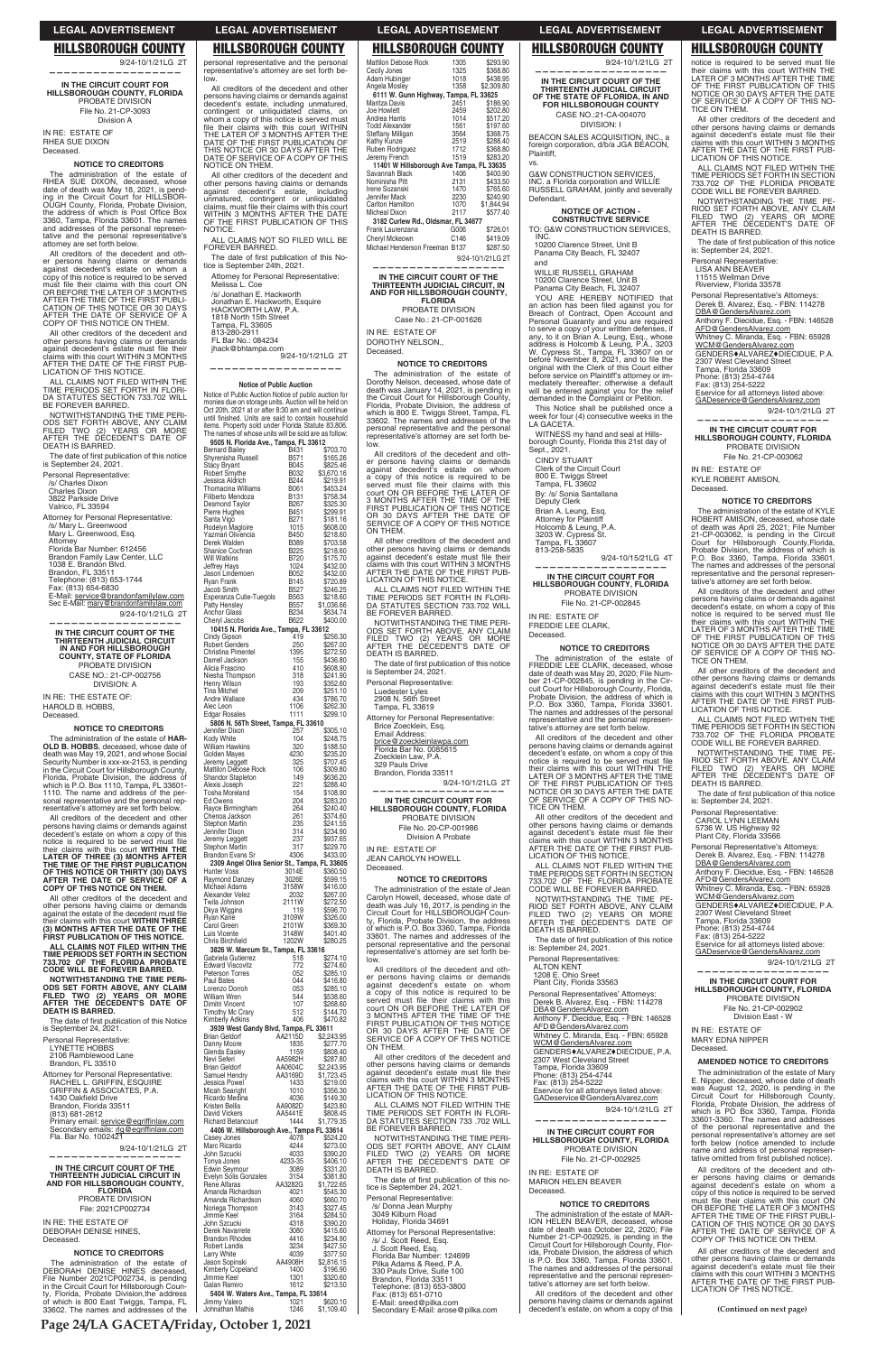# **HILLSBOROUGH COUNTY**

9/24-10/1/21LG 2T

IN THE CIRCUIT COURT FOR HILLSBOROUGH COUNTY, FLORIDA PROBATE DIVISION File No. 21-CP-3093 Division A IN RE: ESTATE OF RHEA SUE DIXON

Deceased.

# **NOTICE TO CREDITORS**

The administration of the estate of The administration of the estate of<br>date of death was May 18, 2021, is pending in the Circuit Court for HILLSBOR-OUGH County, Florida, Probate Division,<br>the address of which is Post Office Box 3360. Tampa. Florida 33601. The names boot, range, routed out of the personal representative and addresses of the personal representative's attorney are set forth below.

All creditors of the decedent and other persons having claims or demands<br>against decedent's estate on whom a copy of this notice is required to be served Fig. of the their claims with this court ON<br>OR BEFORE THE LATER OF 3 MONTHS<br>AFTER THE TIME OF THE FIRST PUBLI-CATION OF THIS NOTICE OR 30 DAYS<br>AFTER THE DATE OF SERVICE OF A<br>COPY OF THIS NOTICE ON THEM.

All other creditors of the decedent and An other persons having claims or demands<br>against decedent's estate must file their<br>claims with this court WITHIN 3 MONTHS AFTER THE DATE OF THE FIRST PUBLICATION OF THIS NOTICE.

ALL CLAIMS NOT FILED WITHIN THE<br>TIME PERIODS SET FORTH IN FLORI-DA STATUTES SECTION 733.702 WILL<br>BE FOREVER BARRED.

NOTWITHSTANDING THE TIME PERI-<br>ODS SET FORTH ABOVE, ANY CLAIM<br>FILED TWO (2) YEARS OR MORE

# **LEGAL ADVERTISEMENT**

# **HILLSBOROUGH COUNTY**

personal representative and the personal representative's attorney are set forth be-

All creditors of the decedent and other<br>persons having claims or demands against decedent's estate, including unmatured,<br>contingent or unliquidated claims, on<br>whom a copy of this notice is served must With the count of the country of the country of the their claims with this court WITHIN<br>THE LATER OF 3 MONTHS AFTER THE<br>DATE OF THE FIRST PUBLICATION OF<br>THIS NOTICE OR 30 DAYS AFTER THE<br>DATE OF SERVICE OF A COPY OF THIS NOTICE ON THEM.

All other creditors of the decedent and An other viewalisms of the decedent<br>and against decedent's estate, including<br>umatured, contingent or unliquidated<br>claims, must file their claims with this court<br>virthin 3 MONTHS AFTER THE DATE<br>OF THE FIRST PUBLICATION OF T NOTICE.

ALL CLAIMS NOT SO FILED WILL BE FOREVER BARRED.

The date of first publication of this No-<br>tice is September 24th, 2021.

Attorney for Personal Representative: Melissa L. Coe 1818 North 15th Street<br>Tampa, FL 33605 813-280-2911 FL Bar No : 084234 in L Barrico... 00 ........<br>jhack@bhtampa.com

9/24-10/1/21LG 2T

# Notice of Public Auction

Notice of Public Auction Notice of public auction for<br>monies due on storage units. Auction will be held on Cot 20th, 2021 at or after 8:30 am and will continue<br>until finished. Units are said to contain household<br>tems. Property sold under Florida Statute 83.806.

| .<br>.<br>$1 - 1110$ $011$ $1101$<br>AFTER THE DECEDENT'S DATE OF<br>DEATH IS BARRED.      | The names of whose units will be sold are as follow:<br>9505 N. Florida Ave., Tampa, FL 33612    | representative's attorney are set forth be-<br>low.                                   | WITNESS my hand and seal at Hills-<br>borough County, Florida this 21st day of           | <b>HILLSBOROUGH COUNTY, FLORIDA</b><br>PROBATE DIVISION                               |
|--------------------------------------------------------------------------------------------|--------------------------------------------------------------------------------------------------|---------------------------------------------------------------------------------------|------------------------------------------------------------------------------------------|---------------------------------------------------------------------------------------|
| The date of first publication of this notice<br>is September 24, 2021.                     | <b>Bernard Bailey</b><br>B431<br>\$703.70<br>Shyrenisha Russell<br>B571<br>\$165.26              | All creditors of the decedent and oth-<br>er persons having claims or demands         | Sept., 2021.<br><b>CINDY STUART</b>                                                      | File No. 21-CP-003062                                                                 |
| Personal Representative:                                                                   | <b>Stacy Bryant</b><br>B045<br>\$825.46<br>B032<br>Robert Smythe<br>\$3,670.16                   | against decedent's estate on whom<br>a copy of this notice is required to be          | Clerk of the Circuit Court<br>800 E. Twiggs Street                                       | IN RE: ESTATE OF<br>KYLE ROBERT AMISON,                                               |
| /s/ Charles Dixon<br><b>Charles Dixon</b>                                                  | Jessica Aldrich<br>B244<br>\$219.91<br>\$453.24<br>Thomacina Williams<br>B061                    | served must file their claims with this<br>court ON OR BEFORE THE LATER OF            | Tampa, FL 33602<br>By: /s/ Sonia Santallana                                              | Deceased.                                                                             |
| 3822 Parkside Drive<br>Valrico, FL 33594                                                   | \$758.34<br>Filiberto Mendoza<br><b>B131</b><br>\$325.30<br><b>Desmond Taylor</b><br>B267        | 3 MONTHS AFTER THE TIME OF THE<br>FIRST PUBLICATION OF THIS NOTICE                    | Deputy Clerk                                                                             | <b>NOTICE TO CREDITORS</b>                                                            |
| Attorney for Personal Representative:                                                      | \$299.91<br>Pierre Hughes<br>B451<br>B271<br>\$181.16<br>Santa Vigo                              | OR 30 DAYS AFTER THE DATE OF                                                          | Brian A. Leung, Esq.                                                                     | The administration of the estate of KYLE<br>ROBERT AMISON, deceased, whose date       |
| /s/ Mary L. Greenwood<br>Mary L. Greenwood, Esq.                                           | Rodelyn Magloire<br>1015<br>\$608.00<br>Yazmari Olivencia<br><b>B450</b><br>\$218.60             | SERVICE OF A COPY OF THIS NOTICE<br>ON THEM.                                          | Attorney for Plaintiff<br>Holcomb & Leung, P.A.<br>3203 W. Cypress St.                   | of death was April 25, 2021; File Number<br>21-CP-003062, is pending in the Circuit   |
| Attorney<br>Florida Bar Number: 612456                                                     | <b>B389</b><br>\$703.58<br>Derek Walden<br>B225<br>Shanice Cochran<br>\$218.60                   | All other creditors of the decedent and<br>other persons having claims or demands     | Tampa, FL 33607<br>813-258-5835                                                          | Court for Hillsborough County, Florida,<br>Probate Division, the address of which is  |
| Brandon Family Law Center, LLC<br>1038 E. Brandon Blvd.                                    | <b>B720</b><br>Will Watkins<br>\$175.70                                                          | against decedent's estate must file their<br>claims with this court WITHIN 3 MONTHS   | 9/24-10/15/21LG 4T                                                                       | P.O. Box 3360, Tampa, Florida 33601.                                                  |
| Brandon, FL 33511                                                                          | \$432.00<br>1024<br>Jeffrey Hays<br>\$432.00<br>Jason Lindemoen<br>B052                          | AFTER THE DATE OF THE FIRST PUB-                                                      | IN THE CIRCUIT COURT FOR                                                                 | The names and addresses of the personal<br>representative and the personal represen-  |
| Telephone: (813) 653-1744<br>Fax: (813) 654-6830                                           | \$720.89<br>Ryan Frank<br><b>B145</b><br><b>B527</b><br>\$246.25<br>Jacob Smith                  | LICATION OF THIS NOTICE.<br>ALL CLAIMS NOT FILED WITHIN THE                           | <b>HILLSBOROUGH COUNTY, FLORIDA</b><br>PROBATE DIVISION                                  | tative's attorney are set forth below.<br>All creditors of the decedent and other     |
| E-Mail: service@brandonfamilylaw.com<br>Sec E-Mail: mary@brandonfamilylaw.com              | Esperanza Cutie-Tuegols<br><b>B563</b><br>\$218.60<br>Patty Hensley<br><b>B557</b><br>\$1,036.66 | TIME PERIODS SET FORTH IN FLORI-<br>DA STATUTES SECTION 733.702 WILL                  | File No. 21-CP-002845                                                                    | persons having claims or demands against<br>decedent's estate, on whom a copy of this |
| 9/24-10/1/21LG 2T<br>------------------                                                    | <b>B234</b><br>\$634.74<br>Anchor Glass<br>\$400.00<br>B622<br>Cheryl Jacobs                     | BE FOREVER BARRED.                                                                    | IN RE: ESTATE OF                                                                         | notice is required to be served must file<br>their claims with this court WITHIN THE  |
| IN THE CIRCUIT COURT OF THE                                                                | 10415 N. Florida Ave., Tampa, FL 33612<br>419<br>\$256.30                                        | NOTWITHSTANDING THE TIME PERI-<br>ODS SET FORTH ABOVE, ANY CLAIM                      | FREDDIE LEE CLARK,<br>Deceased.                                                          | LATER OF 3 MONTHS AFTER THE TIME                                                      |
| THIRTEENTH JUDICIAL CIRCUIT<br>IN AND FOR HILLSBOROUGH                                     | Cindy Gipson<br>\$267.00<br><b>Robert Genders</b><br>250                                         | FILED TWO (2) YEARS OR MORE<br>AFTER THE DECEDENT'S DATE OF                           | <b>NOTICE TO CREDITORS</b>                                                               | OF THE FIRST PUBLICATION OF THIS<br>NOTICE OR 30 DAYS AFTER THE DATE                  |
| <b>COUNTY, STATE OF FLORIDA</b><br>PROBATE DIVISION                                        | \$272.50<br>Christina Pimentel<br>1395<br>\$436.80<br>Darrell Jackson<br>155                     | DEATH IS BARRED.<br>The date of first publication of this notice                      | The administration of the estate of                                                      | OF SERVICE OF A COPY OF THIS NO-<br>TICE ON THEM.                                     |
| CASE NO.: 21-CP-002756                                                                     | 410<br>\$608.90<br>Alicia Frascino<br>\$241.90<br>Niesha Thompson<br>318                         | is September 24, 2021.                                                                | FREDDIE LEE CLARK, deceased, whose<br>date of death was May 20, 2020; File Num-          | All other creditors of the decedent and<br>other persons having claims or demands     |
| <b>DIVISION: A</b>                                                                         | \$352.60<br>Henry Wilson<br>193<br><b>Tina Mitchel</b><br>209<br>\$251.10                        | Personal Representative:<br>Luedester Lyles                                           | ber 21-CP-002845, is pending in the Cir-<br>cuit Court for Hillsborough County, Florida, | against decedent's estate must file their                                             |
| IN RE: THE ESTATE OF:<br>HAROLD B. HOBBS.                                                  | Andre Wallace<br>434<br>\$786.70<br>1106<br>\$262.30<br>Alec Leon                                | 2908 N. 56th Street<br>Tampa, FL 33619                                                | Probate Division, the address of which is<br>P.O. Box 3360, Tampa, Florida 33601.        | claims with this court WITHIN 3 MONTHS<br>AFTER THE DATE OF THE FIRST PUB-            |
| Deceased.                                                                                  | 1111<br>\$299.10<br><b>Edgar Rosales</b>                                                         | Attorney for Personal Representative:                                                 | The names and addresses of the personal<br>representative and the personal represen-     | LICATION OF THIS NOTICE.<br>ALL CLAIMS NOT FILED WITHIN THE                           |
| <b>NOTICE TO CREDITORS</b>                                                                 | 5806 N. 56Th Street, Tampa, FL 33610<br>Jennifer Dixon<br>\$305.10<br>257                        | Brice Zoecklein, Esq.<br>Email Address:                                               | tative's attorney are set forth below.                                                   | TIME PERIODS SET FORTH IN SECTION<br>733.702 OF THE FLORIDA PROBATE                   |
| The administration of the estate of <b>HAR-</b><br>OLD B. HOBBS, deceased, whose date of   | \$248.75<br>Kody White<br>104<br><b>William Hawkins</b><br>320<br>\$188.50                       | brice@zoeckleinlawpa.com<br>Florida Bar No. 0085615                                   | All creditors of the decedent and other<br>persons having claims or demands against      | CODE WILL BE FOREVER BARRED.                                                          |
| death was May 19, 2021, and whose Social<br>Security Number is xxx-xx-2153, is pending     | 4230<br>Golden Mayes<br>\$235.20<br>325<br>\$707.45<br>Jeremy Leggett                            | Zoecklein Law, P.A.                                                                   | decedent's estate, on whom a copy of this<br>notice is required to be served must file   | NOTWITHSTANDING THE TIME PE-<br>RIOD SET FORTH ABOVE, ANY CLAIM                       |
| in the Circuit Court for Hillsborough County,<br>Florida, Probate Division, the address of | Mattilon Debose Rock<br>106<br>\$309.80<br>Shandor Stapleton<br>149<br>\$636.20                  | 329 Pauls Drive<br>Brandon, Florida 33511                                             | their claims with this court WITHIN THE<br>LATER OF 3 MONTHS AFTER THE TIME              | FILED TWO (2) YEARS OR MORE<br>AFTER THE DECEDENT'S DATE OF                           |
| which is P.O. Box 1110, Tampa, FL 33601-                                                   | \$288.40<br>221<br>Alexis Joseph<br><b>Tosha Moreland</b><br>154<br>\$108.90                     | 9/24-10/1/21LG 2T                                                                     | OF THE FIRST PUBLICATION OF THIS<br>NOTICE OR 30 DAYS AFTER THE DATE                     | DEATH IS BARRED.                                                                      |
| 1110. The name and address of the per-<br>sonal representative and the personal rep-       | 204<br>\$283.20<br>Ed Owens                                                                      | IN THE CIRCUIT COURT FOR                                                              | OF SERVICE OF A COPY OF THIS NO-<br>TICE ON THEM.                                        | The date of first publication of this notice<br>is: September 24, 2021.               |
| resentative's attorney are set forth below.<br>All creditors of the decedent and other     | 264<br>\$240.40<br>Rayce Birmingham<br>Chenoa Jackson<br>261<br>\$374.60                         | <b>HILLSBOROUGH COUNTY, FLORIDA</b><br>PROBATE DIVISION                               | All other creditors of the decedent and                                                  | Personal Representative:<br><b>CAROL LYNN LEEMAN</b>                                  |
| persons having claims or demands against<br>decedent's estate on whom a copy of this       | Stephon Martin<br>235<br>\$241.55<br>\$234.90<br>314<br>Jennifer Dixon                           | File No. 20-CP-001986                                                                 | other persons having claims or demands<br>against decedent's estate must file their      | 5736 W. US Highway 92                                                                 |
| notice is required to be served must file<br>their claims with this court WITHIN THE       | \$937.65<br>237<br>Jeremy Leggett<br>317<br>\$229.70<br>Stephon Martin                           | Division A Probate<br>IN RE: ESTATE OF                                                | claims with this court WITHIN 3 MONTHS<br>AFTER THE DATE OF THE FIRST PUB-               | Plant City, Florida 33566<br>Personal Representative's Attorneys:                     |
| LATER OF THREE (3) MONTHS AFTER                                                            | \$433.00<br>4306<br>Brandon Evans Sr<br>2309 Angel Oliva Senior St., Tampa, FL 33605             | <b>JEAN CAROLYN HOWELL</b>                                                            | LICATION OF THIS NOTICE.                                                                 | Derek B. Alvarez, Esq. - FBN: 114278<br>DBA@GendersAlvarez.com                        |
| THE TIME OF THE FIRST PUBLICATION<br>OF THIS NOTICE OR THIRTY (30) DAYS                    | \$360.50<br>Hunter Voss<br>3014E                                                                 | Deceased.                                                                             | ALL CLAIMS NOT FILED WITHIN THE<br>TIME PERIODS SET FORTH IN SECTION                     | Anthony F. Diecidue, Esq. - FBN: 146528                                               |
| AFTER THE DATE OF SERVICE OF A<br>COPY OF THIS NOTICE ON THEM.                             | Raymond Danzey<br>3026E<br>\$599.15<br>Michael Adams<br>3158W<br>\$416.00                        | <b>NOTICE TO CREDITORS</b><br>The administration of the estate of Jean                | 733.702 OF THE FLORIDA PROBATE<br>CODE WILL BE FOREVER BARRED.                           | AFD@GendersAlvarez.com<br>Whitney C. Miranda, Esq. - FBN: 65928                       |
| All other creditors of the decedent and<br>other persons having claims or demands          | 2032<br>\$267.00<br>Alexander Velez<br>Twila Johnson<br>2111W<br>\$272.50                        | Carolyn Howell, deceased, whose date of<br>death was July 16, 2017, is pending in the | NOTWITHSTANDING THE TIME PE-<br>RIOD SET FORTH ABOVE, ANY CLAIM                          | WCM@GendersAlvarez.com<br>GENDERS♦ALVAREZ♦DIECIDUE, P.A.                              |
| against the estate of the decedent must file<br>their claims with this court WITHIN THREE  | 119<br>\$596.70<br>Dkya Wiggins<br>3109W<br>\$326.00<br>Ryan Kane                                | Circuit Court for HILLSBOROUGH Coun-<br>ty, Florida, Probate Division, the address    | FILED TWO (2) YEARS OR MORE                                                              | 2307 West Cleveland Street<br>Tampa, Florida 33609                                    |
| (3) MONTHS AFTER THE DATE OF THE                                                           | 2101W<br>\$369.30<br>Carol Green<br>3148W<br>Luis Vicente<br>\$401.40                            | of which is P.O. Box 3360, Tampa, Florida                                             | AFTER THE DECEDENT'S DATE OF<br>DEATH IS BARRED.                                         | Phone: (813) 254-4744<br>Fax: (813) 254-5222                                          |
| FIRST PUBLICATION OF THIS NOTICE.<br>ALL CLAIMS NOT FILED WITHIN THE                       | 1202W<br>\$280.25<br>Chris Birchfield<br>3826 W. Marcum St., Tampa, FL 33616                     | 33601. The names and addresses of the<br>personal representative and the personal     | The date of first publication of this notice<br>is: September 24, 2021.                  | Eservice for all attorneys listed above:                                              |
| TIME PERIODS SET FORTH IN SECTION<br>733.702 OF THE FLORIDA PROBATE                        | Gabriela Gutierrez<br>\$274.10<br>518                                                            | representative's attorney are set forth be-<br>low.                                   | Personal Representatives:                                                                | GADeservice@GendersAlvarez.com<br>9/24-10/1/21LG 2T                                   |
| <b>CODE WILL BE FOREVER BARRED.</b>                                                        | \$274.60<br><b>Edward Viscovitz</b><br>772<br>Peterson Torres<br>052<br>\$285.10                 | All creditors of the decedent and oth-<br>er persons having claims or demands         | <b>ALTON KENT</b><br>1208 E. Ohio Sreet                                                  | ------------                                                                          |
| NOTWITHSTANDING THE TIME PERI-<br>ODS SET FORTH ABOVE, ANY CLAIM                           | 044<br>Paul Bates<br>\$416.80<br>053<br>Lorenzo Dorroh<br>\$285.10                               | against decedent's estate on whom<br>a copy of this notice is required to be          | Plant City, Florida 33563                                                                | IN THE CIRCUIT COURT FOR<br><b>HILLSBOROUGH COUNTY, FLORIDA</b>                       |
| FILED TWO (2) YEARS OR MORE<br>AFTER THE DECEDENT'S DATE OF                                | 544<br>\$538.60<br>William Wren<br>\$268.60<br>Dimitri Vincent<br>107                            | served must file their claims with this                                               | Personal Representatives' Attorneys:<br>Derek B. Alvarez, Esq. - FBN: 114278             | PROBATE DIVISION                                                                      |
| <b>DEATH IS BARRED.</b><br>The date of first publication of this Notice                    | \$144.70<br>Timothy Mc Crary<br>512<br>406<br>\$470.82<br>Kimberly Adkins                        | court ON OR BEFORE THE LATER OF<br>3 MONTHS AFTER THE TIME OF THE                     | DBA@GendersAlvarez.com<br>Anthony F. Diecidue, Esq. - FBN: 146528                        | File No. 21-CP-002902<br>Division East - W                                            |
| is September 24, 2021.                                                                     | 3939 West Gandy Blvd, Tampa, FL 33611<br><b>Brian Geldorf</b><br>AA2115D<br>\$2,243.95           | FIRST PUBLICATION OF THIS NOTICE<br>OR 30 DAYS AFTER THE DATE OF                      | AFD@GendersAlvarez.com<br>Whitney C. Miranda, Esq. - FBN: 65928                          | IN RE: ESTATE OF                                                                      |
| Personal Representative:<br>LYNETTE HOBBS                                                  | \$277.70<br>Danny Moore<br>1835                                                                  | SERVICE OF A COPY OF THIS NOTICE<br>ON THEM.                                          | WCM@GendersAlvarez.com                                                                   | MARY EDNA NIPPER<br>Deceased.                                                         |
| 2106 Ramblewood Lane<br>Brandon, FL 33510                                                  | Glenda Easley<br>\$808.40<br>1159<br>Nevi Seferi<br>AA5982H<br>\$287.80                          | All other creditors of the decedent and<br>other persons having claims or demands     | GENDERS♦ALVAREZ♦DIECIDUE, P.A.<br>2307 West Cleveland Street                             | <b>AMENDED NOTICE TO CREDITORS</b>                                                    |
| Attorney for Personal Representative:                                                      | <b>Brian Geldorf</b><br>AA0604C<br>\$2,243.95<br>Samuel Hendry<br>AA3169D<br>\$1,723.45          | against decedent's estate must file their                                             | Tampa, Florida 33609<br>Phone: (813) 254-4744<br>Fax: (813) 254-5222                     | The administration of the estate of Mary                                              |
| RACHEL L. GRIFFIN, ESQUIRE<br>GRIFFIN & ASSOCIATES, P.A.                                   | Jessica Powel<br>1433<br>\$219.00<br>\$356.30<br>Micah Searight<br>1010                          | claims with this court WITHIN 3 MONTHS<br>AFTER THE DATE OF THE FIRST PUB-            | Eservice for all attorneys listed above:                                                 | E. Nipper, deceased, whose date of death<br>was August 12, 2020, is pending in the    |
| 1430 Oakfield Drive<br>Brandon, Florida 33511                                              | Ricardo Medina<br>\$149.30<br>4036<br>\$423.80<br>Kristen Bellis<br>AA9082D                      | LICATION OF THIS NOTICE.<br>ALL CLAIMS NOT FILED WITHIN THE                           | GADeservice@GendersAlvarez.com                                                           | Circuit Court for Hillsborough County,<br>Florida, Probate Division, the address of   |
| (813) 681-2612<br>Primary email: service@egriffinlaw.com                                   | AA5441E<br>\$808.45<br>David Vickers<br><b>Richard Betancourt</b><br>1444<br>\$1,779.35          | TIME PERIODS SET FORTH IN FLORI-<br>DA STATUTES SECTION 733 .702 WILL                 | 9/24-10/1/21LG 2T                                                                        | which is PO Box 3360, Tampa, Florida<br>33601-3360. The names and addresses           |
| Secondary emails: rig@egriffinlaw.com                                                      | 4406 W. Hillsborough Ave., Tampa FL 33614                                                        | BE FOREVER BARRED.                                                                    | IN THE CIRCUIT COURT FOR                                                                 | of the personal representative and the<br>personal representative's attorney are set  |
| Fla. Bar No. 1002421<br>9/24-10/1/21LG 2T                                                  | Casey Jones<br>4078<br>\$524.20<br>\$273.00<br>Marc Ricardo<br>4244                              | NOTWITHSTANDING THE TIME PERI-<br>ODS SET FORTH ABOVE, ANY CLAIM                      | <b>HILLSBOROUGH COUNTY, FLORIDA</b><br>PROBATE DIVISION                                  | forth below (notice amended to include<br>name and address of personal represen-      |
|                                                                                            | \$390.20<br>John Szcucki<br>4033<br>4233-35<br>\$406.10<br>Tonya Jones                           | FILED TWO (2) YEARS OR MORE<br>AFTER THE DECEDENT'S DATE OF                           | File No. 21-CP-002925                                                                    | tative omitted from first published notice).                                          |
| IN THE CIRCUIT COURT OF THE<br>THIRTEENTH JUDICIAL CIRCUIT IN                              | Edwin Seymour<br>3089<br>\$331.20<br>Evelyn Solis Gonzales<br>\$381.80<br>3154                   | DEATH IS BARRED.                                                                      | IN RE: ESTATE OF                                                                         | All creditors of the decedent and oth-<br>er persons having claims or demands         |
| AND FOR HILLSBOROUGH COUNTY,<br><b>FLORIDA</b>                                             | Rene Alfaras<br>AA3282G<br>\$1,722.65<br>Amanda Richardson<br>4021<br>\$545.30                   | The date of first publication of this no-<br>tice is September 24, 2021.              | <b>MARION HELEN BEAVER</b><br>Deceased.                                                  | against decedent's estate on whom a<br>copy of this notice is required to be served   |
| PROBATE DIVISION                                                                           | \$660.70<br>Amanda Richardson<br>4060<br>\$327.45<br>Noriega Thompson<br>3143                    | Personal Representative:<br>/s/ Donna Jean Murphy                                     | <b>NOTICE TO CREDITORS</b>                                                               | must file their claims with this court ON<br>OR BEFORE THE LATER OF 3 MONTHS          |
| File: 2021CP002734<br>IN RE: THE ESTATE OF                                                 | \$284.50<br>Jimmie Keel<br>3164                                                                  | 3049 Kilburn Road<br>Holiday, Florida 34691                                           | The administration of the estate of MAR-<br>ION HELEN BEAVER, deceased, whose            | AFTER THE TIME OF THE FIRST PUBLI-                                                    |
| DEBORAH DENISE HINES,                                                                      | \$390.20<br>John Szcucki<br>4318<br>3080<br>Derek Navarrete<br>\$415.60                          | Attorney for Personal Representative:                                                 | date of death was October 22, 2020; File<br>Number 21-CP-002925, is pending in the       | CATION OF THIS NOTICE OR 30 DAYS<br>AFTER THE DATE OF SERVICE OF A                    |
| Deceased.                                                                                  | \$234.90<br><b>Brandon Rhodes</b><br>4416<br>\$427.50<br>Robert Landis<br>3234                   | /s/ J. Scott Reed, Esq.<br>J. Scott Reed, Esq.                                        | Circuit Court for Hillsborough County, Flor-                                             | COPY OF THIS NOTICE ON THEM.<br>All other creditors of the decedent and               |
| <b>NOTICE TO CREDITORS</b><br>The administration of the estate of                          | Larry White<br>4039<br>\$377.50<br>Jason Sopinski<br>AA4908H<br>\$2,816.15                       | Florida Bar Number: 124699<br>Pilka Adams & Reed, P.A.                                | ida, Probate Division, the address of which<br>is P.O. Box 3360, Tampa, Florida 33601.   | other persons having claims or demands                                                |
| DEBORAH DENISE HINES deceased,<br>File Number 2021CP002734, is pending                     | Kimberly Copeland<br>\$196.90<br>1400<br>Jimmie Keel<br>1301<br>\$320.60                         | 330 Pauls Drive, Suite 100<br>Brandon, Florida 33511                                  | The names and addresses of the personal<br>representative and the personal represen-     | against decedent's estate must file their<br>claims with this court WITHIN 3 MONTHS   |
| in the Circuit Court for Hillsborough Coun-<br>ty, Florida, Probate Division, the address  | Galan Ramiro<br>1612<br>\$213.50<br>5404 W. Waters Ave., Tampa, FL 33614                         | Telephone: (813) 653-3800                                                             | tative's attorney are set forth below.<br>All creditors of the decedent and other        | AFTER THE DATE OF THE FIRST PUB-<br>LICATION OF THIS NOTICE.                          |
| of which is 800 East Twiggs, Tampa, FL                                                     | Jimmy Valero<br>1021<br>\$620.10                                                                 | Fax: (813) 651-0710<br>E-Mail: sreed@pilka.com                                        | persons having claims or demands against                                                 |                                                                                       |
| 33602. The names and addresses of the                                                      | Johnathan Mathis<br>1246<br>\$1,109.40                                                           | Secondary E-Mail: arose@pilka.com                                                     | decedent's estate, on whom a copy of this                                                | (Continued on next page)                                                              |

| <b>LEGAL ADVERTISEMENT</b> |  |
|----------------------------|--|
|----------------------------|--|

| LSBOROUGH GOUN                           |      |            |
|------------------------------------------|------|------------|
| <b>Mattilon Debose Rock</b>              | 1305 | \$293.90   |
| Cecily Jones                             | 1325 | \$368.80   |
| Adam Hubinger                            | 1018 | \$438.95   |
| Angela Mosley                            | 1358 | \$2,309.80 |
| 6111 W. Gunn Highway, Tampa, FL 33625    |      |            |
| Maritza Davis                            | 2451 | \$186.90   |
| <b>Joe Howlett</b>                       | 2459 | \$202.80   |
| Andrea Harris                            | 1014 | \$517.20   |
| <b>Todd Alexander</b>                    | 1561 | \$197.60   |
| Steffany Milligan                        | 3564 | \$368.75   |
| Kathy Kunze                              | 2519 | \$288.40   |
| Ruben Rodriguez                          | 1712 | \$368.80   |
| Jeremy French                            | 1519 | \$283.20   |
| 11401 W Hillsborough Ave Tampa, FL 33635 |      |            |
| Savannah Black                           | 1406 | \$400.90   |
| Nominisha Pitt                           | 2131 | \$433.50   |
| Irene Sozanski                           | 1470 | \$765.60   |
| Jennifer Mack                            | 2230 | \$240.90   |
| <b>Carlton Hamilton</b>                  | 1070 | \$1,844.94 |
| <b>Micheal Dixon</b>                     | 2117 | \$577.40   |
| 3182 Curlew Rd., Oldsmar, FL 34677       |      |            |
| Frank Laurenzana                         | G006 | \$726.01   |
| Cheryl Mckeown                           | C146 | \$419.09   |
| Michael Henderson Freeman B137           |      | \$287.50   |

9/24-10/1/21LG 2T

# IN THE CIRCUIT COURT OF THE THIRTEENTH JUDICIAL CIRCUIT, IN<br>AND FOR HILLSBOROUGH COUNTY, **FLORIDA**

PROBATE DIVISION Case No.: 21-CP-001626

IN RE: ESTATE OF

### DOROTHY NELSON., Deceased.

# **NOTICE TO CREDITORS**

The administration of the estate of<br>Dorothy Nelson, deceased, whose date of<br>death was January 14, 2021, is pending in death was January 14, 2021, is pending in<br>the Circuit Court for Hillsborough County,<br>Florida, Probate Division, the address of<br>which is 800 E. Twiggs Street, Tampa, FL<br>36602. The names and addresses of the<br>personal represe

| Personal Representative: |  |
|--------------------------|--|
| Luedester Lyles          |  |

- 
- 

# **LEGAL ADVERTISEMENT HILLSBOROUGH COUNTY**

IN THE CIRCUIT COURT OF THE

THIRTEENTH JUDICIAL CIRCUIT<br>OF THE STATE OF FLORIDA, IN AND<br>FOR HILLSBOROUGH COUNTY

CASE NO: 21-CA-004070

**DIVISION: I** 

BEACON SALES ACQUISITION, INC., a

foreign corporation, d/b/a JGA BEACON,

INC. a Florida corporation and WILLIE<br>RUSSELL GRAHAM, jointly and severally

**NOTICE OF ACTION -<br>CONSTRUCTIVE SERVICE** 

TO: G&W CONSTRUCTION SERVICES,

10200 Clarence Street, Unit B<br>Panama City Beach, FL 32407

WILLIE RUSSELL GRAHAM

10200 Clarence Street, Unit B

Panama City Beach, FL 32407

YOU ARE HEREBY NOTIFIED that<br>an action has been filed against you for<br>Breach of Contract, Open Account and

Breach of Contract, Open Account and<br>Personal Guaranty and you are required<br>to serve a copy of your written defenses, if<br>any, to it on Brian A. Leung, Esq., whose<br>address is Holcomb & Leung, P.A., 3203<br>W. Cypress St., Tamp

original with the Clerk of this Court either<br>before service on Plaintiff's attorney or im-

mediately thereafter; otherwise a default

will be entered against you for the relief<br>demanded in the Complaint or Petition.

This Notice shall be published once a

week for four  $(4)$  consecutive weeks in the

**G&W CONSTRUCTION SERVICES.** 

Plaintiff,

Defendant.

INC.

and

LA GACETA.

**VS** 

9/24-10/1/21LG 2T

# **HILLSBOROUGH COUNTY**

notice is required to be served must file their claims with this court WITHIN THE<br>LATER OF 3 MONTHS AFTER THE TIME<br>OF THE FIRST PUBLICATION OF THIS NOTICE OR 30 DAYS AFTER THE DATE OF SERVICE OF A COPY OF THIS NOTICE ON THEM.

**LEGAL ADVERTISEMENT** 

All other creditors of the decedent and other persons having claims or demands<br>against decedent's estate must file their<br>claims with this court WITHIN 3 MONTHS<br>AFTER THE DATE OF THE FIRST PUB-LICATION OF THIS NOTICE.

ALL CLAIMS NOT FILED WITHIN THE<br>TIME PERIODS SET FORTH IN SECTION<br>733.702 OF THE FLORIDA PROBATE<br>CODE WILL BE FOREVER BARRED.

NOTWITHSTANDING THE TIME PE-<br>RIOD SET FORTH ABOVE, ANY CLAIM<br>FILED TWO (2) YEARS OR MORE<br>AFTER THE DECEDENT'S DATE OF DEATH IS BARRED.

The date of first publication of this notice is: September 24, 2021.

Personal Representative:

**Elsonial Representative**<br>LISA ANN BEAVER<br>11515 Wellman Drive

Riverview, Florida 33578

Personal Representative's Attorneys:

Derek B. Alvarez, Esq. - FBN: 114278<br>Derek B. Alvarez, Esq. - FBN: 114278

Anthony F. Diecidue, Esq. - FBN: 146528<br>AFD@GendersAlvarez.com

Whitney C. Miranda, Esq. - FBN: 65928<br>WCM@GendersAlvarez.com

GENDERS+ALVAREZ+DIECIDUE, P.A.<br>2307 West Cleveland Street

Tampa, Florida 33609 Phone: (813) 254-4744

Fax: (813) 254-5222

Eservice for all attorneys listed above:

GADeservice@GendersAlvarez.com 9/24-10/1/21LG 2T

IN THE CIRCUIT COURT FOR

Page 24/LA GACETA/Friday, October 1, 2021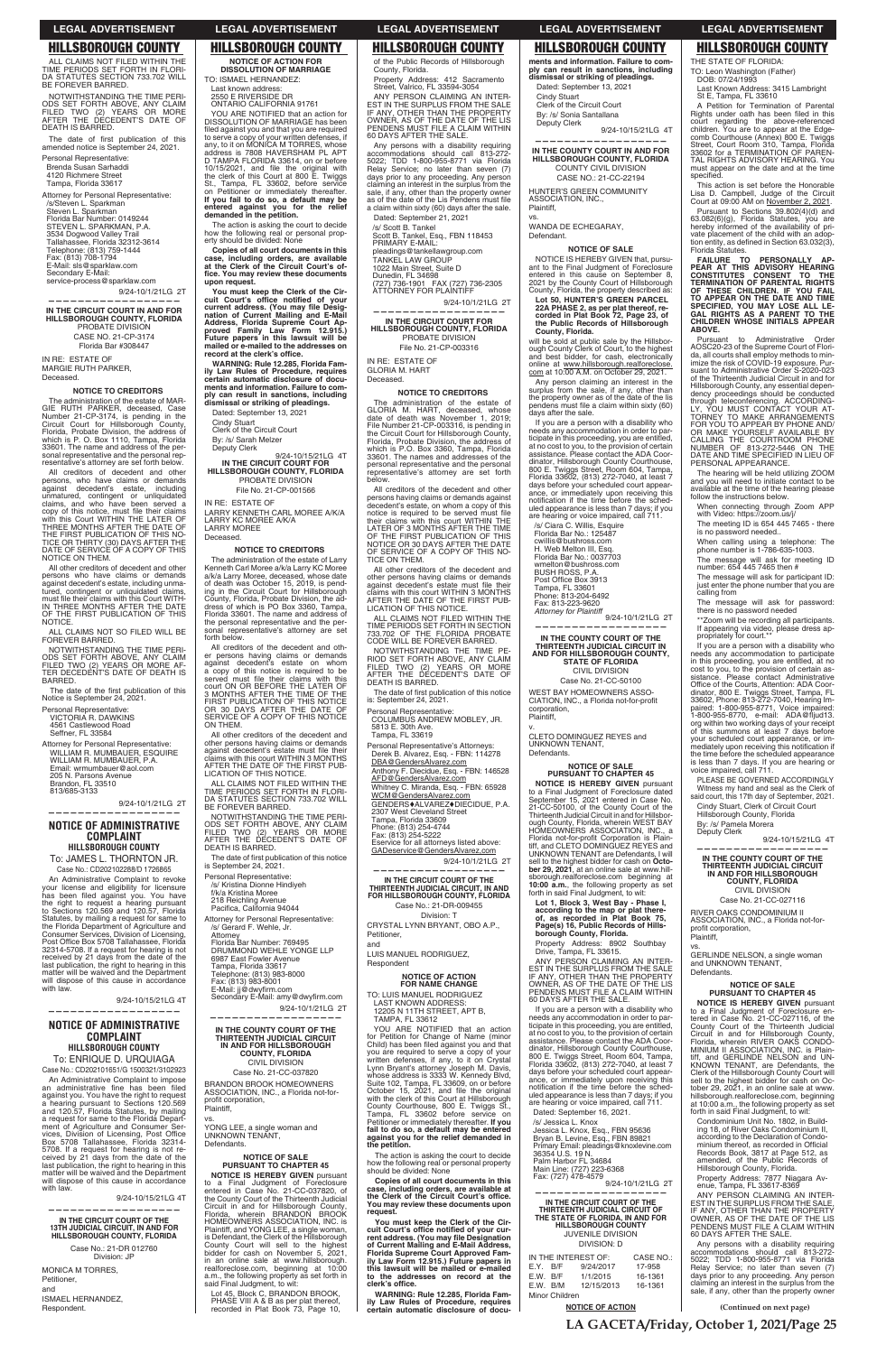ALL CLAIMS NOT FILED WITHIN THE<br>TIME PERIODS SET FORTH IN FLORI-<br>DA STATUTES SECTION 733.702 WILL BE FOREVER BARRED.

NOTWITHSTANDING THE TIME PERI-ODS SET FORTH ABOVE, ANY CLAIM FILED TWO (2) YEARS OR MORE<br>AFTER THE DECEDENT'S DATE OF DEATH IS BARRED.

The date of first publication of this amended notice is September 24, 2021.

Attorney for Personal Representative: /s/Steven L. Sparkman<br>Steven L. Sparkman<br>Florida Bar Number: 0149244<br>STEVEN L. SPARKMAN, P.A. 3534 Dogwood Valley Trail Tallahassee, Florida 32312-3614 Telephone: (813) 759-1444 Fax: (813) 708-1794<br>E-Mail: sls@sparklaw.com Secondary E-Mail: service-process@sparklaw.com

9/24-10/1/21LG 2T

Personal Representative: Brenda Susan Sarhaddi 4120 Richmere Street Tampa, Florida 33617

The administration of the estate of MAR-<br>GIE RUTH PARKER, deceased, Case Number 21-CP-3174, is pending in the<br>Circuit Court for Hillsborough County,<br>Florida, Probate Division, the address of<br>which is P. O. Box 1110, Tampa, Florida 33601. The name and address of the personal representative and the personal representative's attorney are set forth below.

All creditors of decedent and other persons, who have claims or demands against decedent's estate, including unmatured, contingent or unliquidated claims, and who have been served a<br>copy of this notice, must file their claims<br>with this Court WITHIN THE LATER OF THREE MONTHS AFTER THE DATE OF<br>THE FIRST PUBLICATION OF THIS NO-<br>TICE OR THIRTY (30) DAYS AFTER THE<br>DATE OF SERVICE OF A COPY OF THIS<br>NOTICE ON THEM.

### **—————————————————— IN THE CIRCUIT COURT IN AND FOR HILLSBOROUGH COUNTY, FLORIDA** PROBATE DIVISION CASE NO. 21-CP-3174 Florida Bar #308447

IN RE: ESTATE OF MARGIE RUTH PARKER, Deceased.

### **NOTICE TO CREDITORS**

ALL CLAIMS NOT SO FILED WILL BE FOREVER BARRED.

NOTWITHSTANDING THE TIME PERI-<br>ODS SET FORTH ABOVE, ANY CLAIM<br>FILED TWO (2) YEARS OR MORE AF-TER DECEDENT'S DATE OF DEATH IS BARRED.

The date of the first publication of this Notice is September 24, 2021.

9/24-10/1/21LG 2T **——————————————————**

All other creditors of decedent and other persons who have claims or demands against decedent's estate, including unmatured, contingent or unliquidated claims must file their claims with this Court WITH-IN THREE MONTHS AFTER THE DATE OF THE FIRST PUBLICATION OF THIS NOTICE.

Personal Representative: VICTORIA R. DAWKINS 4561 Castlewood Road Seffner, FL 33584

Attorney for Personal Representative:

WILLIAM R. MUMBAUER, ESQUIRE<br>WILLIAM R. MUMBAUER, P.A. Email: wrmumbauer@aol.com 205 N. Parsons Avenue Brandon, FL 33510 Brandon, FL 3<br>813/685-3133

**If you fail to do so, a default may be entered against you for the relief demanded in the petition.** The action is asking the court to decide how the following real or personal prop-erty should be divided: None **Copies of all court documents in this case, including orders, are available at the Clerk of the Circuit Court's of**fice. You may review these documents<br>upon request. **You must keep the Clerk of the Cir**cuit Court's office notified of your<br>current address. (You may file Desig-<br>nation of Current Mailing and E-Mail

## **NOTICE OF ADMINISTRATIVE COMPLAINT HILLSBOROUGH COUNTY**

# To: JAMES L. THORNTON JR. Case No.: CD202102288/D 1726865

An Administrative Complaint to revoke your license and eligibility for licensure has been filed against you. You have the right to request a hearing pursuant<br>to Sections 120.569 and 120.57, Florida Statutes, by mailing a request for same to the Florida Department of Agriculture and Consumer Services, Division of Licensing, Post Office Box 5708 Tallahassee, Florida<br>32314-5708. If a request for hearing is not received by 21 days from the date of the last publication, the right to hearing in this matter will be waived and the Department will dispose of this cause in accordance with law.

dress of which is PO Box 3360, Tampa,<br>Florida 33601. The name and address of the personal representative and the personal representative's attorney are set

All creditors of the decedent and other persons having claims or demands<br>against decedent's estate on whom<br>a copy of this notice is required to be<br>served must file their claims with this

**——————————————————**

# **NOTICE OF ADMINISTRATIVE COMPLAINT HILLSBOROUGH COUNTY** To: ENRIQUE D. URQUIAGA

All other creditors of the decedent and other persons having claims or demands against decedent's estate must file their<br>claims with this court WITHIN 3 MONTHS AFTER THE DATE OF THE FIRST PUB-LICATION OF THIS NOTICE. ALL CLAIMS NOT FILED WITHIN THE<br>TIME PERIODS SET FORTH IN FLORI-DA STATUTES SECTION 733.702 WILL<br>BE FOREVER BARRED.

NOTWITHSTANDING THE TIME PERI-<br>ODS SET FORTH ABOVE, ANY CLAIM<br>FILED TWO (2) YEARS OR MORE<br>AFTER THE DECEDENT'S DATE OF

The date of first publication of this notice

Case No.: CD202101651/G 1500321/3102923

is September 24, 2021. Personal Representative: /s/ Kristina Dionne Hindiyeh f/k/a Kristina Moree 218 Reichling Avenue<br>Pacifica, California 94044 Attorney for Personal Representative: /s/ Gerard F. Wehle, Jr.

An Administrative Complaint to impose an administrative fine has been filed<br>against you. You have the right to request a hearing pursuant to Sections 120.569<br>and 120.57, Florida Statutes, by mailing<br>a request for same to the Florida Department of Agriculture and Consumer Ser-<br>vices, Division of Licensing, Post Office<br>Box 5708 Tallahassee, Florida 32314-5708. If a request for hearing is not re-ceived by 21 days from the date of the last publication, the right to hearing in this matter will be waived and the Department will dispose of this cause in accordance with law.

9/24-10/15/21LG 4T

Secondary E-Mail: amy@dwyfirm.com 9/24-10/1/21LG 2T **——————————————————**

Attorney<br>Florida Bar Number: 769495<br>DRUMMOND WEHLE YONGE LLP

6987 East Fowler Avenue<br>Tampa, Florida 33617 Telephone: (813) 983-8000 Fax: (813) 983-8001<br>E-Mail: jj@dwyfirm.com

BRANDON BROOK HOMEOWNERS<br>ASSOCIATION, INC., a Florida not-forprofit corporation, Plaintiff,

**NOTICE IS HEREBY GIVEN** pursuant to a Final Judgment of Foreclosure entered in Case No. 21-CC-037820, of the Coun ty Court of the Thirteenth Judicial Circuit in and for Hillsborough County, Florida, wherein BRANDON BROOK<br>HOMEOWNERS ASSOCIATION, INC. is<br>Plaintiff, and YONG LEE, a single woman, is Defendant, the Clerk of the Hillsborough County Court will sell to the highest bidder for cash on November 5, 2021, in an online sale at www.hillsborough. realforeclose.com, beginning at 10:00 a.m., the following property as set forth in<br>said Final Judgment, to wit:

**—————————————————— IN THE CIRCUIT COURT OF THE 13TH JUDICIAL CIRCUIT, IN AND FOR HILLSBOROUGH COUNTY, FLORIDA**

> Case No.: 21-DR 012760 Division: JP

MONICA M TORRES, Petitioner, and ISMAEL HERNANDEZ,

Respondent.

# **NOTICE OF ACTION FOR DISSOLUTION OF MARRIAGE**

TO: ISMAEL HERNANDEZ: Last known address: 2550 E RIVERSIDE DR ONTARIO CALIFORNIA 91761 YOU ARE NOTIFIED that an action for DISSOLUTION OF MARRIAGE has been filed against you and that you are required<br>to serve a copy of your written defenses, if<br>any, to it on MONICA M TORRES, whose address is 7808 HAVERSHAM PL APT D TAMPA FLORIDA 33614, on or before

10/15/2021, and file the original with<br>the clerk of this Court at 800 E. Twiggs<br>St., Tampa, FL 33602, before service<br>on Petitioner or immediately thereafter.

pleadings@tankellawgroup.com TANKEL LAW GROUP

1022 Main Street, Suite D<br>Dunedin, FL 34698<br>(727) 736-1901 FAX (727) 736-2305

The administration of the estate of<br>GLORIA M. HART, deceased, whose<br>date of death was November 1, 2019;<br>File Number 21-CP-003316, is pending in the Circuit Court for Hillsborough County, Florida, Probate Division, the address of which is P.O. Box 3360, Tampa, Florida 33601. The names and addresses of the personal representative and the personal representative's attorney are set forth below.

**Address, Florida Supreme Court Ap-proved Family Law Form 12.915.) Future papers in this lawsuit will be**   $m$  mailed or e-mailed to the addresses on<br>record at the clerk's office. **WARNING: Rule 12.285, Florida Family Law Rules of Procedure, requires certain automatic disclosure of documents and information. Failure to com-ply can result in sanctions, including dismissal or striking of pleadings.** Dated: September 13, 2021

9/24-10/15/21LG 4T

NOTWITHSTANDING THE TIME PE-RIOD SET FORTH ABOVE, ANY CLAIM<br>FILED TWO (2) YEARS OR MORE<br>AFTER THE DECEDENT'S DATE OF DEATH IS BARRED.

The date of first publication of this notice<br>is: September 24, 2021.

Personal Representative: COLUMBUS ANDREW MOBLEY, JR.<br>5813 E. 30th Ave.<br>Tampa, FL 33619

Cindy Stuart

Clerk of the Circuit Court By: /s/ Sarah Melzer Deputy Clerk

**IN THE CIRCUIT COURT FOR HILLSBOROUGH COUNTY, FLORIDA** PROBATE DIVISION File No. 21-CP-001566

> **IN THE CIRCUIT COURT OF THE THIRTEENTH JUDICIAL CIRCUIT, IN AND FOR HILLSBOROUGH COUNTY, FLORIDA** Case No.: 21-DR-009455

IN RE: ESTATE OF

LARRY KENNETH CARL MOREE A/K/A

LARRY KC MOREE A/K/A LARRY MOREE

Deceased.

forth below.

TO: LUIS MANUEL RODRIGUEZ LAST KNOWN ADDRESS: 12205 N 11TH STREET, APT B, TAMPA, FL 33612

**NOTICE TO CREDITORS** The administration of the estate of Larry Kenneth Carl Moree a/k/a Larry KC Moree

a/k/a Larry Moree, deceased, whose date<br>of death was October 15, 2019, is pend-<br>ing in the Circuit Court for Hillsborough<br>County, Florida, Probate Division, the ad-

YOU ARE NOTIFIED that an action for Petition for Change of Name (minor<br>Child) has been filed against you and that<br>you are required to serve a copy of your<br>written defenses, if any, to it on Crystal<br>Lynn Bryant's attorney Joseph M. Davis,<br>whose address is whose address is 3333 W. Kennedy Blvd,<br>Suite 102, Tampa, FL 33609, on or before<br>October 15, 2021, and file the original<br>with the clerk of this Court at Hillsborough<br>County Courthouse, 800 E. Twiggs St,<br>Tampa, FL 33602 befo **the petition.**

court ON OR BEFORE THE LATER OF 3 MONTHS AFTER THE TIME OF THE FIRST PUBLICATION OF THIS NOTICE OR 30 DAYS AFTER THE DATE OF SERVICE OF A COPY OF THIS NOTICE

ON THEM.

**IN THE COUNTY COURT IN AND FOR HILLSBOROUGH COUNTY, FLORIDA** COUNTY CIVIL DIVISION CASE NO.: 21-CC-22194

HUNTER'S GREEN COMMUNITY ASSOCIATION, INC., Plaintiff,

WANDA DE ECHEGARAY, Defendant.

NOTICE IS HEREBY GIVEN that, pursuant to the Final Judgment of Foreclosure entered in this cause on September 8, 2021 by the County Court of Hillsborough County, Florida, the property described as:

will be sold at public sale by the Hillsbor-ough County Clerk of Court, to the highest and best bidder, for cash, electronically online at <u>www.hillsborough.realforeclose.</u><br><u>com</u> at 10:00 A.M. on October 29, 2021.

DEATH IS BARRED.

If you are a person with a disability who needs any accommodation in order to participate in this proceeding, you are entitled, at no cost to you, to the provision of certain assistance. Please contact the ADA Co or - dinator, Hillsborough County Courthouse, 800 E. Twiggs Street, Room 604, Tampa, Florida 33602, (813) 272-7040, at least 7<br>days before your scheduled court appearance, or immediately upon receiving this notification if the time before the sched-<br>uled appearance is less than 7 days; if you<br>are hearing or voice impaired, call 711.

/s/ Ciara C. Willis, Esquire Florida Bar No.: 125487<br>cwillis@bushross.com<br>H. Web Melton III, Esq. Florida Bar No.: 0037703 wmelton@bushross.com BUSH ROSS, P.A. Post Office Box 3913<br>Tampa, FL 33601<br>Phone: 813-204-6492 Fax: 813-223-9620

Attorney for Plaintiff<br>9/24-10/1/21LG 2T **——————————————————**

# **IN THE COUNTY COURT OF THE THIRTEENTH JUDICIAL CIRCUIT IN AND FOR HlLLSBOROUGH COUNTY, FLORIDA** CIVIL DIVISION

WEST BAY HOMEOWNERS ASSO-<br>CIATION, INC., a Florida not-for-profit corporation, Plaintiff,

CLETO DOMINGUEZ REYES and UNKNOWN TENANT, Defendants.

**NOTICE IS HEREBY GIVEN** pursuant to a Final Judgment of Foreclosure dated September 15, 2021 entered in Case No. 21-CC-50100, of the County Court of the Thirteenth Judicial Circuit in and for Hillsbor-<br>ough County, Florida, wherein WEST BAY<br>HOMEOWNERS ASSOCIATION, INC., a Florida not-for-profit Corporation is Plain-<br>tiff, and CLETO DOMINGUEZ REYES and UNKNOWN TENANT are Defendants, I will sell to the highest bidder for cash on **Octo-ber 29, 2021**, at an online sale at www.hillsborough.realforeclose.com beginning at **10:00 a.m.**, the following property as set<br>forth in said Final Judgment, to wit:

Case No. 21-CC-037820

vs.

YONG LEE, a single woman and<br>UNKNOWN TENANT, **Defendants** 

# **NOTICE OF SALE PURSUANT TO CHAPTER 45**

Lot 45, Block C, BRANDON BROOK, PHASE VIII A & B as per plat thereof, recorded in Plat Book 73, Page 10,

of the Public Records of Hillsborough County, Florida.

Property Address: 412 Sacramento<br>Street, Valrico, FL 33594-3054 ANY PERSON CLAIMING AN INTER-

EST IN THE SURPLUS FROM THE SALE<br>IF ANY, OTHER THAN THE PROPERTY<br>OWNER, AS OF THE DATE OF THE LIS<br>PENDENS MUST FILE A CLAIM WITHIN<br>60 DAYS AFTER THE SALE.

A Petition for Termination of Parental Rights under oath has been filed in this court regarding the above-referenced children. You are to appear at the Edgecomb Courthouse (Annex) 800 E. Twiggs<br>Street, Court Room 310, Tampa, Florida<br>33602 for a TERMINATION OF PAREN-TAL RIGHTS ADVISORY HEARING. You must appear on the date and at the time<br>specified.

This action is set before the Honorable Lisa D. Campbell, Judge of the Circuit<br>Court at 09:00 AM on November 2, 2021.

Any persons with a disability requiring accommodations should call 813-272-<br>5022; TDD 1-800-955-8771 via Florida<br>Relay Service; no later than seven (7) days prior to any proceeding. Any person claiming an interest in the surplus from the sale, if any, other than the property owner as of the date of the Lis Pendens must file a claim within sixty (60) days after the sale. Dated: September 21, 2021

Pursuant to Sections 39.802(4)(d) and<br>63.082(6)(g), Florida Statutes, you are hereby informed of the availability of private placement of the child with an adop-<br>tion entity, as defined in Section 63.032(3), Florida Statutes.

FAILURE TO PERSONALLY AP-<br>PEAR AT THIS ADVISORY HEARING<br>CONSTITUTES CONSENT TO THE<br>TERMINATION OF PARENTAL RIGHTS<br>OF THESE CHILDREN. IF YOU FAIL<br>TO APPEAR ON THE DATE AND TIME<br>SPECIFIED, YOU MAY LOSE ALL LE-<br>GHILDREN WHOSE **ABOVE.**

Pursuant to Administrative Order<br>AOSC20-23 of the Supreme Court of Flori-<br>da, all courts shall employ methods to min-<br>imize the risk of COVID-19 exposure. Pur-<br>suant to Administrative Order S-2020-023<br>of the Thirteenth Jud Hillsborough County, any essential depen-<br>dency proceedings should be conducted<br>through teleconterencing. ACCORDING-<br>LY, YOU MUST CONTACT YOUR AT-TORNEY TO MAKE ARRANGEMENTS<br>FOR YOU TO APPEAR BY PHONE AND/<br>CALLING THE COURTROOM PHONE<br>CALLING THE COURTROOM PHONE<br>NUMBER OF 813-272-5446 ON THE<br>DATE AND TIME SPECIFIED IN LIEU OF PERSONAL APPEARANCE

/s/ Scott B. Tankel Scott B. Tankel, Esq., FBN 118453 PRIMARY E-MAIL:

ATTORNEY FOR PLAINTIFF

9/24-10/1/21LG 2T

**—————————————————— IN THE CIRCUIT COURT FOR HILLSBOROUGH COUNTY, FLORIDA**

PROBATE DIVISION File No. 21-CP-003316

IN RE: ESTATE OF GLORIA M. HART Deceased.

### **NOTICE TO CREDITORS**

\*\*Zoom will be recording all participants If appearing via video, please dress ap-propriately for court.\*\*

All creditors of the decedent and other persons having claims or demands against decedent's estate, on whom a copy of this notice is required to be served must file<br>their claims with this court WITHIN THE<br>LATER OF 3 MONTHS AFTER THE TIME<br>OF THE FIRST PUBLICATION OF THIS<br>NOTICE OR 30 DAYS AFTER THE DATE OF SERVICE OF A COPY OF THIS NO-TICE ON THEM.

> profit corporation, Plaintiff, vs.

**Defendants** 

and UNKNOWN TENANT,

9/24-10/15/21LG 4T

### **NOTICE OF SALE**  $\overline{T}$ ER 45

GERLINDE NELSON, a single woman

**NOTICE IS HEREBY GIVEN** pursuant to a Final Judgment of Foreclosure en-tered in Case No. 21-CC-027116, of the County Court of the Thirteenth Judicial<br>Circuit in and for Hillsborough County,<br>Florida, wherein RIVER OAKS CONDO-<br>MINIUM II ASSOCIATION, INC. is Plain-<br>tiff, and GERLINDE NELSON and UN-<br>KNOWN TENANT, are Defendants, the Clerk of the Hillsborough County Court will<br>sell to the highest bidder for cash on Oc-<br>tober 29, 2021, in an online sale at www. hillsborough.realforeclose.com, beginning<br>at 10:00 a.m., the following property as set<br>forth in said Final Judgment, to wit:

All other creditors of the decedent and other persons having claims or demands against decedent's estate must file their<br>claims with this court WITHIN 3 MONTHS<br>AFTER THE DATE OF THE FIRST PUB-LICATION OF THIS NOTICE.

ALL CLAIMS NOT FILED WITHIN THE TIME PERIODS SET FORTH IN SECTION<br>733.702 OF THE FLORIDA PROBATE<br>CODE WILL BE FOREVER BARRED.

> Condominium Unit No. 1802, in Building 18, of River Oaks Condominium II, according to the Declaration of Condo-<br>minium thereof, as recorded in Official<br>Records Book, 3817 at Page 512, as<br>amended, of the Public Records of<br>Hillsborough County, Florida.

Property Address: 7877 Niagara Avenue, Tampa, FL 33617-8369<br>ANY PERSON CLAIMING AN

ANY PERSON CLAIMING AN INTER-<br>EST IN THE SURPLUS FROM THE SALE,<br>IF ANY, OTHER THAN THE PROPERTY<br>OWNER, AS OF THE DATE OF THE LIS<br>PENDENS MUST FILE A CLAIM WITHIN<br>60 DAYS AFTER THE SALE.

Personal Representative's Attorneys: Derek B. Alvarez, Esq. - FBN: 114278 DBA@GendersAlvarez.com Anthony F. Diecidue, Esq. - FBN: 146528 AFD@GendersAlvarez.com Whitney C. Miranda, Esq. - FBN: 65928 <u>WCM@GendersAlvarez.com</u><br>GENDERS♦ALVAREZ♦DIECIDUE, P.A. 2307 West Cleveland Street<br>Tampa, Florida 33609 Phone: (813) 254-4744 Fax: (813) 254-5222 ervice for all attorneys listed above: GADeservice@GendersAlvarez.com 9/24-10/1/21LG 2T **——————————————————**

Division: T CRYSTAL LYNN BRYANT, OBO A.P., Petitioner,

and LUIS MANUEL RODRIGUEZ, Respondent

> **NOTICE OF ACTION FOR NAME CHANGE**

The action is asking the court to decide how the following real or personal property should be divided: None

**Copies of all court documents in this case, including orders, are available at**  the Clerk of the Circuit Court's office.<br>You may review these documents upon **request.**

You must keep the Clerk of the Cir-<br>cuit Court's office notified of your cur-<br>rent address. (You may file Designation **of Current Mailing and E-Mail Address, Florida Supreme Court Approved Fam-ily Law Form 12.915.) Future papers in this lawsuit will be mailed or e-mailed**  to the addresses on record at the<br>clerk's office.

**WARNING: Rule 12.285, Florida Family Law Rules of Procedure, requires certain automatic disclosure of docu-** **ments and information. Failure to comply can result in sanctions, including dismissal or striking of pleadings.** Dated: September 13, 2021

Cindy Stuart Clerk of the Circuit Court

By: /s/ Sonia Santallana Deputy Clerk

9/24-10/15/21LG 4T

**——————————————————**

vs.

# **NOTICE OF SALE**

**Lot 50, HUNTER'S GREEN PARCEL 22A PHASE 2, as per plat thereof, re-corded in Plat Book 72, Page 23, of the Public Records of Hillsborough County, Florida.**

Any person claiming an interest in the surplus from the sale, if any, other than<br>the property owner as of the date of the lis<br>pendens must file a claim within sixty (60) days after the sale.

**IN THE COUNTY COURT OF THE THIRTEENTH JUDICIAL CIRCUIT IN AND FOR HILLSBOROUGH COUNTY, STATE OF FLORIDA** CIVIL DIVISION Case No. 21-CC-50100

v.

# **NOTICE OF SALE PURSUANT TO CHAPTER 45**

**Lot 1, Block 3, West Bay - Phase I, according to the map or plat there-of, as recorded in Plat Book 75, Page(s) 16, Public Rec ords of Hillsborough County, Florida.**

Property Address: 8902 Southbay<br>Drive, Tampa, FL 33615.

ANY PERSON CLAIMING AN INTER-<br>EST IN THE SURPLUS FROM THE SALE<br>IF ANY, OTHER THAN THE PROPERTY<br>OWNER, AS OF THE DATE OF THE LIS<br>PENDENS MUST FILE A CLAIM WITHIN

### 60 DAYS AFTER THE SALE.

If you are a person with a disability who needs any accommodation in order to par-<br>ticipate in this proceeding, you are entitled, at no cost to you, to the provision of certain<br>assistance. Please contact the ADA Coor-<br>dinator, Hillsborough County Courthouse, 800 E. Twiggs Street, Room 604, Tampa,<br>Florida 33602, (813) 272-7040, at least 7<br>days before your scheduled court appearance, or immediately upon receiving this<br>notification if the time before the sched-<br>uled appearance is less than 7 days; if you are hearing or voice impaired, call 711.

Dated: September 16, 2021.

/s/ Jessica L. Knox Jessica L. Knox, Esq., FBN 95636<br>Bryan B. Levine, Esq., FBN 89821 Primary Email: pleadings@knoxlevine.com 36354 U.S. 19 N. Palm Harbor FL 34684<br>Main Line: (727) 223-6368<br>Fax: (727) 478-4579 2T

**—————————————————— IN THE CIRCUIT COURT OF THE THIRTEENTH JUDICIAL CIRCUIT OF THE STATE OF FLORIDA, IN AND FOR HILLSBOROUGH COUNTY** JUVENILE DIVISION DIVISION: D

|                | IN THE INTEREST OF: | CASE NO.:  |         |  |
|----------------|---------------------|------------|---------|--|
| E.Y. B/F       |                     | 9/24/2017  | 17-958  |  |
| E.W. B/F       |                     | 1/1/2015   | 16-1361 |  |
| E.W. B/M       |                     | 12/15/2013 | 16-1361 |  |
| Minor Children |                     |            |         |  |

### **NOTICE OF ACTION**

THE STATE OF FLORIDA:

TO: Leon Washington (Father)<br>DOB: 07/24/1993

Last Known Address: 3415 Lambright St E, Tampa, FL 33610

The hearing will be held utilizing ZOOM and you will need to initiate contact to be available at the time of the hearing please follow the instructions below.

When connecting through Zoom APP<br>with Video: https://zoom.us/j/

The meeting ID is 654 445 7465 - there is no password needed..

When calling using a telephone: The<br>phone number is 1-786-635-1003.

The message will ask for meeting ID number: 654 445 7465 then # The message will ask for participant ID:

just enter the phone number that you are calling from

The message will ask for password: there is no password needed

If you are a person with a disability who needs any accommodation to participate in this proceeding, you are entitled, at no cost to you, to the provision of certain as-sistance. Please contact Administrative Office of the Courts, Attention: ADA Office of the Courts, Attention: ADA Coor-<br>dinator, 800 E. Twiggs Street, Tampa, FL<br>33602, Phone: 813-272-7040, Hearing Impaired: 1-800-955-8771, Voice impaired:<br>1-800-955-8770, e-mail: ADA@fljud13.<br>org within two working days of your receipt of this summons at least 7 days before your scheduled court appearance, or im-<br>mediately upon receiving this notification if the time before the scheduled appearance is less than 7 days. If you are hearing or voice impaired, call 711.

PLEASE BE GOVERNED ACCORDINGLY Witness my hand and seal as the Clerk of said court, this 17th day of September, 2021.

Cindy Stuart, Clerk of Circuit Court Hillsborough County, Florida

By: /s/ Pamela Morera Deputy Clerk

**—————————————————— IN THE COUNTY COURT OF THE THIRTEENTH JUDICIAL CIRCUIT IN AND FOR HILLSBOROUGH COUNTY, FLORIDA** CIVIL DIVISION Case No. 21-CC-027116 RIVER OAKS CONDOMINIUM II ASSOCIATION, INC., a Florida not-for-

9/24-10/15/21LG 4T

Any persons with a disability requiring accommodations should call 813-272-<br>5022; TDD 1-800-955-8771 via Florida<br>Relay Service; no later than seven (7) days prior to any proceeding. Any person claiming an interest in the surplus from the sale, if any, other than the property owner

**LA GACETA/Friday, October 1, 2021/Page 25**

**(Continued on next page)**

# **LEGAL ADVERTISEMENT LEGAL ADVERTISEMENT LEGAL ADVERTISEMENT LEGAL ADVERTISEMENT LEGAL ADVERTISEMENT**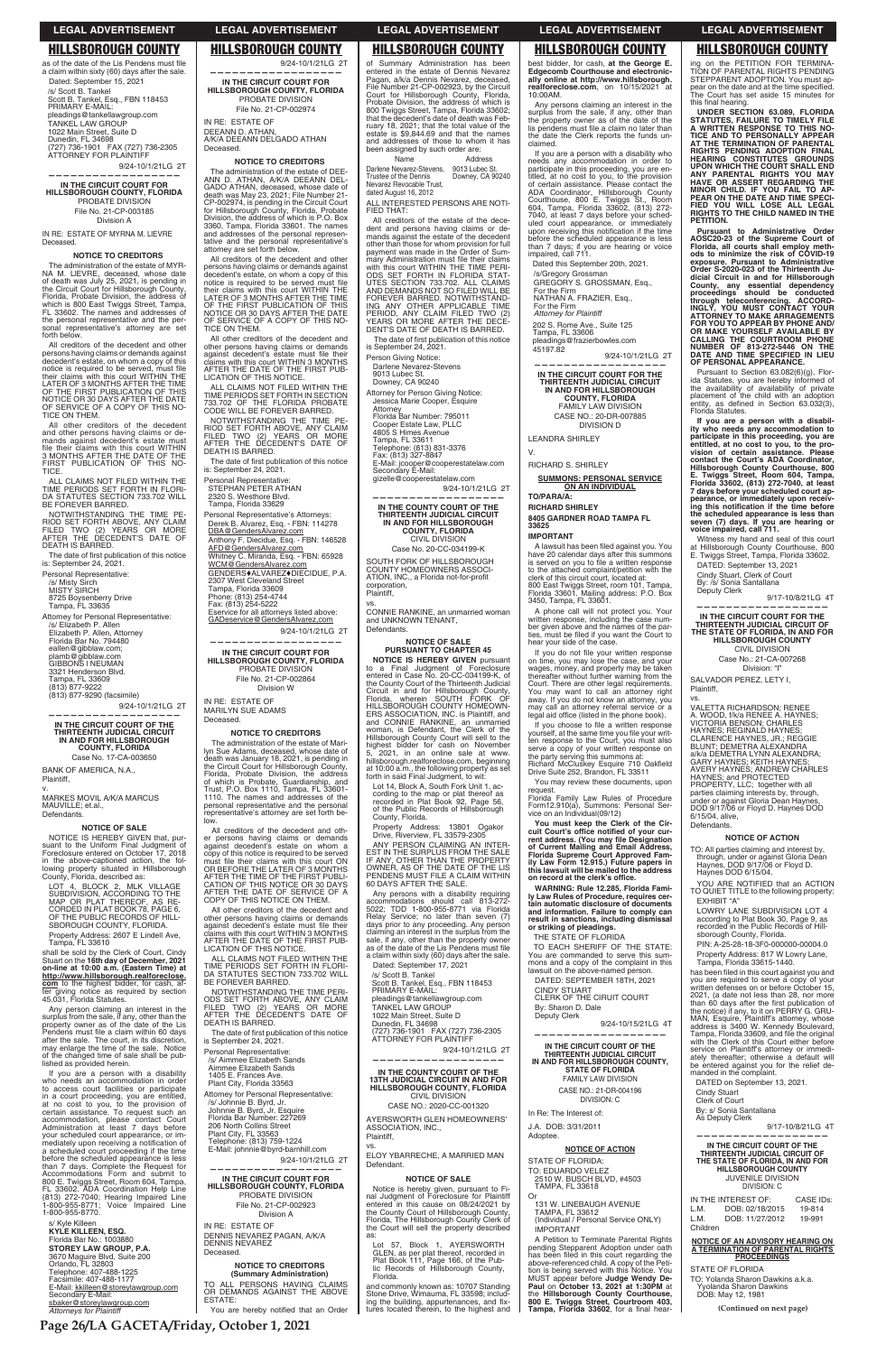The administration of the estate of MYR-NA M. LlEVRE, deceased, whose date of death was July 25, 2021, is pending in the Circuit Court for Hillsborough County, Florida, Probate Division, the address of which is 800 East Twiggs Street, Tampa FL 33602. The names and addresses of the personal representative and the personal representative's attorney are set forth below.

**——————————————————**

**IN THE CIRCUIT COURT FOR HILLSBOROUGH COUNTY, FLORIDA** PROBATE DIVISION File No. 21-CP-003185

Division A

IN RE: ESTATE OF MYRNA M. LlEVRE Deceased.

# **NOTICE TO CREDITORS**

All other creditors of the decedent and other persons having claims or de-mands against decedent's estate must file their claims with this court WITHIN<br>3 MONTHS AFTER THE DATE OF THE FIRST PUBLICATION OF THIS NO-**TICE** 

ALL CLAIMS NOT FILED WITHIN THE<br>TIME PERIODS SET FORTH IN FLORI-DA STATUTES SECTION 733.702 WILL BE FOREVER BARRED.

NOTWITHSTANDING THE TIME PE-<br>RIOD SET FORTH ABOVE, ANY CLAIM<br>FILED TWO (2) YEARS OR MORE<br>AFTER THE DECEDENT'S DATE OF<br>DEATH IS BARRED.

The date of first publication of this notice is: September 24, 2021.

All creditors of the decedent and other persons having claims or demands against decedent's estate, on whom a copy of this notice is required to be served, must file<br>their claims with this court WITHIN THE<br>LATER OF 3 MONTHS AFTER THE TIME<br>OF THE FIRST PUBLICATION OF THIS<br>NOTICE OR 30 DAYS AFTER THE DATE<br>OF SERVICE OF A COPY OF THIS NO-TICE ON THEM.

NOTICE IS HEREBY GIVEN that, NOTICE IS HEREBY GIVEN that, pur-<br>suant to the Uniform Final Judgment of<br>Foreclosure entered on October 17, 2018 in the above-captioned action, the following property situated in Hillsborough County, Florida, described as:

LOT 4, BLOCK 2, MLK VILLAGE<br>SUBDIVISION, ACCORDING TO THE<br>MAP OR PLAT THEREOF, AS RE-<br>CORDED IN PLAT BOOK 78, PAGE 6,<br>OF THE PUBLIC RECORDS OF HILL-<br>SBOROUGH COUNTY, FLORIDA.

shall be sold by the Clerk of Court, Cindy Stuart on the **16th day of December, 2021 on-line at 10:00 a.m. (Eastern Time) at http://www.hillsborough.realforeclose.**<br>http://www.hillsborough.realforeclose. com to the highest bidder, for cash, af-<br>ter giving notice as required by section<br>45.031, Florida Statutes.

9/24-10/1/21LG 2T

If you are a person with a disability who needs an accommodation in order to access court facilities or participate in a court proceeding, you are entitled, at no cost to you, to the provision of certain assistance. To request such an accommodation, please contact Court Administration at least 7 days before your scheduled court appearance, or immediately upon receiving a notification of<br>a scheduled court proceeding if the time<br>before the scheduled appearance is less than 7 days. Complete the Request for<br>
Accommodations Form and submit to<br>
800 E. Twiggs Street, Room 604, Tampa,<br>
FL 33602. ADA Coordination Help Line<br>
(813) 272-7040; Hearing Impaired Line<br>
1-800-955-8771; Voice Impaired

Personal Representative:

/s/ Misty Sirch MISTY SIRCH 8725 Boysenberry Drive

Tampa, FL 33635 Attorney for Personal Representative: /s/ Elizabeth P. Allen

Elizabeth P. Allen, Attorney<br>Florida Bar No. 794480 eallen@gibblaw.com; plamb@gibblaw.com<br>GIBBONS I NEUMAN 3321 Henderson Blvd. Tampa, FL 33609<br>(813) 877-9222

(813) 877-9290 (facsimile) 9/24-10/1/21LG 2T

**—————————————————— IN THE CIRCUIT COURT OF THE THIRTEENTH JUDICIAL CIRCUIT IN AND FOR HILLSBOROUGH** 

**—————————————————— IN THE CIRCUIT COURT FOR HILLSBOROUGH COUNTY, FLORIDA** PROBATE DIVISION File No. 21-CP-002974

A/K/A DEEANN DELGADO ATHAN

**COUNTY, FLORIDA** Case No. 17-CA-003650

BANK OF AMERICA, N.A., Plaintiff,

v. MARKES MOVIL A/K/A MARCUS MAUVILLE; et.al., Defendants.

### **NOTICE OF SALE**

CP-002974, is pending in the Circuit Court<br>for Hillsborough County, Florida, Probate<br>Division, the address of which is P.O. Box<br>3360, Tampa, Florida 33601. The names and addresses of the personal representative and the personal representative's attorney are set forth below. All creditors of the decedent and other

persons having claims or demands against<br>decedent's estate, on whom a copy of this<br>notice is required to be served must file<br>their claims with this court WITHIN THE<br>LATER OF 3 MONTHS AFTER THE TIME<br>OF THE FIRST PUBLICATION

All other creditors of the decedent and other persons having claims or demands<br>against decedent's estate must file their<br>claims with this court WITHIN 3 MONTHS<br>AFTER THE DATE OF THE FIRST PUB-

ALL CLAIMS NOT FILED WITHIN THE TIME PERIODS SET FORTH IN SECTION 733.702 OF THE FLORIDA PROBATE CODE WILL BE FOREVER BARRED. NOTWITHSTANDING THE TIME PE-RIOD SET FORTH ABOVE, ANY CLAIM<br>FILED TWO (2) YEARS OR MORE<br>AFTER THE DECEDENT'S DATE OF

The date of first publication of this notice<br>is: September 24, 2021.

Property Address: 2607 E Lindell Ave, Tampa, FL 33610

Personal Representative: STEPHAN PETER ATHAN 2320 S. Westhore Blvd. Tampa, Florida 33629

AFD@GendersAlvarez.com

2307 West Cleveland Street Tampa, Florida 33609 Phone: (813) 254-4744 Fax: (813) 254-5222

Personal Representative's Attorneys: Derek B. Alvarez, Esq. - FBN: 114278 DBA@GendersAlvarez.com

Eservice for all attorneys listed above: GADeservice@GendersAlvarez.com

**—————————————————— IN THE CIRCUIT COURT FOR HILLSBOROUGH COUNTY, FLORIDA** PROBATE DIVISION File No. 21-CP-002864 Division W

Any person claiming an interest in the surplus from the sale, if any, other than the property owner as of the date of the Lis Pendens must file a claim within 60 days after the sale. The court, in its discretion, may enlarge the time of the sale. Notice of the changed time of sale shall be published as provided herein.

of which is Probate, Guardianship, and<br>Trust, P.O. Box 1110, Tampa, FL 33601-<br>1110. The names and addresses of the personal representative and the personal representative's attorney are set forth be-

s/ Kyle Killeen **KYLE KILLEEN, ESQ.** Florida Bar No.: 1003880 **STOREY LAW GROUP, P.A.** 3670 Maguire Blvd, Suite 200 Orlando, FL 32803 Telephone: 407-488-1225 Facsimile: 407-488-1177 E-Mail: <u>kkilleen@storeylawgroup.com</u><br>Secondary E-Mail: sbaker@storeylawgroup.com *Attorneys for Plaintiff*

BE FOREVER BARRED. NOTWITHSTANDING THE TIME PERI-<br>ODS SET FORTH ABOVE, ANY CLAIM FILED TWO (2) YEARS OR MORE<br>AFTER THE DECEDENT'S DATE OF<br>DEATH IS BARRED. The date of first publication of this notice is September 24, 2021. Personal Representative: /s/ Aimmee Elizabeth Sands Aimmee Elizabeth Sands 1405 E. Frances Ave. Plant City, Florida 33563 Attorney for Personal Representative: /s/ Johnnie B. Byrd, Jr. Johnnie B. Byrd, Jr. Esquire<br>Florida Bar Number: 227269<br>206 North Collins Street Plant City, FL 33563<br>Telephone: (813) 759-1224<br>E-Mail: johnnie@byrd-barnhill.com 9/24-10/1/21LG 2T **—————————————————— IN THE CIRCUIT COURT FOR HILLSBOROUGH COUNTY, FLORIDA** PROBATE DIVISION File No. 21-CP-002923 Division A IN RE: ESTATE OF DENNIS NEVAREZ PAGAN, A/K/A DENNIS NEVAREZ Deceased. **NOTICE TO CREDITORS (Summary Administration)** TO ALL PERSONS HAVING CLAIMS<br>OR DEMANDS AGAINST THE ABOVE ESTATE: Florida. and commonly known as: 10707 Standing<br>Stone Drive, Wimauma, FL 33598; includ-<br>ing the building, appurtenances, and fix-

You are hereby notified that an Order

IN RE: ESTATE OF DEEANN D. ATHAN,

Deceased.

**NOTICE TO CREDITORS**

The administration of the estate of DEE-<br>ANN D. ATHAN, A/K/A DEEANN DEL-<br>GADO ATHAN, deceased, whose date of<br>death was May 23, 2021; File Number 21-

All creditors of the estate of the dece-dent and persons having claims or de-mands against the estate of the decedent other than those for whom provision for full<br>payment was made in the Order of Sum-<br>mary Administration must file their claims with this court WITHIN THE TIME PERI-<br>ODS SET FORTH IN FLORIDA STAT-<br>UTES SECTION 733.702. ALL CLAIMS AND DEMANDS NOT SO FILED WILL BE<br>FOREVER BARRED. NOTWITHSTAND-<br>ING ANY OTHER APPLICABLE TIME PERIOD, ANY CLAIM FILED TWO (2)<br>YEARS OR MORE AFTER THE DECE-<br>DENT'S DATE OF DEATH IS BARRED.

The date of first publication of this notice is September 24, 2021. Person Giving Notice:

Darlene Nevarez-Stevens<br>9013 Lubec St.<br>Downey, CA 90240

Attorney for Person Giving Notice: Jessica Marie Cooper, Esquire **Attorney** 

Florida Bar Number: 795011<br>Cooper Estate Law, PLLC<br>4805 S Himes Avenue Tampa, FL 33611<br>Telephone: (813) 831-3376<br>Fax: (813) 327-8847

Case No. 20-CC-034199-K SOUTH FORK OF HILLSBOROUGH COUNTY HOMEOWNERS ASSOCI-<br>ATION, INC., a Florida not-for-profit corporation,

OF SERVICE OF A COPY OF THIS NO-

TICE ON THEM.

LICATION OF THIS NOTICE.

Property Address: 13801 Ogakor Drive, Riverview, FL 33579-2305

ANY PERSON CLAIMING AN INTER-<br>EST IN THE SURPLUS FROM THE SALE<br>IF ANY, OTHER THAN THE PROPERTY OWNER, AS OF THE DATE OF THE LIS<br>PENDENS MUST FILE A CLAIM WITHIN<br>60 DAYS AFTER THE SALE.

Any persons with a disability requiring accommodations should call 813-272-<br>5022; TDD 1-800-955-8771 via Florida<br>Relay Service; no later than seven (7) days prior to any proceeding. Any person claiming an interest in the surplus from the sale, if any, other than the property owner as of the date of the Lis Pendens must file a claim within sixty (60) days after the sale.

DEATH IS BARRED.

Anthony F. Diecidue, Esq. - FBN: 146528

Whitney C. Miranda, Esq. - FBN: 65928<br><u>WCM@GendersAlvarez.com</u> GENDERS AL VAREZ DIECIDUE PA best bidder, for cash, **at the George E.**  Edgecomb Courthouse and electronic-<br>ally online at http://www.hillsborough.<br>realforeclose.com, on 10/15/2021 at

IN RE: ESTATE OF MARILYN SUE ADAMS

**Deceased** 

Any persons claiming an interest in the surplus from the sale, if any, other than the property owner as of the date of the lis pendens must file a claim no later than<br>the date the Clerk reports the funds un-

**NOTICE TO CREDITORS** The administration of the estate of Mari-lyn Sue Adams, deceased, whose date of death was January 18, 2021, is pending in the Circuit Court for Hillsborough County, Florida, Probate Division, the address Dated this September 20th, 2021. /s/Gregory Grossman

low.

GREGORY S. GROSSMAN, Esq., For the Firm NATHAN A. FRAZIER, Esq.,

All creditors of the decedent and other persons having claims or demands against decedent's estate on whom a copy of this notice is required to be served

must file their claims with this court ON<br>OR BEFORE THE LATER OF 3 MONTHS<br>AFTER THE TIME OF THE FIRST PUBLI-

to the attached complaint/petition with the clerk of this circuit court, located at: 800 East Twiggs Street, room 101, Tampa,<br>Florida 33601. Mailing address: P.O. Box<br>3450, Tampa, FL 33601. A phone call will not protect you. Your written response, including the case num-<br>ber given above and the names of the par-<br>ties, must be filed if you want the Court to

9/24-10/1/21LG 2T

CATION OF THIS NOTICE OR 30 DAYS AFTER THE DATE OF SERVICE OF A COPY OF THIS NOTICE ON THEM. All other creditors of the decedent and other persons having claims or demands<br>against decedent's estate must file their<br>claims with this court WITHIN 3 MONTHS AFTER THE DATE OF THE FIRST PUB-

ALL CLAIMS NOT FILED WITHIN THE<br>-TIME PERIODS SET FORTH IN FLORI

LICATION OF THIS NOTICE.

9/24-10/1/21LG 2T

If you choose to file a written response<br>yourself, at the same time you file your writ-<br>ten response to the Court, you must also serve a copy of your written response on<br>the party serving this summons at:<br>Richard McCluskey Esquire 710 Oakfield Drive Suite 252, Brandon, FL 33511

**You must keep the Clerk of the Cir**cuit Court's office notified of your cur-<br>rent address. (You may file Designation<br>of Current Mailing and Email Address, **Florida Supreme Court Approved Fam-ily Law Form 12.915.) Future papers in this lawsuit will be mailed to the address**   $\alpha$  record at the clerk's office.

By: Sharon D. Dale Deputy Clerk

9/24-10/1/21LG 2T **——————————————————** RICHARD S. SHIRLEY **SUMMONS: PERSONAL SERVICE TO/PARA/A: RICHARD SHIRLEY 8405 GARDNER ROAD TAMPA FL 33625 IMPORTANT** A lawsuit has been filed against you. You have 20 calendar days after this summons<br>is served on you to file a written response

> **IN THE CIRCUIT COURT OF THE THIRTEENTH JUDICIAL CIRCUIT IN AND FOR HILLSBOROUGH COUNTY, STATE OF FLORIDA** FAMILY LAW DIVISION CASE NO.: 21-DR-004196 DIVISION: C In Re: The Interest of: J.A. DOB: 3/31/2011 Adoptee. **NOTICE OF ACTION** STATE OF FLORIDA: TO: EDUARDO VELEZ<br>2510 W. BUSCH BLVD, #4503 TAMPA, FL 33618 Or 131 W. LINEBAUGH AVENUE<br>TAMPA, FL 33612 (Individual / Personal Service ONLY) IMPORTANT A Petition to Terminate Parental Rights<br>pending Stepparent Adoption under oath<br>has been filed in this court regarding the above-referenced child. A copy of the Peti-tion is being served with this Notice. You MUST appear before **Judge Wendy De-**Paul on October 13, 2021 at 1:30PM at<br>the Hillsborough County Courthouse,<br>800 E. Twiggs Street, Courtroom 403,<br>Tampa, Florida 33602, for a final hear

ing on the PETITION FOR TERMINA-TION OF PARENTAL RIGHTS PENDING<br>STEPPARENT ADOPTION. You must ap-<br>pear on the date and at the time specified. The Court has set aside 15 minutes for this final hearing.

of Summary Administration has been entered in the estate of Dennis Nevarez<br>Pagan, a/k/a Dennis Nevarez, deceased,<br>File Number 21-CP-002923, by the Circuit Court for Hillsborough County, Florida, Probate Division, the address of which is 800 Twiggs Street, Tampa, Florida 33602; that the decedent's date of death was Feb-<br>ruary 18, 2021; that the total value of the<br>estate is \$9,844.69 and that the names and addresses of those to whom it has been assigned by such order are:

Name Address<br>Nevarez-Stevens, 9013 Lubec St.<br>of the Dennis Downey, CA 90240 Darlene Nevarez-Stevens, 9013 Lubec St. Trustee of the Dennis Downey, CA 90240 Nevarez Revocable Trust, dated August 16, 2012

ALL INTERESTED PERSONS ARE NOTI-FIED THAT:

> Pursuant to Administrative Order<br>AOSC20-23 of the Supreme Court of<br>Florida, all courts shall employ meth-<br>ods to minimize the risk of COVID-19<br>exposure. Pursuant to Administrative<br>Order S-2020-023 of the Thirteenth Judicial Circuit in and for Hillsborough<br>County, any essential dependency<br>proceedings should be conducted<br>through teleconferencing. ACCORD-<br>INGLY, YOU MUST CONTACT YOUR<br>ATTORNEY TO MAKE ARRAGEMENTS **FOR YOU TO APPEAR BY PHONE AND/ OR MAKE YOURSELF AVAILABLE BY CALLING THE COURTROOM PHONE NUMBER OF 813-272-5446 ON THE DATE AND TIME SPECIFIED IN LIEU OF PERSONAL APPEARANCE.**

> Pursuant to Section  $63.082(6)(g)$ , Pursuant to Section 63.082(6)(g), Flor-<br>ida Statutes, you are hereby informed of<br>the availability of availability of private<br>placement of the child with an adoption entity, as defined in Section 63.032(3),<br>Florida Statutes.

DATED: September 13, 2021 Cindy Stuart, Clerk of Court By: /s/ Sonia Santallana

9/17-10/8/21LG 4T **——————————————————**

Division: "I" SALVADOR PEREZ, LETY I, Plaintiff,

TO: All parties claiming and interest by, through, under or against Gloria Dean Haynes, DOD 9/17/06 or Floyd D.<br>Haynes DOD 6/15/04.

YOU ARE NOTIFIED that an ACTION TO QUIET TITLE to the following property: EXHIBIT "A"

E-Mail: jcooper@cooperestatelaw.com Secondary E-Mail: gizelle@cooperestatelaw.com

**IN THE COUNTY COURT OF THE THIRTEENTH JUDICIAL CIRCUIT IN AND FOR HlLLSBOROUGH COUNTY, FLORIDA** CIVIL DIVISION

> LOWRY LANE SUBDIVISION LOT 4 according to Plat Book 30, Page 9, as<br>recorded in the Public Records of Hillsborough County, Florida.

PIN: A-25-28-18-3F0-000000-00004.0 Property Address: 817 W Lowry Lane,<br>Tampa, Florida 33615-1440.

Plaintiff,

**Defendants** 

vs.

CONNIE RANKINE, an unmarried woman<br>and UNKNOWN TENANT,

# **NOTICE OF SALE PURSUANT TO CHAPTER 45**

**NOTICE IS HEREBY GIVEN** pursuant to a Final Judgment of Foreclosure<br>entered in Case No. 20-CC-034199-K, of<br>the County Court of the Thirteenth Judicial<br>Circuit in and for Hillsborough County,<br>Florida, wherein SOUTH FORK OF<br>HILLSBOROUGH COUNTY HOMEOWN-<br>ERS and CONNIE RANKINE, an unmarried woman, is Defendant, the Clerk of the Hillsborough County Court will sell to the highest bidder for cash on November 5, 2021, in an online sale at www. hillsborough.realforeclose.com, beginning at 10:00 a.m., the following property as set forth in said Final Judgment, to wit:

> has been filed in this court against you and you are required to serve a copy of your written defenses on or before October 15, 2021, (a date not less than 28, nor more<br>than 60 days after the first publication of the notice) if any, to it on PERRY G. GRU-<br>MAN, Esquire, Plaintiff's attorney, whose<br>address is 3400 W. Kennedy Boulevard, Tampa, Florida 33609, and file the original<br>with the Clerk of this Court either before<br>service on Plaintiff's attorney or immediately thereafter; otherwise a default will be entered against you for the relief de-manded in the complaint. DATED on September 13, 2021. Cindy Stuart Clerk of Court By: s/ Sonia Santallana As Deputy Clerk 9/17-10/8/21LG 4T **—————————————————— IN THE CIRCUIT COURT OF THE THIRTEENTH JUDICIAL CIRCUIT OF THE STATE OF FLORIDA, IN AND FOR HILLSBOROUGH COUNTY** JUVENILE DIVISION DIVISION: C IN THE INTEREST OF: CASE IDs:  $L.M.$ DOB: 02/18/2015 19-814  $L.M.$ DOB: 11/27/2012 19-991 Children NOTICE OF AN ADVISORY HEARING ON<br><mark>A TERMINATION OF PARENTAL RIGHTS</mark><br>PROCEEDINGS STATE OF FLORIDA TO: Yolanda Sharon Dawkins a.k.a. Yyolanda Sharon Dawkins DOB: May 12, 1981 **(Continued on next page)**

If you do not file your written response on time, you may lose the case, and your wages, money, and property may be taken thereafter without further warning from the Court. There are other legal requirements. You may want to call an attorney right<br>away. If you do not know an attorney, you<br>may call an attorney referral service or a<br>legal aid office (listed in the phone book).

Lot 14, Block A, South Fork Unit 1, ac-cording to the map or plat thereof as recorded in Plat Book 92, Page 56,<br>of the Public Records of Hillsborough County, Florida.

Dated: September 17, 2021 /s/ Scott B. Tankel

DA STATUTES SECTION 733.702 WILL Scott B. Tankel, Esq., FBN 118453 PRIMARY E-MAIL: pleadings@tankellawgroup.com TANKEL LAW GROUP 1022 Main Street, Suite D<br>Dunedin, FL 34698 (727) 736-1901 FAX (727) 736-2305 **ATTORNEY FOR PLAINTIFF** 9/24-10/1/21LG 2T **—————————————————— IN THE COUNTY COURT OF THE 13TH JUDICIAL CIRCUIT IN AND FOR HILLSBOROUGH COUNTY, FLORIDA** CIVIL DIVISION CASE NO.: 2020-CC-001320 AYERSWORTH GLEN HOMEOWNERS' ASSOCIATION, INC., Plaintiff, vs. ELOY YBARRECHE, A MARRIED MAN Defendant. **NOTICE OF SALE** Notice is hereby given, pursuant to Final Judgment of Foreclosure for Plaintiff entered in this cause on 08/24/2021 by the County Court of Hillsborough County, Florida, The Hillsborough County Clerk of the Court will sell the property described as:  $Lot$ 57, Block 1, AYERSWORTH GLEN, as per plat thereof, recorded in<br>Plat Book 111, Page 166, of the Pub-<br>lic Records of Hillsborough County,

tures located therein, to the highest and

10:00AM.

claimed.

If you are a person with a disability who needs any accommodation in order to participate in this proceeding, you are en-titled, at no cost to you, to the provision

of certain assistance. Please contact the<br>ADA Coordinator, Hillsborough Counthouse, 800 E. Twiggs St., Room<br>604, Tampa, Florida 33602, (813) 272-7040, at least 7 days before your sched-<br>uled court appearance, or immediatel

upon receiving this notification if the time<br>before the scheduled appearance is less<br>than 7 days; if you are hearing or voice

impaired, call 711.

For the Firm *Attorney for Plaintiff*

45197.82

202 S. Rome Ave., Suite 125 Tampa, FL 33606 pleadings@frazierbowles.com

**—————————————————— IN THE CIRCUIT COURT FOR THE THIRTEENTH JUDICIAL CIRCUIT IN AND FOR HILLSBOROUGH COUNTY, FLORIDA** FAMILY LAW DIVISION CASE NO.: 20-DR-007885 DIVISION D

LEANDRA SHIRLEY

V.

**ON AN INDIVIDUAL**

hear your side of the case.

You may review these documents, upon

request.<br>Florida Family Law Rules of Procedure<br>Form12.910(a), Summons: Personal Ser-<br>vice on an Individual(09/12)

**WARNING: Rule 12.285, Florida Family Law Rules of Procedure, requires cer-tain automatic disclosure of documents and information. Failure to comply can result in sanctions, including dismissal or striking of pleadings.**

THE STATE OF FLORIDA TO EACH SHERIFF OF THE STATE:

You are commanded to serve this summons and a copy of the complaint in this lawsuit on the above-named person. DATED: SEPTEMBER 18TH, 2021

CINDY STUART CLERK OF THE CIRUIT COURT

**——————————————————**

9/24-10/15/21LG 4T

**UNDER SECTION 63.089, FLORIDA STATUTES, FAILURE TO TIMELY FILE A WRITTEN RESPONSE TO THIS NO-TICE AND TO PERSONALLY APPEAR AT THE TERMINATION OF PARENTAL RIGHTS PENDING ADOPTION FINAL HEARING CONSTITUTES GROUNDS UPON WHICH THE COURT SHALL END ANY PARENTAL RIGHTS YOU MAY HAVE OR ASSERT REGARDING THE MINOR CHILD. IF YOU FAIL TO AP-PEAR ON THE DATE AND TIME SPECI-FIED YOU WILL LOSE ALL LEGAL RIGHTS TO THE CHILD NAMED IN THE PETITION.**

**If you are a person with a disabil-ity who needs any accommodation to participate in this proceeding, you are entitled, at no cost to you, to the pro-vision of certain assistance. Please contact the Court's ADA Coordinator, Hillsborough County Courthouse, 800 E. Twiggs Street, Room 604, Tampa, Florida 33602, (813) 272-7040, at least 7 days before your scheduled court ap-pearance, or immediately upon receiv-** $\frac{1}{100}$  this notification if the time before<br>the scheduled appearance is less than<br>seven (7) days. If you are hearing or **voice impaired, call 711.**

Witness my hand and seal of this court<br>at Hillsborough County Courthouse, 800<br>E. Twiggs Street, Tampa, Florida 33602.

Deputy Clerk -

**IN THE CIRCUIT COURT FOR THE THIRTEENTH JUDICIAL CIRCUIT OF THE STATE OF FLORIDA, IN AND FOR HILLSBOROUGH COUNTY**

> CIVIL DIVISION Case No.: 21-CA-007268

vs.

VALETTA RICHARDSON; RENEE A. WOOD, f/k/a RENEE A. HAYNES;<br>VICTORIA BENSON; CHARLES<br>HAYNES; REGINALD HAYNES; CLARENCE HAYNES, JR.; REGGIE<br>BLUNT; DEMETRA ALEXANDRA<br>a/k/a DEMETRA LYNN ALEXANDRA; GARY HAYNES; KEITH HAYNES;<br>AVERY HAYNES; ANDREW CHARLES<br>HAYNES; and PROTECTED PROPERTY, LLC; together with all<br>parties claiming interests by, through,<br>under or against Gloria Dean Haynes, DOD 9/17/06 or Floyd D. Haynes DOD 6/15/04, alive, Defendants.

### **NOTICE OF ACTION**

**Page 26/LA GACETA/Friday, October 1, 2021**

# **LEGAL ADVERTISEMENT LEGAL ADVERTISEMENT LEGAL ADVERTISEMENT LEGAL ADVERTISEMENT LEGAL ADVERTISEMENT**

as of the date of the Lis Pendens must file a claim within sixty (60) days after the sale. Dated: September 15, 2021 /s/ Scott B. Tankel Scott B. Tankel, Esq., FBN 118453 PRIMARY E-MAIL: pleadings@tankellawgroup.com TANKEL LAW GROUP 1022 Main Street, Suite D Dunedin, FL 34698<br>(727) 736-1901 FAX (727) 736-2305<br>ATTORNEY FOR PLAINTIFF 9/24-10/1/21LG 2T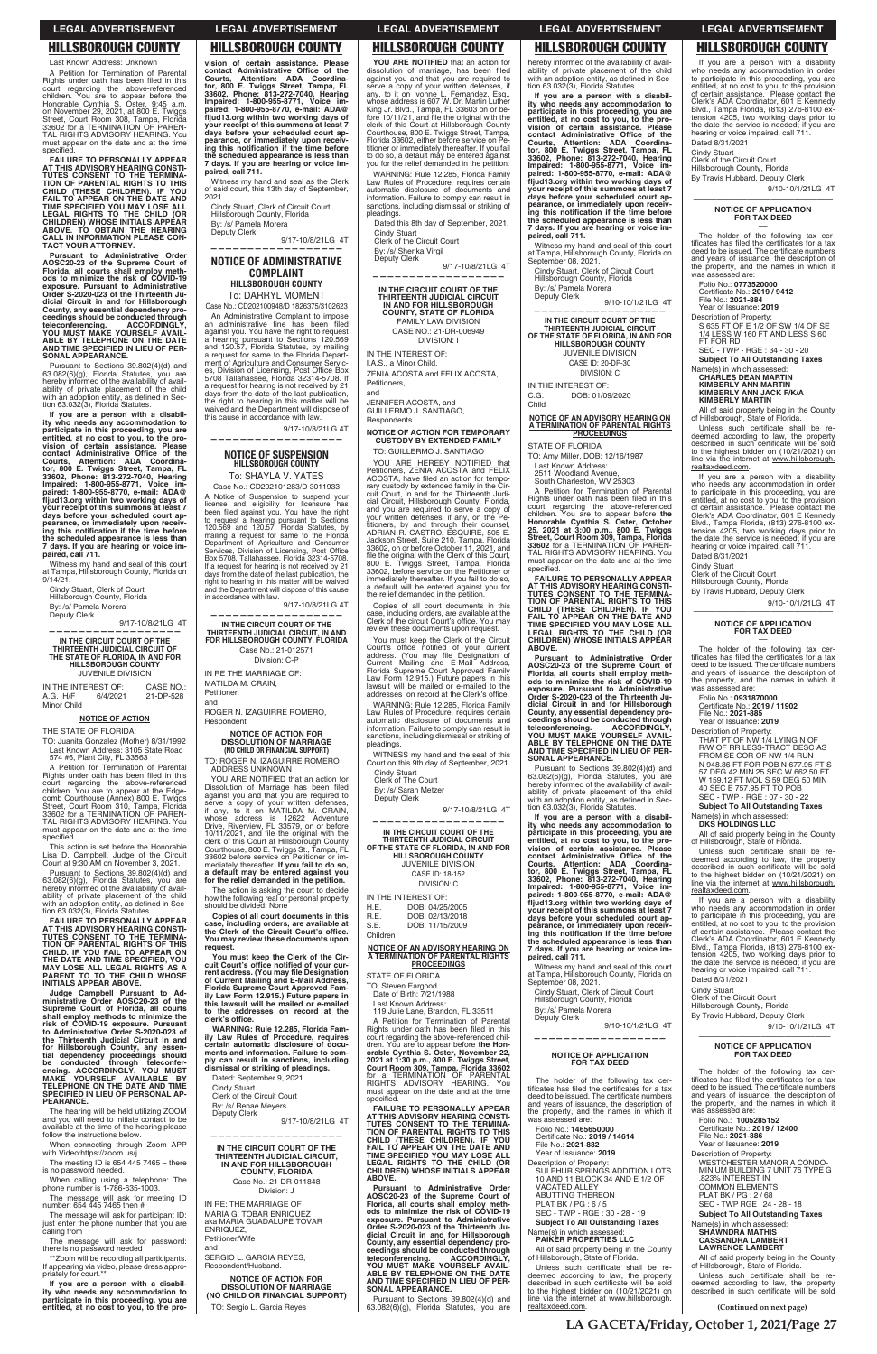Last Known Address: Unknown A Petition for Termination of Parental Rights under oath has been filed in this court regarding the above-referenced<br>children. You are to appear before the<br>Honorable Cynthia S. Oster, 9:45 a.m. on November 29, 2021, at 800 E. Twiggs<br>Street, Court Room 308, Tampa, Florida<br>33602 for a TERMINATION OF PAREN-<br>TAL RIGHTS ADVISORY HEARING. You must appear on the date and at the time specified.

**FAILURE TO PERSONALLY APPEAR**  AT THIS ADVISORY HEARING CONSTITUTES CONSENT TO THE TERMINATION OF PARENTAL RIGHTS TO THIS<br>CHILD (THESE CHILDREN). IF YOU<br>FAIL TO APPEAR ON THE DATE AND<br>FAIL TO APPEAR ON THE DATE AND<br>TIME SPECIFIED YOU MAY LOSE ALL<br>LEGAL

**Pursuant to Administrative Order AOSC20-23 of the Supreme Court of Florida, all courts shall employ meth-ods to minimize the risk of COVID-19 exposure. Pursuant to Administrative Order S-2020-023 of the Thirteenth Ju-dicial Circuit in and for Hillsborough County, any essential dependency pro-ceedings should be conducted through teleconferencing. ACCORDINGLY, YOU MUST MAKE YOURSELF AVAIL-ABLE BY TELEPHONE ON THE DATE AND TIME SPECIFIED IN LIEU OF PER-SONAL APPEARANCE.**

Pursuant to Sections 39.802(4)(d) and 63.082(6)(g), Florida Statutes, you are<br>hereby informed of the availability of availability of private placement of the child<br>with an adoption entity, as defined in Sec-<br>tion 63.032(3), Florida Statutes.

TO: Juanita Gonzalez (Mother) 8/31/1992 Last Known Address: 3105 State Road 574 #6, Plant City, FL 33563

A Petition for Termination of Parental Rights under oath has been filed in this<br>court regarding the above-referenced<br>children. You are to appear at the Edgecomb Courthouse (Annex) 800 E. Twiggs<br>Street, Court Room 310, Tampa, Florida<br>33602 for a TERMINATION OF PAREN-TAL RIGHTS ADVISORY HEARING. You must appear on the date and at the time specified.

This action is set before the Honorable Lisa D. Campbell, Judge of the Circuit<br>Court at 9:30 AM on November 3, 2021.

Pursuant to Sections 39.802(4)(d) and 63.082(6)(g), Florida Statutes, you are<br>hereby informed of the availability of avail-<br>ability of private placement of the child with an adoption entity, as defined in Sec-<br>tion 63.032(3), Florida Statutes.

**If you are a person with a disability who needs any accommodation to participate in this proceeding, you are entitled, at no cost to you, to the pro**vision of certain assistance. Please<br>contact Administrative Office of the<br>Courts, Attention: ADA Coordina-<br>tor, 800 E. Twiggs Street, Tampa, FL<br>33602, Phone: 813-272-7040, Hearing<br>Impaired: 1-800-955-8770, e-mail: ADA@<br>flj days before your scheduled court ap-<br>pearance, or immediately upon receiv-<br>ing this notification if the time before **the scheduled appearance is less than 7 days. If you are hearing or voice im-paired, call 711.**

Witness my hand and seal of this court at Tampa, Hillsborough County, Florida on  $9/14/21$ 

FAILURE TO PERSONALLY APPEAR<br>AT THIS ADVISORY HEARING CONSTI-<br>TUTES CONSENT TO THE TERMINA-<br>TION OF PARENTAL RIGHTS OF THIS<br>CHILD. IF YOU FAIL TO APPEAR ON<br>THE DATE AND TIME SPECIFIED, YOU **MAY LOSE ALL LEGAL RIGHTS AS A PARENT TO TO THE CHILD WHOSE INITIALS APPEAR ABOVE.**

**Judge Campbell Pursua** 

When connecting through Zoom APP with Video:https://zoom.us/j

The meeting ID is  $6544457465 -$  there is no password needed.

When calling using a telephone: The phone number is 1-786-635-1003.

Cindy Stuart, Clerk of Court Hillsborough County, Florida By: /s/ Pamela Morera Deputy Clerk

9/17-10/8/21LG 4T

**——————————————————**

## **IN THE CIRCUIT COURT OF THE THIRTEENTH JUDICIAL CIRCUIT OF THE STATE OF FLORIDA, IN AND FOR HILLSBOROUGH COUNTY** JUVENILE DIVISION

IN THE INTEREST OF: CASE NO.: A.G. H/F 6/4/2021 21-DP-528 Minor Child

### **NOTICE OF ACTION**

THE STATE OF FLORIDA:

Witness my hand and seal as the Clerk<br>of said court, this 13th day of September, 2021.

9/17-10/8/21LG 4T **——————————————————**

Case No.: CD202101283/D 3011933 A Notice of Suspension to suspend your<br>license and eligibility for licensure has<br>been filed against you. You have the right to request a hearing pursuant to Sections 120.569 and 120.57, Florida Statutes, by mailing a request for same to the Florida Department of Agriculture and Consumer<br>Services, Division of Licensing, Post Office Box 5708, Tallahassee, Florida 32314-5708. If a request for hearing is not received by 21 days from the date of the last publication, the right to hearing in this matter will be waived and the Department will dispose of this cause in accordance with law.

9/17-10/8/21LG 4T

ROGER N. IZAGUIRRE ROMERO, Respondent

| budge bangbook raisdant to Ad            |
|------------------------------------------|
| ministrative Order AOSC20-23 of the      |
| Supreme Court of Florida, all courts     |
| shall employ methods to minimize the     |
| risk of COVID-19 exposure. Pursuant      |
| to Administrative Order S-2020-023 of    |
| the Thirteenth Judicial Circuit in and   |
| for Hillsborough County, any essen-      |
| tial dependency proceedings should       |
| be conducted through teleconfer-         |
| encing. ACCORDINGLY, YOU MUST            |
| MAKE YOURSELF AVAILABLE BY               |
| <b>TELEPHONE ON THE DATE AND TIME</b>    |
| <b>SPECIFIED IN LIEU OF PERSONAL AP-</b> |
| PEARANCE.                                |
| The bearing will be hold will in $700M$  |

ADDRESS UNKNOWN<br>YOU ARE NOTIFIED that an action for<br>Dissolution of Marriage has been filed against you and that you are required to serve a copy of your written defenses, if any, to it on MATILDA M. CRAIN, whose address is 12622 Adventure<br>Drive, Riverview, FL 33579, on or before<br>10/11/2021, and file the original with the clerk of this Court at Hillsborough County Courthouse, 800 E. Twiggs St., Tampa, FL 33602 before service on Petitioner or immediately thereafter. **If you fail to do so, a default may be entered against you for the relief demanded in the petition.**

**You must keep the Clerk of the Cir**cuit Court's office notified of your cur-<br>rent address. (You may file Designation<br>of Current Mailing and E-Mail Address,<br>Florida Supreme Court Approved Fam-<br>ily Law Form 12.915.) Future papers in **this lawsuit will be mailed or e-mailed to the addresses on record at the**  clerk's office.

The hearing will be held utilizing ZOOM and you will need to initiate contact to be available at the time of the hearing please follow the instructions below. Dated: September 9, 2021 Cindy Stuart Clerk of the Circuit Court

By: /s/ Renae Meyers Deputy Clerk 9/17-10/8/21LG 4T

The message will ask for meeting ID number: 654 445 7465 then #

IN RE: THE MARRIAGE OF MARIA G. TOBAR ENRIQUEZ<br>aka MARIA GUADALUPE TOVAR **ENRIQUEZ** Petitioner/Wife and

The message will ask for participant ID: just enter the phone number that you are calling from

> SERGIO L. GARCIA REYES, Respondent/Husband.

The message will ask for password: there is no password needed

\*\*Zoom will be recording all participants. If appearing via video, please dress appro-priately for court.\*\*

**If you are a person with a disability who needs any accommodation to participate in this proceeding, you are entitled, at no cost to you, to the pro-**

WARNING: Rule 12.285, Florida Family Law Rules of Procedure, requires certain automatic disclosure of documents and information. Failure to comply can result in sanctions, including dismissal or striking of pleadings.

By: /s/ Sherika Virgil Deputy Clerk

9/17-10/8/21LG 4T **——————————————————**

**vision of certain assistance. Please contact Administrative Office of the Courts, Attention: ADA Coordina-<br>Courts, Attention: ADA Coordina-<br>tor, 800 E. Twiggs Street, Tampa, FL 33602, Phone: 813-272-7040, Hearing Impaired: 1-800-955-8771, Voice im-paired: 1-800-955-8770, e-mail: ADA@** fljud13.org within two working days of<br>your receipt of this summons at least 7<br>days before your scheduled court ap-<br>pearance, or immediately upon receiv-<br>ing this notification if the time before<br>the scheduled appearance is **7 days. If you are hearing or voice im-paired, call 711.**

> JENNIFER ACOSTA, and GUILLERMO J. SANTIAGO,

Cindy Stuart, Clerk of Circuit Court Hillsborough County, Florida By: /s/ Pamela Morera

Deputy Clerk 9/17-10/8/21LG 4T

> Petitioners, ZENIA ACOSTA and FELIX<br>ACOSTA, have filed an action for tempo-<br>rary custody by extended family in the Cir-<br>cuit Court, in and for the Thirteenth Judi-<br>cial Circuit, Hillsborough County, Florida, and you are required to serve a copy of your written defenses, if any, on the Pe-titioners, by and through their counsel, ADRIAN R. CASTRO, ESQUIRE, 505 E. Jackson Street, Suite 210, Tampa, Florida 33602, on or before October 11, 2021, and file the original with the Clerk of this Court, 800 E. Twiggs Street, Tampa, Florida 33602, before service on the Petitioner or immediately thereafter. If you fail to do so, a default will be entered against you for the relief demanded in the petition.

**—————————————————— NOTICE OF ADMINISTRATIVE** 

# **COMPLAINT HILLSBOROUGH COUNTY**

To: DARRYL MOMENT Case No.: CD202100948/D 1826375/3102623

> WARNING: Rule 12.285, Florida Family Law Rules of Procedure, requires certain automatic disclosure of documents and information. Failure to comply can result in sanctions, including dismissal or striking of pleadings.

WITNESS my hand and the seal of this Court on this 9th day of September, 2021.

An Administrative Complaint to impose an administrative fine has been filed<br>against you. You have the right to request a hearing pursuant to Sections 120.569<br>and 120.57, Florida Statutes, by mailing<br>a request for same to the Florida Department of Agriculture and Consumer Servic-<br>es, Division of Licensing, Post Office Box<br>5708 Tallahassee, Florida 32314-5708. If a request for hearing is not received by 21 days from the date of the last publication, the right to hearing in this matter will be waived and the Department will dispose of this cause in accordance with law.

> IN THE INTEREST OF: H.E. DOB: 04/25/2005<br>R.E. DOB: 02/13/2018

DOB: 02/13/2018  $S.E$ DOB: 11/15/2009 Children

<u>A TERMINATION OF PARENTAL RIGHTS</u><br>A TERMINATION OF PARENTAL RIGHTS<br>PROCEEDINGS

STATE OF FLORIDA TO: Steven Eargood<br>Date of Birth: 7/21/ 1/1988

court regarding the above-referenced children. You are to appear before the Hon-<br>orable Cynthia S. Oster, November 22,<br>2021 at 1:30 p.m., 800 E. Twiggs Street,<br>Court Room 309, Tampa, Florida 33602<br>for a TERMINATION OF PARENTAL<br>RIGHTS ADVISORY HEARING. You must appear on the date and at the time specified.

## **NOTICE OF SUSPENSION HILLSBOROUGH COUNTY** To: SHAYLA V. YATES

hereby informed of the availability of availability of private placement of the child<br>with an adoption entity, as defined in Sec-<br>tion 63.032(3), Florida Statutes.

**——————————————————**

# **IN THE CIRCUIT COURT OF THE THIRTEENTH JUDICIAL CIRCUIT, IN AND FOR HILLSBOROUGH COUNTY, FLORIDA** Case No.: 21-012571

Division: C-P IN RE THE MARRIAGE OF: MATILDA M. CRAIN, Petitioner,

and

# **NOTICE OF ACTION FOR DISSOLUTION OF MARRIAGE (NO CHILD OR FINANCIAL SUPPORT)**

TO: ROGER N. IZAGUIRRE ROMERO ADDRESS UNKNOWN

Witness my hand and seal of this court at Tampa, Hillsborough County, Florida on September 08, 2021. Cindy Stuart, Clerk of Circuit Court

9/10-10/1/21LG 4T **——————————————————**

 $C.G.$ DOB: 01/09/2020 Child

**NOTICE OF AN ADVISORY HEARING ON**   $\frac{\overline{A} \text{ TERMINATION OF PARENTAL RIGHTS}}{\text{PROCEEDINGS}}$ 

TO: Amy Miller, DOB: 12/16/1987 Last Known Address:

2511 Woodland Avenue,<br>South Charleston, WV 25303

A Petition for Termination of Parental Rights under oath has been filed in this court regarding the above-referenced children. You are to appear before **the Honorable Cynthia S. Oster, October<br>25, 2021 at 3:00 p.m., 800 E. Twiggs<br>Street, Court Room 309, Tampa, Florida<br>33602 for a TERMINATION OF PAREN-<br>TAL RIGHTS ADVISORY HEARING. You** must appear on the date and at the time specified.

The action is asking the court to decide how the following real or personal property should be divided: None

**Copies of all court documents in this zase, including orders, are available at the Clerk of the Circuit Court's office. You may review these documents upon request.**

**WARNING: Rule 12.285, Florida Family Law Rules of Procedure, requires certain automatic disclosure of docu-ments and information. Failure to comply can result in sanctions, including dismissal or striking of pleadings.**

**——————————————————**

**IN THE CIRCUIT COURT OF THE THIRTEENTH JUDICIAL CIRCUIT, IN AND FOR HILLSBOROUGH COUNTY, FLORIDA** Case No.: 21-DR-011848 Division: J

**NOTICE OF ACTION FOR DISSOLUTION OF MARRIAGE (NO CHILD OR FINANCIAL SUPPORT)**

TO: Sergio L. Garcia Reyes

Date of Birth: Last Known Address: 119 Julie Lane, Brandon, FL 33511<br>A Petition for Termination of Parental<br>Rights under oath has been filed in this 119 Julie Lane, Brandon, FL 33511

**YOU ARE NOTIFIED** that an action for dissolution of marriage, has been filed<br>against you and that you are required to<br>serve a copy of your written defenses, if<br>any, to it on Ivonne L. Fernandez, Esq., whose address is 607 W. Dr. Martin Luther<br>King Jr. Blvd., Tampa, FL 33603 on or before 10/11/21, and file the original with the<br>clerk of this Court at Hillsborough County<br>Courthouse, 800 E. Twiggs Street, Tampa, Florida 33602, either before service on Petitioner or immediately thereafter. If you fail to do so, a default may be entered against you for the relief demanded in the petition.

> The holder of the following tax certificates has filed the certificates for a tax deed to be issued. The certificate numbers<br>and years of issuance, the description of the property, and the names in which it was assessed are:

S 635 FT OF E 1/2 OF SW 1/4 OF SE<br>1/4 LESS W 160 FT AND LESS S 60

Folio No.: **0773520000**<br>Certificate No.: **2019 / 9412**<br>File No.: **2021-884** Year of Issuance: **2019** Description of Property:

Name(s) in which assessed: **CHARLES DEAN MARTIN KIMBERLY ANN MARTIN KIMBERLY ANN JACK F/K/A KIMBERLY MARTIN**

All of said property being in the County of Hillsborough, State of Florida. Unless such certificate shall be redeemed according to law, the property<br>described in such certificate will be sold<br>to the highest bidder on (10/21/2021) on line via the internet at www.hillsborough.

Dated this 8th day of September, 2021. Cindy Stuart

Clerk of the Circuit Court

**IN THE CIRCUIT COURT OF THE THIRTEENTH JUDICIAL CIRCUIT IN AND FOR HILLSBOROUGH COUNTY, STATE OF FLORIDA** FAMILY LAW DIVISION CASE NO.: 21-DR-006949 DIVISION: I

> The holder of the following tax cer-<br>tificates has filed the certificates for a tax deed to be issued. The certificate numbers and years of issuance, the description of the property, and the names in which it

THAT PT OF NW 1/4 LYING N OF<br>R/W OF RR LESS-TRACT DESC AS<br>FROM SE COR OF NW 1/4 RUN N 948.86 FT FOR POB N 677.95 FT S 57 DEG 42 MIN 25 SEC W 662.50 FT W 159.12 FT MOL S 59 DEG 50 MIN 40 SEC E 757.95 FT TO POB SEC - TWP - RGE : 07 - 30 - 22 SEC - TWP - RGE : 07 - 30 - 22<br>**Subject To All Outstanding Taxes** 

IN THE INTEREST OF:

I.A.S., a Minor Child, ZENIA ACOSTA and FELIX ACOSTA, Petitioners,

and

Respondents. **NOTICE OF ACTION FOR TEMPORARY CUSTODY BY EXTENDED FAMILY**

TO: GUILLERMO J. SANTIAGO YOU ARE HEREBY NOTIFIED that

> Name(s) in which assessed: **DKS HOLDINGS LLC**

All of said property being in the County of Hillsborough, State of Florida. Unless such certificate shall be re-<br>deemed according to law, the property described in such certificate will be sold to the highest bidder on (10/21/2021) on<br>line via the internet at www.hillsborough.

realtaxdeed.com.

9/10-10/1/21LG 4T

SEC - TWP - RGE : 34 - 30 - 20 **Subject To All Outstanding Taxes** 

Blvd., Tampa Florida, (813) 276-8100 ex-<br>tension 4205, two working days prior to<br>the date the service is needed; if you are hearing or voice impaired, call 711.

Copies of all court documents in this case, including orders, are available at the<br>Clerk of the circuit Court's office. You may review these documents upon request.

You must keep the Clerk of the Circuit<br>Court's office notified of your current<br>address. (You may file Designation of<br>Current Mailing and E-Mail Address,<br>Florida Supreme Court Approved Family<br>Law Form 12.915.) Future papers lawsuit will be mailed or e-mailed to the<br>addresses on record at the Clerk's office.

Cindy Stuart Clerk of The Court

By: /s/ Sarah Metzer Deputy Clerk

9/17-10/8/21LG 4T

**—————————————————— IN THE CIRCUIT COURT OF THE THIRTEENTH JUDICIAL CIRCUIT OF THE STATE OF FLORIDA, IN AND FOR HILLSBOROUGH COUNTY** JUVENILE DIVISION CASE ID: 18-152 DIVISION: C

**FAILURE TO PERSONALLY APPEAR AT THIS ADVISORY HEARING CONSTI-TUTES CONSENT TO THE TERMINA-TION OF PARENTAL RIGHTS TO THIS CHILD (THESE CHILDREN). IF YOU FAIL TO APPEAR ON THE DATE AND TIME SPECIFIED YOU MAY LOSE ALL LEGAL RIGHTS TO THE CHILD (OR CHILDREN) WHOSE INITIALS APPEAR ABOVE.**

**Pursuant to Administrative Order AOSC20-23 of the Supreme Court of Florida, all courts shall employ meth-ods to minimize the risk of COVID-19 exposure. Pursuant to Administrative Order S-2020-023 of the Thirteenth Judicial Circuit in and for Hillsborough County, any essential dependency pro-ceedings should be conducted through teleconferencing. ACCORDINGLY, YOU MUST MAKE YOURSELF AVAIL-ABLE BY TELEPHONE ON THE DATE AND TIME SPECIFIED IN LIEU OF PER-SONAL APPEARANCE.**

Pursuant to Sections 39.802(4)(d) and  $63.082(6)(g)$ , Florida Statutes, you are

**If you are a person with a disability who needs any accommodation to participate in this proceeding, you are entitled, at no cost to you, to the provision of certain assistance. Please**  contact Administrative Office of the<br>Courts, Attention: ADA Coordina-<br>tor, 800 E. Twiggs Street, Tampa, FL<br>33602, Phone: 813-272-7040, Hearing<br>Impaired: 1-800-955-8770, e-mail: ADA@<br>paired: 1-800-955-8770, e-mail: ADA@ fljud13.org within two working days of<br>your receipt of this summons at least 7 days before your scheduled court ap-<br>pearance, or immediately upon receiv-<br>ing this notification if the time before **the scheduled appearance is less than 7 days. If you are hearing or voice im-paired, call 711.**

Hillsborough County, Florida By: /s/ Pamela Morera Deputy Clerk -

**IN THE CIRCUIT COURT OF THE THIRTEENTH JUDICIAL CIRCUIT OF THE STATE OF FLORIDA, IN AND FOR HILLSBOROUGH COUNTY** JUVENILE DIVISION

CASE ID: 20-DP-30 DIVISION: C IN THE INTEREST OF:

STATE OF FLORIDA

**FAILURE TO PERSONALLY APPEAR**  AT THIS ADVISORY HEARING CONSTI-<br>TUTES CONSENT TO THE TERMINA-<br>TION OF PARENTAL RIGHTS TO THIS<br>CHILD (THESE CHILDREN). IF YOU<br>FAIL TO APPEAR ON MAY LOSE ALL<br>LIGGAL RIGHTS TO THE CHILD (OR<br>CHILDREN) WHOSE INITIALS APPEAR **ABOVE.**

**Pursuant to Administrative Order AOSC20-23 of the Supreme Court of Florida, all courts shall employ meth-ods to minimize the risk of COVID-19 exposure. Pursuant to Administrative Order S-2020-023 of the Thirteenth Judicial Circuit in and for Hillsborough County, any essential dependency pro-ceedings should be conducted through teleconferencing. ACCORDINGLY, YOU MUST MAKE YOURSELF AVAIL-ABLE BY TELEPHONE ON THE DATE AND TIME SPECIFIED IN LIEU OF PER-SONAL APPEARANCE.**

Pursuant to Sections 39.802(4)(d) and<br>63.082(6)(g), Florida Statutes, you are<br>hereby informed of the availability of availability of private placement of the child<br>with an adoption entity, as defined in Section 63.032(3), Florida Statutes.

**If you are a person with a disabil-ity who needs any accommodation to participate in this proceeding, you are entitled, at no cost to you, to the pro-vision of certain assistance. Please**  contact Administrative Office of the<br>Courts, Attention: ADA Coordina-<br>tor, 800 E. Twiggs Street, Tampa, FL<br>33602, Phone: 813-272-7040, Hearing<br>Impaired: 1-800-955-8771, Voice impaired: 1-800-955-8770, e-mail: ADA@<br>fljud13.org within two working days of **your receipt of this summons at least 7 days before your scheduled court ap-pearance, or immediately upon receiv-** $\frac{1}{2}$  ing this notification if the time before **the scheduled appearance is less than 7 days. If you are hearing or voice impaired, call 711.**

Witness my hand and seal of this court<br>at Tampa, Hillsborough County, Florida on<br>September 08, 2021.

If you are a person with a disability who needs any accommodation in order to participate in this proceeding, you are entitled, at no cost to you, to the provision of certain assistance. Please contact the Clerk's ADA Coordinator, 601 E Kennedy<br>Blvd., Tampa Florida, (813) 276-8100 ex-Blvd., Tampa Florida, (813) 276-8100 extension 4205, two working days prior to<br>the date the service is needed; if you are<br>hearing or voice impaired, call 711. Dated 8/31/2021

Cindy Stuart

Clerk of the Circuit Court

Hillsborough County, Florida By Travis Hubbard, Deputy Clerk

9/10-10/1/21LG 4T

### ōōōōōōōōōōōōōōōōōō **NOTICE OF APPLICATION FOR TAX DEED** ––

FT FOR RD

realtaxdeed.com.

If you are a person with a disability who needs any accommodation in order to participate in this proceeding, you are entitled, at no cost to you, to the provision of certain assistance. Please contact the Clerk's ADA Coordinator, 601 E Kennedy Blvd., Tampa Florida, (813) 276-8100 ex-<br>tension 4205, two working days prior to the date the service is needed; if you are hearing or voice impaired, call 711.

| September 08, 2021.                                                                                                                                                                                                                               | Dated 8/31/2021                                                                                                                                                                                                                                                            |
|---------------------------------------------------------------------------------------------------------------------------------------------------------------------------------------------------------------------------------------------------|----------------------------------------------------------------------------------------------------------------------------------------------------------------------------------------------------------------------------------------------------------------------------|
| Cindy Stuart, Clerk of Circuit Court<br>Hillsborough County, Florida                                                                                                                                                                              | <b>Cindy Stuart</b><br>Clerk of the Circuit Court<br>Hillsborough County, Florida                                                                                                                                                                                          |
| By: /s/ Pamela Morera                                                                                                                                                                                                                             | By Travis Hubbard, Deputy Clerk                                                                                                                                                                                                                                            |
| Deputy Clerk<br>9/10-10/1/21LG 4T                                                                                                                                                                                                                 | 9/10-10/1/21LG 4T                                                                                                                                                                                                                                                          |
|                                                                                                                                                                                                                                                   |                                                                                                                                                                                                                                                                            |
| <b>NOTICE OF APPLICATION</b><br><b>FOR TAX DEED</b>                                                                                                                                                                                               | <b>NOTICE OF APPLICATION</b><br><b>FOR TAX DEED</b>                                                                                                                                                                                                                        |
| The holder of the following tax cer-<br>tificates has filed the certificates for a tax<br>deed to be issued. The certificate numbers<br>and years of issuance, the description of<br>the property, and the names in which it<br>was assessed are: | The holder of the following tax cer-<br>tificates has filed the certificates for a tax<br>deed to be issued. The certificate numbers<br>and years of issuance, the description of<br>the property, and the names in which it<br>was assessed are:<br>Folio No.: 1005285152 |
| Folio No.: 1465650000<br>Certificate No.: 2019 / 14614<br>File No.: 2021-882<br>Year of Issuance: 2019                                                                                                                                            | Certificate No.: 2019 / 12400<br>File No.: 2021-886<br>Year of Issuance: 2019                                                                                                                                                                                              |
| Description of Property:<br>SULPHUR SPRINGS ADDITION LOTS<br>10 AND 11 BLOCK 34 AND E 1/2 OF<br><b>VACATED ALLEY</b><br><b>ABUTTING THEREON</b><br>PLAT BK / PG: $6/5$                                                                            | Description of Property:<br><b>WESTCHESTER MANOR A CONDO-</b><br>MINIUM BUILDING 7 UNIT 76 TYPE G<br>.823% INTEREST IN<br><b>COMMON ELEMENTS</b><br>PLAT BK / PG: 2/68<br>SEC - TWP RGE : 24 - 28 - 18                                                                     |
| SEC - TWP - RGE : 30 - 28 - 19                                                                                                                                                                                                                    | <b>Subject To All Outstanding Taxes</b>                                                                                                                                                                                                                                    |
| <b>Subject To All Outstanding Taxes</b><br>Name(s) in which assessed:<br><b>PAIKER PROPERTIES LLC</b><br>All of said property being in the County                                                                                                 | Name(s) in which assessed:<br><b>SHAWNDRA MATHIS</b><br><b>CASSANDRA LAMBERT</b><br><b>LAWRENCE LAMBERT</b>                                                                                                                                                                |
| of Hillsborough, State of Florida.<br>Unless such certificate shall be re-                                                                                                                                                                        | All of said property being in the County<br>of Hillsborough, State of Florida.                                                                                                                                                                                             |
| deemed according to law, the property<br>described in such certificate will be sold<br>to the highest bidder on (10/21/2021) on                                                                                                                   | Unless such certificate shall be re-<br>deemed according to law, the property<br>described in such certificate will be sold                                                                                                                                                |
| line via the internet at www.hillsborough.<br>realtaxdeed.com.                                                                                                                                                                                    | (Continued on next page)                                                                                                                                                                                                                                                   |

Dated 8/31/2021 Cindy Stuart Clerk of the Circuit Court Hillsborough County, Florida By Travis Hubbard, Deputy Clerk

ōōōōōōōōōōōōōōōōōō **NOTICE OF APPLICATION FOR TAX DEED** ––

was assessed are: Folio No.: **0931870000** Certificate No.: **2019 / 11902**<br>File No.: **2021-885** Year of Issuance: **2019** Description of Property:

If you are a person with a disability who needs any accommodation in order to participate in this proceeding, you are entitled, at no cost to you, to the provision of certain assistance. Please contact the Clerk's ADA Coordinator, 601 E Kennedy

**LA GACETA/Friday, October 1, 2021/Page 27**

# **LEGAL ADVERTISEMENT LEGAL ADVERTISEMENT LEGAL ADVERTISEMENT LEGAL ADVERTISEMENT LEGAL ADVERTISEMENT**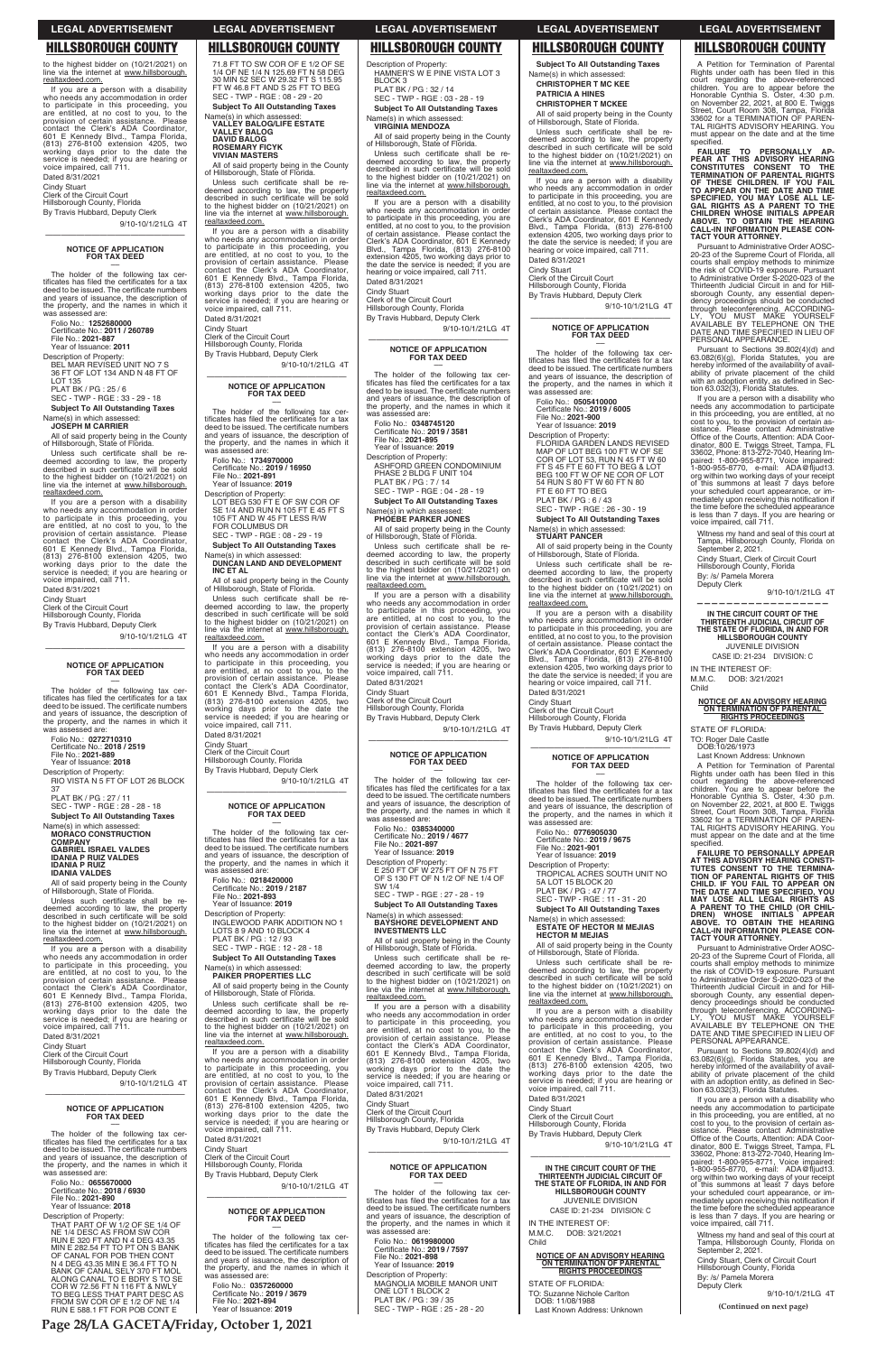9/10-10/1/21LG 4T ōōōōōōōōōōōōōōōōōō

If you are a person with a disability who needs any accommodation in order to participate in this proceeding, you are entitled, at no cost to you, to the provision of certain assistance. Please<br>contact the Clerk's ADA Coordinator,<br>601 E Kennedy Blvd., Tampa Florida,<br>(813) 276-8100 extension 4205, two working days prior to the date the service is needed; if you are hearing or voice impaired, call 711. Dated 8/31/2021

The holder of the following tax The holder of the following tax certificates has filed the certificates for a tax deed to be issued. The certificate numbers and years of issuance, the description of the property, and the names in which it was assessed are:

Cindy Stuart Clerk of the Circuit Court

Hillsborough County, Florida By Travis Hubbard, Deputy Clerk

# **NOTICE OF APPLICATION FOR TAX DEED** ––

Folio No.: **1252680000** 

Certificate No.: **2011 / 260789**<br>File No.: **2021-887**<br>Year of Issuance: **2011** 

If you are a person with a disability who needs any accommodation in order<br>to participate in this proceeding, you<br>are entitled, at no cost to you, to the<br>provision of certain assistance. Please<br>contact the Clerk's ADA Coordinator, 601 E Kennedy Blvd., Tampa Florida, (813) 276-8100 extension 4205, two working days prior to the date the service is needed; if you are hearing or voice impaired, call 711. Dated 8/31/2021

9/10-10/1/21LG 4T ōōōōōōōōōōōōōōōōōō

Description of Property:

BEL MAR REVISED UNIT NO 7 S 36 FT OF LOT 134 AND N 48 FT OF LOT 135

PLAT BK / PG : 25 / 6

SEC - TWP - RGE : 33 - 29 - 18 **Subject To All Outstanding Taxes** 

Name(s) in which assessed:<br>**JOSEPH M CARRIER** 

The holder of the following tax The holder of the following tax certificates has filed the certificates for a tax deed to be issued. The certificate numbers and years of issuance, the description of the property, and the names in which it was assessed are:

All of said property being in the County of Hillsborough, State of Florida.

Unless such certificate shall be re-<br>deemed according to law, the property<br>described in such certificate will be sold to the highest bidder on (10/21/2021) on line via the internet at www.hillsborough. realtaxdeed.com.

Cindy Stuart

Clerk of the Circuit Court Hillsborough County, Florida By Travis Hubbard, Deputy Clerk

# **NOTICE OF APPLICATION FOR TAX DEED** ––

Name(s) in which assessed:<br>**VALLEY BALOG/LIFE ESTATE VALLEY BALOG DAVID BALOG ROSEMARY FICYK**

Folio No.: **0272710310**  Certificate No.: **2018 / 2519**<br>File No.: **2021-889** Year of Issuance: **2018**

Description of Property:

RIO VISTA N 5 FT OF LOT 26 BLOCK 37

PLAT BK / PG : 27 / 11 SEC - TWP - RGE : 28 - 28 - 18

**Subject To All Outstanding Taxes** Name(s) in which assessed:<br>**MORACO CONSTRUCTION** 

**COMPANY GABRIEL ISRAEL VALDES IDANIA P RUIZ VALDES IDANIA P RUIZ IDANIA VALDES**

9/10-10/1/21LG 4T ōōōōōōōōōōōōōōōōōō

All of said property being in the County of Hillsborough, State of Florida.

Unless such certificate shall be redeemed according to law, the property<br>described in such certificate will be sold<br>to the highest bidder on (10/21/2021) on<br>line via the internet at <u>www.hillsborough.</u> realtaxdeed.com.

The holder of the following tax certificates has filed the certificate for a tax<br>tificates for a tax<br>deed to be issued. The certificate numbers<br>and years of issuance, the description of the property, and the names in which it was assessed are:

Folio No.: **1734970000**  Certificate No.: **2019 / 16950**<br>File No.: **2021-891** 

Description of Property: LOT BEG 530 FT E OF SW COR OF SE 1/4 AND RUN N 105 FT E 45 FT S<br>105 FT AND W 45 FT LESS R/W FOR COLUMBUS DR SEC - TWP - RGE : 08 - 29 - 19

**Subject To All Outstanding Taxes** Name(s) in which assessed: **DUNCAN LAND AND DEVELOPMENT** 

If you are a person with a disability who needs any accommodation in order to participate in this proceeding, you are entitled, at no cost to you, to the provision of certain assistance. Please contact the Clerk's ADA Coordinator,

71.8 FT TO SW COR OF E 1/2 OF SE<br>1/4 OF NE 1/4 N 125.69 FT N 58 DEG<br>30 MIN 52 SEC W 29.32 FT S 115.95<br>FT W 46.8 FT AND S 25 FT TO BEG SEC - TWP - RGE : 08 - 29 - 20 **Subject To All Outstanding Taxes** 

The holder of the following tax certificates has filed the certificates for a tax deed to be issued. The certificate numbers and years of issuance, the description of the property, and the names in which it was assessed are:

Folio No.: **0218420000**  Certificate No.: **2019 / 2187**<br>File No.: **2021-893**<br>Year of Issuance: **2019** 

Description of Property: INGLEWOOD PARK ADDITION NO 1<br>LOTS 8 9 AND 10 BLOCK 4 PLAT BK / PG: 12 / 93

SEC - TWP - RGE : 12 - 28 - 18 **Subject To All Outstanding Taxes** 

Name(s) in which assessed: **PAIKER PROPERTIES LLC** Name(s) in which assessed: **VIRGINIA MENDOZA**

**VIVIAN MASTERS**

All of said property being in the County of Hillsborough, State of Florida.

Unless such certificate shall be redeemed according to law, the property<br>described in such certificate will be sold<br>to the highest bidder on (10/21/2021) on line via the internet at www.hillsborough. realtaxdeed.com.

> The holder of the following tax certificates has filed the certificates for a tax deed to be issued. The certificate numbers and years of issuance, the description of the property, and the names in which it was assessed are:

Description of Property: ASHFORD GREEN CONDOMINIUM PHASE 2 BLDG F UNIT 104 PLAT BK / PG : 7 / 14

SEC - TWP - RGE : 04 - 28 - 19 **Subject To All Outstanding Taxes** Name(s) in which assessed:<br>**PHOEBE PARKER JONES** 

If you are a person with a disability who needs any accommodation in order to participate in this proceeding, you are entitled, at no cost to you, to the provision of certain assistance. Please contact the Clerk's ADA Coordinator,<br>601 E Kennedy Blvd., Tampa Florida,<br>(813) 276-8100 extension 4205, two<br>working days prior to the date the<br>service is needed; if you are hearing or<br>voice impaired, call 711. Dated 8/31/2021

Cindy Stuart Clerk of the Circuit Court Hillsborough County, Florida By Travis Hubbard, Deputy Clerk

> **NOTICE OF APPLICATION FOR TAX DEED** ––

> > If you are a person with a disability<br>who needs any accommodation in order<br>to participate in this proceeding, you<br>are entitled, at no cost to you, to the<br>provision of certain assistance. Please<br>contact the Clerk's ADA Coor Dated 8/31/2021

By Travis Hubbard, Deputy Clerk 9/10-10/1/21LG 4T

The holder of the following tax certificates has filed the certificates for a tax<br>deed to be issued. The certificate numbers and years of issuance, the description of the property, and the names in which it was assessed are:

Folio No.: **0385340000**  Certificate No.: **2019 / 4677**<br>File No.: **2021-897**<br>Year of Issuance: **2019** 

Description of Property: E 250 FT OF W 275 FT OF N 75 FT<br>OF S 130 FT OF N 1/2 OF NE 1/4 OF SW 1/4

SEC - TWP - RGE : 27 - 28 - 19 **Subject To All Outstanding Taxes** 

Name(s) in which assessed:<br>**BAYSHORE DEVELOPMENT AND<br>INVESTMENTS LLC** 

Year of Issuance: **2019**

**INC ET AL** All of said property being in the County of Hillsborough, State of Florida.

Unless such certificate shall be redeemed according to law, the property<br>described in such certificate will be sold<br>to the highest bidder on (10/21/2021) on line via the internet at www.hillsborough. realtaxdeed.com.

If you are a person with a disability who needs any accommodation in order to participate in this proceeding, you are entitled, at no cost to you, to the provision of certain assistance. Please contact the Clerk's ADA Coordinator,<br>601 E Kennedy Blvd., Tampa Florida,<br>(813) 276-8100 extension 4205, two working days prior to the date the service is needed; if you are hearing or voice impaired, call 711. Dated 8/31/2021

Cindy Stuart Clerk of the Circuit Court Hillsborough County, Florida By Travis Hubbard, Deputy Clerk

If you are a person with a disability who needs any accommodation in order to participate in this proceeding, you are entitled, at no cost to you, to the provision of certain assistance. Please contact the Clerk's ADA Coordinator, 601 E Kennedy Blvd., Tampa Florida, (813) 276-8100<br>extension 4205, two working days prior to<br>the date the service is needed; if you are hearing or voice impaired, call 711.

# ōōōōōōōōōōōōōōōōōō **NOTICE OF APPLICATION FOR TAX DEED** ––

9/10-10/1/21LG 4T

The holder of the following tax cer-<br>tificates has filed the certificates for a tax<br>deed to be issued. The certificate numbers and years of issuance, the description of the property, and the names in which it

FLORIDA GARDEN LANDS REVISED<br>MAP OF LOT BEG 100 FT W OF SE<br>COR OF LOT 53, RUN N 45 FT W 60<br>FT S 45 FT E 60 FT TO BEG & LOT

BEG 100 FT W OF NE COR OF LOT<br>54 RUN S 80 FT W 60 FT N 80

All of said property being in the County of Hillsborough, State of Florida. Unless such certificate shall be redeemed according to law, the property<br>described in such certificate will be sold<br>to the highest bidder on (10/21/2021) on line via the internet at www.hillsborough.

5A LOT 15 BLOCK 20 PLAT BK / PG : 47 / 77 SEC - TWP - RGE : 11 - 31 - 20 **Subject To All Outstanding Taxes** Name(s) in which assessed:<br>**ESTATE OF HECTOR M MEJIAS** 

All of said property being in the County of Hillsborough, State of Florida. Unless such certificate shall be re-

9/10-10/1/21LG 4T

Description of Property: HAMNER'S W E PINE VISTA LOT 3 BLOCK 3

PLAT BK / PG : 32 / 14 SEC - TWP - RGE : 03 - 28 - 19 **Subject To All Outstanding Taxes** 

All of said property being in the County of Hillsborough, State of Florida.

Unless such certificate shall be redeemed according to law, the property<br>described in such certificate will be sold<br>to the highest bidder on (10/21/2021) on<br>line via the internet at <u>www.hillsborough.</u> realtaxdeed.com.

If you are a person with a disability who needs any accommodation in order to participate in this proceeding, you are entitled, at no cost to you, to the provision of certain assistance. Please contact the Clerk's ADA Coordinator, 601 E Kennedy Blvd., Tampa Florida, (813) 276-8100<br>extension 4205, two working days prior to<br>the date the service is needed; if you are<br>hearing or voice impaired, call 711. Dated 8/31/2021

> Pursuant to Sections  $39.802(4)(d)$  and 63.082(6)(g), Florida Statutes, you are<br>hereby informed of the availability of availability of private placement of the child<br>with an adoption entity, as defined in Sec-<br>tion 63.032(3), Florida Statutes. If you are a person with a disability who needs any accommodation to participate in this proceeding, you are entitled, at no cost to you, to the provision of certain as-sistance. Please contact Administrative

> Office of the Courts, Attention: ADA Coor-<br>dinator, 800 E. Twiggs Street, Tampa, FL<br>33602, Phone: 813-272-7040, Hearing Im-

paired: 1-800-955-8771, Voice impaired:<br>1-800-955-8770, e-mail: ADA@fljud13.<br>org within two working days of your receipt<br>of this summons at least 7 days before<br>your scheduled court appearance, or im-

mediately upon receiving this notification if<br>the time before the scheduled appearance<br>is less than 7 days. If you are hearing or<br>voice impaired, call 711.

Witness my hand and seal of this court at<br>Tampa, Hillsborough County, Florida on

9/10-10/1/21LG 4T

Cindy Stuart Clerk of the Circuit Court

Hillsborough County, Florida

By Travis Hubbard, Deputy Clerk 9/10-10/1/21LG 4T ōōōōōōōōōōōōōōōōōō

# **NOTICE OF APPLICATION FOR TAX DEED** ––

Folio No.: **0348745120** Certificate No.: **2019 / 3581**<br>File No.: **2021-895** Year of Issuance: **2019**

> STATE OF FLORIDA: TO: Roger Dale Castle<br>DOB:10/26/1973

**Child** 

specified.

Last Known Address: Unknown A Petition for Termination of Parental<br>Rights under oath has been filed in this

All of said property being in the County of Hillsborough, State of Florida.

Unless such certificate shall be redeemed according to law, the property<br>described in such certificate will be sold to the highest bidder on (10/21/2021) on line via the internet at www.hillsborough. realtaxdeed.com.

Cindy Stuart

Clerk of the Circuit Court Hillsborough County, Florida

ōōōōōōōōōōōōōōōōōō **NOTICE OF APPLICATION FOR TAX DEED** ––

All of said property being in the County of Hillsborough, State of Florida.

Unless such certificate shall be re-<br>deemed according to law, the property<br>described in such certificate will be sold to the highest bidder on (10/21/2021) on<br>line via the internet at www.hillsborough.<br>realtaxdeed.com. All of said property being in the County of Hillsborough, State of Florida.

Unless such certificate shall be redeemed according to law, the property<br>described in such certificate will be sold<br>to the highest bidder on (10/21/2021) on line via the internet at www.hillsborough. realtaxdeed.com.

Dated 8/31/2021

Cindy Stuart Clerk of the Circuit Court

Hillsborough County, Florida By Travis Hubbard, Deputy Clerk

| are entitled, at no cost to you, to the<br>provision of certain assistance. Please<br>contact the Clerk's ADA Coordinator.<br>601 E Kennedy Blvd., Tampa Florida,<br>(813) 276-8100 extension 4205, two<br>working days prior to the date the<br>service is needed; if you are hearing or<br>voice impaired, call 711.<br>Dated 8/31/2021<br>Cindy Stuart<br>Clerk of the Circuit Court<br>Hillsborough County, Florida<br>By Travis Hubbard, Deputy Clerk<br>9/10-10/1/21LG 4T<br><b>NOTICE OF APPLICATION</b><br><b>FOR TAX DEED</b><br>The holder of the following tax cer-<br>tificates has filed the certificates for a tax<br>deed to be issued. The certificate numbers<br>and years of issuance, the description of<br>the property, and the names in which it<br>was assessed are:<br>Folio No.: 0655670000<br>Certificate No.: 2018 / 6930<br>File No.: 2021-890<br>Year of Issuance: 2018<br>Description of Property:<br>THAT PART OF W 1/2 OF SE 1/4 OF<br>NE 1/4 DESC AS FROM SW COR<br>RUN E 320 FT AND N 4 DEG 43.35<br>MIN E 282.54 FT TO PT ON S BANK<br>OF CANAL FOR POB THEN CONT<br>N 4 DEG 43.35 MIN E 36.4 FT TO N<br>BANK OF CANAL SELY 370 FT MOL<br>ALONG CANAL TO E BDRY S TO SE | Name(s) in which assessed:<br><b>PAIKER PROPERTIES LLC</b><br>All of said property being in the County<br>of Hillsborough, State of Florida.<br>Unless such certificate shall be re-<br>deemed according to law, the property<br>described in such certificate will be sold<br>to the highest bidder on (10/21/2021) on<br>line via the internet at www.hillsborough.<br>realtaxdeed.com.<br>If you are a person with a disability<br>who needs any accommodation in order<br>to participate in this proceeding, you<br>are entitled, at no cost to you, to the<br>provision of certain assistance. Please<br>contact the Clerk's ADA Coordinator.<br>601 E Kennedy Blvd., Tampa Florida,<br>(813) 276-8100 extension 4205, two<br>working days prior to the date the<br>service is needed; if you are hearing or<br>voice impaired, call 711.<br>Dated 8/31/2021<br><b>Cindy Stuart</b><br>Clerk of the Circuit Court<br>Hillsborough County, Florida<br>By Travis Hubbard, Deputy Clerk<br>9/10-10/1/21LG 4T<br><b>NOTICE OF APPLICATION</b><br><b>FOR TAX DEED</b><br>The holder of the following tax cer-<br>tificates has filed the certificates for a tax<br>deed to be issued. The certificate numbers<br>and years of issuance, the description of<br>the property, and the names in which it<br>was assessed are: | deemed according to law, the property<br>described in such certificate will be sold<br>to the highest bidder on (10/21/2021) on<br>line via the internet at www.hillsborough.<br>realtaxdeed.com.<br>If you are a person with a disability<br>who needs any accommodation in order<br>to participate in this proceeding, you<br>are entitled, at no cost to you, to the<br>provision of certain assistance. Please<br>contact the Clerk's ADA Coordinator,<br>601 E Kennedy Blvd., Tampa Florida,<br>(813) 276-8100 extension 4205, two<br>working days prior to the date the<br>service is needed; if you are hearing or<br>voice impaired, call 711.<br>Dated 8/31/2021<br>Cindy Stuart<br>Clerk of the Circuit Court<br>Hillsborough County, Florida<br>By Travis Hubbard, Deputy Clerk<br>9/10-10/1/21LG 4T<br><b>NOTICE OF APPLICATION</b><br><b>FOR TAX DEED</b><br>The holder of the following tax cer-<br>tificates has filed the certificates for a tax<br>deed to be issued. The certificate numbers<br>and years of issuance, the description of<br>the property, and the names in which it<br>was assessed are:<br>Folio No.: 0619980000<br>Certificate No.: 2019 / 7597<br>File No.: 2021-898<br>Year of Issuance: 2019<br>Description of Property:<br><b>MAGNOLIA MOBILE MANOR UNIT</b> | deemed according to law, the property<br>described in such certificate will be sold<br>to the highest bidder on (10/21/2021) on<br>line via the internet at www.hillsborough.<br>realtaxdeed.com.<br>If you are a person with a disability<br>who needs any accommodation in order<br>to participate in this proceeding, you<br>are entitled, at no cost to you, to the<br>provision of certain assistance. Please<br>contact the Clerk's ADA Coordinator,<br>601 E Kennedy Blvd., Tampa Florida,<br>(813) 276-8100 extension 4205, two<br>working days prior to the date the<br>service is needed; if you are hearing or<br>voice impaired, call 711.<br>Dated 8/31/2021<br><b>Cindy Stuart</b><br>Clerk of the Circuit Court<br>Hillsborough County, Florida<br>By Travis Hubbard, Deputy Clerk<br>9/10-10/1/21LG 4T<br>IN THE CIRCUIT COURT OF THE<br>THIRTEENTH JUDICIAL CIRCUIT OF<br>THE STATE OF FLORIDA. IN AND FOR<br><b>HILLSBOROUGH COUNTY</b><br><b>JUVENILE DIVISION</b><br>CASE ID: 21-234 DIVISION: C<br>IN THE INTEREST OF:<br>DOB: 3/21/2021<br>M.M.C.<br>Child<br><b>NOTICE OF AN ADVISORY HEARING</b><br>ON TERMINATION OF PARENTAL<br><b>RIGHTS PROCEEDINGS</b><br><b>STATE OF FLORIDA:</b> | the risk of COVID-19 exposure. Pursuant<br>to Administrative Order S-2020-023 of the<br>Thirteenth Judicial Circuit in and for Hill-<br>sborough County, any essential depen-<br>dency proceedings should be conducted<br>through teleconferencing. ACCORDING-<br>LY. YOU MUST MAKE YOURSELF<br>AVAILABLE BY TELEPHONE ON THE<br>DATE AND TIME SPECIFIED IN LIEU OF<br>PERSONAL APPEARANCE.<br>Pursuant to Sections 39.802(4)(d) and<br>63.082(6)(g), Florida Statutes, you are<br>hereby informed of the availability of avail-<br>ability of private placement of the child<br>with an adoption entity, as defined in Sec-<br>tion 63.032(3), Florida Statutes.<br>If you are a person with a disability who<br>needs any accommodation to participate<br>in this proceeding, you are entitled, at no<br>cost to you, to the provision of certain as-<br>sistance. Please contact Administrative<br>Office of the Courts, Attention: ADA Coor-<br>dinator, 800 E. Twiggs Street, Tampa, FL<br>33602, Phone: 813-272-7040, Hearing Im-<br>paired: 1-800-955-8771, Voice impaired:<br>1-800-955-8770, e-mail: ADA@fljud13.<br>org within two working days of your receipt<br>of this summons at least 7 days before<br>your scheduled court appearance, or im-<br>mediately upon receiving this notification if<br>the time before the scheduled appearance<br>is less than 7 days. If you are hearing or<br>voice impaired, call 711.<br>Witness my hand and seal of this court at<br>Tampa, Hillsborough County, Florida on<br>September 2, 2021.<br>Cindy Stuart, Clerk of Circuit Court<br>Hillsborough County, Florida<br>By: /s/ Pamela Morera |
|------------------------------------------------------------------------------------------------------------------------------------------------------------------------------------------------------------------------------------------------------------------------------------------------------------------------------------------------------------------------------------------------------------------------------------------------------------------------------------------------------------------------------------------------------------------------------------------------------------------------------------------------------------------------------------------------------------------------------------------------------------------------------------------------------------------------------------------------------------------------------------------------------------------------------------------------------------------------------------------------------------------------------------------------------------------------------------------------------------------------------------------------------------------------------------------------------------|----------------------------------------------------------------------------------------------------------------------------------------------------------------------------------------------------------------------------------------------------------------------------------------------------------------------------------------------------------------------------------------------------------------------------------------------------------------------------------------------------------------------------------------------------------------------------------------------------------------------------------------------------------------------------------------------------------------------------------------------------------------------------------------------------------------------------------------------------------------------------------------------------------------------------------------------------------------------------------------------------------------------------------------------------------------------------------------------------------------------------------------------------------------------------------------------------------------------------------------------------------------------------------------------------------------------------|-------------------------------------------------------------------------------------------------------------------------------------------------------------------------------------------------------------------------------------------------------------------------------------------------------------------------------------------------------------------------------------------------------------------------------------------------------------------------------------------------------------------------------------------------------------------------------------------------------------------------------------------------------------------------------------------------------------------------------------------------------------------------------------------------------------------------------------------------------------------------------------------------------------------------------------------------------------------------------------------------------------------------------------------------------------------------------------------------------------------------------------------------------------------------------------------------------------------------------------------------------------------------------------------------------|-----------------------------------------------------------------------------------------------------------------------------------------------------------------------------------------------------------------------------------------------------------------------------------------------------------------------------------------------------------------------------------------------------------------------------------------------------------------------------------------------------------------------------------------------------------------------------------------------------------------------------------------------------------------------------------------------------------------------------------------------------------------------------------------------------------------------------------------------------------------------------------------------------------------------------------------------------------------------------------------------------------------------------------------------------------------------------------------------------------------------------------------------------------------------------------------------------------------|------------------------------------------------------------------------------------------------------------------------------------------------------------------------------------------------------------------------------------------------------------------------------------------------------------------------------------------------------------------------------------------------------------------------------------------------------------------------------------------------------------------------------------------------------------------------------------------------------------------------------------------------------------------------------------------------------------------------------------------------------------------------------------------------------------------------------------------------------------------------------------------------------------------------------------------------------------------------------------------------------------------------------------------------------------------------------------------------------------------------------------------------------------------------------------------------------------------------------------------------------------------------------------------------------------------------------------------------------------------------------------------------------------------------------------------------------------------------------------------------------------------------------------------------------------------------------------------------------------------------------------------------------|
| COR W 72.56 FT N 116 FT & NWLY<br>TO BEG LESS THAT PART DESC AS<br>FROM SW COR OF E 1/2 OF NE 1/4<br>RUN E 588.1 FT FOR POB CONT E                                                                                                                                                                                                                                                                                                                                                                                                                                                                                                                                                                                                                                                                                                                                                                                                                                                                                                                                                                                                                                                                         | Folio No.: 0357260000<br>Certificate No.: 2019 / 3679<br>File No.: 2021-894<br>Year of Issuance: 2019                                                                                                                                                                                                                                                                                                                                                                                                                                                                                                                                                                                                                                                                                                                                                                                                                                                                                                                                                                                                                                                                                                                                                                                                                      | ONE LOT 1 BLOCK 2<br>PLAT BK / PG: 39 / 35<br>SEC - TWP - RGE : 25 - 28 - 20                                                                                                                                                                                                                                                                                                                                                                                                                                                                                                                                                                                                                                                                                                                                                                                                                                                                                                                                                                                                                                                                                                                                                                                                                          | TO: Suzanne Nichole Carlton<br>DOB: 11/08/1988<br>Last Known Address: Unknown                                                                                                                                                                                                                                                                                                                                                                                                                                                                                                                                                                                                                                                                                                                                                                                                                                                                                                                                                                                                                                                                                                                                   | Deputy Clerk<br>9/10-10/1/21LG 4T<br>(Continued on next page)                                                                                                                                                                                                                                                                                                                                                                                                                                                                                                                                                                                                                                                                                                                                                                                                                                                                                                                                                                                                                                                                                                                                                                                                                                                                                                                                                                                                                                                                                                                                                                                        |
| Page 28/LA GACETA/Friday, October 1, 2021                                                                                                                                                                                                                                                                                                                                                                                                                                                                                                                                                                                                                                                                                                                                                                                                                                                                                                                                                                                                                                                                                                                                                                  |                                                                                                                                                                                                                                                                                                                                                                                                                                                                                                                                                                                                                                                                                                                                                                                                                                                                                                                                                                                                                                                                                                                                                                                                                                                                                                                            |                                                                                                                                                                                                                                                                                                                                                                                                                                                                                                                                                                                                                                                                                                                                                                                                                                                                                                                                                                                                                                                                                                                                                                                                                                                                                                       |                                                                                                                                                                                                                                                                                                                                                                                                                                                                                                                                                                                                                                                                                                                                                                                                                                                                                                                                                                                                                                                                                                                                                                                                                 |                                                                                                                                                                                                                                                                                                                                                                                                                                                                                                                                                                                                                                                                                                                                                                                                                                                                                                                                                                                                                                                                                                                                                                                                                                                                                                                                                                                                                                                                                                                                                                                                                                                      |

ōōōōōōōōōōōōōōōōōō **NOTICE OF APPLICATION FOR TAX DEED** ––

was assessed are: Folio No.: **0505410000**  Certificate No.: **2019 / 6005** File No.: **2021-900** Year of Issuance: **2019** Description of Property:

FT E 60 FT TO BEG PLAT BK / PG : 6 / 43 SEC - TWP - RGE : 26 - 30 - 19 **Subject To All Outstanding Taxes** 

Name(s) in which assessed:<br>**STUART PANCER** 

me na me mem

If you are a person with a disability

who needs any accommodation in order<br>to participate in this proceeding, you are<br>entitled, at no cost to you, to the provision<br>of certain assistance. Please contact the<br>Clerk's ADA Coordinator, 601 E Kennedy<br>Blvd., Tampa Fl

hearing or voice impaired, call 711.

9/10-10/1/21LG 4T

A Petition for Termination of Parental<br>Rights under oath has been filed in this<br>court regarding the above-referenced<br>children. You are to appear before the<br>Honorable Cynthia S. Oster, 4:30 p.m.<br>On November 22, 2021, at 800

must appear on the date and at the time<br>specified. **FAILURE TO PERSONALLY AP-**PEAR AT THIS ADVISORY HEARING<br>CONSTITUTES CONSENT TO THE<br>TERMINATION OF PARENTAL RIGHTS

Dated 8/31/2021 Cindy Stuart

Clerk of the Circuit Court Hillsborough County, Florida By Travis Hubbard, Deputy Clerk

ōōōōōōōōōōōōōōōōōō **NOTICE OF APPLICATION FOR TAX DEED** –– The holder of the following tax The holder of the following tax cer-<br>tificates has filed the certificates for a tax<br>deed to be issued. The certificate numbers and years of issuance, the description of the property, and the names in which it was assessed are:

Folio No.: **0776905030**  Certificate No.: **2019 / 9675**<br>File No.: **2021-901** Year of Issuance: **2019** Description of Property:

TROPICAL ACRES SOUTH UNIT NO

**HECTOR M MEJIAS**

# **LEGAL ADVERTISEMENT LEGAL ADVERTISEMENT LEGAL ADVERTISEMENT LEGAL ADVERTISEMENT LEGAL ADVERTISEMENT**

**Subject To All Outstanding Taxes** Name(s) in which assessed: **CHRISTOPHER T MC KEE** 

**PATRICIA A HINES CHRISTOPHER T MCKEE** 

# **HILLSBOROUGH COUNTY HILLSBOROUGH COUNTY HILLSBOROUGH COUNTY HILLSBOROUGH COUNTY HILLSBOROUGH COUNTY**

to the highest bidder on (10/21/2021) on line via the internet at www.hillsborough. realtaxdeed.com.

**OF THESE CHILDREN. IF YOU FAIL TO APPEAR ON THE DATE AND TIME SPECIFIED, YOU MAY LOSE ALL LE-GAL RIGHTS AS A PARENT TO THE CHILDREN WHOSE INITIALS APPEAR** 

**ABOVE. TO OBTAIN THE HEARING CALL-IN INFORMATION PLEASE CON-TACT YOUR ATTORNEY.** Pursuant to Administrative Order AOSC-

20-23 of the Supreme Court of Florida, all<br>courts shall employ methods to minimize<br>the risk of COVID-19 exposure. Pursuant<br>to Administrative Order S-2020-023 of the<br>Thirteenth Judicial Circuit in and for Hill-

sborough County, any essential dependency proceedings should be conducted<br>through teleconferencing. ACCORDING-<br>LY, YOU MUST MAKE YOURSELF<br>AVAILABLE BY TELEPHONE ON THE<br>DATE AND TIME SPECIFIED IN LIEU OF<br>PERSONAL APPEARANCE

September 2, 2021.

Cindy Stuart, Clerk of Circuit Court Hillsborough County, Florida By: /s/ Pamela Morera Deputy Clerk

**—————————————————— IN THE CIRCUIT COURT OF THE THIRTEENTH JUDICIAL CIRCUIT OF THE STATE OF FLORIDA, IN AND FOR HILLSBOROUGH COUNTY** JUVENILE DIVISION CASE ID: 21-234 DIVISION: C

**100 NOTICE OF AN ADVISORY HEARING<br>
<u>10-00 ON TERMINATION OF PARENTAL</u><br>
<u>RIGHTS PROCEEDINGS</u>** 

court regarding the above-referenced<br>children. You are to appear before the<br>Honorable Cynthia S. Oster, 4:30 p.m.<br>Non November 22, 2021, at 800 E. Twiggs<br>Street, Court Room 308, Tampa, Florida<br>33602 for a TERMINATION OF PA

IN THE INTEREST OF: M.M.C. DOB: 3/21/2021

must appear on the date and at the time

FAILURE TO PERSONALLY APPEAR<br>AT THIS ADVISORY HEARING CONSTI-<br>TUTES CONSENT TO THE TERMINA-<br>CHILD. IF YOU FAIL TO APPEAR ON<br>CHILD ATE AND TIME SPECIFIED, YOU<br>THE DATE AND TIME SPECIFIED, YOU

**MAY LOSE ALL LEGAL RIGHTS AS A PARENT TO THE CHILD (OR CHIL-DREN) WHOSE INITIALS APPEAR ABOVE. TO OBTAIN THE HEARING CALL-IN INFORMATION PLEASE CON-**

**TACT YOUR ATTORNEY.**

Pursuant to Administrative Order AOSC-20-23 of the Supreme Court of Florida, all courts shall employ methods to minimize<br>the risk of COVID-19 exposure. Pursuant<br>to Administrative Order S-2020-023 of the Thirteenth Judicial Circuit in and for Hill-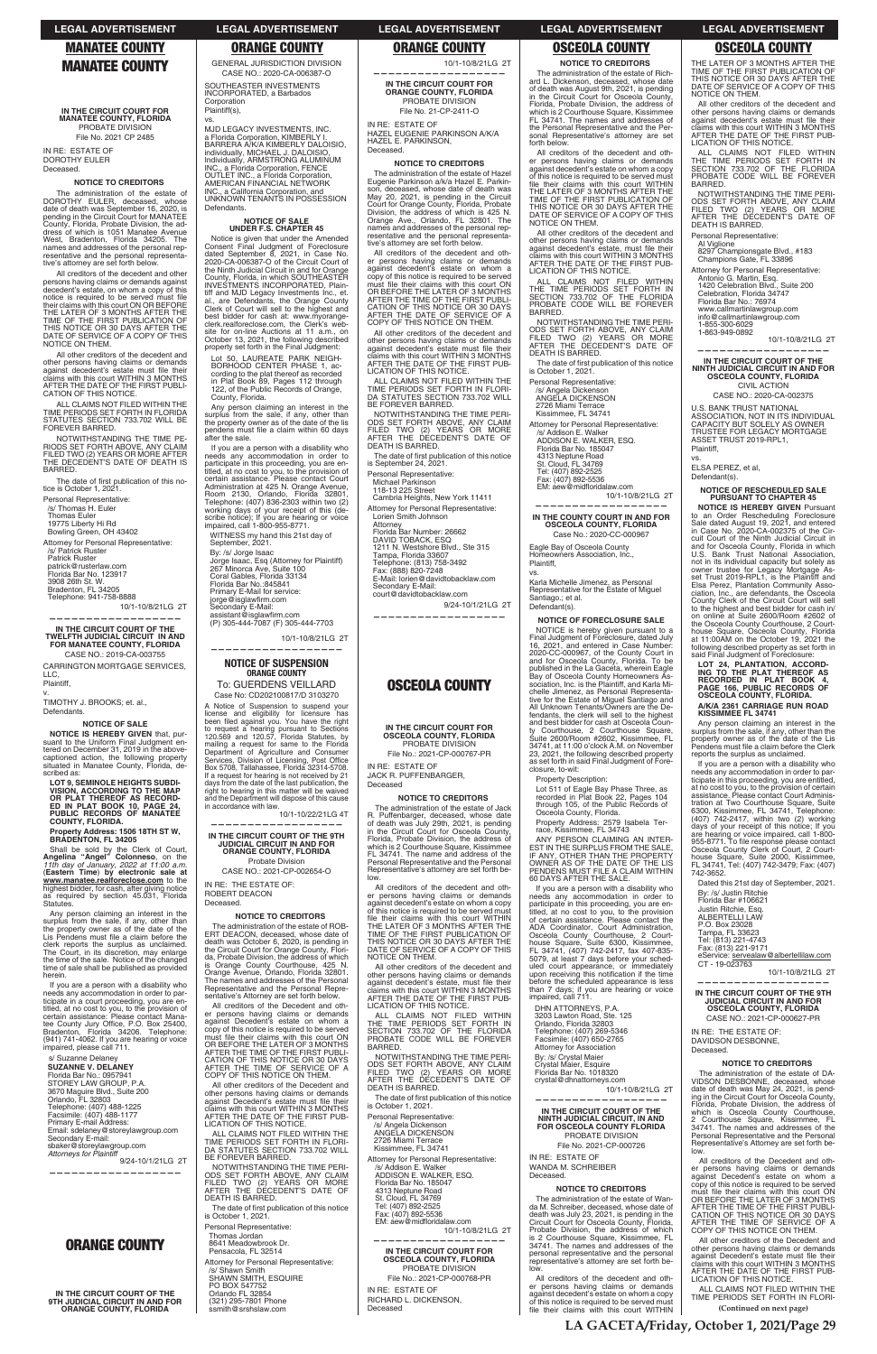# **MANATEE COUNTY**

**IN THE CIRCUIT COURT FOR MANATEE COUNTY, FLORIDA** PROBATE DIVISION File No. 2021 CP 2485

IN RE: ESTATE OF DOROTHY EULER Deceased.

### **NOTICE TO CREDITORS**

The administration of the estate of DOROTHY EULER, deceased, whose date of death was September 16, 2020, is pending in the Circuit Court for MANATEE County, Florida, Probate Division, the ad-dress of which is 1051 Manatee Avenue West, Bradenton, Florida 34205. The<br>names and addresses of the personal rep-<br>resentative and the personal representative's attorney are set forth below.

The date of first publication of this notice is October 1, 2021. Personal Representative:

/s/ Thomas H. Euler Thomas Euler 19775 Liberty Hi Rd Bowling Green, OH 43402 Attorney for Personal Representative: /s/ Patrick Ruster Patrick Ruster patrick@rusterlaw.com<br>Florida Bar No. 123917

3908 26th St. W. Bradenton, FL 34205<br>Telephone: 941-758-8888

All creditors of the decedent and other persons having claims or demands against decedent's estate, on whom a copy of this<br>notice is required to be served must file<br>their claims with this court ON OR BEFORE<br>THE LATER OF 3 MONTHS AFTER THE<br>TIME OF THE FIRST PUBLICATION OF<br>THIS NOTICE OR 30 DAYS AFTER TH NOTICE ON THEM.

10/1-10/8/21LG 2T **——————————————————**

**IN THE CIRCUIT COURT OF THE TWELFTH JUDICIAL CIRCUIT IN AND FOR MANATEE COUNTY, FLORIDA** CASE NO.: 2019-CA-003755

CARRINGTON MORTGAGE SERVICES, LLC, Plaintiff, v.

**NOTICE IS HEREBY GIVEN** that, pursuant to the Uniform Final Judgment en-<br>tered on December 31, 2019 in the abovecaptioned action, the following property situated in Manatee County, Florida, described as

All other creditors of the decedent and other persons having claims or demands<br>against decedent's estate must file their<br>claims with this court WITHIN 3 MONTHS AFTER THE DATE OF THE FIRST PUBLI-CATION OF THIS NOTICE.

ALL CLAIMS NOT FILED WITHIN THE TIME PERIODS SET FORTH IN FLORIDA<br>STATUTES SECTION 733.702 WILL BE<br>FOREVER BARRED.

NOTWITHSTANDING THE TIME PE-RIODS SET FORTH ABOVE, ANY CLAIM<br>FILED TWO (2) YEARS OR MORE AFTER<br>THE DECEDENT'S DATE OF DEATH IS **BARRED** 

Shall be sold by the Clerk of Court,<br>**Angelina "Angel" Colonneso**, on the<br>*11th day of January, 2022 at 11:00 a.m.*<br>(Eastern Time) by electronic sale at **www.manatee.realforeclose.com** to the highest bidder, for cash, after giving notice as required by section 45.031, Florida Statutes.

Plaintiff(s), vs.

TIMOTHY J. BROOKS; et. al., Defendants.

### **NOTICE OF SALE**

**LOT 9, SEMINOLE HEIGHTS SUBDI-VISION, ACCORDING TO THE MAP OR PLAT THEREOF AS RECORD-ED IN PLAT BOOK 10, PAGE 24, PUBLIC RECORDS OF MANATEE COUNTY, FLORIDA.**

# **Property Address: 1506 18TH ST W, BRADENTON, FL 34205**

Lot 50, LAUREATE PARK NEIGH-BORHOOD CENTER PHASE 1, according to the plat thereof as recorded<br>in Plat Book 89, Pages 112 through 122, of the Public Records of Orange, County, Florida.

Any person claiming an interest in the surplus from the sale, if any, other than the property owner as of the date of the Lis Pendens must file a claim before the clerk reports the surplus as unclaimed. The Court, in its discretion, may enlarge the time of the sale. Notice of the changed time of sale shall be published as provided herein.

If you are a person with a disability who needs any accommodation in order to par-

To: GUERDENS VEILLARD Case No: CD202100817/D 3103270 A Notice of Suspension to suspend your<br>license and eligibility for licensure has<br>been field against you. You have the right<br>to request a hearing pursuant to Sections<br>120.569 and 120.57, Florida Statutes, by<br>mailing a reque Department of Agriculture and Consumer<br>Services, Division of Licensing, Post Office Box 5708, Tallahassee, Florida 32314-5708. If a request for hearing is not received by 21 days from the date of the last publication, the right to hearing in this matter will be waived and the Department will dispose of this cause in accordance with law.

10/1-10/22/21LG 4T **——————————————————**

10/1-10/8/21LG 2T **——————————————————**

Defendants.

MJD LEGACY INVESTMENTS, INC. a Florida Corporation, KIMBERLY I. BARRERA A/K/A KIMBERLY DALOISIO, individually, MICHAEL J. DALOISIO,<br>Individually, ARMSTRONG ALUMINUM<br>INC., a Florida Corporation, FENCE<br>OUTLET INC., a Florida Corporation,<br>AMERICAN FINANCIAL NETWORK INC., a California Corporation, and<br>UNKNOWN TENANTS IN POSSESSION

# **NOTICE OF SALE UNDER F.S. CHAPTER 45**

All creditors of the decedent and other persons having claims or demands against decedent's estate on whom a copy of this notice is required to be served must file their claims with this court ON<br>OR BEFORE THE LATER OF 3 MONTHS<br>CATION OF THIS NOTICE OR 30 DAYS<br>CATION OF THIS NOTICE OR 30 DAYS<br>AFTER THE DATE OF SERVICE OF A<br>COPY OF THIS NOTICE ON THEM.

Notice is given that under the Amended Consent Final Judgment of Foreclosure dated September 8, 2021, in Case No. 2020-CA-006387-O of the Circuit Court of the Ninth Judicial Circuit in and for Orange County, Florida, in which SOUTHEASTER INVESTMENTS INCORPORATED, Plaintiff and MJD Legacy Investments Inc., et. al., are Defendants, the Orange County Clerk of Court will sell to the highest and best bidder for cash at: www.myorangeclerk.realforeclose.com, the Clerk's web-site for on-line Auctions at 11 a.m., on October 13, 2021, the following described property set forth in the Final Judgment:

All other creditors of the decedent and other persons having claims or demands<br>against decedent's estate must file their claims with this court WITHIN 3 MONTHS<br>AFTER THE DATE OF THE FIRST PUB-<br>LICATION OF THIS NOTICE.

ALL CLAIMS NOT FILED WITHIN THE TIME PERIODS SET FORTH IN FLORI-<br>DA STATUTES SECTION 733.702 WILL BE FOREVER BARRED.

NOTWITHSTANDING THE TIME PERI-ODS SET FORTH ABOVE, ANY CLAIM<br>FILED TWO (2) YEARS OR MORE<br>AFTER THE DECEDENT'S DATE OF<br>DEATH IS BARRED.

The date of first publication of this notice is September 24, 2021.

Attorney Florida Bar Number: 26662 DAVID TOBACK, ESQ<br>1211 N. Westshore Blvd., Ste 315 Tampa, Florida 33607 Telephone: (813) 758-3492<br>Fax: (888) 820-7248

Any person claiming an interest in the surplus from the sale, if any, other than the property owner as of the date of the lis pendens must file a claim within 60 days after the sale.

If you are a person with a disability who needs any accommodation in order to participate in this proceeding, you are en-titled, at no cost to you, to the provision of certain assistance. Please contact Court Administration at 425 N. Orange Avenue,<br>Room 2130, Orlando, Florida 32801,<br>Telephone: (407) 836-2303 within two (2) working days of your receipt of this (de-<br>scribe notice); If you are hearing or voice<br>impaired, call 1-800-955-8771.

WITNESS my hand this 21st day of September, 2021.

By: /s/ Jorge Isaac<br>Jorge Isaac, Esq (Attorney for Plaintiff) 267 Minorca Ave, Suite 100 Coral Gables, Florida 33134<br>Florida Bar No.:845841 Primary E-Mail for service: jorge@isglawfirm.com<br>Secondary E-Mail: assistant@isglawfirm.com<br>(P) 305-444-7087 (F) 305-444-7703

10/1-10/8/21LG 2T

All other creditors of the decedent and other persons having claims or demands against decedent's estate, must file their<br>claims with this court WITHIN 3 MONTHS

# **——————————————————**

# **NOTICE OF SUSPENSION ORANGE COUNTY**

ALL CLAIMS NOT FILED WITHIN<br>THE TIME PERIODS SET FORTH IN<br>SECTION 733.702 OF THE FLORIDA PROBATE CODE WILL BE FOREVER BARRED.

NOTWITHSTANDING THE TIME PERI-<br>ODS SET FORTH ABOVE, ANY CLAIM FILED TWO (2) YEARS OR MORE<br>AFTER THE DECEDENT'S DATE OF<br>DEATH IS BARRED.

The date of first publication of this notice is October 1, 2021.

# **IN THE CIRCUIT COURT OF THE 9TH JUDICIAL CIRCUIT IN AND FOR ORANGE COUNTY, FLORIDA**

Attorney for Personal Representative: /s/ Addison E. Walker ADDISON E. WALKER, ESQ.<br>Florida Bar No. 185047 4313 Neptune Road St. Cloud, FL 34769 Tel: (407) 892-2525 Fax: (407) 892-5536 EM: aew@midfloridalaw.com

Probate Division

CASE NO.: 2021-CP-002654-O IN RE: THE ESTATE OF: ROBERT DEACON

Deceased.

10/1-10/8/21LG 2T **——————————————————**

**IN THE COUNTY COURT IN AND FOR OSCEOLA COUNTY, FLORIDA** Case No.: 2020-CC-000967

### **NOTICE TO CREDITORS**

Karla Michelle Jimenez, as Personal Representative for the Estate of Miguel Santiago.; et al. Defendant(s).

The administration of the estate of ROB-ERT DEACON, deceased, whose date of death was October 6, 2020, is pending in the Circuit Court for Orange County, Flori-da, Probate Division, the address of which is Orange County Courthouse, 425 N. Orange Avenue, Orlando, Florida 32801. The names and addresses of the Personal Representative and the Personal Repre-

**IN THE CIRCUIT COURT FOR ORANGE COUNTY, FLORIDA** PROBATE DIVISION File No. 21-CP-2411-O

### IN RE: ESTATE OF HAZEL EUGENIE PARKINSON A/K/A HAZEL E. PARKINSON, Deceased.

### **NOTICE TO CREDITORS**

ALL CLAIMS NOT FILED WITHIN<br>THE TIME PERIODS SET FORTH IN<br>SECTION 733.702 OF THE FLORIDA<br>PROBATE CODE WILL BE FOREVER BARRED.

NOTWITHSTANDING THE TIME NOTWITHSTANDING THE TIME PERI-<br>ODS SET FORTH ABOVE, ANY CLAIM<br>FILED TWO (2) YEARS OR MORE<br>AFTER THE DECEDENT'S DATE OF DEATH IS BARRED.

Personal Representative: Al Viglione

10/1-10/8/21LG 2T

1-855-300-6029<br>1-863-949-0892

The administration of the estate of Hazel Eugenie Parkinson a/k/a Hazel E. Parkin-son, deceased, whose date of death was May 20, 2021, is pending in the Circuit Court for Orange County, Florida, Probate Division, the address of which is 425 N. Orange Ave., Orlando, FL 32801. The names and addresses of the personal rep-resentative and the personal representative's attorney are set forth below.

8297 Championsgate Blvd., #183<br>Champions Gate, FL 33896 Attorney for Personal Representative: Antonio G. Martin, Esq.<br>1420 Celebration Blvd., Suite 200 Celebration, Florida 34747 Florida Bar No.: 76974 www.callmartinlawgroup.com info@callmartinlawgroup.com

U.S. BANK TRUST NATIONAL ASSOCIATION, NOT IN ITS INDIVIDUAL CAPACITY BUT SOLELY AS OWNER<br>TRUSTEE FOR LEGACY MORTGAGE<br>ASSET TRUST 2019-RPL1,

ELSA PEREZ, et al, Defendant(s).

**NOTICE OF RESCHEDULED SALE PURSUANT TO CHAPTER 45 NOTICE IS HEREBY GIVEN** Pursuant to an Order Rescheduling Foreclosure<br>Sale dated August 19, 2021, and entered<br>in Case No. 2020-CA-002375 of the Cir-<br>cuit Court of the Ninth Judicial Circuit in

**A/K/A 2361 CARRIAGE RUN ROAD KISSIMMEE FL 34741** Any person claiming an interest in the surplus from the sale, if any, other than the<br>property owner as of the date of the Lis<br>Pendens must file a claim before the Clerk

at no cost to you, to the provision of certain<br>assistance. Please contact Court Administration at Two Courthouse Square, Suite<br>6300, Kissimmee, FL 34741, Telephone:<br>(407) 742-2417, within two (2) working<br>days of your recei

are hearing or voice impaired, call 1-800-<br>955-8771. To file response please contact<br>Osceola County Clerk of Court, 2 Court-<br>house Square, Suite 2000, Kissimmee,<br>FL 34741, Tel: (407) 742-3479; Fax: (407)<br>742-3652.

Personal Representative: Michael Parkinson

> By: /s/ Justin Ritchie Florida Bar #106621 Justin Ritchie, Esq. ALBERTELLI LAW P.O. Box 23028<br>Tampa, FL 33623 Tel: (813) 221-4743 Fax: (813) 221-9171

CT - 19-023763

118-13 225 Street Cambria Heights, New York 11411

Attorney for Personal Representative: Lorien Smith Johnson

E-Mail: lorien@davidtobacklaw.com Secondary E-Mail: court@davidtobacklaw.com

**——————————————————**

9/24-10/1/21LG 2T

# **OSCEOLA COUNTY**

### **IN THE CIRCUIT COURT FOR OSCEOLA COUNTY, FLORIDA** PROBATE DIVISION

File No.: 2021-CP-000767-PR IN RE: ESTATE OF

JACK R. PUFFENBARGER,

Deceased

# **NOTICE TO CREDITORS**

The administration of the estate of Jack R. Puffenbarger, deceased, whose date<br>of death was July 29th, 2021, is pending<br>in the Circuit Court for Osceola County, Florida, Probate Division, the address of which is 2 Courthouse Square, Kissimmee FL 34741. The name and address of the Personal Representative and the Personal Representative's attorney are set forth below.

| needs any accommodation in order to par-<br>ticipate in a court proceeding, you are en-<br>titled, at no cost to you, to the provision of<br>certain assistance: Please contact Mana-<br>tee County Jury Office, P.O. Box 25400,<br>Bradenton, Florida 34206. Telephone:<br>(941) 741-4062. If you are hearing or voice<br>impaired, please call 711.<br>s/ Suzanne Delaney<br><b>SUZANNE V. DELANEY</b><br>Florida Bar No.: 0957941<br>STOREY LAW GROUP, P.A.<br>3670 Maguire Blvd., Suite 200<br>Orlando. FL 32803<br>Telephone: (407) 488-1225<br>Facsimile: (407) 488-1177<br>Primary E-mail Address:<br>Email: sdelaney@storeylawgroup.com<br>Secondary E-mail:<br>sbaker@storeylawgroup.com<br><b>Attorneys for Plaintiff</b><br>9/24-10/1/21LG 2T | TRONTOURING THE MINT THE TURNER TRONTO<br>sentative's Attorney are set forth below.<br>All creditors of the Decedent and oth-<br>er persons having claims or demands<br>against Decedent's estate on whom a<br>copy of this notice is required to be served<br>must file their claims with this court ON<br>OR BEFORE THE LATER OF 3 MONTHS<br>AFTER THE TIME OF THE FIRST PUBLI-<br>CATION OF THIS NOTICE OR 30 DAYS<br>AFTER THE TIME OF SERVICE OF A<br>COPY OF THIS NOTICE ON THEM.<br>All other creditors of the Decedent and<br>other persons having claims or demands<br>against Decedent's estate must file their<br>claims with this court WITHIN 3 MONTHS<br>AFTER THE DATE OF THE FIRST PUB-<br><b>LICATION OF THIS NOTICE.</b><br>ALL CLAIMS NOT FILED WITHIN THE<br>TIME PERIODS SET FORTH IN FLORI-<br>DA STATUTES SECTION 733.702 WILL<br>BE FOREVER BARRED.<br>NOTWITHSTANDING THE TIME PERI-<br>ODS SET FORTH ABOVE. ANY CLAIM<br>FILED TWO (2) YEARS OR MORE<br>AFTER THE DECEDENT'S DATE OF | Claims with this court WITHIN 3 MONTHS<br>AFTER THE DATE OF THE FIRST PUB-<br>LICATION OF THIS NOTICE.<br>ALL CLAIMS NOT FILED WITHIN<br>THE TIME PERIODS SET FORTH IN<br>SECTION 733.702 OF THE FLORIDA<br>PROBATE CODE WILL BE FOREVER<br>BARRED.<br>NOTWITHSTANDING THE TIME PERI-<br>ODS SET FORTH ABOVE. ANY CLAIM<br>FILED TWO (2) YEARS OR MORE<br>AFTER THE DECEDENT'S DATE OF<br>DEATH IS BARRED.<br>The date of first publication of this notice<br>is October 1, 2021.<br>Personal Representative:<br>/s/ Angela Dickenson<br>ANGELA DICKENSON<br>2726 Miami Terrace<br>Kissimmee, FL 34741<br>Attorney for Personal Representative:<br>/s/ Addison E. Walker<br>ADDISON E. WALKER, ESQ.<br>Florida Bar No. 185047<br>4313 Neptune Road | $\frac{1}{2}$ and $\frac{1}{2}$ and $\frac{1}{2}$ and $\frac{1}{2}$ and $\frac{1}{2}$ and $\frac{1}{2}$ and $\frac{1}{2}$ and $\frac{1}{2}$ and $\frac{1}{2}$ and $\frac{1}{2}$ and $\frac{1}{2}$ and $\frac{1}{2}$ and $\frac{1}{2}$ and $\frac{1}{2}$ and $\frac{1}{2}$ and $\frac{1}{2}$ a<br>impaired, call 711.<br>DHN ATTORNEYS, P.A.<br>3203 Lawton Road, Ste. 125<br>Orlando, Florida 32803<br>Telephone: (407) 269-5346<br>Facsimile: (407) 650-2765<br><b>Attorney for Association</b><br>By: /s/ Crystal Maier<br>Crystal Maier, Esquire<br>Florida Bar No. 1018320<br>crystal@dhnattorneys.com<br>10/1-10/8/21LG 2T<br>IN THE CIRCUIT COURT OF THE<br>NINTH JUDICIAL CIRCUIT. IN AND<br>FOR OSCEOLA COUNTY FLORIDA<br>PROBATE DIVISION<br>File No. 2021-CP-000726<br>IN RE: ESTATE OF<br>WANDA M. SCHREIBER<br>Deceased.<br><b>NOTICE TO CREDITORS</b> | IN THE CIRCUIT COURT OF THE 9TH<br><b>JUDICIAL CIRCUIT IN AND FOR</b><br><b>OSCEOLA COUNTY, FLORIDA</b><br>CASE NO.: 2021-CP-000627-PR<br>IN RE: THE ESTATE OF:<br>DAVIDSON DESBONNE.<br>Deceased.<br><b>NOTICE TO CREDITORS</b><br>The administration of the estate of DA-<br>VIDSON DESBONNE, deceased, whose<br>date of death was May 24, 2021, is pend-<br>ing in the Circuit Court for Osceola County,<br>Florida, Probate Division, the address of<br>which is Osceola County Courthouse,<br>2 Courthouse Square, Kissimmee, FL<br>34741. The names and addresses of the<br>Personal Representative and the Personal<br>Representative's Attorney are set forth be-<br>low.<br>All creditors of the Decedent and oth-<br>er persons having claims or demands<br>against Decedent's estate on whom a<br>copy of this notice is required to be served |
|----------------------------------------------------------------------------------------------------------------------------------------------------------------------------------------------------------------------------------------------------------------------------------------------------------------------------------------------------------------------------------------------------------------------------------------------------------------------------------------------------------------------------------------------------------------------------------------------------------------------------------------------------------------------------------------------------------------------------------------------------------|----------------------------------------------------------------------------------------------------------------------------------------------------------------------------------------------------------------------------------------------------------------------------------------------------------------------------------------------------------------------------------------------------------------------------------------------------------------------------------------------------------------------------------------------------------------------------------------------------------------------------------------------------------------------------------------------------------------------------------------------------------------------------------------------------------------------------------------------------------------------------------------------------------------------------------------------------------------------------------------------------------------|----------------------------------------------------------------------------------------------------------------------------------------------------------------------------------------------------------------------------------------------------------------------------------------------------------------------------------------------------------------------------------------------------------------------------------------------------------------------------------------------------------------------------------------------------------------------------------------------------------------------------------------------------------------------------------------------------------------------------------------------------|--------------------------------------------------------------------------------------------------------------------------------------------------------------------------------------------------------------------------------------------------------------------------------------------------------------------------------------------------------------------------------------------------------------------------------------------------------------------------------------------------------------------------------------------------------------------------------------------------------------------------------------------------------------------------------------------------------------------------------------------------------------------------------------------------------------------------------------------------------------------|-----------------------------------------------------------------------------------------------------------------------------------------------------------------------------------------------------------------------------------------------------------------------------------------------------------------------------------------------------------------------------------------------------------------------------------------------------------------------------------------------------------------------------------------------------------------------------------------------------------------------------------------------------------------------------------------------------------------------------------------------------------------------------------------------------------------------------------------------------------|
| <b>ORANGE COUNTY</b><br>IN THE CIRCUIT COURT OF THE<br>9TH JUDICIAL CIRCUIT IN AND FOR<br><b>ORANGE COUNTY, FLORIDA</b>                                                                                                                                                                                                                                                                                                                                                                                                                                                                                                                                                                                                                                  | DEATH IS BARRED.<br>The date of first publication of this notice<br>is October 1, 2021.<br>Personal Representative:<br>Thomas Jordan<br>8641 Meadowbrook Dr.<br>Pensacola, FL 32514<br>Attorney for Personal Representative:<br>/s/ Shawn Smith<br><b>SHAWN SMITH, ESQUIRE</b><br>PO BOX 547752<br>Orlando FL 32854<br>(321) 295-7801 Phone<br>ssmith@srshslaw.com                                                                                                                                                                                                                                                                                                                                                                                                                                                                                                                                                                                                                                             | St. Cloud. FL 34769<br>Tel: (407) 892-2525<br>Fax: (407) 892-5536<br>EM: aew@midfloridalaw.com<br>10/1-10/8/21LG 2T<br>IN THE CIRCUIT COURT FOR<br><b>OSCEOLA COUNTY, FLORIDA</b><br>PROBATE DIVISION<br>File No.: 2021-CP-000768-PR<br>IN RE: ESTATE OF<br>RICHARD L. DICKENSON.<br>Deceased                                                                                                                                                                                                                                                                                                                                                                                                                                                      | The administration of the estate of Wan-<br>da M. Schreiber, deceased, whose date of<br>death was July 23, 2021, is pending in the<br>Circuit Court for Osceola County, Florida,<br>Probate Division, the address of which<br>is 2 Courthouse Square, Kissimmee, FL<br>34741. The names and addresses of the<br>personal representative and the personal<br>representative's attorney are set forth be-<br>low.<br>All creditors of the decedent and oth-<br>er persons having claims or demands<br>against decedent's estate on whom a copy<br>of this notice is required to be served must<br>file their claims with this court WITHIN                                                                                                                                                                                                                           | must file their claims with this court ON<br>OR BEFORE THE LATER OF 3 MONTHS<br>AFTER THE TIME OF THE FIRST PUBLI-<br>CATION OF THIS NOTICE OR 30 DAYS<br>AFTER THE TIME OF SERVICE OF A<br>COPY OF THIS NOTICE ON THEM.<br>All other creditors of the Decedent and<br>other persons having claims or demands<br>against Decedent's estate must file their<br>claims with this court WITHIN 3 MONTHS<br>AFTER THE DATE OF THE FIRST PUB-<br><b>LICATION OF THIS NOTICE.</b><br>ALL CLAIMS NOT FILED WITHIN THE<br>TIME PERIODS SET FORTH IN FLORI-<br>(Continued on next page)                                                                                                                                                                                                                                                                            |

All creditors of the decedent and other persons having claims or demands against decedent's estate on whom a copy of this notice is required to be served must<br>file their claims with this court WITHIN<br>THE LATER OF 3 MONTHS AFTER THE<br>TIME OF THE FIRST PUBLICATION OF THIS NOTICE OR 30 DAYS AFTER THE DATE OF SERVICE OF A COPY OF THIS NOTICE ON THEM. **NOTICE TO CREDITORS**

The administration of the estate of Richard L. Dickenson, deceased, whose date of death was August 9th, 2021, is pending<br>in the Circuit Court for Osceola County, Florida, Probate Division, the address of which is 2 Courthouse Square, Kissimmee FL 34741. The names and addresses of the Personal Representative and the Personal Representative's attorney are set forth below.

All creditors of the decedent and other persons having claims or demands against decedent's estate on whom a copy of this notice is required to be served must file their claims with this court WITHIN THE LATER OF 3 MONTHS AFTER THE TIME OF THE FIRST PUBLICATION OF THIS NOTICE OR 30 DAYS AFTER THE DATE OF SERVICE OF A COPY OF THIS NOTICE ON THEM.

All other creditors of the decedent and other persons having claims or demands<br>against decedent's estate, must file their<br>claims with this court WITHIN 3 MONTHS<br>AFTER THE DATE OF THE FIRST PUB-LICATION OF THIS NOTICE.

Personal Representative: /s/ Angela Dickenson<br>ANGELA DICKENSON 2726 Miami Terrace Kissimmee, FL 34741

Eagle Bay of Osceola County Homeowners Association, Inc., Plaintiff,

vs.

# **NOTICE OF FORECLOSURE SALE**

NOTICE is hereby given pursuant to a Final Judgment of Foreclosure, dated July 16, 2021, and entered in Case Number: 2020-CC-000967, of the County Court in<br>and for Osceola County, Florida. To be published in the La Gaceta, wherein Eagle Bay of Osceola County Homeowners As-sociation, Inc. is the Plaintiff, and Karla Michelle Jimenez, as Personal Representative for the Estate of Miguel Santiago and All Unknown Tenants/Owners are the Defendants, the clerk will sell to the highest and best bidder for cash at Osceola Coun-ty Courthouse, 2 Courthouse Square, Suite 2600/Room #2602, Kissimmee, FL 34741, at 11:00 o'clock A.M. on November 23, 2021, the following described property as set forth in said Final Judgment of Fore closure, to-wit:

Property Description:

Lot 511 of Eagle Bay Phase Three, as recorded in Plat Book 22, Pages 104 through 105, of the Public Records of Osceola County, Florida.

Property Address: 2579 Isabela Ter-<br>race, Kissimmee, FL 34743

ANY PERSON CLAIMING AN INTER-<br>EST IN THE SURPLUS FROM THE SALE, IF ANY, OTHER THAN THE PROPERTY<br>OWNER AS OF THE DATE OF THE LIS<br>PENDENS MUST FILE A CLAIM WITHIN 60 DAYS AFTER THE SALE.<br>If you are a person with a disability who

If you are a person with a disability who<br>needs any accommodation in order to<br>participate in this proceeding, you are en-<br>titled, at no cost to you, to the provision<br>of certain assistance. Please contact the<br>ADA Coordinato

THE LATER OF 3 MONTHS AFTER THE TIME OF THE FIRST PUBLICATION OF THIS NOTICE OR 30 DAYS AFTER THE DATE OF SERVICE OF A COPY OF THIS NOTICE ON THEM.

All other creditors of the decedent and other persons having claims or demands<br>against decedent's estate must file their<br>claims with this court WITHIN 3 MONTHS AFTER THE DATE OF THE FIRST PUB-LICATION OF THIS NOTICE.

**—————————————————— IN THE CIRCUIT COURT OF THE NINTH JUDICIAL CIRCUIT IN AND FOR OSCEOLA COUNTY, FLORIDA** CIVIL ACTION CASE NO.: 2020-CA-002375

Plaintiff, vs.

and for Osceola County, Florida in which U.S. Bank Trust National Association, not in its individual capacity but solely as owner trustee for Legacy Mortgage As-<br>set Trust 2019-RPL1, is the Plaintiff and<br>Elsa Perez, Plantation Community Association, Inc., are defendants, the Osceola County Clerk of the Circuit Court will sell to the highest and best bidder for cash in/ on online at Suite 2600/Room #2602 of the Osceola County Courthouse, 2 Courthouse Square, Osceola County, Florida<br>at 11:00AM on the October 19, 2021 the<br>following described property as set forth in said Final Judgment of Foreclosure:

**LOT 24, PLANTATION, ACCORD-ING TO THE PLAT THEREOF AS RECORDED IN PLAT BOOK 4, PAGE 166, PUBLIC RECORDS OF OSCEOLA COUNTY, FLORIDA.**

reports the surplus as unclaimed. If you are a person with a disability who needs any accommodation in order to par-ticipate in this proceeding, you are entitled,

Dated this 21st day of September, 2021.

eService: servealaw@albertellilaw.com

**——————————————————**

10/1-10/8/21LG 2T

# **LEGAL ADVERTISEMENT LEGAL ADVERTISEMENT LEGAL ADVERTISEMENT LEGAL ADVERTISEMENT LEGAL ADVERTISEMENT**

# **MANATEE COUNTY ORANGE COUNTY ORANGE COUNTY OSCEOLA COUNTY OSCEOLA COUNTY**

GENERAL JURISDICTION DIVISION CASE NO.: 2020-CA-006387-O SOUTHEASTER INVESTMENTS INCORPORATED, a Barbados **Corporation**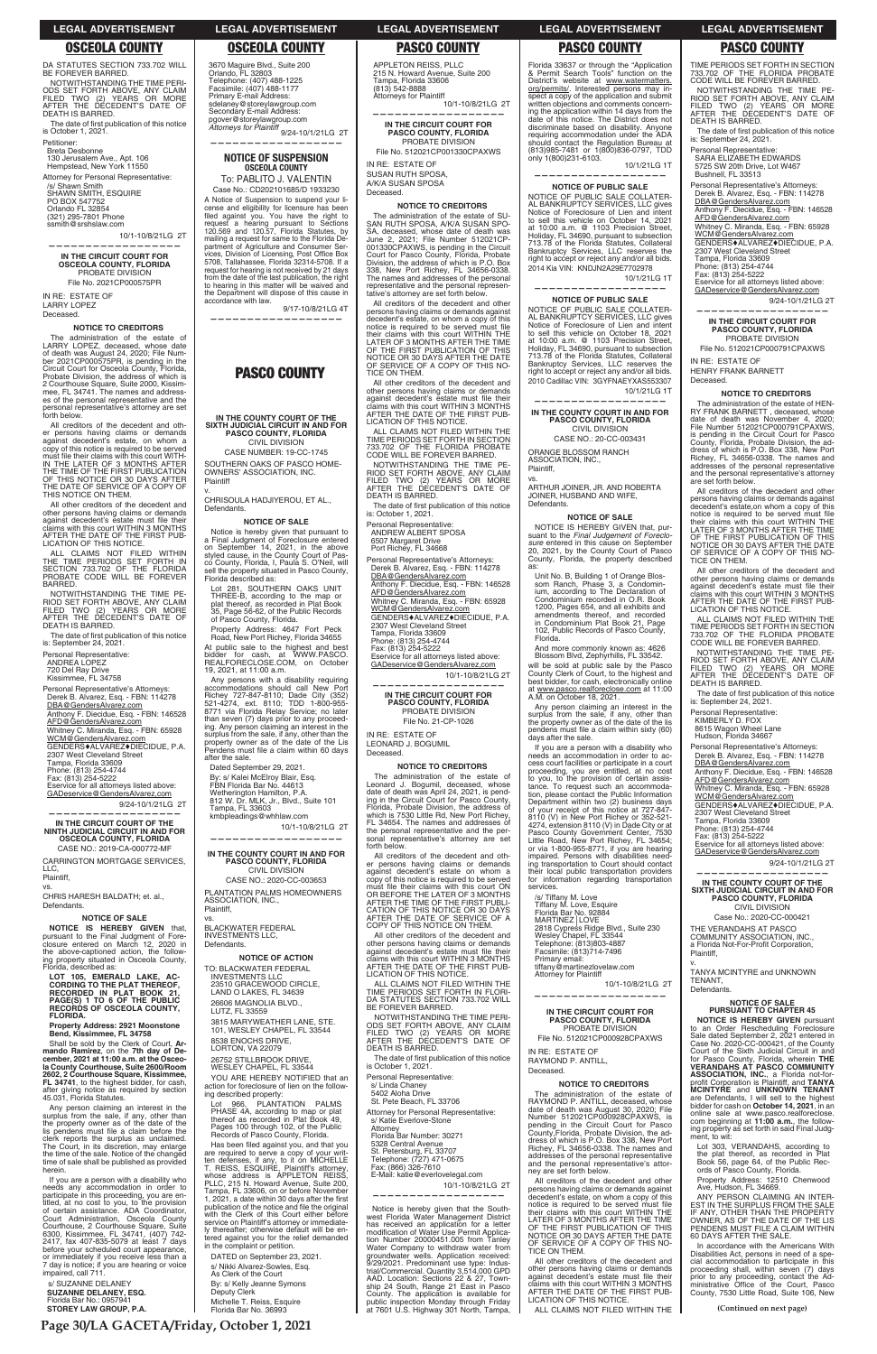DA STATUTES SECTION 733.702 WILL BE FOREVER BARRED. NOTWITHSTANDING THE TIME PERI-

**Page 30/LA GACETA/Friday, October 1, 2021**

**(Continued on next page)**

ODS SET FORTH ABOVE, ANY CLAIM<br>FILED TWO (2) YEARS OR MORE<br>AFTER THE DECEDENT'S DATE OF DEATH IS BARRED.

The date of first publication of this notice is October 1, 2021.

/s/ Shawn Smith<br>SHAWN SMITH, ESQUIRE PO BOX 547752 Orlando FL 32854 (321) 295-7801 Phone ssmith@srshslaw.com

10/1-10/8/21LG 2T **——————————————————**

Petitioner: Breta Desbonne

130 Jerusalem Ave., Apt. 106 Hempstead, New York 11550 Attorney for Personal Representative:

The administration of the estate of LARRY LOPEZ, deceased, whose date of death was August 24, 2020; File Num-<br>ber 2021CP000575PR, is pending in the<br>ber 2021CP000575PR, is pending in the<br>Circuit Court for Osceola County, Fl Probate Division, the address of which is 2 Courthouse Square, Suite 2000, Kissim-mee, FL 34741. The names and addresses of the personal representative and the personal representative's attorney are set forth below.

**IN THE CIRCUIT COURT FOR OSCEOLA COUNTY, FLORIDA** PROBATE DIVISION File No. 2021CP000575PR

IN RE: ESTATE OF LARRY LOPEZ Deceased.

### **NOTICE TO CREDITORS**

ALL CLAIMS NOT FILED WITHIN<br>THE TIME PERIODS SET FORTH IN<br>SECTION 733.702 OF THE FLORIDA PROBATE CODE WILL BE FOREVER BARRED.

NOTWITHSTANDING THE TIME PE-<br>RIOD SET FORTH ABOVE, ANY CLAIM<br>FILED TWO (2) YEARS OR MORE<br>AFTER THE DECEDENT'S DATE OF<br>DEATH IS BARRED.

The date of first publication of this notice is: September 24, 2021.

Personal Representative's Attorneys: Derek B. Alvarez, Esq. - FBN: 114278 DBA@GendersAlvarez.com

Anthony F. Diecidue, Esq. - FBN: 146528 AFD@GendersAlvarez.com

Whitney C. Miranda, Esq. - FBN: 65928<br><u>WCM@GendersAlvarez.com</u>

GENDERS+ALVAREZ+DIECIDUE, P.A. 2307 West Cleveland Street

Tampa, Florida 33609<br>Phone: (813) 254-4744<br>Fax: (813) 254-5222

GADeservice@GendersAlvarez.com 9/24-10/1/21LG 2T **——————————————————**

All creditors of the decedent and other persons having claims or demands against decedent's estate, on whom a copy of this notice is required to be served must file their claims with this court WITH-IN THE LATER OF 3 MONTHS AFTER THE TIME OF THE FIRST PUBLICATION OF THIS NOTICE OR 30 DAYS AFTER THE DATE OF SERVICE OF A COPY OF THIS NOTICE ON THEM.

CASE NO.: 2019-CA-000772-MF CARRINGTON MORTGAGE SERVICES, LLC,

All other creditors of the decedent and other persons having claims or demands<br>against decedent's estate must file their<br>claims with this court WITHIN 3 MONTHS<br>AFTER THE DATE OF THE FIRST PUB-LICATION OF THIS NOTICE.

Personal Representative:

ANDREA LOPEZ 720 Del Ray Drive

Kissimmee, FL 34758

s/ SUZANNE DELANEY **SUZANNE DELANEY, ESQ.** Florida Bar No.: 0957941<br>**STOREY LAW GROUP, P.A.**  26606 MAGNOLIA BLVD., LUTZ, FL 33559

3815 MARYWEATHER LANE, STE. 101, WESLEY CHAPEL, FL 33544

Eservice for all attorneys listed above:

**IN THE CIRCUIT COURT OF THE NINTH JUDICIAL CIRCUIT IN AND FOR OSCEOLA COUNTY, FLORIDA**

Case No.: CD202101685/D 1933230 A Notice of Suspension to suspend your license and eligibility for licensure has been<br>filed against you. You have the right to request a hearing pursuant to Sections<br>120.569 and 120.57, Florida Statutes, by<br>mailing a request for same to the Florida Department of Agriculture and Consumer Ser-.<br>vices, Division of Licensing, Post Office Box<br>5708, Tallahassee, Florida 32314-5708. If a request for hearing is not received by 21 days from the date of the last publication, the right to hearing in this matter will be waived and the Department will dispose of this cause in accordance with law.

9/17-10/8/21LG 4T **——————————————————**

Plaintiff, vs.

CHRlS HARESH BALDATH; et. al., Defendants.

CIVIL DIVISION CASE NUMBER: 19-CC-1745

# **NOTICE OF SALE**

Notice is hereby given that pursuant to a Final Judgment of Foreclosure entered on September 14, 2021, in the above styled cause, in the County Court of Pas-<br>co County, Florida, I, Paula S. O'Neil, will<br>sell the property situated in Pasco County, Florida described as:

**NOTICE IS HEREBY GIVEN** that, pursuant to the Final Judgment of Fore-clos ure entered on March 12, 2020 in the above-captioned action, the following property situated in Osceola County, Florida, described as:

**LOT 105, EMERALD LAKE, AC-CORDING TO THE PLAT THEREOF, RECORDED IN PLAT BOOK 21, PAGE(S) 1 TO 6 OF THE PUBLIC** 

Property Address: 4647 Fort Peck Road, New Port Richey, Florida 34655 At public sale to the highest and best bidder for cash, at WWW.PASCO.<br>REALFORECLOSE.COM, on October 19, 2021, at 11:00 a.m.

**RECORDS OF OSCEOLA COUNTY, FLORIDA.**

# **Property Address: 2921 Moonstone Bend, Kissimmee, FL 34758**

Shall be sold by the Clerk of Court, **Armando Ramirez**, on the **7th day of De-cember, 2021 at 11:00 a.m. at the Osceola County Courthouse, Suite 2600/Room 2602, 2 Courthouse Square, Kissimmee, FL 34741**, to the highest bidder, for cash, after giving notice as required by section 45.031, Florida Statutes.

**NOTICE OF ACTION** TO: BLACKWATER FEDERAL INVESTMENTS LLC 23510 GRACEWOOD CIRCLE,<br>LAND O LAKES, FL 34639

Any person claiming an interest in the surplus from the sale, if any, other than the property owner as of the date of the lis pendens must file a claim before the clerk reports the surplus as unclaimed. The Court, in its discretion, may enlarge the time of the sale. Notice of the changed time of sale shall be published as provided herein.

 8538 ENOCHS DRIVE, LORTON, VA 22079

 26752 STILLBROOK DRIVE, WESLEY CHAPEL, FL 33544

YOU ARE HEREBY NOTIFIED that an action for foreclosure of lien on the following described property:

Lot 966, PLANTATION PALMS<br>PHASE 4A, according to map or plat<br>thereof as recorded in Plat Book 49, Pages 100 through 102, of the Public Records of Pasco County, Florida.

If you are a person with a disability who needs any accommodation in order to<br>participate in this proceeding, you are en-<br>titled, at no cost to you, to the provision<br>of certain assistance. ADA Coordinator,<br>Court Administration, Osceola County Courthouse, 2 Courthouse Square, Suite 6300, Kissimmee, FL 34741, (407) 742-<br>2417, fax 407-835-5079 at least 7 days before your scheduled court appearance, or immediately if you receive less than a 7 day is notice; if you are hearing or voice impaired, call 711.

Has been filed against you, and that you are required to serve a copy of your writ-ten defenses, if any, to it on MICHELLE T. REIS S, ESQUIRE, Plaintiff's attorney, whose address is APPLETON REISS, PLLC, 215 N. Howard Avenue, Suite 200, Tampa, FL 33606, on or before November 1, 2021, a date within 30 days after the first publication of the notice and file the original<br>with the Clerk of this Court either before service on Plaintiff's attorney or immediate-ly thereafter; otherwise default will be en-tered against you for the relief demanded in the complaint or petition.

Michelle T. Reiss, Esquire Florida Bar No. 36993

10/1-10/8/21LG 2T **—————————————————— IN THE CIRCUIT COURT FOR** 

**PASCO COUNTY, FLORIDA** PROBATE DIVISION File No. 512021CP001330CPAXWS

# **NOTICE OF SUSPENSION OSCEOLA COUNTY**

To: PABLITO J. VALENTIN

NOTWITHSTANDING THE TIME PE-<br>RIOD SET FORTH ABOVE, ANY CLAIM<br>FILED TWO (2) YEARS OR MORE<br>AFTER THE DECEDENT'S DATE OF DEATH IS BARRED.

The date of first publication of this notice is: October 1, 2021.

Personal Representative: ANDREW ALBERT SPOSA<br>6507 Margaret Drive

10/1-10/8/21LG 2T **—————————————————— IN THE CIRCUIT COURT FOR**

# **PASCO COUNTY**

**IN THE COUNTY COURT OF THE SIXTH JUDICIAL CIRCUIT IN AND FOR PASCO COUNTY, FLORIDA**

SOUTHERN OAKS OF PASCO HOME-OWNERS' ASSOCIATION, INC. Plaintiff

v. CHRISOULA HADJIYEROU, ET AL., Defendants.

**NOTICE OF SALE**

All other creditors of the decedent and other persons having claims or demands<br>against decedent's estate must file their<br>claims with this court WITHIN 3 MONTHS AFTER THE DATE OF THE FIRST PUB-LICATION OF THIS NOTICE

ALL CLAIMS NOT FILED WITHIN THE<br>TIME PERIODS SET FORTH IN FLORI-<br>DA STATUTES SECTION 733.702 WILL

Florida 33637 or through the "Application<br>& Permit Search Tools" function on the District's website at www.watermatters.<br> **org/permits/.** Interested persons may in-<br>
spect a copy of the application and submit written objections and comments concerning the application within 14 days from the date of this notice. The District does not discriminate based on disability. Anyone requiring accommodation under the ADA should contact the Regulation Bureau at (813)985-7481 or 1(800)836-0797, TDD only 1(800)231-6103. 10/1/21LG 1T

TIME PERIODS SET FORTH IN SECTION<br>733.702 OF THE FLORIDA PROBATE<br>CODE WILL BE FOREVER BARRED. NOTWITHSTANDING THE TIME PE-RIOD SET FORTH ABOVE, ANY CLAIM<br>FILED TWO (2) YEARS OR MORE<br>AFTER THE DECEDENT'S DATE OF

The date of first publication of this notice<br>is: September 24, 2021.

The date of first publication of this notice is October 1, 2021.

Lot 281, SOUTHERN OAKS UNIT THREE-B, according to the map or plat thereof, as recorded in Plat Book 35, Page 56-62, of the Public Records of Pasco County, Florida.

> Attorney for Personal Representative: s/ Katie Everlove-Stone Attorney Florida Bar Number: 30271 5328 Central Avenue<br>St. Petersburg, FL 33707<br>Telephone: (727) 471-0675<br>Fax: (866) 326-7610<br>E-Mail: katie@everlovelegal.com

> > 10/1-10/8/21LG 2T

Notice is hereby given that the South-<br>west Florida Water Management District<br>has received an application for a letter modification of Water Use Permit modification of Water Use Permit Applica-<br>tion Number 20000451.005 from Tanley<br>Water Company to withdraw water from groundwater wells. Application received:<br>9/29/2021. Predominant use type: Indus-<br>trial/Commercial. Quantity 3,514,000 GPD AAD. Location: Sections 22 & 27, Township 24 South, Range 21 East in Pasco County. The application is available for public inspection Monday through Friday at 7601 U.S. Highway 301 North, Tampa,

Any persons with a disability requiring accommodations should call New Port Richey 727-847-8110; Dade City (352)<br>521-4274, ext. 8110; TDD 1-800-955-<br>8771 via Florida Relay Service; no later than seven (7) days prior to any proceed-<br>ing. Any person claiming an interest in the surplus from the sale, if any, other than the<br>property owner as of the date of the Lis<br>Pendens must file a claim within 60 days after the sale.

Dated September 29, 2021.

By: s/ Kalei McElroy Blair, Esq.<br>FBN Florida Bar No. 44613<br>Wetherington Hamilton, P.A. 812 W. Dr. MLK, Jr., Blvd., Suite 101

Tampa, FL 33603 kmbpleadings@whhlaw.com 10/1-10/8/21LG 2T **——————————————————**

10/1/21LG 1T **——————————————————**

NOTICE OF PUBLIC SALE COLLATER-AL BANKRUPTCY SERVICES, LLC gives Notice of Foreclosure of Lien and intent to sell this vehicle on October 18, 2021<br>at 10:00 a.m. @ 1103 Precision Street,<br>Holiday, FL 34690, pursuant to subsection 713.78 of the Florida Statutes, Collateral Bankruptcy Services, LLC reserves the right to accept or reject any and/or all bids. 2010 Cadillac VIN: 3GYFNAEYXAS553307 10/1/21LG 1T

# **IN THE COUNTY COURT IN AND FOR PASCO COUNTY, FLORIDA** CIVIL DIVISION

CASE NO.: 2020-CC-003653 PLANTATION PALMS HOMEOWNERS ASSOCIATION, INC., Plaintiff,

vs. BLACKWATER FEDERAL INVESTMENTS LLC, Defendants.

ORANGE BLOSSOM RANCH ASSOCIATION, INC., Plaintiff,

vs. ARTHUR JOINER, JR. AND ROBERTA JOINER, HUSBAND AND WIFE, **Defendants** 

NOTICE IS HEREBY GIVEN that, NOTICE IS HEREBY GIVEN that, pursuant to the *Final Judgement of Foreclo-*<br>*sure* entered in this cause on September<br>*20, 2021*, by the County Court of Pasco County, Florida, the property described as:

Unit No. B, Building 1 of Orange Blos-<br>som Ranch, Phase 3, a Condomin-<br>ium, according to The Declaration of<br>Condominium recorded in O.R. Book<br>1200, Pages 654, and all exhibits and amendments thereof, and recorded in Condominium Plat Book 21, Page 102, Public Records of Pasco County, Florida.

And more commonly known as: 4626 Blossom Blvd, Zephyrhills, FL 33542. will be sold at public sale by the Pasco County Clerk of Court, to the highest and best bidder, for cash, electronically online at <u>www.pasco.realforeclose.com</u> at 11:00<br>A.M. on October 18, 2021.

Any person claiming an interest in the surplus from the sale, if any, other than<br>the property owner as of the date of the lis<br>pendens must file a claim within sixty (60)

### **IN THE CIRCUIT COURT FOR PASCO COUNTY, FLORIDA** PROBATE DIVISION File No. 512021CP000928CPAXWS

DATED on September 23, 2021.

s/ Nikki Alvarez-Sowles, Esq. As Clerk of the Court

By: s/ Kelly Jeanne Symons Deputy Clerk

APPLETON REISS, PLLC 215 N. Howard Avenue, Suite 200 Tampa, Florida 33606 (813) 542-8888 Attorneys for Plaintiff

IN RE: ESTATE OF SUSAN RUTH SPOSA, A/K/A SUSAN SPOSA

Deceased. **NOTICE TO CREDITORS**

The administration of the estate of SU-SAN RUTH SPOSA, A/K/A SUSAN SPO-SA, deceased, whose date of death was<br>June 2, 2021; File Number 512021CP-<br>001330CPAXWS, is pending in the Circuit<br>Count for Pasco County, Florida, Probate<br>Division, the address of which is P.O. Box 338, New Port Richey, FL 34656-0338. The names and addresses of the personal representative and the personal representative's attorney are set forth below.

Personal Representative: SARA ELIZABETH EDWARDS<br>5725 SW 20th Drive, Lot W467

**—————————————————— IN THE CIRCUIT COURT FOR PASCO COUNTY, FLORIDA** PROBATE DIVISION File No. 512021CP000791CPAXWS

All creditors of the decedent and other persons having claims or demands against decedent's estate, on whom a copy of this<br>notice is required to be served must file their claims with this court WITHIN THE<br>LATER OF 3 MONTHS AFTER THE TIME<br>OF THE FIRST PUBLICATION OF THIS NOTICE OR 30 DAYS AFTER THE DATE OF SERVICE OF A COPY OF THIS NO-TICE ON THEM.

> addresses of the personal representative and the personal representative's attorney are set forth below. All creditors of the decedent and other persons having claims or demands against<br>decedent's estate,on whom a copy of this<br>notice is required to be served must file

> their claims with this court WITHIN THE<br>LATER OF 3 MONTHS AFTER THE TIME<br>OF THE FIRST PUBLICATION OF THIS<br>NOTICE OR 30 DAYS AFTER THE DATE SERVICE OF A COPY OF THIS NO-

All other creditors of the decedent and other persons having claims or demands<br>against decedent's estate must file their<br>claims with this court WITHIN 3 MONTHS AFTER THE DATE OF THE FIRST PUB-LICATION OF THIS NOTICE.

ALL CLAIMS NOT FILED WITHIN THE<br>TIME PERIODS SET FORTH IN SECTION 733.702 OF THE FLORIDA PROBATE<br>CODE WILL BE FOREVER BARRED.

> Personal Representative's Attorneys: Derek B. Alvarez, Esq. - FBN: 114278 DBA@GendersAlvarez.com

Anthony F. Diecidue, Esq. - FBN: 146528<br><u>AFD@GendersAlvarez.com</u> Whitney C. Miranda, Esq. - FBN: 65928<br><u>WCM@GendersAlvarez.com</u> GENDERS♦ALVAREZ♦DIECIDUE, P.A.<br>2307 West Cleveland Street

Port Richey, FL 34668 Personal Representative's Attorneys: Derek B. Alvarez, Esq. - FBN: 114278

DBA@GendersAlvarez.com Anthony F. Diecidue, Esq. - FBN: 146528<br><u>AFD@GendersAlvarez.com</u> Whitney C. Miranda, Esq. - FBN: 65928 WCM@GendersAlvarez.com GENDERS+ALVAREZ+DIECIDUE, P.A. 2307 West Cleveland Street Tampa, Florida 33609<br>Phone: (813) 254-4744<br>Fax: (813) 254-5222 Eservice for all attorneys listed above: GADeservice@GendersAlvarez.com

> Eservice for all attorneys listed above: GADeservice@GendersAlvarez.com

**—————————————————— IN THE COUNTY COURT OF THE SIXTH JUDICIAL CIRCUIT IN AND FOR PASCO COUNTY, FLORIDA** CIVIL DIVISION Case No.: 2020-CC-000421 THE VERANDAHS AT PASCO COMMUNITY ASSOCIATION, INC.,<br>a Florida Not-For-Profit Corporation,

9/24-10/1/21LG 2T

9/24-10/1/21LG 2T

AFD@GendersAlvarez.com

**PASCO COUNTY, FLORIDA** PROBATE DIVISION File No. 21-CP-1026

IN RE: ESTATE OF LEONARD J. BOGUMIL Deceased.

# **NOTICE TO CREDITORS**

Lot 303, VERANDAHS, according to the plat thereof, as recorded in Plat Book 56, page 64, of the Public Rec-ords of Pasco County, Florida.

Property Address: 12510 Chenwood Ave, Hudson, FL 34669.

Ave, Hudson, FL 34669.<br>ANY PERSON CLAIMING AN INTER-<br>EST IN THE SURPLUS FROM THE SALE<br>IF ANY, OTHER THAN THE PROPERTY OWNER, AS OF THE DATE OF THE LIS<br>PENDENS MUST FILE A CLAIM WITHIN<br>60 DAYS AFTER THE SALE.

In accordance with the Americans With Disabilities Act, persons in need of a spe-cial accommodation to participate in this proceeding shall, within seven (7) days prior to any proceeding, contact the Ad-<br>ministrative Office of the Court, Pasco<br>County, 7530 Little Road, Suite 106, New

The administration of the estate of Leonard J. Bogumil, deceased, whose date of death was April 24, 2021, is pend-ing in the Circuit Court for Pasco County, Florida, Probate Division, the address of which is 7530 Little Rd, New Port Richey, FL 34654. The names and addresses of the personal representative and the personal representative's attorney are set forth below.

All creditors of the decedent and other persons having claims or demands against decedent's estate on whom a copy of this notice is required to be served must file their claims with this court ON<br>OR BEFORE THE LATER OF 3 MONTHS<br>AFTER THE TIME OF THE FIRST PUBLI-<br>CATION OF THIS NOTICE OR 30 DAYS AFTER THE DATE OF SERVICE OF A COPY OF THIS NOTICE ON THEM.

BE FOREVER BARRED.

NOTWITHSTANDING THE TIME PERI-<br>ODS SET FORTH ABOVE, ANY CLAIM<br>FILED TWO (2) YEARS OR MORE<br>AFTER THE DECEDENT'S DATE OF<br>DEATH IS BARRED.

Personal Representative: s/ Linda Chaney

5402 Aloha Drive St. Pete Beach, FL 33706

**——————————————————**

**——————————————————**

## **NOTICE OF PUBLIC SALE**

NOTICE OF PUBLIC SALE COLLATER-AL BANKRUPTCY SERVICES, LLC gives Notice of Foreclosure of Lien and intent to sell this vehicle on October 14, 2021 at 10:00 a.m. @ 1103 Precision Street,<br>Holiday, FL 34690, pursuant to subsection 713.78 of the Florida Statutes, Collateral Bankruptcy Services, LLC reserves the right to accept or reject any and/or all bids. 2014 Kia VIN: KNDJN2A29E7702978

# **NOTICE OF PUBLIC SALE**

**—————————————————— IN THE COUNTY COURT IN AND FOR PASCO COUNTY, FLORIDA** CIVIL DIVISION

CASE NO.: 20-CC-003431

**NOTICE OF SALE**

days after the sale.

If you are a person with a disability who needs an accommodation in order to ac-cess court facilities or participate in a court proceeding, you are entitled, at no cost to you, to the provision of certain assis-tance. To request such an accommodation, please contact the Public Information

Department within two (2) business days<br>of your receipt of this notice at 727-847-<br>8110 (V) in New Port Richey or 352-521-<br>4274, extension 8110 (V) in Dade City or at<br>Pasco County Government Center, 7530

Little Road, New Port Richey, FL 34654;<br>or via 1-800-955-8771, if you are hearing<br>impaired. Persons with disabilities need-

ing transportation to Court should contact their local public transportation providers for information regarding transportation

/s/ Tiffany M. Love<br>Tiffany M. Love, Esquire<br>Florida Bar No. 92884<br>MARTINEZ | LOVE

Telephone: (813)803-4887<br>Facsimile: (813)714-7496

services.

Primary email:

tiffany@martinezlovelaw.com Attorney for Plaintiff

### **——————————————————**

10/1-10/8/21LG 2T

2818 Cypress Ridge Blvd., Suite 230<br>Wesley Chapel, FL 33544

IN RE: ESTATE OF RAYMOND P. ANTILL, Deceased.

### **NOTICE TO CREDITORS**

The administration of the estate of RAYMOND P. ANTILL, deceased, whose date of death was August 30, 2020; File<br>Number 512021CP000928CPAXWS, is pending in the Circuit Court for Pasco County,Florida, Probate Division, the address of which is P.O. Box 338, New Port<br>Richey, FL 34656-0338. The names and addresses of the personal representative and the personal representative's attor-ney are set forth below.

All creditors of the decedent and other persons having claims or demands against<br>decedent's estate, on whom a copy of this<br>notice is required to be served must file their claims with this court WITHIN THE<br>LATER OF 3 MONTHS AFTER THE TIME OF THE FIRST PUBLICATION OF THIS NOTICE OR 30 DAYS AFTER THE DATE OF SERVICE OF A COPY OF THIS NO-TICE ON THEM.

All other creditors of the decedent and other persons having claims or demands<br>against decedent's estate must file their<br>claims with this court WITHIN 3 MONTHS AFTER THE DATE OF THE FIRST PUB-LICATION OF THIS NOTICE.

ALL CLAIMS NOT FILED WITHIN THE

DEATH IS BARRED.

Bushnell, FL 33513

Personal Representative's Attorneys: Derek B. Alvarez, Esq. - FBN: 114278 DBA@GendersAlvarez.com Anthony F. Diecidue, Esq. - FBN: 146528

Whitney C. Miranda, Esq. - FBN: 65928<br><u>WCM@GendersAlvarez.com</u> GENDERS<sup>+</sup>ALVAREZ<sup>+</sup>DIECIDUE, P.A.<br>2307 West Cleveland Street 2307 West Cleveland Street<br>Tampa, Florida 33609<br>Phone: (813) 254-4744<br>Fax: (813) 254-5222<br>Eservice for all attorneys listed above:

GADeservice@GendersAlvarez.com

IN RE: ESTATE OF HENRY FRANK BARNETT

TICE ON THEM.

Deceased.

**NOTICE TO CREDITORS** The administration of the estate of HEN-RY FRANK BARNETT , deceased, whose date of death was November 4, 2020;

File Number 512021CP000791CPAXWS,<br>is pending in the Circuit Court for Pasco<br>County, Florida, Probate Division, the ad-<br>dress of which is P.O. Box 338, New Port<br>Richey, FL 34656-0338. The names and

All other creditors of the decedent and

other persons having claims or demands<br>against decedent's estate must file their<br>claims with this court WITHIN 3 MONTHS<br>AFTER THE DATE OF THE FIRST PUB-<br>LICATION OF THIS NOTICE.

ALL CLAIMS NOT FILED WITHIN THE<br>TIME PERIODS SET FORTH IN SECTION<br>733.702 OF THE FLORIDA PROBATE CODE WILL BE FOREVER BARRED.

NOTWITHSTANDING THE TIME PE-<br>RIOD SET FORTH ABOVE, ANY CLAIM<br>FILED TWO (2) YEARS OR MORE<br>AFTER THE DECEDENT'S DATE OF

The date of first publication of this notice

DEATH IS BARRED.

is: September 24, 2021. Personal Representative: KIMBERLY D. FOX<br>8615 Wagon Wheel Lane Hudson, Florida 34667

Tampa, Florida 33609 Phone: (813) 254-4744<br>Fax: (813) 254-5222

Plaintiff, v.

TENANT, Defendants.

# **NOTICE OF SALE PURSUANT TO CHAPTER 45**

TANYA MCINTYRE and UNKNOWN

**NOTICE IS HEREBY GIVEN** pursuant to an Order Rescheduling Foreclosure Sale dated September 2, 2021 entered in Case No. 2020-CC-000421, of the County Court of the Sixth Judicial Circuit in and<br>for Pasco County, Florida, wherein **THE**<br>**VERANDAHS AT PASCO COMMUNITY ASSOCIATION, INC.**, a Florida not-for-<br>profit Corporation is Plaintiff, and TANYA<br>MCINTYRE and UNKNOWN TENANT are Defendants, I will sell to the highest bidder for cash on **October 14, 2021**, in an online sale at www.pasco.realforeclose. com beginning at **11:00 a.m.**, the follow-<br>ing property as set forth in said Final Judgment, to wit:

# **LEGAL ADVERTISEMENT LEGAL ADVERTISEMENT LEGAL ADVERTISEMENT LEGAL ADVERTISEMENT LEGAL ADVERTISEMENT**

**OSCEOLA COUNTY OSCEOLA COUNTY PASCO COUNTY PASCO COUNTY PASCO COUNTY**

3670 Maguire Blvd., Suite 200<br>Orlando, FL 32803<br>Telephone: (407) 488-1225<br>Facsimile: (407) 488-1177<br>Primary E-mail Address: sdelaney@storeylawgroup.com Secondary E-mail Address: pgover@storeylawgroup.com Attorneys for Plaintiff<br>
9/24-10/1/21LG 2T<br>
———————————————————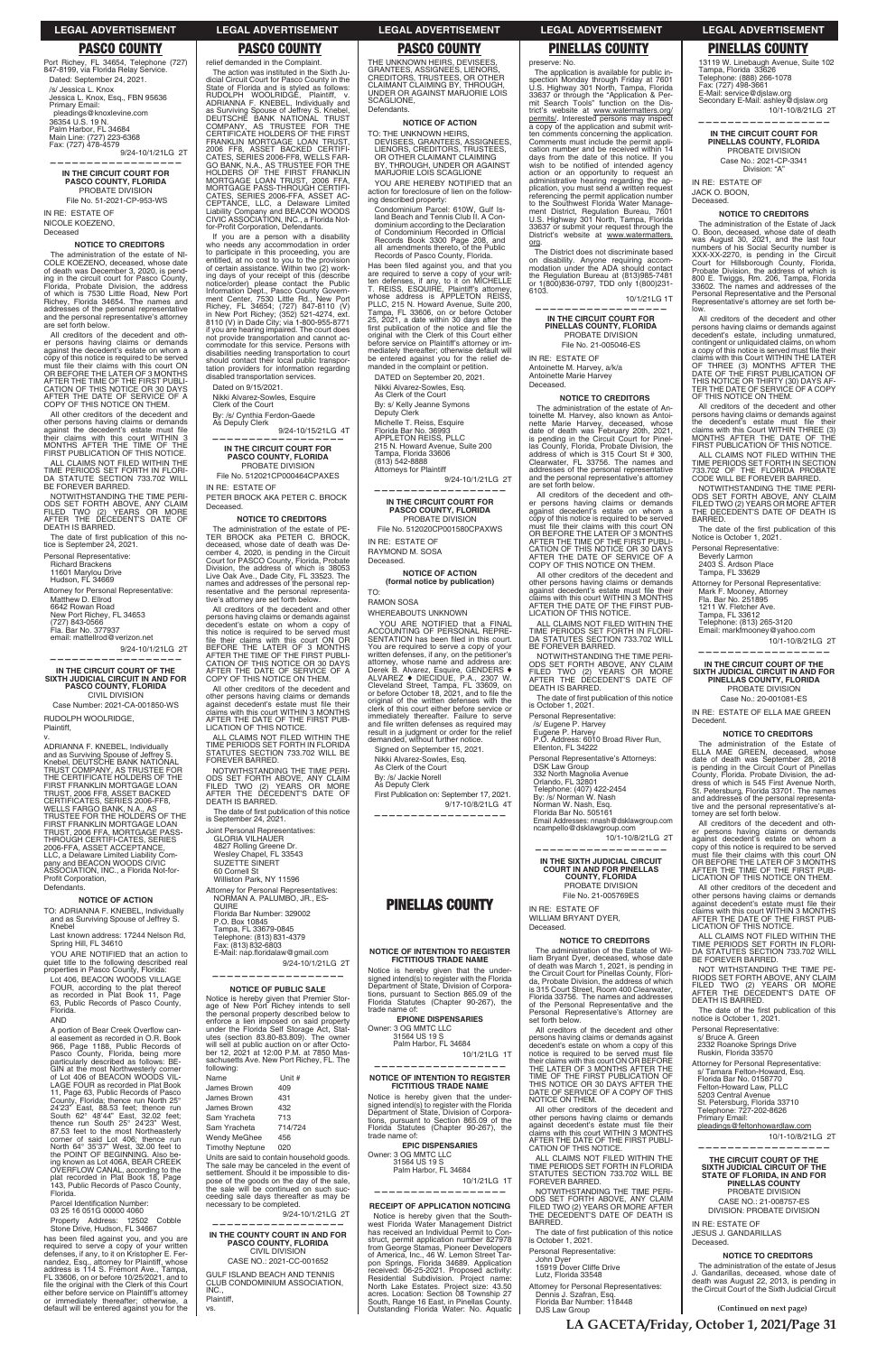Port Richey, FL 34654, Telephone (727)<br>847-8199, via Florida Relay Service. Dated: September 24, 2021. /s/ Jessica L. Knox Jessica L. Knox, Esq., FBN 95636 Primary Email: pleadings@knoxlevine.com 36354 U.S. 19 N. Palm Harbor, FL 34684<br>Main Line: (727) 223-6368<br>Fax: (727) 478-4579 9/24-10/1/21LG 2T

**LA GACETA/Friday, October 1, 2021/Page 31**

# **IN THE CIRCUIT COURT FOR PASCO COUNTY, FLORIDA** PROBATE DIVISION File No. 51-2021-CP-953-WS

**——————————————————**

All creditors of the decedent and other persons having claims or demands against the decedent's estate on whom a<br>copy of this notice is required to be served<br>must file their claims with this court ON OR BEFORE THE LATER OF 3 MONTHS AFTER THE TIME OF THE FIRST PUBLI-CATION OF THIS NOTICE OR 30 DAYS AFTER THE DATE OF SERVICE OF A Y OF THIS NOTICE ON THEM.

IN RE: ESTATE OF NICOLE KOEZENO, Deceased

All other creditors of the decedent and other persons having claims or demands against the decedent's estate must file<br>their claims with this court WITHIN 3<br>MONTHS AFTER THE TIME OF THE<br>FIRST PUBLICATION OF THIS NOTICE.

# **NOTICE TO CREDITORS** The administration of the estate of NI-COLE KOEZENO, deceased, whose date of death was December 3, 2020, is pend-ing in the circuit court for Pasco County, Florida, Probate Division, the address of which is 7530 Little Road, New Port Richey, Florida 34654. The names and addresses of the personal representative and the personal representative's attorney are set forth below.

ALL CLAIMS NOT FILED WITHIN THE TIME PERIODS SET FORTH IN FLORI-<br>DA STATUTE SECTION 733.702 WILL BE FOREVER BARRED.

NOTWITHSTANDING THE TIME PERI-<br>ODS SET FORTH ABOVE, ANY CLAIM<br>FILED TWO (2) YEARS OR MORE<br>AFTER THE DECEDENT'S DATE OF DEATH IS BARRED.

The date of first publication of this no-<br>tice is September 24, 2021.

11601 Marylou Drive<br>Hudson, FL 34669 Attorney for Personal Representative:

Matthew D. Ellrod 6642 Rowan Road New Port Richey, FL 34653 (727) 843-0566 Fla. Bar No. 377937<br>email: mattellrod@verizon.net

9/24-10/1/21LG 2T **——————————————————**

v. ADRIANNA F. KNEBEL, Individually and as Surviving Spouse of Jeffrey S. Knebel, DEUTSCHE BANK NATIONAL TRUST COMPANY, AS TRUSTEE FOR THE CERTIFICATE HOLDERS OF THE FIRST FRANKLIN MORTGAGE LOAN TRUST, 2006 FF8, ASSET BACKED<br>CERTIFICATES, SERIES 2006-FF8,<br>WELLS FARGO BANK, N.A., AS<br>TRUSTEE FOR THE HOLDERS OF THE<br>TRIST FRANKLIN MORTGAGE LOAN TRUST, 2006 FFA, MORTGAGE PASS-<br>THROUGH CERTIFI-CATES, SERIES<br>2006-FFA, ASSET ACCEPTANCE, LLC, a Delaware Limited Liability Com-<br>pany and BEACON WOODS CIVIC<br>ASSOCIATION, INC., a Florida Not-for-Profit Corporation,

Personal Representative: Richard Brackens

A portion of Bear Creek Overflow canal easement as recorded in O.R. Book<br>966, Page 1188, Public Records of Pasco County, Florida, being more<br>particularly described as follows: BE-<br>GIN at the most Northwesterly corner of Lot 406 of BEACON WOODS VIL-<br>LAGE FOUR as recorded in Plat Book<br>11, Page 63, Public Records of Pasco County, Florida; thence run North 25°<br>24'23" East, 88.53 feet; thence run<br>South 62° 48'44" East, 32.02 feet; thence run South 25° 24'23" West,<br>87.53 feet to the most Northeasterly<br>Corner of said Lot 406; thence run<br>North 64° 35'37" West, 32.00 feet to<br>the POINT OF BEGINNING. Also be-<br>ing known as Lot 406A, BEAR CREEK OVERFLOW CANAL, according to the<br>plat recorded in Plat Book 18, Page<br>143, Public Records of Pasco County, Florida.

Parcel Identification Number:<br>03 25 16 051G 00000 4060

# **IN THE CIRCUIT COURT OF THE SIXTH JUDICIAL CIRCUIT IN AND FOR PASCO COUNTY, FLORIDA** CIVIL DIVISION

Case Number: 2021-CA-001850-WS RUDOLPH WOOLRIDGE,

Plaintiff,

has been filed against you, and you are required to serve a copy of your written<br>defenses, if any, to it on Kristopher E. Fer-<br>nandez, Esq., attorney for Plaintiff, whose<br>address is 114 S. Fremont Ave., Tampa,<br>EL 33606, on or before 10/25/2021, and to<br>file the o either before service on Plaintiff's attorney or immediately thereafter; otherwise, a default will be entered against you for the

Defendants.

### **NOTICE OF ACTION**

TO: ADRIANNA F. KNEBEL, Individually and as Surviving Spouse of Jeffrey S. Knebel

Last known address: 17244 Nelson Rd, Spring Hill, FL 34610

YOU ARE NOTIFIED that an action to quiet title to the following described real properties in Pasco County, Florida: Lot 406, BEACON WOODS VILLAGE

for-Profit Corporation, Defendants. If you are a person with a disability who needs any accommodation in order to participate in this proceeding, you are entitled, at no cost to you to the provision<br>of certain assistance. Within two (2) working days of your receipt of this ( ing days of your receipt of this (describe<br>notice/order) please contact the Public<br>Information Dept., Pasco County Govern-<br>ment Center, 7530 Little Rd., New Port<br>Richey, FL 34654; (727) 847-8110 (V)<br>in New Port Richey; (35 disabilities needing transportation to court should contact their local public transportation providers for information regarding disabled transportation services.

Dated on 9/15/2021.

 FOUR, according to the plat thereof as recorded in Plat Book 11, Page 63, Public Records of Pasco County, Florida.

### AND

NOTWITHSTANDING THE TIME PERI-ODS SET FORTH ABOVE, ANY CLAIM<br>FILED TWO (2) YEARS OR MORE<br>AFTER THE DECEDENT'S DATE OF DEATH IS BARRED.

The date of first publication of this notice<br>is September 24, 2021.

60 Cornell St<br>Williston Park, NY 11596 Attorney for Personal Representatives: NORMAN A. PALUMBO, JR., ES-

QUIRE Florida Bar Number: 329002 P.O. Box 10845<br>Tampa, FL 33679-0845

Telephone: (813) 831-4379 Fax: (813) 832-6803

E-Mail: nap.floridalaw@gmail.com 9/24-10/1/21LG 2T

Property Address: 12502 Cobble Stone Drive, Hudson, FL 34667

relief demanded in the Complaint.

The action was instituted in the Sixth Judicial Circuit Court for Pasco County in the State of Florida and is styled as follows:<br>RUDOLPH WOOLRIDGE, Plaintiff, v.<br>ADRIANNA F. KNEBEL, Individually and<br>as Surviving Spouse of Jeffrey S. Knebel,<br>DEUTSCHE BANK NATIONAL TRUST<br>COMPANY, AS TRUSTEE FOR THE FIRST FRANKLIN MORTGAGE LOAN TRUST,<br>2006 FF8, ASSET BACKED CERTIFI-<br>CATES, SERIES 2006-FF8, WELLS FAR-<br>GO BANK, N.A., AS TRUSTEE FOR THE<br>HOLDERS OF THE FIRST FRANKLIN<br>MORTGAGE PASS-THROUGH CERTIFI-<br>MORTGAGE PASS-THROUGH CERTIFI-CATES, SERIES 2006-FFA, ASSET AC-<br>CEPTANCE, LLC, a Delaware Limited<br>Liability Company and BEACON WOODS<br>CIVIC ASSOCIATION, INC., a Florida Not-

THE UNKNOWN HEIRS, DEVISEES,<br>GRANTEES, ASSIGNEES, LIENORS,<br>CREDITORS, TRUSTEES, OR OTHER<br>CLAIMANT CLAIMING BY, THROUGH, UNDER OR AGAINST MARJORIE LOIS SCAGLIONE. Defendants.

YOU ARE HEREBY NOTIFIED that an action for foreclosure of lien on the following described property:

Condominium Parcel: 610W, Gulf Island Beach and Tennis Club II. A Condominium according to the Declaration<br>of Condominium Recorded in Official Records Book 3300 Page 208, and all amendments thereto, of the Public Rec ords of Pasco County, Florida.

Has been filed against you, and that you are required to serve a copy of your written<br>fermedenses, if any, to it on MCHELLE<br>T. REISS, ESQUIRE, Plaintiff's attorney,<br>whose address is APPLETON REISS,<br>PLLC, 215 N. Howard Avenue, Suite 200,<br>Tampa, FL 33606, on or bef first publication of the notice and file the<br>original with the Clerk of this Court either<br>before service on Plaintiff's attorney or immediately thereafter; otherwise default will be entered against you for the relief de-manded in the complaint or petition.

Deputy Clerk Michelle T. Reiss, Esquire

Florida Bar No. 36993 APPLETON REISS, PLLC 215 N. Howard Avenue, Suite 200

Tampa, Florida 33606<br>(813) 542-8888 Attorneys for Plaintiff

9/24-10/1/21LG 2T **——————————————————**

PROBATE DIVISION File No. 512020CP001580CPAXWS

YOU ARE NOTIFIED that a FINAL<br>ACCOUNTING OF PERSONAL REPRE-SENTATION has been filed in this court.<br>You are required to serve a copy of your<br>written defenses, if any, on the petitioner's attorney, whose name and address are:<br>Derek B. Alvarez, Esquire, GENDERS ♦<br>ALVAREZ ♦ DIECIDUE, P.A., 2307 W. Cleveland Street, Tampa, FL 33609, on<br>or before October 18, 2021, and to file the<br>original of the written defenses with the clerk of this court either before service or<br>immediately thereafter. Failure to serve<br>and file written defenses as required may result in a judgment or order for the relief demanded, without further notice.

in to Section 865.09 of the Statutes (Chapter 90-267), the Florida trade name of:

**EPIONE DISPENSARIES** Owner: 3 OG MMTC LLC 31564 US 19 S Palm Harbor, FL 34684

10/1/21LG 1T

Nikki Alvarez-Sowles, Esquire Clerk of the Court

By: /s/ Cynthia Ferdon-Gaede As Deputy Clerk 9/24-10/15/21LG 4T

**—————————————————— IN THE CIRCUIT COURT FOR** 

**PASCO COUNTY, FLORIDA** PROBATE DIVISION File No. 512021CP000464CPAXES

IN RE: ESTATE OF PETER BROCK AKA PETER C. BROCK Deceased.

### **NOTICE TO CREDITORS**

The administration of the estate of PE-TER BROCK aka PETER C. BROCK, deceased, whose date of death was December 4, 2020, is pending in the Circuit Court for PASCO County, Florida, Probate Division, the address of which is 38053 Live Oak Ave., Dade City, FL 33523. The names and addresses of the personal rep-resentative and the personal representative's attorney are set forth below.

All creditors of the decedent and other persons having claims or demands against decedent's estate on whom a copy of this notice is required to be served must<br>file their claims with this court ON OR<br>BEFORE THE LATER OF 3 MONTHS AFTER THE TIME OF THE FIRST PUBLI-CATION OF THIS NOTICE OR 30 DAYS AFTER THE DATE OF SERVICE OF A COPY OF THIS NOTICE ON THEM.

All other creditors of the decedent and other persons having claims or demands against decedent's estate must file their claims with this court WITHIN 3 MONTHS<br>AFTER THE DATE OF THE FIRST PUB-<br>LICATION OF THIS NOTICE.

ALL CLAIMS NOT FILED WITHIN THE TIME PERIODS SET FORTH IN FLORIDA<br>STATUTES SECTION 733.702 WILL BE<br>FOREVER BARRED.

The application is available for public in-<br>spection Monday through Friday at 7601<br>U.S. Highway 301 North, Tampa, Florida<br>33637 or through the "Application & Per-<br>mit Search Tools" function on the Dismit Search Tools" function on the District's website at www.watermatters.org/<br>permits/. Interested persons may inspect<br>a copy of the application and submit written comments concerning the application. Comments must include the permit application number and be received within 14 days from the date of this notice. If you wish to be notified of intended wish to be notified of intended agency<br>action or an opportunity to request an<br>administrative hearing regarding the ap-<br>plication, you must send a written request referencing the permit application number to the Southwest Florida Water Management District, Regulation Bureau, 7601 U.S. Highway 301 North, Tampa, Florida 33637 or submit your request through the District's website at www.watermatters. org.

Joint Personal Representatives: GLORIA VILHAUER 4827 Rolling Greene Dr.<br>Wesley Chapel, FL 33543 SUZETTE SINERT

The date of first publication of this notice is October 1, 2021.

Personal Representative's Attorneys:<br>DSK Law Group<br>332 North Magnolia Avenue Orlando, FL 32801<br>Telephone: (407) 422-2454<br>By: /s/ Norman W. Nash Norman W. Nash, Esq.<br>Florida Bar No. 505161 Email Addresses: nnash@dsklawgroup.com

ncampello@dsklawgroup.com 10/1-10/8/21LG 2T

File No. 21-005769ES IN RE: ESTATE OF

### WILLIAM BRYANT DYER, Deceased. **NOTICE TO CREDITORS**

The administration of the Estate of The administration of the Estate of William Bryant Dyer, deceased, whose date<br>liam Bryant Dyer, deceased, whose date<br>of death was March 1, 2021, is pending in<br>the Circuit Court for Pinellas County, Florida, Probate Division, the address of which is 315 Court Street, Room 400 Clearwater,

**—————————————————— NOTICE OF PUBLIC SALE** Notice is hereby given that Premier Stor-age of New Port Richey intends to sell the personal property described below to<br>enforce a lien imposed on said property<br>under the Florida Self Storage Act, Stat-<br>utes (section 83.80-83.809). The owner will sell at public auction on or after Octo-ber 12, 2021 at 12:00 P.M. at 7850 Massachusetts Ave. New Port Richey, FL. The following: Name Unit # James Brown 409 James Brown 431 James Brown 432 Sam Yracheta 713 Sam Yracheta 714/724 Wendy MeGhee 456 Timothy Neptune 020 Units are said to contain household goods. The sale may be canceled in the event of settlement. Should it be impossible to dis-pose of the goods on the day of the sale, the sale will be continued on such succeeding sale days thereafter as may be necessary to be completed. 9/24-10/1/21LG 2T **—————————————————— IN THE COUNTY COURT IN AND FOR PASCO COUNTY, FLORIDA** CIVIL DIVISION CASE NO.: 2021-CC-001652 GULF ISLAND BEACH AND TENNIS<br>CLUB CONDOMINIUM ASSOCIATION, INC. **Plaintiff** vs.

ALL CLAIMS NOT FILED WITHIN THE<br>TIME PERIODS SET FORTH IN FLORIDA STATUTES SECTION 733.702 WILL BE FOREVER BARRED.

NOTWITHSTANDING THE TIME PERI-<br>ODS SET FORTH ABOVE, ANY CLAIM<br>FILED TWO (2) YEARS OR MORE AFTER DECEDENT'S DATE OF DEATH IS BARRED.

The date of first publication of this notice is October 1, 2021.

Attorney for Personal Representatives: Dennis J. Szafran, Esq. Florida Bar Number: 118448 DJS Law Group

Tampa, Florida 33626 Telephone: (888) 266-1078 Fax: (727) 498-3661

**—————————————————— IN THE CIRCUIT COURT FOR PINELLAS COUNTY, FLORIDA** PROBATE DIVISION Case No.: 2021-CP-3341 Division: "A"

# **NOTICE OF ACTION**

TO: THE UNKNOWN HEIRS, DEVISEES, GRANTEES, ÁSSIGNEES,<br>LIENORS, CREDITORS, TRUSTEES,<br>OR OTHER CLAIMANT CLAIMING BY, THROUGH, UNDER OR AGAINST MARJORIE LOIS SCAGLIONE

> All creditors of the decedent and other persons having claims or demands against<br>the decedent's estate must file their claims with this Court WITHIN THREE (3)<br>MONTHS AFTER THE DATE OF THE<br>FIRST PUBLICATION OF THIS NOTICE. ALL CLAIMS NOT FILED WITHIN THE TIME PERIODS SET FORTH IN SECTION<br>733.702 OF THE FLORIDA PROBATE<br>CODE WILL BE FOREVER BARRED. NOTWITHSTANDING THE TIME PERI-ODS SET FORTH ABOVE, ANY CLAIM<br>FILED TWO (2) YEARS OR MORE AFTER<br>THE DECEDENT'S DATE OF DEATH IS

> The date of the first publication of this<br>Notice is October 1, 2021.

Personal Representative: Beverly Larmon<br>2403 S. Ardson Place<br>Tampa, FL 33629

Fla. Bar No. 251895<br>1211 W. Fletcher Ave.<br>Tampa, FL 33612 Telephone: (813) 265-3120 Email: markfmooney@yahoo.com

**—————————————————— IN THE CIRCUIT COURT OF THE SIXTH JUDICIAL CIRCUIT IN AND FOR PINELLAS COUNTY, FLORIDA** PROBATE DIVISION Case No.: 20-001081-ES IN RE: ESTATE OF ELLA MAE GREEN

**NOTICE TO CREDITORS** The administration of the Estate of ELLA MAE GREEN, deceased, whose

date of death was September 28, 2018 is pending in the Circuit Court of Pinellas County, Florida. Probate Division, the ad-<br>dress of which is 545 First Avenue North,<br>St. Petersburg, Florida 33701. The names

DATED on September 20, 2021. Nikki Alvarez-Sowles, Esq. As Clerk of the Court

By: s/ Kelly Jeanne Symons

NOT WITHSTANDING THE TIME PE-<br>RIODS SET FORTH ABOVE, ANY CLAIM<br>FILED TWO (2) YEARS OR MORE<br>AFTER THE DECEDENT'S DATE OF DEATH IS BARRED.

The date of the first publication of this notice is October 1, 2021.

Personal Representative: s/ Bruce A. Green<br>2332 Roanoke Springs Drive<br>Ruskin, Florida 33570

### **IN THE CIRCUIT COURT FOR PASCO COUNTY, FLORIDA**

# **THE CIRCUIT COURT OF THE SIXTH JUDICIAL CIRCUIT OF THE STATE OF FLORIDA, IN AND FOR PINELLAS COUNTY** PROBATE DIVISION

IN RE: ESTATE OF RAYMOND M. SOSA Deceased.

# **NOTICE OF ACTION**

# **(formal notice by publication)**

TO:

RAMON SOSA

WHEREABOUTS UNKNOWN

The administration of the estate of Jesus J. Gandarillas, deceased, whose date of<br>death was August 22, 2013, is pending in<br>the Circuit Court of the Sixth Judicial Circuit

Signed on September 15, 2021.

Nikki Alvarez-Sowles, Esq. As Clerk of the Court

By: /s/ Jackie Norell

As Deputy Clerk

First Publication on: September 17, 2021. 9/17-10/8/21LG 4T **——————————————————**

# **PINELLAS COUNTY**

# **NOTICE OF INTENTION TO REGISTER FICTITIOUS TRADE NAME**

Notice is hereby given that the under-<br>signed intend(s) to register with the Florida<br>Department of State, Division of Corporations, pursuant to Section 865.09

# **—————————————————— NOTICE OF INTENTION TO REGISTER FICTITIOUS TRADE NAME**

Notice is hereby given that the under-<br>signed intend(s) to register with the Florida<br>Department of State, Division of Corporations, pursuant to Section 865.09 of the<br>Florida Statutes (Chapter 90-267), the<br>trade name of:

**EPIC DISPENSARIES** 

Owner: 3 OG MMTC LLC 31564 US 19 S Palm Harbor, FL 34684

10/1/21LG 1T

# **—————————————————— RECEIPT OF APPLICATION NOTICING**

Notice is hereby given that the South-<br>west Florida Water Management District<br>has received an Individual Permit to Construct, permit application number 827978<br>from George Stamas, Pioneer Developers<br>of America, Inc., 46 W. Lemon Street Tarof America, Inc., 46 W. Lemon Street Tar-<br>pon Springs, Florida 34689. Application<br>received: 06-25-2021. Proposed activity:<br>Residential Subdivision. Project name: North Lake Estates. Project size: 43.50 acres. Location: Section 08 Township 27 South, Range 16 East, in Pinellas County. Outstanding Florida Water: No. Aquatic

# preserve: No.

The District does not discriminate based on disability. Anyone requiring accom-modation under the ADA should contact the Regulation Bureau at (813)985-7481<br>or 1(800)836-0797, TDD only 1(800)231-6103.

**——————————————————**

10/1/21LG 1T

13119 W. Linebaugh Avenue, Suite 102

# **IN THE CIRCUIT COURT FOR PINELLAS COUNTY, FLORIDA** PROBATE DIVISION File No. 21-005046-ES

IN RE: ESTATE OF Antoinette M. Harvey, a/k/a Antoinette Marie Harvey

Deceased. **NOTICE TO CREDITORS**

The administration of the estate of An-toinette M. Harvey, also known as Antoinette Marie Harvey, deceased, whose date of death was February 20th, 2021, is pending in the Circuit Court for Pinellas County, Florida, Probate Division, the address of which is 315 Court St # 300, Clearwater, FL 33756. The names and addresses of the personal representative and the personal representative's attorney are set forth below.

All creditors of the decedent and other persons having claims or demands against decedent's estate on whom a copy of this notice is required to be served must file their claims with this court ON<br>OR BEFORE THE LATER OF 3 MONTHS<br>AFTER THE TIME OF THE FIRST PUBLI-CATION OF THIS NOTICE OR 30 DAYS AFTER THE DATE OF SERVICE OF A COPY OF THIS NOTICE ON THEM.

All other creditors of the decedent and other persons having claims or demands<br>against decedent's estate must file their<br>claims with this court WITHIN 3 MONTHS AFTER THE DATE OF THE FIRST PUB-LICATION OF THIS NOTICE.

ALL CLAIMS NOT FILED WITHIN THE<br>TIME PERIODS SET FORTH IN FLORI-DA STATUTES SECTION 733.702 WILL<br>BE FOREVER BARRED.

NOTWITHSTANDING THE TIME PERI-<br>ODS SET FORTH ABOVE, ANY CLAIM<br>FILED TWO (2) YEARS OR MORE<br>AFTER THE DECEDENT'S DATE OF<br>DEATH IS BARRED.

Personal Representative:

/s/ Eugene P. Harvey Eugene P. Harvey P.O. Address: 6010 Broad River Run, Ellenton, FL 34222

**—————————————————— IN THE SIXTH JUDICIAL CIRCUIT** 

**COURT IN AND FOR PINELLAS COUNTY, FLORIDA** PROBATE DIVISION

Florida 33756. The names and addresses of the Personal Representative and the Personal Representative's Attorney are set forth below.

All creditors of the decedent and other persons having claims or demands against decedent's estate on whom a copy of this notice is required to be served must file their claims with this court ON OR BEFORE THE LATER OF 3 MONTHS AFTER THE TIME OF THE FIRST PUBLICATION OF THIS NOTICE OR 30 DAYS AFTER THE DATE OF SERVICE OF A COPY OF THIS NOTICE ON THEM.

All other creditors of the decedent and other persons having claims or demands against decedent's estate must file their<br>claims with this court WITHIN 3 MONTHS<br>AFTER THE DATE OF THE FIRST PUBLI-CATION OF THIS NOTICE.

Personal Representative:

John Dyer<br>15919 Dover Cliffe Drive<br>Lutz, Florida 33548

E-Mail: service@djslaw.org Secondary E-Mail: ashley@djslaw.org

IN RE: ESTATE OF JACK O. BOON, Deceased.

**NOTICE TO CREDITORS** The administration of the Estate of Jack O. Boon, deceased, whose date of death was August 30, 2021, and the last four

numbers of his Social Security number is XXX-XX-2270, is pending in the Circuit Court for Hillsborough County, Florida,

Probate Division, the address of which is 800 E. Twiggs, Rm. 206, Tampa, Florida 33602. The names and addresses of the Personal Representative and the Personal Representative's attorney are set forth be-

low.

All creditors of the decedent and other persons having claims or demands against decedent's estate, including unmatured, contingent or unliquidated claims, on whom

a copy of this notice is served must file their<br>claims with this Court WITHIN THE LATER<br>OF THREE (3) MONTHS AFTER THE<br>DATE OF THE FIRST PUBLICATION OF<br>THR NHE DATE OF SERVICE OF A COPY

OF THIS NOTICE ON THEM.

10/1-10/8/21LG 2T

BARRED.

Attorney for Personal Representative: Mark F. Mooney, Attorney

Decedent.

and addresses of the personal representa-tive and the personal representative's at-torney are set forth below. All creditors of the decedent and other persons having claims or demands against decedent's estate on whom a copy of this notice is required to be served

must file their claims with this court ON<br>OR BEFORE THE LATER OF 3 MONTHS<br>AFTER THE TIME OF THE FIRST PUB-LICATION OF THIS NOTICE ON THEM. All other creditors of the decedent and<br>other persons having claims or demands<br>against decedent's estate must file their

claims with this court WITHIN 3 MONTHS<br>AFTER THE DATE OF THE FIRST PUB-<br>LICATION OF THIS NOTICE. ALL CLAIMS NOT FILED WITHIN THE TIME PERIODS SET FORTH IN FLORI-<br>DA STATUTES SECTION 733.702 WILL<br>BE FOREVER BARRED. NOT WITHSTANDING THE TIME

10/1-10/8/21LG 2T

2018

Attorney for Personal Representative: s/ Tamara Felton-Howard, Esq. Florida Bar No. 0158770 Felton-Howard Law, PLLC 5203 Central Avenue St. Petersburg, Florida 33710 Telephone: 727-202-8626 Primary Email: pleadings@feltonhowardlaw.com

10/1-10/8/21LG 2T

**——————————————————**

CASE NO.: 21-008757-ES DIVISION: PROBATE DIVISION

IN RE: ESTATE OF JESUS J. GANDARILLAS Deceased.

### **NOTICE TO CREDITORS**

# **LEGAL ADVERTISEMENT LEGAL ADVERTISEMENT LEGAL ADVERTISEMENT LEGAL ADVERTISEMENT LEGAL ADVERTISEMENT**

# **PASCO COUNTY PASCO COUNTY PASCO COUNTY PINELLAS COUNTY PINELLAS COUNTY**

**(Continued on next page)**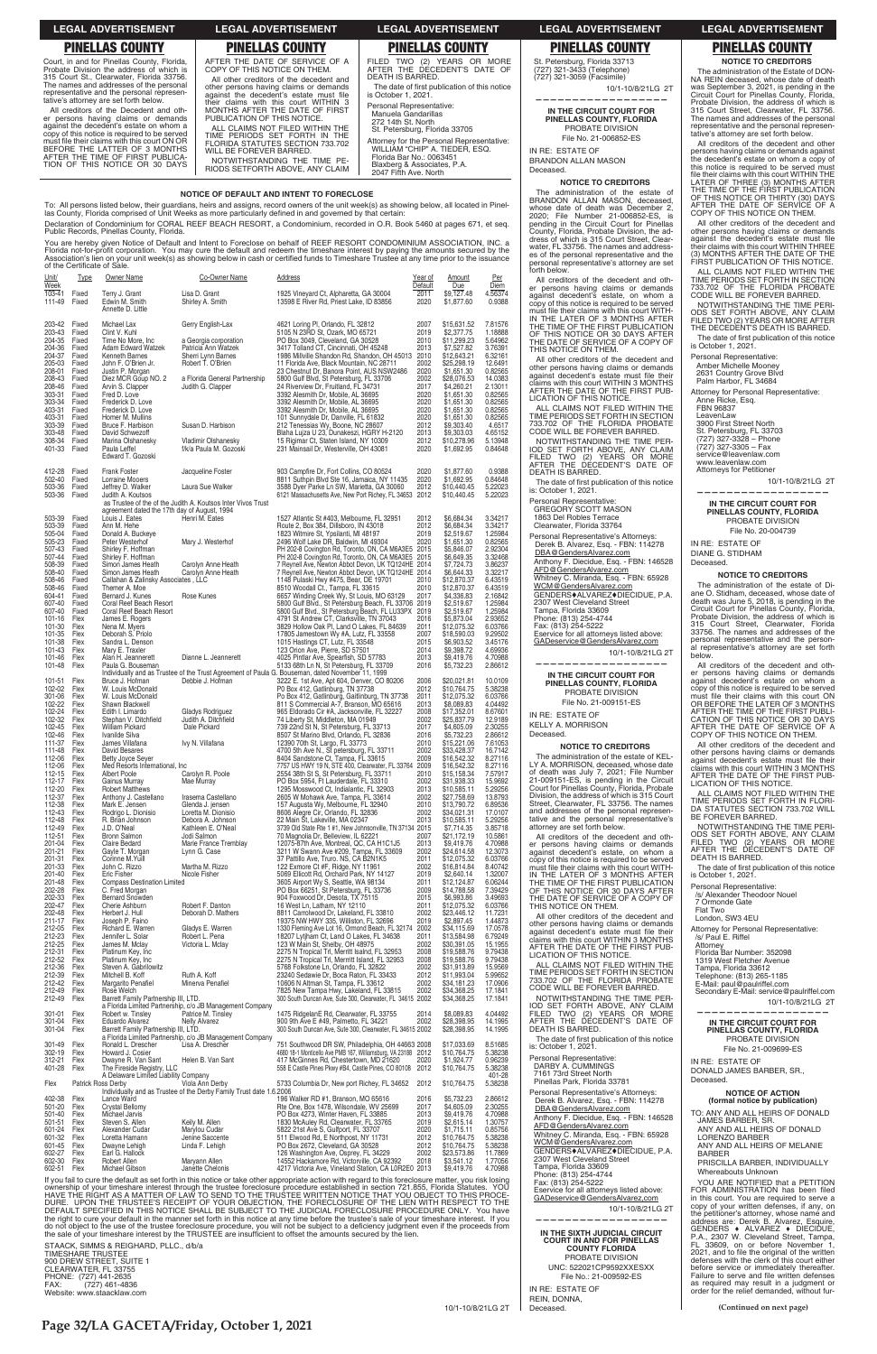| <b>LEGAL ADVERTISEMENT</b>                                                                                                                                                                                                                                                                                                                                                                                                                                                                                                                                                                                | <b>LEGAL ADVERTISEMENT</b>                                                                                                                                                                                                                                                                                                                                                                                                                                                                                     | <b>LEGAL ADVERTISEMENT</b>                                                                                                                                                                                                                                                                                                                                                                                                          | <b>LEGAL ADVERTISEMENT</b>                                                                                                                                                                                                                                                         | <b>LEGAL ADVERTISEMENT</b>                                                                                                                                                                                                                                                                                                                                                                                                                                                                                                                                                                                                                                      |
|-----------------------------------------------------------------------------------------------------------------------------------------------------------------------------------------------------------------------------------------------------------------------------------------------------------------------------------------------------------------------------------------------------------------------------------------------------------------------------------------------------------------------------------------------------------------------------------------------------------|----------------------------------------------------------------------------------------------------------------------------------------------------------------------------------------------------------------------------------------------------------------------------------------------------------------------------------------------------------------------------------------------------------------------------------------------------------------------------------------------------------------|-------------------------------------------------------------------------------------------------------------------------------------------------------------------------------------------------------------------------------------------------------------------------------------------------------------------------------------------------------------------------------------------------------------------------------------|------------------------------------------------------------------------------------------------------------------------------------------------------------------------------------------------------------------------------------------------------------------------------------|-----------------------------------------------------------------------------------------------------------------------------------------------------------------------------------------------------------------------------------------------------------------------------------------------------------------------------------------------------------------------------------------------------------------------------------------------------------------------------------------------------------------------------------------------------------------------------------------------------------------------------------------------------------------|
| <b>PINELLAS COUNTY</b>                                                                                                                                                                                                                                                                                                                                                                                                                                                                                                                                                                                    | <b>PINELLAS COUNTY</b>                                                                                                                                                                                                                                                                                                                                                                                                                                                                                         | <b>PINELLAS COUNTY</b>                                                                                                                                                                                                                                                                                                                                                                                                              | <b>PINELLAS COUNTY</b>                                                                                                                                                                                                                                                             | <b>PINELLAS COUNTY</b>                                                                                                                                                                                                                                                                                                                                                                                                                                                                                                                                                                                                                                          |
| Court, in and for Pinellas County, Florida,<br>Probate Division the address of which is<br>315 Court St., Clearwater, Florida 33756.<br>The names and addresses of the personal<br>representative and the personal represen-<br>tative's attorney are set forth below.<br>All creditors of the Decedent and oth-<br>er persons having claims or demands<br>against the decedent's estate on whom a<br>copy of this notice is required to be served<br>must file their claims with this court ON OR<br>BEFORE THE LATTER OF 3 MONTHS<br>AFTER THE TIME OF FIRST PUBLICA-<br>TION OF THIS NOTICE OR 30 DAYS | AFTER THE DATE OF SERVICE OF A<br>COPY OF THIS NOTICE ON THEM.<br>All other creditors of the decedent and<br>other persons having claims or demands<br>against the decedent's estate must file<br>their claims with this court WITHIN 3<br>MONTHS AFTER THE DATE OF FIRST<br>PUBLICATION OF THIS NOTICE.<br>ALL CLAIMS NOT FILED WITHIN THE<br>TIME PERIODS SET FORTH IN THE<br>FLORIDA STATUTES SECTION 733.702<br>WILL BE FOREVER BARRED.<br>NOTWITHSTANDING THE TIME PE-<br>RIODS SETFORTH ABOVE, ANY CLAIM | FILED TWO (2) YEARS OR MORE<br>AFTER THE DECEDENT'S DATE OF<br>DEATH IS BARRED.<br>The date of first publication of this notice<br>is October 1, 2021.<br>Personal Representative:<br>Manuela Gandarillas<br>272 14th St. North<br>St. Petersburg, Florida 33705<br>Attorney for the Personal Representative:<br>WILLIAM "CHIP" A. TIEDER. ESQ.<br>Florida Bar No.: 0063451<br>Blaxberg & Associates, P.A.<br>2047 Fifth Ave. North | St. Petersburg, Florida 33713<br>(727) 321-3433 (Telephone)<br>(727) 321-3059 (Facsimile)<br>10/1-10/8/21LG 2T<br>IN THE CIRCUIT COURT FOR<br>PINELLAS COUNTY. FLORIDA<br>PROBATE DIVISION<br>File No. 21-006852-ES<br>IN RE: ESTATE OF<br><b>BRANDON ALLAN MASON</b><br>Deceased. | <b>NOTICE TO CREDITORS</b><br>The administration of the Estate of DON-<br>NA REIN deceased, whose date of death<br>was September 3, 2021, is pending in the<br>Circuit Court for Pinellas County, Florida<br>Probate Division, the address of which is<br>315 Court Street, Clearwater, FL 33756<br>The names and addresses of the persona<br>representative and the personal represen-<br>tative's attorney are set forth below.<br>All creditors of the decedent and other<br>persons having claims or demands agains<br>the decedent's estate on whom a copy of<br>this notice is required to be served must<br>file their claims with this court WITHIN THE |
| NOTICE OF DEFAULT AND INTENT TO FORECLOSE                                                                                                                                                                                                                                                                                                                                                                                                                                                                                                                                                                 |                                                                                                                                                                                                                                                                                                                                                                                                                                                                                                                |                                                                                                                                                                                                                                                                                                                                                                                                                                     | <b>NOTICE TO CREDITORS</b><br>The administration of the estate of<br>BRANDON ALLAN MASON, deceased.                                                                                                                                                                                | LATER OF THREE (3) MONTHS AFTEF<br>THE TIME OF THE FIRST PUBLICATION<br>OF THIS NOTICE OR THIRTY (30) DAYS                                                                                                                                                                                                                                                                                                                                                                                                                                                                                                                                                      |

To: All persons listed below, their guardians, heirs and assigns, record owners of the unit week(s) as showing below, all located in Pinel-<br>las County, Florida comprised of Unit Weeks as more particularly defined in and go Declaration of Condominium for CORAL REEF BEACH RESORT, a Condominium, recorded in O.R. Book 5460 at pages 671, et seg. Public Records. Pinellas County. Florida

You are hereby given Notice of Default and Intent to Foreclose on behalf of REEF RESORT CONDOMINIUM ASSOCIATION, INC. a Florida not-for-profit corporation. You may cure the default and redeem the timeshare interest by paying the amounts secured by the Association's lien on your unit week(s) as showing below in cash or certified funds to Tim of the Certificate of Sale

| Unit/<br>Week    | <b>Type</b>        | <b>Owner Name</b>                                              | Co-Owner Name                                                                          | Address                                                                                                                                                                                                     | Year of<br>Default | <u>Amount</u><br>Due       | <u>Per</u><br>Diem |
|------------------|--------------------|----------------------------------------------------------------|----------------------------------------------------------------------------------------|-------------------------------------------------------------------------------------------------------------------------------------------------------------------------------------------------------------|--------------------|----------------------------|--------------------|
| 103-41           | Fixed              | Terry J. Grant                                                 | Lisa D. Grant                                                                          | 1925 Vineyard Ct, Alpharetta, GA 30004                                                                                                                                                                      | 2011               | \$9,127.48                 | 4.56374            |
| 111-49           | Fixed              | Edwin M. Smith<br>Annette D. Little                            | Shirley A. Smith                                                                       | 13598 E River Rd, Priest Lake, ID 83856                                                                                                                                                                     | 2020               | \$1.877.60                 | 0.9388             |
|                  |                    |                                                                |                                                                                        |                                                                                                                                                                                                             |                    |                            |                    |
| 203-42<br>203-43 | Fixed<br>Fixed     | Michael Lax<br>Clint V. Kuhl                                   | Gerry English-Lax                                                                      | 4621 Loring PI, Orlando, FL 32812<br>5105 N 23RD St, Ozark, MO 65721                                                                                                                                        | 2007<br>2019       | \$15,631.52<br>\$2,377.75  | 7.81576<br>1.18888 |
| 204-35<br>204-36 | Fixed<br>Fixed     | Time No More, Inc<br><b>Adam Edward Watzek</b>                 | a Georgia corporation<br>Patricia Ann Watzek                                           | PO Box 3049, Cleveland, GA 30528<br>3417 Tolland CT, Cincinnati, OH 45248                                                                                                                                   | 2010<br>2013       | \$11,299.23<br>\$7,527.82  | 5.64962<br>3.76391 |
| 204-37           | Fixed              | Kenneth Barnes                                                 | Sherri Lynn Barnes                                                                     | 1986 Millville Shandon Rd, Shandon, OH 45013 2010                                                                                                                                                           |                    | \$12,643.21                | 6.32161            |
| 205-03<br>208-01 | Fixed<br>Fixed     | John F. O'Brien Jr.<br>Justin P. Morgan                        | Robert T. O'Brien                                                                      | 11 Florida Ave, Black Mountain, NC 28711<br>23 Chestnut Dr, Banora Point, AUS NSW2486                                                                                                                       | 2002<br>2020       | \$25,298.19<br>\$1,651.30  | 12.6491<br>0.82565 |
| 208-43           | Fixed              | Diez MCR Goup NO. 2                                            | a Florida General Partnership                                                          | 5800 Gulf Blvd, St Petersburg, FL 33706                                                                                                                                                                     | 2002               | \$28,076.53                | 14.0383            |
| 208-46<br>303-31 | Fixed<br>Fixed     | Arvin S. Clapper<br>Fred D. Love                               | Judith G. Clapper                                                                      | 24 Riverview Dr, Fruitland, FL 34731<br>3392 Alesmith Dr, Mobile, AL 36695                                                                                                                                  | 2017<br>2020       | \$4,260.21<br>\$1,651.30   | 2.13011<br>0.82565 |
| 303-34           | Fixed              | Frederick D. Love                                              |                                                                                        | 3392 Alesmith Dr, Mobile, AL 36695                                                                                                                                                                          | 2020               | \$1,651.30                 | 0.82565            |
| 403-31<br>403-31 | Fixed<br>Fixed     | Frederick D. Love<br>Homer M. Mullins                          |                                                                                        | 3392 Alesmith Dr, Mobile, AL 36695<br>101 Sunnydale Dr, Danville, FL 61832                                                                                                                                  | 2020<br>2020       | \$1,651.30<br>\$1,651.30   | 0.82565<br>0.82565 |
| 303-39<br>303-48 | Fixed<br>Fixed     | Bruce F. Harbison                                              | Susan D. Harbison                                                                      | 212 Tenessias Wy, Boone, NC 28607                                                                                                                                                                           | 2012<br>2013       | \$9,303.40                 | 4.6517             |
| 308-34           | Fixed              | David Schwezoff<br>Marina Olshanesky                           | Vladimir Olshanesky                                                                    | Blaha Lujza U 23, Dunakeszi, HGRY H-2120<br>15 Rigimar Ct, Staten Island, NY 10309                                                                                                                          | 2012               | \$9,303.03<br>\$10,278.96  | 4.65152<br>5.13948 |
| 401-33           | Fixed              | Paula Leffel<br>Edward T. Gozoski                              | f/k/a Paula M. Gozoski                                                                 | 231 Mainsail Dr, Westerville, OH 43081                                                                                                                                                                      | 2020               | \$1,692.95                 | 0.84648            |
|                  | Fixed              | <b>Frank Foster</b>                                            |                                                                                        |                                                                                                                                                                                                             |                    |                            |                    |
| 412-28<br>502-40 | Fixed              | Lorraine Mooers                                                | Jacqueline Foster                                                                      | 903 Campfire Dr, Fort Collins, CO 80524<br>8811 Suthpin Blvd Ste 16, Jamaica, NY 11435                                                                                                                      | 2020<br>2020       | \$1,877.60<br>\$1,692.95   | 0.9388<br>0.84648  |
| 503-36<br>503-36 | Fixed<br>Fixed     | Jeffrey D. Walker<br>Judith A. Koutsos                         | Laura Sue Walker                                                                       | 3588 Dyer Parke Ln SW, Marietta, GA 30060<br>6121 Massachusetts Ave, New Port Richey, FL 34653 2012                                                                                                         | 2012               | \$10,440.45<br>\$10,440.45 | 5.22023<br>5.22023 |
|                  |                    |                                                                | as Trustee of the of the Judith A. Koutsos Inter Vivos Trust                           |                                                                                                                                                                                                             |                    |                            |                    |
| 503-39           | Fixed              | agreement dated the 17th day of August, 1994<br>Louis J. Eates | Henri M. Eates                                                                         | 1527 Atlantic St #403, Melbourne, FL 32951                                                                                                                                                                  | 2012               | \$6,684.34                 | 3.34217            |
| 503-39           | Fixed              | Ann M. Hehe                                                    |                                                                                        | Route 2, Box 384, Dillsboro, IN 43018                                                                                                                                                                       | 2012               | \$6,684.34                 | 3.34217            |
| 505-04<br>505-23 | Fixed<br>Fixed     | Donald A. Buckeye<br>Peter Westerhof                           | Mary J. Westerhof                                                                      | 1823 Witmire St, Ypsilanti, MI 48197<br>2496 Wolf Lake DR, Baldwin, MI 49304                                                                                                                                | 2019<br>2020       | \$2,519.67<br>\$1,651.30   | 1.25984<br>0.82565 |
| 507-43<br>507-44 | Fixed<br>Fixed     | Shirley F. Hoffman                                             |                                                                                        | PH 202-8 Covington Rd, Toronto, ON, CA M6A3E5 2015<br>PH 202-8 Covington Rd, Toronto, ON, CA M6A3E5 2015                                                                                                    |                    | \$5,846.07<br>\$6,649.35   | 2.92304<br>3.32468 |
| 508-39           | Fixed              | Shirley F. Hoffman<br>Simon James Heath                        | Carolyn Anne Heath                                                                     | 7 Reynell Ave, Newton Abbot Devon, UK TQ124HE 2014                                                                                                                                                          |                    | \$7,724.73                 | 3.86237            |
| 508-40<br>508-46 | Fixed<br>Fixed     | Simon James Heath<br>Callahan & Zalinsky Associates, LLC       | Carolyn Anne Heath                                                                     | 7 Reynell Ave, Newton Abbot Devon, UK TQ124HE 2014<br>1148 Pulaski Hwy #475, Bear, DE 19701                                                                                                                 | 2010               | \$6,644.33<br>\$12,870.37  | 3.32217<br>6.43519 |
| 508-46           | Fixed              | Themer A. Moe                                                  |                                                                                        | 8510 Woodall Ct., Tampa, FL 33615                                                                                                                                                                           | 2010               | \$12,870.37                | 6.43519            |
| 604-41<br>607-40 | Fixed<br>Fixed     | Bernard J. Kunes<br>Coral Reef Beach Resort                    | Rose Kunes                                                                             | 6657 Winding Creek Wy, St Louis, MO 63129<br>5800 Gulf Blvd., St Petersburg Beach, FL 33706 2019                                                                                                            | 2017               | \$4,336.83<br>\$2,519.67   | 2.16842<br>1.25984 |
| 607-40           | Fixed              | Coral Reef Beach Resort                                        |                                                                                        | 5800 Gulf Blvd., St Petersburg Beach, FL LU33PX 2019                                                                                                                                                        |                    | \$2,519.67                 | 1.25984            |
| 101-16<br>101-30 | Flex<br>Flex       | James E. Rogers<br>Nena M. Myers                               |                                                                                        | 4791 St Andrew CT, Clarksville, TN 37043<br>3829 Hollow Oak PI, Land O Lakes, FL 84639                                                                                                                      | 2016<br>2011       | \$5,873.04<br>\$12,075.32  | 2.93652<br>6.03766 |
| 101-35           | Flex               | Deborah S. Priolo                                              |                                                                                        | 17805 Jamestown Wy #A, Lutz, FL 33558                                                                                                                                                                       | 2007               | \$18,590.03                | 9.29502            |
| 101-38<br>101-43 | Flex<br>Flex       | Sandra L. Denson<br>Mary E. Traxler                            |                                                                                        | 1015 Hastings CT, Lutz, FL 33548<br>123 Orion Ave, Pierre, SD 57501                                                                                                                                         | 2015<br>2014       | \$6,903.52<br>\$9,398.72   | 3.45176<br>4.69936 |
| 101-46<br>101-48 | Flex<br>Flex       | Alan H. Jeannerett<br>Paula G. Bouseman                        | Dianne L. Jeannerett                                                                   | 4025 Pintlar Ave, Spearfish, SD 57783<br>5133 68th Ln N, St Petersburg, FL 33709                                                                                                                            | 2013<br>2016       | \$9,419.76<br>\$5,732.23   | 4.70988<br>2.86612 |
|                  |                    |                                                                |                                                                                        | Individually and as Trustee of the Trust Agreement of Paula G. Bouseman, dated November 11, 1999                                                                                                            |                    |                            |                    |
| 101-51<br>102-02 | Flex<br>Flex       | Bruce J. Hofman<br>W. Louis McDonald                           | Debbie J. Hofman                                                                       | 3222 E. 1st Ave, Apt 604, Denver, CO 80206<br>P0 Box 412, Gatlinburg, TN 37738                                                                                                                              | 2006<br>2012       | \$20,021.81<br>\$10,764.75 | 10.0109<br>5.38238 |
| 301-06           | Flex               | W. Louis McDonald                                              |                                                                                        | Po Box 412, Gatlinburg, Gaitlinburg, TN 37738                                                                                                                                                               | 2011               | \$12,075.32                | 6.03766            |
| 102-22<br>102-24 | Flex<br>Flex       | Shawn Blackwell<br>Edith I. Limardo                            | Gladys Rodriguez                                                                       | 811 S Commercial A-7, Branson, MO 65616<br>965 Eldorado Cir #A, Jacksonville, FL 32227                                                                                                                      | 2013<br>2008       | \$8,089.83<br>\$17,352.01  | 4.04492<br>8.67601 |
| 102-32           | Flex               | Stephan V. Ditchfield                                          | Judith A. Ditchfield                                                                   | 74 Liberty St, Middleton, MA 01949                                                                                                                                                                          | 2002               | \$25,837.79                | 12.9189            |
| 102-45<br>102-46 | Flex<br>Flex       | William Pickard<br>Ivanilde Silva                              | Dale Pickard                                                                           | 739 22nd St N, St Petersburg, FL 33713<br>8507 St Marino Blvd, Orlando, FL 32836                                                                                                                            | 2017<br>2016       | \$4,605.09<br>\$5,732.23   | 2.30255<br>2.86612 |
| 111-37<br>111-48 | Flex<br>Flex       | James Villafana<br>David Besares                               | Ivy N. Villafana                                                                       | 12390 70th St, Largo, FL 33773<br>4700 5th Ave N., St petersburg, FL 33711                                                                                                                                  | 2010<br>2002       | \$15,221.06<br>\$33,428.37 | 7.61053<br>16.7142 |
| 112-06           | Flex               | Betty Joyce Seyer                                              |                                                                                        | 8404 Sandstone Ct, Tampa, FL 33615                                                                                                                                                                          | 2009               | \$16,542.32                | 8.27116            |
| 112-06<br>112-15 | Flex<br>Flex       | Med Resorts International, Inc.<br><b>Albert Poole</b>         | Carolyn R. Poole                                                                       | 7757 US HWY 19 N, STE 400, Clearwater, FL 33764 2009<br>2554 38th St S, St Petersburg, FL 33711                                                                                                             | 2010               | \$16,542.32<br>\$15,158.34 | 8.27116<br>7.57917 |
| 112-17           | Flex               | Gainus Murray                                                  | Mae Murray                                                                             | PO Box 5954, Ft Lauderdale, FL 33310                                                                                                                                                                        | 2002               | \$31,938.33                | 15.9692            |
| 112-20<br>112-37 | Flex<br>Flex       | <b>Robert Matthews</b><br>Anthony J. Castellano                | Irasema Castellano                                                                     | 1295 Mosswood Ct, Indialantic, FL 32903<br>2605 W Mohawk Ave, Tampa, FL 33614                                                                                                                               | 2013<br>2002       | \$10,585.11<br>\$27,758.69 | 5.29256<br>13.8793 |
| 112-38           | Flex               | Mark E. Jensen                                                 | Glenda J. jensen                                                                       | 157 Augusta Wy, Melbourne, FL 32940                                                                                                                                                                         | 2010               | \$13,790.72                | 6.89536            |
| 112-43<br>112-48 | Flex<br>Flex       | Rodrigo L. Dionisio<br>R. Brian Johnson                        | Loretta M. Dionisio<br>Debora A. Johnson                                               | 8606 Alegre Cir, Orlando, FL 32836<br>22 Main St, Lakeville, MA 02347                                                                                                                                       | 2002<br>2013       | \$34,021.31<br>\$10,585.11 | 17.0107<br>5.29256 |
| 112-49<br>112-51 | Flex<br>Flex       | J.D. O'Neal<br><b>Bronn Salmon</b>                             | Kathleen E. O'Neal<br>Jodi Salmon                                                      | 3739 Old State Rte 1 #1, New Johnsonville, TN 37134 2015<br>70 Magnolia Dr. Belleview. IL 62221                                                                                                             | 2007               | \$7,714.35<br>\$21.172.19  | 3.85718<br>10.5861 |
| 201-04           | Flex               | Claire Bedard                                                  | Marie France Tremblay                                                                  | 12075-87th Ave, Montreal, QC, CA H1C1J5                                                                                                                                                                     | 2013               | \$9,419.76                 | 4.70988            |
| 201-21<br>201-31 | Flex<br>Flex       | Gayle T. Morgan<br>Corinne M.Yuill                             | Lynn G. Case                                                                           | 3211 W Swann Ave #209, Tampa, FL 33609<br>37 Pattillo Ave, Truro. NS, CA B2N1K5                                                                                                                             | 2002<br>2011       | \$24,614.58<br>\$12,075.32 | 12.3073<br>6.03766 |
| 201-33           | Flex               | John C. Rizzo                                                  | Martha M. Rizzo                                                                        | 122 Exmore Ct #F, Ridge, NY 11961                                                                                                                                                                           | 2002               | \$16,814.84                | 8.40742            |
| 201-40<br>201-48 | Flex<br>Flex       | Eric Fisher<br><b>Compass Destination Limited</b>              | Nicole Fisher                                                                          | 5069 Ellicott Rd, Orchard Park, NY 14127<br>3605 Airport Wy S, Seattle, WA 98134                                                                                                                            | 2019<br>2011       | \$2,640.14<br>\$12,124.87  | 1.32007<br>6.06244 |
| 202-28<br>202-33 | Flex<br>Flex       | C. Fred Morgan<br><b>Bernard Snowden</b>                       |                                                                                        | PO Box 66251, St Petersburg, FL 33736<br>904 Foxwood Dr, Desota, TX 75115                                                                                                                                   | 2009<br>2015       | \$14,788.58<br>\$6,993.86  | 7.39429<br>3.49693 |
| 202-47           | Flex               | Cherie Ashburn                                                 | Robert F. Danton                                                                       | 16 West Ln, Latham, NY 12110                                                                                                                                                                                | 2011               | \$12.075.32                | 6.03766            |
| 202-48<br>211-17 | Flex<br>Flex       | Herbert J. Hull<br>Joseph P. Faino                             | Deborah D. Mathers                                                                     | 8811 Carrolwood Dr, Lakeland, FL 33810<br>19375 NW HWY 335, Williston, FL 32696                                                                                                                             | 2002<br>2019       | \$23,446.12<br>\$2,897.45  | 11.7231<br>1.44873 |
| 212-05           | Flex               | Richard E. Warren                                              | Gladys E. Warren                                                                       | 1330 Fleming Ave Lot 16, Ormond Beach, FL 32174 2002                                                                                                                                                        |                    | \$34,115.69                | 17.0578            |
| 212-23<br>212-25 | Flex<br>Flex       | Jennifer L. Solar<br>James M. Mclay                            | Robert L. Pena<br>Victoria L. Mclay                                                    | 18207 Lytjham Ct, Land O Lakes, FL 34638<br>123 W Main St, Shelby, OH 48975                                                                                                                                 | 2011<br>2002       | \$13,584.98<br>\$30,391.05 | 6.79249<br>15.1955 |
| 212-31<br>212-52 | Flex<br>Flex       | Platinum Key, Inc.<br>Platinum Key, Inc.                       |                                                                                        | 2275 N Tropical Trl, Merritt Isalnd, FL 32953<br>2275 N Tropical Trl, Merrritt Island, FL 32953                                                                                                             | 2008<br>2008       | \$19,588.76<br>\$19,588.76 | 9.79438<br>9.79438 |
| 212-36           | Flex               | Steven A. Gabrilowitz                                          |                                                                                        | 5768 Folkstone Ln, Orlando, FL 32822                                                                                                                                                                        | 2002               | \$31,913.89                | 15.9569            |
| 212-39<br>212-42 | Flex<br>Flex       | Mitchell B. Koff<br>Margarito Penafiel                         | Ruth A. Koff<br>Minerva Penafiel                                                       | 23240 Sedawie Dr, Boca Raton, FL 33433<br>10606 N Altman St, Tampa, FL 33612                                                                                                                                | 2012<br>2002       | \$11,993.04<br>\$34,181.23 | 5.99652<br>17.0906 |
| 212-49           | Flex               | Rose Welch                                                     |                                                                                        | 7825 New Tampa Hwy, Lakeland, FL 33815                                                                                                                                                                      | 2002               | \$34,368.25                | 17.1841            |
| 212-49           | Flex               | Barrett Family Partnership III, LTD.                           | a Florida Limited Partnership, c/o JB Management Company                               | 300 South Duncan Ave, Sute 300, Clearwater, FL 34615 2002                                                                                                                                                   |                    | \$34,368.25                | 17.1841            |
| 301-01           | Flex               | Robert w. Tinsley                                              | Patrice M. Tinsley                                                                     | 1475 RidgelanE Rd, Clearwater, FL 33755                                                                                                                                                                     | 2014               | \$8,089.83                 | 4.04492            |
| 301-04<br>301-04 | Flex<br>Flex       | Eduardo Alvarez<br>Barrett Family Partnership III, LTD.        | <b>Nelly Alvarez</b>                                                                   | 900 9th Ave E #49, Palmetto, FL 34221<br>300 South Duncan Ave, Sute 300, Clearwater, FL 34615 2002                                                                                                          | 2002               | \$28,398.95<br>\$28,398.95 | 14.1995<br>14.1995 |
| 301-49           | Flex               | Ronald L. Drescher                                             | a Florida Limited Partnership, c/o JB Management Company<br>Lisa A. Drescher           | 751 Southwood DR SW, Philadelphia, OH 44663 2008                                                                                                                                                            |                    | \$17,033.69                | 8.51685            |
| 302-19           | Flex               | Howard J. Cosier                                               |                                                                                        | 4680 18-1 Monticello Ave PMB 167, Williamsburg, VA 23188 2012                                                                                                                                               |                    | \$10,764.75                | 5.38238            |
| 312-21<br>401-28 | Flex<br>Flex       | Dwayne R. Van Sant<br>The Fireside Registry, LLC               | Helen B. Van Sant                                                                      | 417 McGinnes Rd, Chestertown, MD 21620<br>558 E Castle Pines Pkwy #B4, Castle Pines, CO 80108 2012                                                                                                          | 2020               | \$1,924.77<br>\$10,764.75  | 0.96239<br>5.38238 |
|                  |                    | A Delaware Limited Liability Company                           |                                                                                        |                                                                                                                                                                                                             |                    |                            | 401-28             |
| Flex             | Patrick Ross Derby |                                                                | Viola Ann Derby<br>Individually and as Trustee of the Derby Family Trust date 1.6.2006 | 5733 Columbia Dr, New port Richey, FL 34652                                                                                                                                                                 | 2012               | \$10,764.75                | 5.38238            |
| 402-38           | Flex               | Lance Ward                                                     |                                                                                        | 196 Walker RD #1, Branson, MO 65616                                                                                                                                                                         | 2016               | \$5,732.23                 | 2.86612            |
| 501-20<br>501-40 | Flex<br>Flex       | Crystal Bellomy<br>Michael Jarvis                              |                                                                                        | Rte One, Box 1478, Wilsondale, WV 25699<br>PO Box 4273, Winter Haven, FL 33885                                                                                                                              | 2017<br>2013       | \$4,605.09<br>\$9,419.76   | 2.30255<br>4.70988 |
| 501-51<br>601-24 | Flex<br>Flex       | Steven S. Allen<br>Alexander Cudar                             | Keily M. Allen<br>Marylou Cudar                                                        | 1830 McAuley Rd, Clearwater, FL 33765<br>5822 21st Ave S, Gulfport, FL 33707                                                                                                                                | 2019<br>2020       | \$2,615.14<br>\$1,715.11   | 1.30757<br>0.85756 |
| 601-32           | Flex               | Loretta Hamann                                                 | Jenine Saccente                                                                        | 511 Elwood Rd, E Northpost, NY 11731                                                                                                                                                                        | 2012               | \$10,764.75                | 5.38238            |
| 601-45<br>602-27 | Flex<br>Flex       | Dwayne Lehigh<br>Earl G. Hallock                               | Linda F. Lehigh                                                                        | PO Box 2672, Cleveland, GA 30528<br>126 Washington Ave, Osprey, FL 34229                                                                                                                                    | 2012<br>2002       | \$10,764.75<br>\$23,573.86 | 5.38238<br>11.7869 |
| 602-30           | Flex               | Robert Allen                                                   | Maryann Allen                                                                          | 14552 Hackamore Rd, Victorville, CA 92392                                                                                                                                                                   | 2018               | \$3.541.12                 | 1.77056            |
| 602-51           | Flex               | Michael Gibson                                                 | Janette Chelonis                                                                       | 4217 Victoria Ave, Vineland Station, CA L0R2E0 2013<br>If you fail to cure the default as set forth in this notice or take other appropriate action with regard to this foreclosure matter, you risk losing |                    | \$9,419.76                 | 4.70988            |

Founty, Florida, Probate Division, the address of which is 315 Court Street, Clear-<br>water, FL 33756. The names and addresswas of the personal representative and douress-<br>es of the personal representative and the<br>personal representative's attorney are set<br>forth below. All creditors of the decedent and other persons having claims or demands<br>against decedent's estate, on whom a copy of this notice is required to be served the must file their claims with this court WITH-<br>IN THE LATER OF 3 MONTHS AFTER<br>THE TIME OF THE FIRST PUBLICATION THE DATICE OR 30 DAYS AFTER<br>THE DATE OF SERVICE OF A COPY OF<br>THIS NOTICE ON THEM. All other creditors of the decedent and

whose date of death was December 2,<br>2020; File Number 21-006852-ES, is

pending in the Circuit Court for Pinellas

An other persons having claims or demands<br>against decedent's estate must file their<br>claims with this court WITHIN 3 MONTHS AFTER THE DATE OF THE FIRST PUBLICATION OF THIS NOTICE.

ALL CLAIMS NOT FILED WITHIN THE<br>TIME PERIODS SET FORTH IN SECTION TIME TERROSS SETT OF THIS SECTION<br>733.702 OF THE FLORIDA PROBATE<br>CODE WILL BE FOREVER BARRED. CODE WILL BE TO HE TIME PERIOD SET FORTH ABOVE, ANY CLAIM FILED TWO (2) YEARS OR MORE AFTER THE DECEDENT'S DATE OF DEATH IS BARRED.

The date of first publication of this notice

is: October 1, 2021. Personal Representative: GREGORY SCOTT MASON 1863 Del Robles Terrace

Clearwater, Florida 33764 Personal Representative's Attorneys:<br>Derek B. Alvarez, Esq. - FBN: 114278 DBA@GendersAlvarez.com Anthony F. Diecidue, Esg. - FBN: 146528 AIFD@GendersAlvarez.com<br>Whitney C. Miranda, Esq. - FBN: 65928<br>WCM@GendersAlvarez.com<br>GENDERS♦ALVAREZ♦DIECIDUE, P.A. 2307 West Cleveland Street<br>Tampa, Florida 33609<br>Phone: (813) 254-4744

Fax: (813) 254-5222<br>Eservice for all attorneys listed above: GADeservice@GendersAlvarez.com

10/1-10/8/21LG 2T

IN THE CIRCUIT COURT FOR PINELLAS COUNTY, FLORIDA PROBATE DIVISION File No. 21-009151-ES

IN RE: ESTATE OF **KELLY A. MORRISON** Deceased.

# **NOTICE TO CREDITORS**

The administration of the estate of KEL-LY A. MORRISON, deceased, whose date L'A MUCHINDUN, deceased, whose date<br>of death was July 7, 2021; File Number<br>21-009151-ES, is pending in the Circuit<br>Court for Pinellas County, Florida, Probate<br>Division, the address of which is 315 Court<br>Street, Clearwater, tail addresses of the personal representative's<br>tative and the personal representative's

All creditors of the decedent and other persons having claims or demands<br>against decedent's estate, on whom a copy of this notice is required to be served must file their claims with this court WITH-<br>IN THE LATER OF 3 MONTHS AFTER<br>THE TIME OF THE FIRST PUBLICATION<br>OF THIS NOTICE OR 30 DAYS AFTER THE DATE OF SERVICE OF A COPY OF<br>THIS NOTICE ON THEM.

All other creditors of the decedent and ther persons having claims or demands<br>against decelent's estate must file their<br>claims with this court WITHIN 3 MONTHS<br>AFTER THE DATE OF THE FIRST PUB-LICATION OF THIS NOTICE.

ALL CLAIMS NOT FILED WITHIN THE<br>TIME PERIODS SET FORTH IN SECTION<br>733.702 OF THE FLORIDA PROBATE CODE WILL BE FOREVER BARRED. Secondary E-Mail: service@paulriffel.com NOTWITHSTANDING THE TIME PERIOD SET FORTH ABOVE, ANY CLAIM<br>FILED TWO (2) YEARS OR MORE<br>AFTER THE DECEDENT'S DATE OF<br>DEATH IS BARRED. IN THE CIRCUIT COURT FOR PINELLAS COUNTY, FLORIDA<br>PROBATE DIVISION The date of first publication of this notice is: October 1, 2021. File No. 21-009699-ES Personal Representative:<br>DARBY A. CUMMINGS IN RE: ESTATE OF DONALD JAMES BARBER, SR. 7161 73rd Street North Pinellas Park, Florida 33781 Deceased. Personal Representative's Attorneys **NOTICE OF ACTION** Derek B. Alvarez, Esq. - FBN: 114278<br>Derek B. Alvarez, Esq. - FBN: 114278 (formal notice by publication) TO: ANY AND ALL HEIRS OF DONALD Anthony F. Diecidue, Esq. - FBN: 146528 JAMES BARBER, SR AFD@GendersAlvarez.com ANY AND ALL HEIRS OF DONALD Vhitney C. Miranda, Esq. - FBN: 65928 LOBENZO BABBER WCM@GendersAlvarez.com ANY AND ALL HEIRS OF MELANIE GENDERS◆ALVAREZ◆DIECIDUE, P.A. **BARRER** 2307 West Cleveland Street PRISCILLA BARBER, INDIVIDUALLY Tampa, Florida 33609<br>Phone: (813) 254-4744 Whereabouts Unknown Fax: (813) 254-5222<br>Eservice for all attorneys listed above: YOU ARE NOTIFIED that a PETITION FOR ADMINISTRATION has been filed GADeservice@GendersAlvarez.com in this court. You are required to serve a copy of your written defenses, if any, on<br>the petitioner's attomey, whose name and<br>address are: Derek B. Alvarez, Esquire,<br>GENDERS  $\bullet$  ALVAREZ  $\bullet$  DIECIDUE,<br>P.A., 2307 W. Cleveland Street, Tampa,<br>FL 33609, on or before copy of your written defenses, if any, on 10/1-10/8/21LG 2T IN THE SIXTH JUDICIAL CIRCUIT **COURT IN AND FOR PINELLAS<br>COURT IN AND FOR PINELLAS** PROBATE DIVISION UNC: 522021CP9592XXESXX File No.: 21-009592-ES IN RE: ESTATE OF REIN, DONNA.

10/1-10/8/21LG 2T

Deceased.

OF THIS NOTICE OR THIRTY (30) DAYS<br>AFTER THE DATE OF SERVICE OF A<br>COPY OF THIS NOTICE ON THEM.

All other creditors of the decedent and All other creations of the decedent and<br>other persons having claims or demands<br>against the decedent's estate must file<br>their claims with this court WITHIN THREE<br>(3) MONTHS AFTER THE DATE OF THE<br>FIRST PUBLICATION OF THIS NO

ALL CLAIMS NOT FILED WITHIN THE TIME PERIODS SET FORTH IN SECTION<br>733.702 OF THE FLORIDA PROBATE<br>CODE WILL BE FOREVER BARRED.

NOTWITHSTANDING THE TIME PERI-ODS SET FORTH ABOVE, ANY CLAIM<br>FILED TWO (2) YEARS OR MORE AFTER<br>THE DECEDENT'S DEATH IS BARRED.

The date of first publication of this notice is October 1, 2021.

Personal Representative:<br>Amber Michelle Mooney<br>2631 Country Grove Blvd<br>Palm Harbor, FL 34684

Attorney for Personal Representative: Anne Ricke, Esq.<br>FBN 96837

LeavenLaw

2900 First Street North<br>St. Petersburg, FL 33703<br>(727) 327-3328 - Phone<br>(727) 327-3305 - Fax

service@leavenlaw.com

www.leavenlaw.com Attorneys for Petitioner

10/1-10/8/21LG 2T

IN THE CIRCUIT COURT FOR PINELLAS COUNTY, FLORIDA PROBATE DIVISION

File No. 20-004739

IN RE: ESTATE OF **DIANE G. STIDHAM** Deceased

# **NOTICE TO CREDITORS**

The administration of the estate of Dithe O. Stidham, deceased, whose date of<br>death was June 5, 2018, is pending in the<br>Circuit Court for Pinellas County, Florida, Probate Division, the address of which is<br>315 Court Street, Clearwater, Florida<br>33756. The names and addresses of the personal representative and the person-<br>al representative's attorney are set forth below

All creditors of the decedent and other persons having claims or demands<br>against decedent's estate on whom a expose to this notice is required to be served<br>must file their claims with this court ON<br>OR BEFORE THE LATER OF 3 MONTHS<br>AFTER THE TIME OF THE FIRST PUBLI-CATION OF THIS NOTICE OR 30 DAYS<br>AFTER THE DATE OF SERVICE OF A<br>COPY OF THIS NOTICE ON THEM.

All other creditors of the decedent and An our creations having claims or demands<br>against decedent's estate must file their<br>claims with this court WITHIN 3 MONTHS AFTER THE DATE OF THE FIRST PUBLICATION OF THIS NOTICE.

ALL CLAIMS NOT FILED WITHIN THE<br>TIME PERIODS SET FORTH IN FLORI-DA STATUTES SECTION 733.702 WILL<br>BE FOREVER BARRED.

DET ORLOWER DARING THE TIME PERI-<br>ODS SET FORTH ABOVE, ANY CLAIM<br>FILED TWO (2) YEARS OR MORE<br>AFTER THE DECEDENT'S DATE OF<br>DEATH IS BARRED.

The date of first publication of this notice is October 1, 2021

Personal Representative:

/s/ Alexander Theodoor Nouel<br>7 Ormonde Gate

Flat Two

London, SW3 4EU Attorney for Personal Representative: /s/ Paul E. Riffel

Attorney<br>Florida Bar Number: 352098 1319 West Fletcher Avenue

Tampa, Florida 33612<br>Telephone: (813) 265-1185<br>E-Mail: paul@paulriffel.com

10/1-10/8/21LG 2T

The contract of the stable in section 121.855, Florida Statutes. YOU and the contract of the stable of the contract of the contract of the contract of the contract of the contract of the contract of the Hustan HAVE THE RIG DEFAULT SPECIFIED IN THIS NOTICE SHALL BE SUBJECT TO THE JUDICIAL FORECLOSURE PROCEDURE ONLY. You have<br>the right to cure your default in the manner set forth in this notice at any time before the trustee's sale of your tim the sale of your timeshare interest by the TRUSTEE are insufficient to offset the amounts secured by the lien.

STAACK, SIMMS & REIGHARD, PLLC., d/b/a 31AACK, SIMMS & HEIGHAR<br>TIMESHARE TRUSTEE<br>900 DREW STREET, SUITE 1<br>CLEARWATER, FL 33755 CLEARWATER, FL 33733<br>PHONE: (727) 441-2635<br>FAX: (727) 461-4836 Website: www.staacklaw.com

Failure to serve and file written defenses as required may result in a judgment or<br>order for the relief demanded, without fur-

(Continued on next page)

Page 32/LA GACETA/Friday, October 1, 2021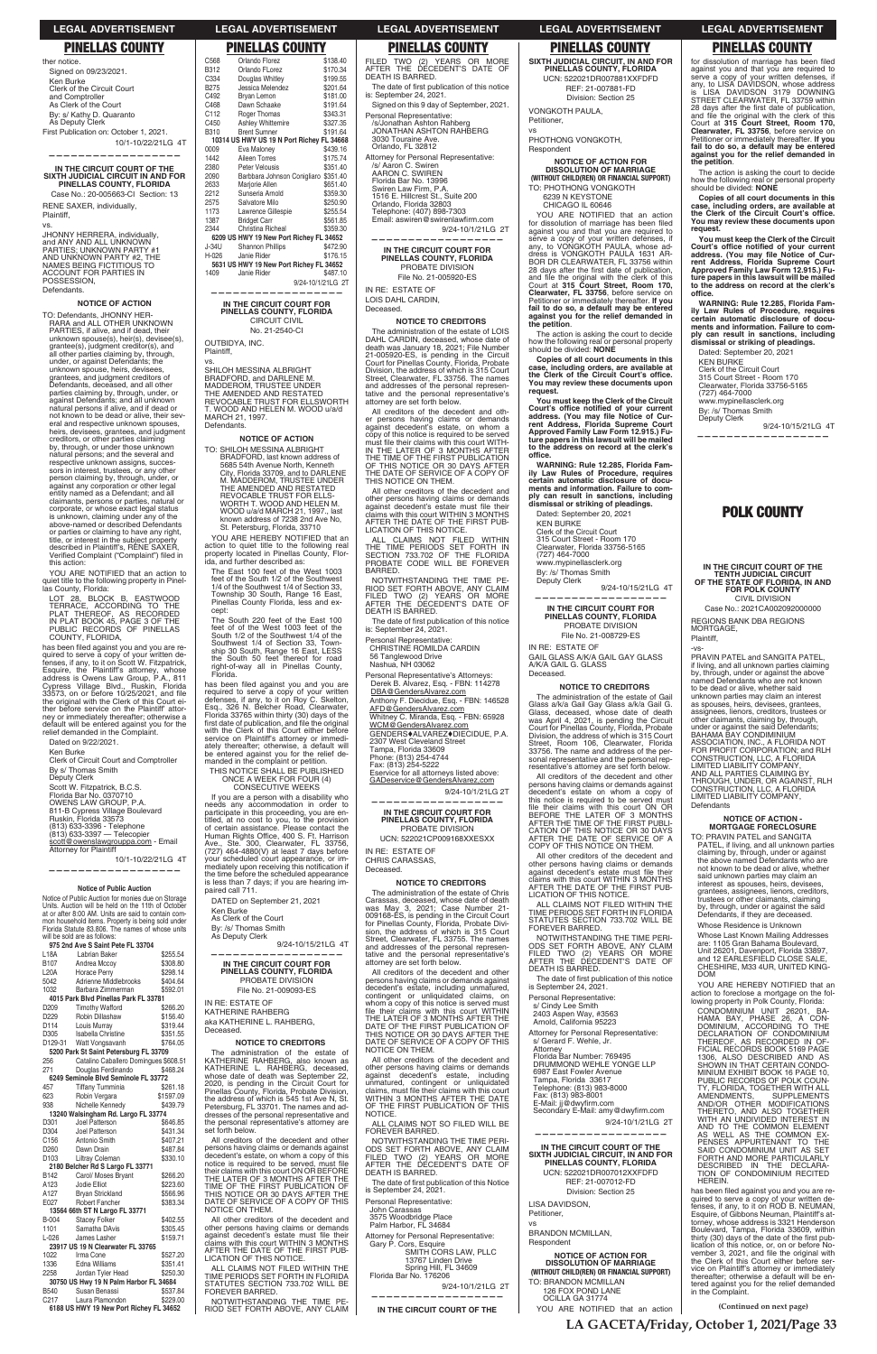**LEGAL ADVERTISEMENT LEGAL ADVERTISEMENT LEGAL ADVERTISEMENT LEGAL ADVERTISEMENT LEGAL ADVERTISEMENT**

ther notice. Signed on 09/23/2021. Ken Burke Clerk of the Circuit Court and Comptroller As Clerk of the Court By: s/ Kathy D. Quaranto As Deputy Clerk First Publication on: October 1, 2021. 10/1-10/22/21LG 4T

# **PINELLAS COUNTY PINELLAS COUNTY PINELLAS COUNTY PINELLAS COUNTY PINELLAS COUNTY**

**——————————————————**

**IN THE CIRCUIT COURT OF THE SIXTH JUDICIAL CIRCUIT IN AND FOR PINELLAS COUNTY, FLORIDA** Case No.: 20-005663-CI Section: 13

RENE SAXER, individually, Plaintiff,

vs. JHONNY HERRERA, individually, and ANY AND ALL UNKNOWN<br>PARTIES; UNKNOWN PARTY #1 AND UNKNOWN PARTY #2, THE NAMES BEING FICTITIOUS TO<br>ACCOUNT FOR PARTIES IN **POSSESSION** Defendants.

### **NOTICE OF ACTION**

TO: Defendants, JHONNY HER-<br>RARA and ALL OTHER UNKNOWN PARTIES, if alive, and if dead, their unknown spouse(s), heir(s), devisee(s), grantee(s), judgment creditor(s), and<br>all other parties claiming by, through, under, or against Defendants; the unknown spouse, heirs, devisees, grantees, and judgment creditors of Defendants, deceased, and all other parties claiming by, through, under, or against Defendants; and all unknown natural persons if alive, and if dead or not known to be dead or alive, their several and respective unknown spouses, heirs, devisees, grantees, and judgment creditors, or other parties claiming by, through, or under those unknown natural persons; and the several and respective unknown assigns, successors in interest, trustees, or any other person claiming by, through, under, or against any corporation or other legal entity named as a Defendant; and all claimants, persons or parties, natural or corporate, or whose exact legal status is unknown, claiming under any of the above-named or described Defendants or parties or claiming to have any right, title, or interest in the subject property described in Plaintiff's, RENE SAXER, Verified Complaint ("Complaint") filed in this action:

LOT 28, BLOCK B, EASTWOOD<br>TERRACE, ACCORDING TO THE<br>PLAT THEREOF, AS RECORDED<br>IN PLAT BOOK 45, PAGE 3 OF THE<br>IN PLAT BOOK 45, PAGE 3 OF THE<br>PUBLIC RECORDS OF PINELLAS COUNTY, FLORIDA,

has been filed against you and you are has been filed against you and you are re-<br>quired to serve a copy of your written de-<br>fenses, if any, to it on Scott W. Fitzpatrick,<br>Esquire, the Plaintiff's attorney, whose<br>address is Owens Law Group, P.A., 811<br>Cypress Vi the original with the Clerk of this Court either before service on the Plaintiff' attor-ney or immediately thereafter; otherwise a default will be entered against you for the relief demanded in the Complaint.

Dated on 9/22/2021.

Clerk of Circuit Court and Comptroller By s/ Thomas Smith Deputy Clerk Scott W. Fitzpatrick, B.C.S. Florida Bar No. 0370710 OWENS LAW GROUP,  $P.A$ 

811-B Cypress Village Boulevard Ruskin, Florida 33573 (813) 633-3396 - Telephone<br>(813) 633-3397 — Telecopier scott@owenslawgrouppa.com - Email<br>Attorney for Plaintiff

10/1-10/22/21LG 4T

# **—————————————————— Notice of Public Auction**

YOU ARE NOTIFIED that an action to quiet title to the following property in Pinellas County, Florida:

Ken Burke

SHILOH MESSINA ALBRIGHT<br>BRADFORD, and DARLENE M.<br>MADDEROM, TRUSTEE UNDER<br>THE AMENDED AND RESTATED<br>THE AMENDED AND RESTATED<br>REVOCABLE TRUST FOR ELLSWORTH T. WOOD AND HELEN M. WOOD u/a/d MARCH 21, 1997. Defendants.

**NOTICE OF ACTION** TO: SHILOH MESSINA ALBRIGHT BRADFORD, last known address of<br>5685 54th Avenue North, Kenneth<br>City, Florida 33709, and to DARLENE

M. MADDEROM, TRUSTEE UNDER THE AMENDED AND RESTATED REVOCABLE TRUST FOR ELLS-WORTH T. WOOD AND HELEN M.<br>WOOD u/a/d MARCH 21, 1997., last<br>known address of 7238 2nd Ave No, St. Petersburg, Florida, 33710

YOU ARE HEREBY NOTIFIED that an action to quiet title to the following real property located in Pinellas County, Flor-ida, and further described as:

The East 100 feet of the West 1003 feet of the South 1/2 of the Southwest 1/4 of the Southwest 1/4 of Section 33, Township 30 South, Range 16 East, Pinellas County Florida, less and ex-<br>cept:

Notice of Public Auction for monies due on Storage Units. Auction will be held on the 11th of October at or after 8:00 AM. Units are said to contain common household items. Property is being sold under Florida Statute 83.806. The names of whose units will be sold are as follows:

The South 220 feet of the East 100<br>feet of of the West 1003 feet of the<br>South 1/2 of the Southwest 1/4 of the Southwest 1/4 of Section 33, Town-ship 30 South, Range 16 East, LESS the South 50 feet thereof for road right-of-way all in Pinellas County, Florida.

|                  | 975 2nd Ave S Saint Pete FL 33704 |          |
|------------------|-----------------------------------|----------|
| L18A             | Labrian Baker                     | \$255.54 |
| B <sub>107</sub> | Andrea Mccoy                      | \$308.80 |
| L20A             | Horace Perry                      | \$298.14 |
| 5042             | Adrienne Middlebrooks             | \$404.64 |
| 1032             | Barbara Zimmerman                 | \$592.01 |
|                  |                                   |          |

has been filed against you and you are required to serve a copy of your written defenses, if any, to it on Roy C. Skelton, Esq., 326 N. Belcher Road, Clearwater, Florida 33765 within thirty (30) days of the<br>first date of publication, and file the original<br>with the Clerk of this Court either before service on Plaintiff's attorney or immedi-ately thereafter; otherwise, a default will be entered against you for the relief de-manded in the complaint or petition.

THIS NOTICE SHALL BE PUBLISHED ONCE A WEEK FOR FOUR (4)<br>CONSECUTIVE WEEKS

By: /s/ Thomas Smith As Deputy Clerk 9/24-10/15/21LG 4T

**—————————————————— IN THE CIRCUIT COURT FOR PINELLAS COUNTY, FLORIDA** PROBATE DIVISION File No. 21-009093-ES

# FILED TWO (2) YEARS OR MORE<br>AFTER THE DECEDENT'S DATE OF<br>DEATH IS BARRED.

The date of first publication of this notice is: September 24, 2021.

Signed on this 9 day of September, 2021. Personal Representative: /s/Jonathan Ashton Rahberg

JONATHAN ASHTON RAHBERG 3030 Touraine Ave. Orlando, FL 32812

Attorney for Personal Representative: /s/ Aaron C. Swiren<br>AARON C. SWIREN Florida Bar No. 13996<br>Swiren Law Firm, P.A.<br>1516 E. Hillcrest St., Suite 200

Orlando, Florida 32803 Telephone: (407) 898-7303<br>Email: aswiren@swirenlawfirm.com

9/24-10/1/21LG 2T **——————————————————**

**IN THE CIRCUIT COURT FOR PINELLAS COUNTY, FLORIDA** PROBATE DIVISION File No. 21-005920-ES

| C <sub>568</sub> | Orlando Florez                            | \$138.40 |
|------------------|-------------------------------------------|----------|
| B312             | Orlando FLorez                            | \$170.34 |
| C334             | Douglas Whitley                           | \$199.55 |
| B275             | Jessica Melendez                          | \$201.64 |
| C492             | Bryan Lemon                               | \$181.00 |
| C468             | Dawn Schaake                              | \$191.64 |
| C112             | Roger Thomas                              | \$343.31 |
| C450             | <b>Ashley Whittemire</b>                  | \$327.35 |
| B310             | <b>Brent Sumner</b>                       | \$191.64 |
|                  | 10314 US HWY US 19 N Port Richey FL 34668 |          |
| 0009             | Eva Maloney                               | \$439.16 |
| 1442             | Aileen Torres                             | \$175.74 |
| 2380             | Peter Velousis                            | \$351.40 |
| 2090             | Barbbara Johnson Conigliaro               | \$351.40 |
| 2633             | Marjorie Allen                            | \$651.40 |
| 2212             | Sunseria Arnold                           | \$359.30 |
| 2575             | Salvatore Milo                            | \$250.90 |
| 1173             | Lawrence Gillespie                        | \$255.54 |
| 1387             | <b>Bridget Carr</b>                       | \$561.85 |
| 2344             | Christina Richeal                         | \$359.30 |
|                  | 6209 US HWY 19 New Port Richey FL 34652   |          |
| J-34U            | <b>Shannon Phillips</b>                   | \$472.90 |
| H-026            | Janie Rider                               | \$176.15 |
|                  | 5631 US HWY 19 New Port Richey FL 34652   |          |

All creditors of the decedent and other persons having claims or demands against decedent's estate, on whom a copy of this notice is required to be served must file their claims with this court WITH-<br>IN THE LATER OF 3 MONTHS AFTER THE TIME OF THE FIRST PUBLICATION OF THIS NOTICE OR 30 DAYS AFTER THE DATE OF SERVICE OF A COPY OF THIS NOTICE ON THEM.

All other creditors of the decedent and other persons having claims or demands<br>against decedent's estate must file their<br>claims with this court WITHIN 3 MONTHS<br>AFTER THE DATE OF THE FIRST PUB-<br>LICATION OF THIS NOTICE.

 9/24-10/1/21LG 2T **—————————————————— IN THE CIRCUIT COURT FOR PINELLAS COUNTY, FLORIDA**

\$487.10

ALL CLAIMS NOT FILED WITHIN<br>THE TIME PERIODS SET FORTH IN<br>SECTION 733.702 OF THE FLORIDA<br>PROBATE CODE WILL BE FOREVER BARRED.

NOTWITHSTANDING THE TIME NOTWITHSTANDING THE TIME PE-<br>RIOD SET FORTH ABOVE, ANY CLAIM<br>FILED TWO (2) YEARS OR MORE<br>AFTER THE DECEDENT'S DATE OF<br>DEATH IS BARRED.

The date of first publication of this notice<br>is: September 24, 2021.

# CIRCUIT CIVIL No. 21-2540-CI

OUTBIDYA, INC. Plaintiff,

vs.

1409 Janie Rider

Personal Representative's Attorneys: Derek B. Alvarez, Esq. - FBN: 114278 DBA@GendersAlvarez.com Anthony F. Diecidue, Esq. - FBN: 146528 AFD@GendersAlvarez.com Whitney C. Miranda, Esq. - FBN: 65928 <u>WCM@GendersAlvarez.com</u><br>GENDERS♦ALVAREZ♦DIECIDUE, P.A. 2307 West Cleveland Street<br>Tampa, Florida 33609<br>Phone: (813) 254-4744 Fax: (813) 254-5222<br>Eservice for all attorneys listed above:

GADeservice@GendersAlvarez.com 9/24-10/1/21LG 2T

# **—————————————————— IN THE CIRCUIT COURT FOR PINELLAS COUNTY, FLORIDA** PROBATE DIVISION UCN: 522021CP009168XXESXX

VONGKOTH PAULA, Petitioner,

YOU ARE NOTIFIED that an action for dissolution of marriage has been filed Required to serve a copy of your written defenses, if<br>any, to VONGKOTH PAULA, whose ad-<br>dress is VONGKOTH PAULA 1631 AR-<br>BOR DR CLEARWATER, FL 33756 within 28 days after the first date of publication, and file the original with the clerk of this<br>Court at 315 Court Street, Room 170, **Clearwater, FL 33756**, before service on Petitioner or immediately thereafter. **lf you fail to do so, a default may be entered against you for the relief demanded in the petition**.

If you are a person with a disability who needs any accommodation in order to participate in this proceeding, you are en-titled, at no cost to you, to the provision of certain assistance. Please contact the Human Rights Office, 400 S. Ft. Harrison<br>Ave., Ste. 300, Clearwater, FL 33756,<br>(727) 464-4880(V) at least 7 days before your scheduled court appearance, or im-<br>mediately upon receiving this notification if<br>the time before the scheduled appearance is less than 7 days; if you are hearing im-paired call 711.

By: /s/ Thomas Smith eputy Clerk

9/24-10/15/21LG 4T **——————————————————**

**IN THE CIRCUIT COURT FOR PINELLAS COUNTY, FLORIDA** PROBATE DIVISION File No. 21-008729-ES

DATED on September 21, 2021

Ken Burke As Clerk of the Court

The administration of the estate of Gail Glass a/k/a Gail Gay Glass a/k/a Gail G.<br>Glass, deceased, whose date of death<br>was April 4, 2021, is pending the Circuit<br>Court for Pinellas County, Florida, Probate Division, the address of which is 315 Court Street, Room 106, Clearwater, Florida 33756. The name and address of the personal representative and the personal representative's attorney are set forth below.

All other creditors of the decedent and other persons having claims or demands<br>against decedent's estate must file their<br>claims with this court WITHIN 3 MONTHS<br>AFTER THE DATE OF THE FIRST PUB-LICATION OF THIS NOTICE

ALL CLAIMS NOT FILED WITHIN THE TIME PERIODS SET FORTH IN FLORIDA<br>STATUTES SECTION 733.702 WILL BE FOREVER BARRED.

NOTWITHSTANDING THE TIME PERI-ODS SET FORTH ABOVE, ANY CLAIM<br>FILED TWO (2) YEARS OR MORE<br>AFTER THE DECEDENT'S DATE OF DEATH IS BARRED.

The date of first publication of this notice is September 24, 2021.

for dissolution of marriage has been filed<br>against you and that you are required to<br>serve a copy of your written defenses, if<br>any, to LISA DAVIDSON, whose address<br>is LISA DAVIDSON 3179 DOWNING<br>STREET CLEARWATER, FL 33759 w 28 days after the first date of publication,<br>and file the original with the clerk of this<br>Court at **315 Court Street, Room 170, Clearwater, FL 33756**, before service on Petitioner or immediately thereafter. **lf you fail to do so, a default may be entered against you for the relief demanded in the petition**.

**You must keep the Clerk of the Circuit**  Court's office notified of your current<br>address. (You may file Notice of Cur-<br>rent Address, Florida Supreme Court **Approved Family Law Form 12.915.) Fu-ture papers in this lawsuit will be mailed to the address on record at the clerk's**  office.

Dated: September 20, 2021 KEN BURKE Clerk of the Circuit Court 315 Court Street - Room 170 Clearwater, Florida 33756-5165 www.mypinellasclerk.org By: /s/ Thomas Smith Deputy Clerk 9/24-10/15/21LG 4T

CIVIL DIVISION Case No.: 2021CA002092000000

IN RE: ESTATE OF

LOIS DAHL CARDIN, Deceased.

> PRAVIN PATEL and SANGITA PATEL, if living, and all unknown parties claiming by, through, under or against the above named Defendants who are not known to be dead or alive, whether said unknown parties may claim an interest as spouses, heirs, devisees, grantees, assignees, lienors, creditors, trustees or other claimants, claiming by, through, under or against the said Defendants; BAHAMA BAY CONDIMINIUM

# **NOTICE TO CREDITORS**

LIMITED LIABILITY COMPANY,<br>AND ALL PARTIES CLAIMING BY,<br>THROUGH, UNDER, OR AGAINST, RLH CONSTRUCTION, LLC, A FLORIDA LIMITED LIABILITY COMPANY,

**NOTICE OF ACTION - MORTGAGE FORECLOSURE** TO: PRAVIN PATEL and SANGITA PATEL, if living, and all unknown parties claiming by, through, under or against the above named Defendants who are not known to be dead or alive, whether said unknown parties may claim an interest as spouses, heirs, devisees, grantees, assignees, lienors, creditors, trustees or other claimants, claiming by, through, under or against the said Defendants, if they are deceased. Whose Residence is Unknown Whose Last Known Mailing Addresses are: 1105 Gran Bahama Boulevard, Unit 26201, Davenport, Florida 33897,<br>and 12 EARLESFIELD CLOSE SALE, CHESHIRE, M33 4UR, UNITED KING-

YOU ARE HEREBY NOTIFIED that an

REGIONS BANK DBA REGIONS<br>MORTGAGE,

The administration of the estate of LOIS DAHL CARDIN, deceased, whose date of death was January 18, 2021; File Number<br>21-005920-ES, is pending in the Circuit<br>Court for Pinellas County, Florida, Probate Division, the address of which is 315 Court Street, Clearwater, FL 33756. The names and addresses of the personal representative and the personal representative's attorney are set forth below.

| 1032             | Dalbara Zimilemian                      | JUJZ.U I  | FIIG NO. Z I-UUYUYJ-ES                                                                |                                                                                    |                                                     | action to foreclose a mortgage on the fol-                                               |
|------------------|-----------------------------------------|-----------|---------------------------------------------------------------------------------------|------------------------------------------------------------------------------------|-----------------------------------------------------|------------------------------------------------------------------------------------------|
|                  | 4015 Park Blvd Pinellas Park FL 33781   |           | IN RE: ESTATE OF                                                                      | contingent or unliquidated claims, on<br>whom a copy of this notice is served must | Personal Representative:                            | lowing property in Polk County, Florida:                                                 |
| D <sub>209</sub> | <b>Timothy Wafford</b>                  | \$266.20  | KATHERINE RAHBERG                                                                     | file their claims with this court WITHIN                                           | s/ Cindy Lee Smith                                  | CONDOMINIUM UNIT 26201. BA-                                                              |
| D <sub>229</sub> | Robin Dillashaw                         | \$156.40  |                                                                                       | THE LATER OF 3 MONTHS AFTER THE                                                    | 2403 Aspen Way, #3563                               | HAMA BAY, PHASE 26, A CON-                                                               |
| D114             | Louis Murray                            | \$319.44  | aka KATHERINE L. RAHBERG,                                                             | DATE OF THE FIRST PUBLICATION OF                                                   | Arnold, California 95223                            | DOMINIUM, ACCORDING TO THE                                                               |
| D305             | Isabella Christine                      | \$351.55  | Deceased.                                                                             | THIS NOTICE OR 30 DAYS AFTER THE                                                   | Attorney for Personal Representative:               | DECLARATION OF CONDOMINIUM                                                               |
| D129-31          | Watt Vongsavanh                         | \$764.05  | <b>NOTICE TO CREDITORS</b>                                                            | DATE OF SERVICE OF A COPY OF THIS                                                  | s/ Gerard F. Wehle, Jr.                             | THEREOF. AS RECORDED IN OF-                                                              |
|                  | 5200 Park St Saint Petersburg FL 33709  |           | The administration of the estate of                                                   | NOTICE ON THEM.                                                                    | Attorney                                            | FICIAL RECORDS BOOK 5169 PAGE                                                            |
| 256              | Catalino Caballero Domingues \$608.51   |           | KATHERINE RAHBERG, also known as                                                      | All other creditors of the decedent and                                            | Florida Bar Number: 769495                          | 1306. ALSO DESCRIBED AND AS                                                              |
| 271              | Douglas Ferdinando                      | \$468.24  | KATHERINE L. RAHBERG. deceased.                                                       | other persons having claims or demands                                             | DRUMMOND WEHLE YONGE LLP<br>6987 East Fowler Avenue | SHOWN IN THAT CERTAIN CONDO-                                                             |
|                  | 6249 Seminole Blvd Seminole FL 33772    |           | whose date of death was September 22,                                                 | against decedent's estate, including                                               | Tampa, Florida 33617                                | MINIUM EXHIBIT BOOK 16 PAGE 10,<br>PUBLIC RECORDS OF POLK COUN-                          |
| 457              | <b>Tiffany Tumminia</b>                 | \$261.18  | 2020, is pending in the Circuit Court for                                             | unmatured, contingent or unliquidated                                              | Telephone: (813) 983-8000                           | TY. FLORIDA. TOGETHER WITH ALL                                                           |
| 623              | Robin Vergara                           | \$1597.09 | Pinellas County, Florida, Probate Division,                                           | claims, must file their claims with this court<br>WITHIN 3 MONTHS AFTER THE DATE   | Fax: (813) 983-8001                                 | AMENDMENTS.<br><b>SUPPLEMENTS</b>                                                        |
| 938              | Nichelle Kennedy                        | \$439.79  | the address of which is 545 1st Ave N. St.<br>Petersburg, FL 33701. The names and ad- | OF THE FIRST PUBLICATION OF THIS                                                   | E-Mail: jj@dwyfirm.com                              | AND/OR OTHER MODIFICATIONS                                                               |
|                  | 13240 Walsingham Rd. Largo FL 33774     |           | dresses of the personal representative and                                            | NOTICE.                                                                            | Secondary E-Mail: amy@dwyfirm.com                   | THERETO. AND ALSO TOGETHER                                                               |
| D <sub>301</sub> | Joel Patterson                          | \$646.85  | the personal representative's attorney are                                            | ALL CLAIMS NOT SO FILED WILL BE                                                    | 9/24-10/1/21LG 2T                                   | WITH AN UNDIVIDED INTEREST IN                                                            |
| D <sub>304</sub> | Joel Patterson                          | \$431.34  | set forth below.                                                                      | FOREVER BARRED.                                                                    |                                                     | AND TO THE COMMON ELEMENT                                                                |
| C156             | Antonio Smith                           | \$407.21  | All creditors of the decedent and other                                               | NOTWITHSTANDING THE TIME PERI-                                                     |                                                     | AS WELL AS THE COMMON EX-<br>PENSES APPURTENANT TO THE                                   |
| D <sub>260</sub> | Dawn Drain                              | \$487.84  | persons having claims or demands against                                              | ODS SET FORTH ABOVE, ANY CLAIM                                                     | IN THE CIRCUIT COURT OF THE                         | SAID CONDOMINIUM UNIT AS SET                                                             |
| D <sub>103</sub> | Liltray Coleman                         | \$330.10  | decedent's estate, on whom a copy of this                                             | FILED TWO (2) YEARS OR MORE                                                        | SIXTH JUDICIAL CIRCUIT, IN AND FOR                  | FORTH AND MORE PARTICULARLY                                                              |
|                  | 2180 Belcher Rd S Largo FL 33771        |           | notice is required to be served, must file                                            | AFTER THE DECEDENT'S DATE OF                                                       | PINELLAS COUNTY, FLORIDA                            | DESCRIBED IN THE DECLARA-                                                                |
| B142             | Carol/ Moses Bryant                     | \$266.20  | their claims with this court ON OR BEFORE                                             | <b>DEATH IS BARRED.</b>                                                            | UCN: 522021DR007012XXFDFD                           | TION OF CONDOMINIUM RECITED                                                              |
| A123             | Jodie Elliot                            | \$223.60  | THE LATER OF 3 MONTHS AFTER THE<br>TIME OF THE FIRST PUBLICATION OF                   | The date of first publication of this Notice                                       | REF: 21-007012-FD                                   | HEREIN.                                                                                  |
| A127             | <b>Brvan Strickland</b>                 | \$566.96  | THIS NOTICE OR 30 DAYS AFTER THE                                                      | is September 24, 2021.                                                             | Division: Section 25                                | has been filed against you and you are re-                                               |
| E027             | Robert Fancher                          | \$383.34  | DATE OF SERVICE OF A COPY OF THIS                                                     | Personal Representative:                                                           | LISA DAVIDSON,                                      | quired to serve a copy of your written de-                                               |
|                  | 13564 66th ST N Largo FL 33771          |           | NOTICE ON THEM.                                                                       | John Carassas                                                                      | Petitioner.                                         | fenses, if any, to it on ROD B. NEUMAN,                                                  |
| <b>B-004</b>     | <b>Stacey Folker</b>                    | \$402.55  | All other creditors of the decedent and                                               | 3575 Woodbridge Place                                                              |                                                     | Esquire, of Gibbons Neuman, Plaintiff's at-<br>torney, whose address is 3321 Henderson   |
| 1101             | Samatha DAvis                           | \$305.45  | other persons having claims or demands                                                | Palm Harbor, FL 34684                                                              |                                                     | Boulevard, Tampa, Florida 33609, within                                                  |
| $L-026$          | James Lasher                            | \$159.71  | against decedent's estate must file their                                             | Attorney for Personal Representative:                                              | <b>BRANDON MCMILLAN.</b>                            | thirty (30) days of the date of the first pub-                                           |
|                  | 23917 US 19 N Clearwater FL 33765       |           | claims with this court WITHIN 3 MONTHS                                                | Gary P. Cors, Esquire                                                              | Respondent                                          | lication of this notice, or, on or before No-                                            |
| 1022             | Irma Cone                               | \$527.20  | AFTER THE DATE OF THE FIRST PUB-                                                      | SMITH CORS LAW. PLLC                                                               | <b>NOTICE OF ACTION FOR</b>                         | vember 3, 2021, and file the original with                                               |
| 1336             | Edna Williams                           | \$351.41  | LICATION OF THIS NOTICE.                                                              | 13767 Linden Drive                                                                 | <b>DISSOLUTION OF MARRIAGE</b>                      | the Clerk of this Court either before ser-                                               |
| 2258             | Jordan Tyler Head                       | \$250.30  | ALL CLAIMS NOT FILED WITHIN THE                                                       | Spring Hill, FL 34609<br>Florida Bar No. 176206                                    | (WITHOUT CHILD(REN) OR FINANCIAL SUPPORT)           | vice on Plaintiff's attorney or immediately                                              |
|                  | 30750 US Hwy 19 N Palm Harbor FL 34684  |           | TIME PERIODS SET FORTH IN FLORIDA<br>STATUTES SECTION 733.702 WILL BE                 |                                                                                    | TO: BRANDON MCMILLAN                                | thereafter: otherwise a default will be en-<br>tered against you for the relief demanded |
| <b>B540</b>      | Susan Benassi                           | \$537.84  | FOREVER BARRED.                                                                       | 9/24-10/1/21LG 2T                                                                  | 126 FOX POND LANE                                   | in the Complaint.                                                                        |
| C <sub>217</sub> | Laura Plamondon                         | \$229.00  | NOTWITHSTANDING THE TIME PE-                                                          |                                                                                    | OCILLA GA 31774                                     |                                                                                          |
|                  | 6188 US HWY 19 New Port Richey FL 34652 |           | RIOD SET FORTH ABOVE, ANY CLAIM                                                       | IN THE CIRCUIT COURT OF THE                                                        | YOU ARE NOTIFIED that an action                     | (Continued on next page)                                                                 |
|                  |                                         |           |                                                                                       |                                                                                    |                                                     |                                                                                          |
|                  |                                         |           |                                                                                       |                                                                                    |                                                     |                                                                                          |

Personal Representative: CHRISTINE ROMILDA CARDIN 56 Tanglewood Drive Nashua, NH 03062

IN RE: ESTATE OF CHRIS CARASSAS, Deceased.

# **NOTICE TO CREDITORS**

The administration of the estate of Chris Carassas, deceased, whose date of death<br>was May 3, 2021; Case Number 21-<br>009168-ES, is pending in the Circuit Court<br>for Pinellas County, Florida, Probate Divi-<br>sion, the address of which is 315 Court<br>Street, Clearwater, FL tative and the personal representative's attorney are set forth below.

All creditors of the decedent and other persons having claims or demands against decedent's estate, including unmatured, contingent or unliquidated claims, on **SIXTH JUDICIAL CIRCUIT, IN AND FOR PINELLAS COUNTY, FLORIDA** UCN: 522021DR007881XXFDFD REF: 21-007881-FD Division: Section 25

vs PHOTHONG VONGKOTH, Respondent

# **NOTICE OF ACTION FOR DISSOLUTION OF MARRIAGE (WITHOUT CHILD(REN) OR FINANCIAL SUPPORT)**

TO: PHOTHONG VONGKOTH 6239 N KEYSTONE

CHICAGO IL 60646

The action is asking the court to decide how the following real or personal property should be divided: **NONE**

**Copies of all court documents in this**   $\overline{\phantom{a}}$  case, including orders, are available at the Clerk of the Circuit Court's office. **You may review these documents upon request.**

You must keep the Clerk of the Circuit<br>Court's office notified of your current<br>address. (You may file Notice of Cur**rent Address, Florida Supreme Court Approved Family Law Form 12.915.) Fu-ture papers in this lawsuit will be mailed to the address on record at the clerk's**  office.

**WARNING: Rule 12.285, Florida Family Law Rules of Procedure, requires certain automatic disclosure of docu-ments and information. Failure to comply can result in sanctions, including dismissal or striking of pleadings.**

Dated: September 20, 2021 KEN BURKE Clerk of the Circuit Court 315 Court Street - Room 170 Clearwater, Florida 33756-5165 www.mypinellasclerk.org

IN RE: ESTATE OF GAIL GLASS A/K/A GAIL GAY GLASS A/K/A GAIL G. GLASS Deceased.

### **NOTICE TO CREDITORS**

All creditors of the decedent and other persons having claims or demands against decedent's estate on whom a copy of this notice is required to be served must file their claims with this court ON OR<br>BEFORE THE LATER OF 3 MONTHS AFTER THE TIME OF THE FIRST PUBLI-CATION OF THIS NOTICE OR 30 DAYS AFTER THE DATE OF SERVICE OF A COPY OF THIS NOTICE ON THEM.

The action is asking the court to decide how the following real or personal property should be divided: **NONE**

**Copies of all court documents in this case, including orders, are available at the Clerk of the Circuit Court's office. You may review these documents upon request.**

**WARNING: Rule 12.285, Florida Family Law Rules of Procedure, requires certain automatic disclosure of documents and information. Failure to comply can result in sanctions, including dismissal or striking of pleadings.**

**——————————————————**

# **POLK COUNTY**

# **IN THE CIRCUIT COURT OF THE TENTH JUDICIAL CIRCUIT OF THE STATE OF FLORIDA, IN AND FOR POLK COUNTY**

Plaintiff, -vs-

ASSOCIATION, INC., A FLORIDA NOT FOR PROFIT CORPORATION; and RLH CONSTRUCTION, LLC, A FLORIDA

Defendants

DOM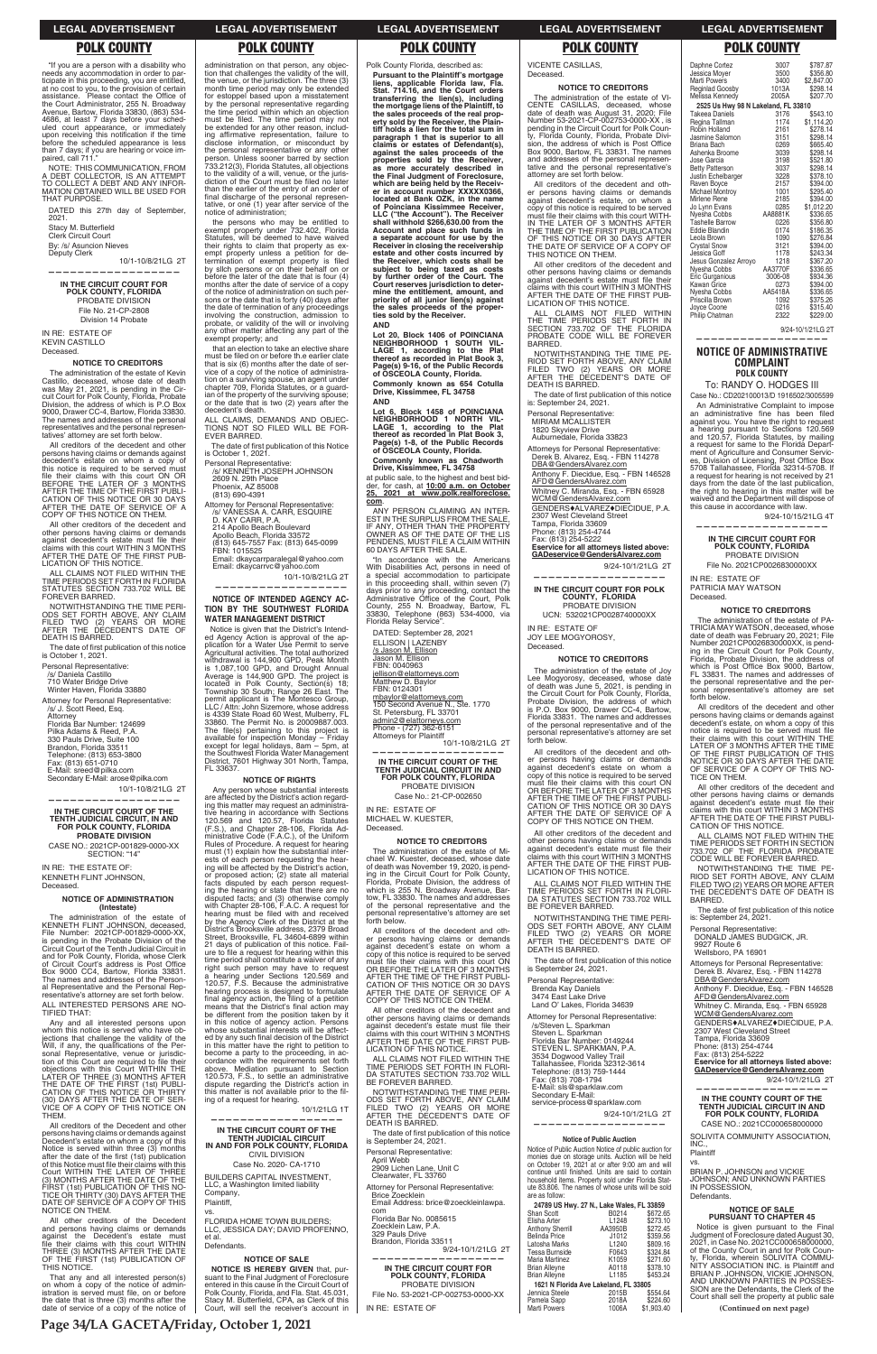f you are a person with a disability who<br>needs any accommodation in order to participate in this proceeding, you are entitled,<br>at no cost to you, to the provision of certain<br>assistance. Please contact the Office of<br>the Court Administrator, 255 N. Broadway Avenue, Bartow, Florida 33830, (863) 534-<br>4686, at least 7 days before your sched-<br>uled court appearance, or immediately<br>upon receiving this notification if the time before the scheduled appearance is less than 7 days; if you are hearing or voice im-<br>paired, call 711."

Stacy M. Butterfield Clerk Circuit Court

10/1-10/8/21LG 2T **——————————————————**

NOTE: THIS COMMUNICATION, FROM A DEBT COLLECTOR, IS AN ATTEMPT TO COLLECT A DEBT AND ANY INFOR- MATION OBTAINED WILL BE USED FOR THAT PURPOSE.

DATED this 27th day of September, 2021.

By: /s/ Asuncion Nieves

Deputy Clerk

**IN THE CIRCUIT COURT FOR POLK COUNTY, FLORIDA** PROBATE DIVISION File No. 21-CP-2808 Division 14 Probate IN RE: ESTATE OF

KEVIN CASTILLO Deceased.

## **NOTICE TO CREDITORS**

ALL CLAIMS NOT FILED WITHIN THE<br>TIME PERIODS SET FORTH IN FLORIDA STATUTES SECTION 733.702 WILL BE FOREVER BARRED.

NOTWITHSTANDING THE TIME PERI-<br>ODS SET FORTH ABOVE, ANY CLAIM<br>FILED TWO (2) YEARS OR MORE<br>AFTER THE DECEDENT'S DATE OF<br>DEATH IS BARRED.

The date of first publication of this notice is October 1, 2021.

The administration of the estate of Kevin Castillo, deceased, whose date of death was May 21, 2021, is pending in the Circuit Court for Polk County, Florida, Probate<br>Division, the address of which is P.O Box<br>9000, Drawer CC-4, Bartow, Florida 33830. The names and addresses of the personal representatives and the personal represen-tatives' attorney are set forth below.

Attorney for Personal Representative: /s/ J. Scott Reed, Esq.<br>Attorney<br>Florida Bar Number: 124699 Pilka Adams & Reed, P.A. 330 Pauls Drive, Suite 100 Brandon, Florida 33511 Telephone: (813) 653-3800<br>Fax: (813) 651-0710

All creditors of the decedent and other persons having claims or demands against decedent's estate on whom a copy of this notice is required to be served must file their claims with this court ON OR<br>BEFORE THE LATER OF 3 MONTHS<br>AFTER THE TIME OF THE FIRST PUBLI-CATION OF THIS NOTICE OR 30 DAYS AFTER THE DATE OF SERVICE OF A COPY OF THIS NOTICE ON THEM.

The administration of the estate of<br>KENNETH FLINT JOHNSON, deceased,<br>File Number: 2021CP-001829-0000-XX, is pending in the Probate Division of the<br>Circuit Court of the Tenth Judicial Circuit in<br>and for Polk County, Florida, whose Clerk of Circuit Court's address is Post Office<br>Box 9000 CC4, Bartow, Florida 33831.<br>The names and addresses of the Personal Representative and the Personal Rep-

ative's attorney are se ALL INTERESTED PERSONS ARE NO-TIFIED THAT:

Any and all interested persons upon whom this notice is served who have ob-<br>jections that challenge the validity of the<br>Will, if any, the qualifications of the Personal Representative, venue or jurisdiction of this Court are required to file their<br>objections with this Court WITHIN THE LATER OF THREE (3) MONTHS AFTER<br>THE DATE OF THE FIRST (1st) PUBLI-<br>CATION OF THIS NOTICE OR THIRTY (30) DAYS AFTER THE DATE OF SER-<br>VICE OF A COPY OF THIS NOTICE ON<br>THEM.

All other creditors of the decedent and other persons having claims or demands<br>against decedent's estate must file their<br>claims with this court WITHIN 3 MONTHS AFTER THE DATE OF THE FIRST PUB-LICATION OF THIS NOTICE.

Personal Representative: /s/ Daniela Castillo

710 Water Bridge Drive<br>Winter Haven, Florida 33880

E-Mail: sreed@pilka.com Secondary E-Mail: arose@pilka.com

10/1-10/8/21LG 2T

**——————————————————**

CASE NO.: 2021CP-001829-0000-XX SECTION: "14"

# **IN THE CIRCUIT COURT OF THE TENTH JUDICIAL CIRCUIT, IN AND FOR POLK COUNTY, FLORIDA PROBATE DIVISION**

administration on that person, any objec-<br>tion that challenges the validity of the will,<br>the venue, or the jurisdiction. The three (3) month time period may only be extended for estoppel based upon a misstatement by the personal representative regarding the time period within which an objection must be filed. The time period may not<br>be extended for any other reason, includ-<br>ing affirmative representation, failure to disclose information, or misconduct by the personal representative or any other<br>person. Unless sooner barred by section<br>733.212(3), Florida Statutes, all objections to the validity of a will, venue, or the juris-<br>diction of the Court must be filed no later than the earlier of the entry of an order of final discharge of the personal representative, or one (1) year after service of the notice of administration;

the persons who may be entitled to<br>exempt property under 732.402, Florida<br>Statutes, will be deemed to have waived<br>their rights to claim that property as exempt property unless a petition for de-<br>termination of exempt property is filed<br>by sllch persons or on their behalf on or before the later of the date that is four (4) months after the date of service of a copy of the notice of administration on such persons or the date that is forty (40) days after<br>the date of termination of any proceedings involving the construction, admission to probate, or validity of the will or involving any other matter affecting any part of the exempt property; and

IN RE: THE ESTATE OF: KENNETH FLINT JOHNSON, Deceased.

### **NOTICE OF ADMINISTRATION (Intestate)**

that an election to take an elective share must be filed on or before th.e earlier clate that is six (6) months after the date of service of a copy of the notice of administration on a surviving spouse, an agent under<br>chapter 709, Florida Statutes, or a guardian of the property of the surviving spouse;<br>or the date that is two  $(2)$  years after the decedent's death. ALL CLAIMS, DEMANDS AND ORIFC-

TIONS NOT SO FILED WILL BE FOR-<br>EVER BARRED.

The date of first publication of this Notice is October 1, 2021.

Personal Representative: /s/ KENNETH JOSEPH JOHNSON<br>2609 N. 29th Place Phoenix, AZ 85008 (813) 690-4391

Email: dkaycarrvc@yahoo.com 10/1-10/8/21LG 2T

# **NOTICE OF INTENDED AGENCY AC-TION BY THE SOUTHWEST FLORIDA WATER MANAGEMENT DISTRICT**

Notice is given that the District's Intended Agency Action is approval of the ap-<br>plication for a Water Use Permit to serve Agricultural activities. The total authorized<br>withdrawal is 144,900 GPD, Peak Month<br>is 1,087,100 GPD, and Drought Annual<br>Average is 144,900 GPD. The project is<br>located in Polk County, Section(s) 18; Township 30 South; Range 26 East. The<br>permit applicant is The Montesco Group,<br>LLC / Attn: John Sizemore, whose address is 4339 State Road 60 West, Mulberry, FL 33860. The Permit No. is 20009887.003.<br>The file(s) pertaining to this project is<br>available for inspection Monday – Friday<br>except for legal holidays, 8am – 5pm, at<br>the Southwest Florida Water Management<br>District, 7601 Highw

Any person whose substantial interests are affected by the District's action regard-ing this matter may request an administrative hearing in accordance with Sections<br>120.569 and 120.57, Florida Statutes<br>(F.S.), and Chapter 28-106, Florida Ad-<br>ministrative Code (F.A.C.), of the Uniform Rules of Procedure. A request for hearing must (1) explain how the substantial inter-<br>ests of each person requesting the hearing will be affected by the District's action, or proposed action; (2) state all material<br>facts disputed by each person request-<br>ing the hearing or state that there are no<br>disputed facts; and (3) otherwise comply<br>with Chapter 28-106, F.A.C. A request for<br>hearing must b proposed action; (2) state all material 21 days of publication of this notice. Failure to file a request for hearing within this time period shall constitute a waiver of any right such person may have to request<br>a hearing under Sections 120.569 and<br>120.57, F.S. Because the administrative hearing process is designed to formulate<br>final agency action, the filing of a petition means that the District's final action may be different from the position taken by it in this notice of agency action. Persons whose substantial interests will be affected by any such final decision of the District in this matter have the right to petition to become a party to the proceeding, in ac-cordance with the requirements set forth above. Mediation pursuant to Section 120.573, F.S., to settle an administrative dispute regarding the District's action in this matter is not available prior to the fil-<br>ing of a request for hearing.

All creditors of the Decedent and other persons having claims or demands against<br>Decedent's estate on whom a copy of this<br>Notice is served within three (3) months after the date of the first (1st) publication<br>of this Notice must file their claims with this<br>Court WITHIN THE LATER OF THREE (3) MONTHS AFTER THE DATE OF THE FIRST (1st) PUBLICATION OF THIS NO-<br>TICE OR THIRTY (30) DAYS AFTER THE DATE OF SERVICE OF A COPY OF THIS NOTICE ON THEM.

All other creditors of the Decedent and persons having claims or demands against the Decedent's estate must<br>file their claims with this court WITHIN<br>THREE (3) MONTHS AFTER THE DATE OF THE FIRST (1st) PUBLICATION OF THIS NOTICE.

That any and all interested person(s)<br>on whom a copy of the notice of administration is served must file, on or before<br>the date that is three (3) months after the<br>date of service of a copy of the notice of 10/1/21LG 1T

**NOTICE IS HEREBY GIVEN** that, pursuant to the Final Judgment of Foreclosure entered in this cause in the Circuit Court of Polk County, Florida, and Fla. Stat. 45.031,<br>Stacy M. Butterfield, CPA, as Clerk of this<br>Court, will sell the receiver's account in All other creditors of the decedent and other persons having claims or demands against decedent's estate must file their claims with this court WITHIN 3 MONTHS<br>AFTER THE DATE OF THE FIRST PUB-<br>LICATION OF THIS NOTICE.

ALL CLAIMS NOT FILED WITHIN THE TIME PERIODS SET FORTH IN FLORI-<br>DA STATUTES SECTION 733.702 WILL<br>BE FOREVER BARRED.

Lot 20, Block 1406 of POINCIANA<br>NEIGHBORHOOD 1 SOUTH VIL-<br>LAGE 1, according to the Plat<br>thereof as recorded in Plat Book 3,<br>Page(s) 9-16, of the Public Records<br>of OSCEOLA County, Florida. **Commonly known as 654 Cotulla Drive, Kissimmee, FL 34758 AND**

Lot 6, Block 1458 of POINCIANA<br>NEIGHBORHOOD 1 NORTH VIL-<br>LAGE 1, according to the Plat<br>thereof as recorded in Plat Book 3, **Page(s) 1-8, of the Public Records of OSCEOLA County, Florida.**

ANY PERSON CLAIMING AN ANY PERSON CLAIMING AN INTER-<br>EST IN THE SURPLUS FROM THE SALE,<br>IF ANY, OTHER THAN THE PROPERTY<br>OWNER AS OF THE DATE OF THE LIS<br>PENDENS, MUST FILE A CLAIM WITHIN 60 DAYS AFTER THE SALE.

in accordance with the Americans<br>With Disabilities Act, persons in need of a special accommodation to participate in this proceeding shall, within seven (7)<br>days prior to any proceeding, contact the<br>Administrative Office of the Count, Polk<br>County, 255 N. Broadway, Bartow, FL<br>33830, Telephone (863) 534-4000, via Florida Relay Service".

10/1-10/8/21LG 2T **——————————————————**

The administration of the estate of Mi-<br>chael W. Kuester, deceased, whose date<br>of death was November 19, 2020, is pending in the Circuit Court for Polk County, Florida, Probate Division, the address of which is 255 N. Broadway Avenue, Bartow, FL 33830. The names and addresses of the personal representative and the personal representative's attorney are set forth below.

Attorney for Personal Representative: /s/ VANESSA A. CARR, ESQUIRE D. KAY CARR, P.A.

214 Apollo Beach Boulevard<br>Apollo Beach, Florida 33572<br>(813) 645-7557 Fax: (813) 645-0099

FBN: 1015525 Email: dkaycarrparalegal@yahoo.com

**——————————————————**

NOTWITHSTANDING THE TIME NOTWITHSTANDING THE TIME PERI-<br>ODS SET FORTH ABOVE, ANY CLAIM<br>FILED TWO (2) YEARS OR MORE<br>AFTER THE DECEDENT'S DATE OF DEATH IS BARRED.

The date of first publication of this notice<br>is September 24, 2021.

All creditors of the decedent and other persons having claims or demands against decedent's estate, on whom a copy of this notice is required to be served<br>must file their claims with this court WITH-<br>IN THE LATER OF 3 MONTHS AFTER THE TIME OF THE FIRST PUBLICATION<br>OF THIS NOTICE OR 30 DAYS AFTER<br>THE DATE OF SERVICE OF A COPY OF<br>THIS NOTICE ON THEM.

All other creditors of the decedent and other persons having claims or demands against decedent's estate must file their claims with this court WITHIN 3 MONTHS<br>AFTER THE DATE OF THE FIRST PUB-<br>LICATION OF THIS NOTICE.

ALL CLAIMS NOT FILED WITHIN<br>THE TIME PERIODS SET FORTH IN<br>SECTION 733.702 OF THE FLORIDA<br>PROBATE CODE WILL BE FOREVER BARRED.

# **NOTICE OF RIGHTS**

NOTWITHSTANDING THE TIME PE-RIOD SET FORTH ABOVE, ANY CLAIM<br>FILED TWO (2) YEARS OR MORE<br>AFTER THE DECEDENT'S DATE OF DEATH IS BARRED.

The date of first publication of this notice<br>is: September 24, 2021.

Derek B. Alvarez, Esq. - FBN 114278 DER B: Alvarez, Esq. 1 BR<br>DBA @ GendersAlvarez.com Anthony F. Diecidue, Esq. - FBN 146528 AFD@GendersAlvarez.com

Whitney C. Miranda, Esq. - FBN 65928<br><u>WCM@GendersAlvarez.com</u> GENDERS $*$ ALVAREZ $*$ DIECIDUE, P.A.

2307 West Cleveland Street<br>Tampa, Florida 33609<br>Phone: (813) 254-4744

Fax: (813) 254-5222<br>**Eservice for all attorneys listed above: GADeservice@GendersAlvarez.com**

9/24-10/1/21LG 2T **——————————————————**

ALL CLAIMS NOT FILED WITHIN THE TIME PERIODS SET FORTH IN FLORI-<br>DA STATUTES SECTION 733.702 WILL BE FOREVER BARRED.

NOTWITHSTANDING THE TIME PERI-<br>ODS SET FORTH ABOVE, ANY CLAIM<br>FILED TWO (2) YEARS OR MORE<br>AFTER THE DECEDENT'S DATE OF<br>DEATH IS BARRED.

The date of first publication of this notice<br>is September 24, 2021.

/s/Steven L. Sparkman Steven L. Sparkman Florida Bar Number: 0149244<br>STEVEN L. SPARKMAN, P.A. 3534 Dogwood Valley Trail<br>Tallahassee, Florida 32312-3614<br>Telephone: (813) 759-1444 Fax: (813) 708-1794 E-Mail: sls@sparklaw.com Secondary E-Mail: service-process@sparklaw.com 9/24-10/1/21LG 2T

# **—————————————————— Notice of Public Auction**

### 24789 US Hwy. 27 N., Lake Wales, FL 33859 Shan Scott B0214 \$672.65

**——————————————————**

**IN THE CIRCUIT COURT OF THE TENTH JUDICIAL CIRCUIT IN AND FOR POLK COUNTY, FLORIDA** CIVIL DIVISION Case No. 2020- CA-1710 BUILDERS CAPITAL INVESTMENT, LLC, a Washington limited liability Company, Plaintiff, vs. FLORIDA HOME TOWN BUILDERS; LLC, JESSICA DAY; DAVID PROFENNO, et al. Defendants.

## **NOTICE OF SALE**

To: RANDY O. HODGES III Case No.: CD202100013/D 1916502/3005599 An Administrative Complaint to impose an administrative fine has been filed<br>against you. You have the right to request a hearing pursuant to Sections 120.569<br>and 120.57, Florida Statutes, by mailing a request for same to the Florida Department of Agriculture and Consumer Servic-<br>es, Division of Licensing, Post Office Box<br>5708 Tallahassee, Florida 32314-5708. If a request for hearing is not received by 21 days from the date of the last publication, the right to hearing in this matter will be waived and the Department will dispose of

Polk County Florida, described as:

this cause in accordance with law. 9/24-10/15/21LG 4T

IN RE: ESTATE OF PATRICIA MAY WATSON

Florida, Probate Division, the address of<br>which is Post Office Box 9000, Bartow,<br>FL 33831. The names and addresses of the personal representative and the per-sonal representative's attorney are set

All creditors of the decedent and other persons having claims or demands against<br>decedent's estate, on whom a copy of this<br>notice is required to be served must file

their claims with this court WITHIN THE<br>LATER OF 3 MONTHS AFTER THE TIME<br>OF THE FIRST PUBLICATION OF THIS

**Pursuant to the Plaintiff's mortgage liens, applicable Florida law, Fla. Stat. 714.16, and the Court orders transferring the lien(s), including the mortgage liens of the Plaintiff, to the sales proceeds of the real prop-erty sold by the Receiver, the Plaintiff holds a lien for the total sum in paragraph 1 that is superior to all claims or estates of Defendant(s), against the sales proceeds of the properties sold by the Receiver, as more accurately described in the Final Judgment of Foreclosure, which are being held by the Receiv-er in account number XXXXX0366, located at Bank OZK, in the name of Poinciana Kissimmee Receiver, LLC ("the Account"). The Receiver shall withhold \$266,630.00 from the Account and place such funds in a separate account for use by the Receiver in closing the receivership estate and other costs incurred by**  the Receiver, which costs shall be<br>subject to being taxed as costs<br>by further order of the Court. The Court reserves jurisdiction to deter-<br>mine the entitlement, amount, and<br>priority of all junior lien(s) against<br>the sales proceeds of the proper**ties sold by the Receiver. AND**

> NOTICE OR 30 DAYS AFTER THE DATE OF SERVICE OF A COPY OF THIS NO-TICE ON THEM. All other creditors of the decedent and other persons having claims or demands<br>against decedent's estate must file their<br>claims with this court WITHIN 3 MONTHS AFTER THE DATE OF THE FIRST PUBLI-CATION OF THIS NOTICE. ALL CLAIMS NOT FILED WITHIN THE<br>TIME PERIODS SET FORTH IN SECTION 733.702 OF THE FLORIDA PROBATE<br>CODE WILL BE FOREVER BARRED. NOTWITHSTANDING THE TIME PE-<br>RIOD SET FORTH ABOVE, ANY CLAIM FILED TWO (2) YEARS OR MORE AFTER<br>THE DECEDENT'S DATE OF DEATH IS<br>BARRED. The date of first publication of this notice

Attorneys for Personal Representative: Derek B. Alvarez, Esq. - FBN 114278 DBA@GendersAlvarez.com

**Commonly known as Chadworth Drive, Kissimmee, FL 34758**

at public sale, to the highest and best bid-der, for cash, at **10:00 a.m. on October 25, 2021 at www.polk.realforeclose. com**.

DATED: September 28, 2021 ELLISON | LAZENBY <u>/s Jason M. Ellison</u><br>Jason M. Ellison FBN: 0040963 jellison@elattorneys.com Matthew D. Baylor FBN: 0124301 mbaylor@elattorneys.com 150 Second Avenue N., Ste. 1770 St. Petersburg, FL 33701

<u>admin2@elattorneys.com</u><br>Phone - (727) 362-6151 Attorneys for Plaintiff

**IN THE CIRCUIT COURT OF THE TENTH JUDICIAL CIRCUIT IN AND FOR POLK COUNTY, FLORIDA** PROBATE DIVISION

Case No.: 21-CP-002650

IN RE: ESTATE OF MICHAEL W. KUESTER, Deceased.

### **NOTICE TO CREDITORS**

All creditors of the decedent and oth-er persons having claims or demands against decedent's estate on whom a copy of this notice is required to be served<br>must file their claims with this court ON<br>OR BEFORE THE LATER OF 3 MONTHS AFTER THE TIME OF THE FIRST PUBLI-CATION OF THIS NOTICE OR 30 DAYS AFTER THE DATE OF SERVICE OF A COPY OF THIS NOTICE ON THEM.

Personal Representative: April Webb 2909 Lichen Lane, Unit C Clearwater, FL 33760 Attorney for Personal Representative: Brice Zoecklein Email Address: brice@zoeckleinlawpa. com Florida Bar No. 0085615

Zoecklein Law, P.A.<br>329 Pauls Drive<br>Brandon, Florida 33511 9/24-10/1/21LG 2T

**——————————————————**

**IN THE CIRCUIT COURT FOR POLK COUNTY, FLORIDA** PROBATE DIVISION File No. 53-2021-CP-002753-0000-XX IN RE: ESTATE OF

# VICENTE CASILLAS,

Deceased.

# **NOTICE TO CREDITORS**

The administration of the estate of VI-CENTE CASILLAS, deceased, whose date of death was August 31, 2020; File Number 53-2021-CP-002753-0000-XX , is pending in the Circuit Court for Polk Coun-ty, Florida County, Florida, Probate Division, the address of which is Post Office Box 9000, Bartow, FL 33831. The names and addresses of the personal representative and the personal representative's attorney are set forth below.

Personal Representative: MIRIAM MCALLISTER

1820 Skyview Drive Auburnedale, Florida 33823 Attorneys for Personal Representative:

**IN THE CIRCUIT COURT FOR POLK COUNTY, FLORIDA** PROBATE DIVISION UCN: 532021CP0028740000XX

IN RE: ESTATE OF JOY LEE MOGYOROSY, Deceased.

## **NOTICE TO CREDITORS**

The administration of the estate of Joy Lee Mogyorosy, deceased, whose date of death was June 5, 2021, is pending in the Circuit Court for Polk County, Florida, Probate Division, the address of which is P.O. Box 9000, Drawer CC-4, Bartow,<br>Florida 33831. The names and addresses<br>of the personal representative and of the personal representative's attorney are set forth below.

All creditors of the decedent and oth-er persons having claims or demands against decedent's estate on whom a copy of this notice is required to be served<br>must file their claims with this court ON<br>OR BEFORE THE LATER OF 3 MONTHS AFTER THE TIME OF THE FIRST PUBLI-CATION OF THIS NOTICE OR 30 DAYS AFTER THE DATE OF SERVICE OF A COPY OF THIS NOTICE ON THEM.

All other creditors of the decedent and other persons having claims or demands<br>against decedent's estate must file their<br>claims with this court WITHIN 3 MONTHS<br>AFTER THE DATE OF THE FIRST PUB-LICATION OF THIS NOTICE.

Personal Representative:

Brenda Kay Daniels

3474 East Lake Drive Land O' Lakes, Florida 34639 Attorney for Personal Representative:

Notice of Public Auction Notice of public auction for monies due on storage units. Auction will be held<br>on October 19, 2021 at or after 9:00 am and will<br>continue until finished. Units are said to contain household items. Property sold under Florida Stat-ute 83.806. The names of whose units will be sold are as follow:

| Elisha Arter                          | L1248             | \$273.10   |  |  |  |  |  |
|---------------------------------------|-------------------|------------|--|--|--|--|--|
| <b>Anthony Sherrill</b>               | AA3950B           | \$272.45   |  |  |  |  |  |
| Belinda Price                         | J1012             | \$359.56   |  |  |  |  |  |
| Latosha Marks                         | L <sub>1240</sub> | \$809.16   |  |  |  |  |  |
| Tessa Burnside                        | F0643             | \$324.84   |  |  |  |  |  |
| Maria Martinez                        | K1059             | \$271.60   |  |  |  |  |  |
| Brian Alleyne                         | A0118             | \$378.10   |  |  |  |  |  |
| Brian Alleyne                         | L1185             | \$453.24   |  |  |  |  |  |
| 1621 N Florida Ave Lakeland, FL 33805 |                   |            |  |  |  |  |  |
| Jennica Steele                        | 2015B             | \$554.64   |  |  |  |  |  |
| Pamela Sapp                           | 2018A             | \$224.60   |  |  |  |  |  |
| Marti Powers                          | 1006A             | \$1.903.40 |  |  |  |  |  |
|                                       |                   |            |  |  |  |  |  |

| Daphne Cortez<br>Jessica Moyer      | 3007<br>3500 | \$787.87<br>\$356.80 |
|-------------------------------------|--------------|----------------------|
| <b>Marti Powers</b>                 | 3400         | \$2,847.00           |
| Reginlad Goosby                     | 1013A        | \$298.14             |
| Melissa Kennedy                     | 2005A        | \$207.70             |
| 2525 Us Hwy 98 N Lakeland, FL 33810 |              |                      |
| <b>Takeea Daniels</b>               | 3176         | \$543.10             |
| Regina Tallman                      | 1174         | \$1,114.20           |
| Robin Holland                       | 2161         | \$278.14             |
| Jasmine Salomon                     | 3151         | \$298.14             |
| Briana Bach                         | 0269         | \$665.40             |
| Ashenka Broome                      | 3039         | \$298.14             |
| Jose Garcia                         | 3198         | \$521.80             |
| <b>Betty Patterson</b>              | 3037         | \$298.14             |
| Justin Echelbarger                  | 3228         | \$378.10             |
| Raven Boyce                         | 2157         | \$394.00             |
| <b>Michael Montroy</b>              | 1001         | \$295.40             |
| Mirlene Rene                        | 2185         | \$394.00             |
| Jo Lynn Evans                       | 0285         | \$1.012.20           |
| Nyesha Cobbs                        | AA8881K      | \$336.65             |
| <b>Tashelle Barrow</b>              | 0226         | \$356.80             |
| <b>Eddie Blandin</b>                | 0174         | \$186.35             |
| Leola Brown                         | 1090         | \$276.84             |
| <b>Crystal Snow</b>                 | 3121         | \$394.00             |
| Jessica Goff                        | 1178         | \$243.34             |
| Jesus Gonzalez Arroyo               | 1218         | \$367.20             |
| Nyesha Cobbs                        | AA3770F      | \$336.65             |
| Eric Gurganious                     | 3006-08      | \$934.36             |
| Kawan Grice                         | 0273         | \$394.00             |
| Nyesha Cobbs                        | AA5418A      | \$336.65             |
| Priscilla Brown                     | 1092<br>0216 | \$375.26<br>\$315.40 |
| Joyce Coone                         | 2322         | \$229.00             |
| Philip Chatman                      |              |                      |

9/24-10/1/21LG 2T **——————————————————**

# **NOTICE OF ADMINISTRATIVE COMPLAINT POLK COUNTY**

### **—————————————————— IN THE CIRCUIT COURT FOR POLK COUNTY, FLORIDA** PROBATE DIVISION File No. 2021CP0026830000XX

Deceased.

**NOTICE TO CREDITORS** The administration of the estate of PA-<br>TRICIA MAY WATSON, deceased, whose date of death was February 20, 2021; File Number 2021CP0026830000XX, is pend-ing in the Circuit Court for Polk County,

forth below.

is: September 24, 2021.

9927 Route 6 Wellsboro, PA 16901

Personal Representative:<br>DONALD JAMES BUDGICK, JR.

Anthony F. Diecidue, Esq. - FBN 146528 AFD@GendersAlvarez.com Whitney C. Miranda, Esq. - FBN 65928 WCM@GendersAlvarez.com )'0&'45ALVAREZDIECIDUE, P.A. 2307 West Cleveland Street Tampa, Florida 33609 Phone: (813) 254-4744 Fax: (813) 254-5222 **Eservice for all attorneys listed above: GADeservice@GendersAlvarez.com** 9/24-10/1/21LG 2T **—————————————————— IN THE COUNTY COURT OF THE TENTH JUDICIAL CIRCUIT IN AND FOR POLK COUNTY, FLORIDA** CASE NO.: 2021CC000658000000 SOLIVITA COMMUNITY ASSOCIATION,  $\overline{INC}$ . **Plaintiff** vs. BRIAN P. JOHNSON and VICKIE<br>JOHNSON; AND UNKNOWN PARTIES IN POSSESSION, Defendants.

### **NOTICE OF SALE PURSUANT TO CHAPTER 45**

Notice is given pursuant to the Final Judgment of Fore clos ure dated August 30, 2021, in Case No. 2021CC000658000000, of the County Court in and for Polk Coun-ty, Florida, wherein SOLIVITA COMMU-NITY ASSOCIATION INC. is Plaintiff and BRIAN P. JOHNSON, VICKIE JOHNSON,<br>AND UNKNOWN PARTIES IN POSSES-<br>SION are the Defendants, the Clerk of the Court shall sell the property at public sale

# **LEGAL ADVERTISEMENT LEGAL ADVERTISEMENT LEGAL ADVERTISEMENT LEGAL ADVERTISEMENT LEGAL ADVERTISEMENT**

# **POLK COUNTY POLK COUNTY POLK COUNTY POLK COUNTY POLK COUNTY**

**Page 34/LA GACETA/Friday, October 1, 2021**

**(Continued on next page)**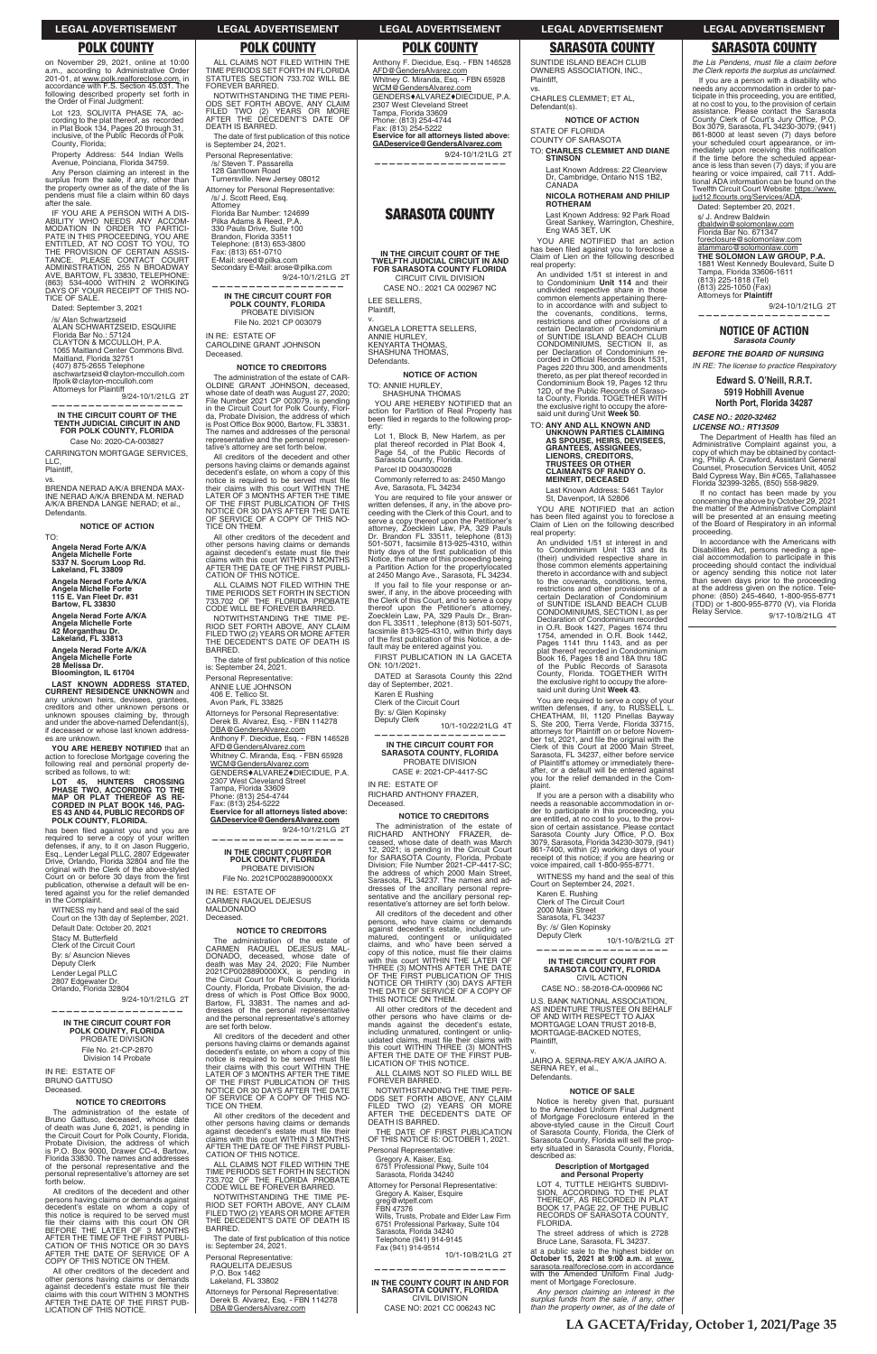**LEGAL ADVERTISEMENT LEGAL ADVERTISEMENT LEGAL ADVERTISEMENT LEGAL ADVERTISEMENT LEGAL ADVERTISEMENT**

ALL CLAIMS NOT FILED WITHIN THE TIME PERIODS SET FORTH IN FLORIDA<br>STATUTES SECTION 733.702 WILL BE FOREVER BARRED. NOTWITHSTANDING THE TIME PERI-

ODS SET FORTH ABOVE, ANY CLAIM<br>FILED TWO (2) YEARS OR MORE<br>AFTER THE DECEDENT'S DATE OF<br>DEATH IS BARRED.

The date of first publication of this notice<br>is September 24, 2021.

on November 29, 2021, online at 10:00 a.m., according to Administrative Order 201-01, at www.polk.realforeclose.com, in accordance with F.S. Section 45.031. The following described property set forth in the Order of Final Judgment:

cording to the plat thereof, as recorded in Plat Book 134, Pages 20 through 31, inclusive, of the Public Records of Polk County, Florida;

Lot 123, SOLIVITA PHASE 7A, ac-

Property Address: 544 Indian Wells<br>Avenue, Poinciana, Florida 34759.

IF YOU ARE A PERSON WITH A DIS-<br>ABILITY WHO NEEDS ANY ACCOM-<br>MODATION IN ORDER TO PARTICI-PATE IN THIS PROCEEDING, YOU ARE<br>ENTITLED, AT NO COST TO YOU, TO<br>THE PROVISION OF CERTAIN ASSIS-<br>TANCE. PLEASE CONTACT COURT<br>ADMINISTRATION, FL 33830, TELEPHONE:<br>(863) 534-4000 WITHIN 2 WORKING<br>(DAYS OF YOUR RECEIPT OF THI TICE OF SALE.

(407) 875-2655 Telephone aschwartzseid@clayton-mcculloh.com lfpolk@clayton-mcculloh.com Attorneys for Plaintiff

Any Person claiming an interest in the surplus from the sale, if any, other than<br>the property owner as of the date of the lis<br>pendens must file a claim within 60 days after the sale.

CARRINGTON MORTGAGE SERVICES, LLC,

BRENDA NERAD A/K/A BRENDA MAX-INE NERAD A/K/A BRENDA M. NERAD<br>A/K/A BRENDA LANGE NERAD; et al.,

Dated: September 3, 2021

/s/ Alan Schwartzseid ALAN SCHWARTZSEID, ESQUIRE<br>Florida Bar No.: 57124<br>CLAYTON & MCCULLOH, P.A. 1065 Maitland Center Commons Blvd. Maitland, Florida 32751

has been filed against you and you are<br>required to serve a copy of your written<br>defenses, if any, to it on Jason Ruggerio,<br>Esq., Lender Legal PLLC, 2807 Edgewater<br>Dirve, Orlando, Florida 32804 and file the<br>original with th Court on or before 30 days from the first<br>publication, otherwise a default will be en-<br>tered against you for the relief demanded in the Complaint.

**—————————————————— IN THE CIRCUIT COURT OF THE TENTH JUDICIAL CIRCUIT IN AND FOR POLK COUNTY, FLORIDA** Case No: 2020-CA-003827

9/24-10/1/21LG 2T

Plaintiff, vs.

> Stacy M. Butterfield<br>Clerk of the Circuit Court By: s/ Asuncion Nieves Deputy Clerk Lender Legal PLLC 2807 Edgewater Dr. Orlando, Florida 32804

### **IN THE CIRCUIT COURT FOR POLK COUNTY, FLORIDA** PROBATE DIVISION File No. 21-CP-2870 Division 14 Probate

The administration of the estate of Bruno Gattuso, deceased, whose date of death was June 6, 2021, is pending in the Circuit Court for Polk County, Florida, Probate Division, the address of which<br>is P.O. Box 9000, Drawer CC-4, Bartow,<br>Florida 33830. The names and addresses of the personal representative and the<br>personal representative's attorney are set<br>forth below.

**NOTICE OF ACTION**

TO:

**Defendants** 

**Angela Nerad Forte A/K/A Angela Michelle Forte 5337 N. Socrum Loop Rd. Lakeland, FL 33809 Angela Nerad Forte A/K/A Angela Michelle Forte 115 E. Van Fleet Dr. #31 Bartow, FL 33830 Angela Nerad Forte A/K/A Angela Michelle Forte 42 Morganthau Dr. Lakeland, FL 33813**

**Angela Nerad Forte A/K/A Angela Michelle Forte 28 Melissa Dr. Bloomington, IL 61704**

**LAST KNOWN ADDRESS STATED, CURRENT RESIDENCE UNKNOWN** and any unknown heirs, devisees, grantees, creditors and other unknown persons or unknown spouses claiming by, through and under the above-named Defendant(s), if deceased or whose last known address-

es are unknown.

**YOU ARE HEREBY NOTIFIED** that an action to foreclose Mortgage covering the following real and personal property de-

scribed as follows, to wit:

**LOT 45, HUNTERS CROSSING PHASE TWO, ACCORDING TO THE MAP OR PLAT THEREOF AS RE-CORDED IN PLAT BOOK 146, PAG-ES 43 AND 44, PUBLIC RECORDS OF** 

File No. 2021 CP 003079 IN RE: ESTATE OF CAROLDINE GRANT JOHNSON Deceased.

**POLK COUNTY, FLORIDA.**

The administration of the estate of CAR-<br>OLDINE GRANT JOHNSON, deceased,<br>whose date of death was August 27, 2020;<br>File Number 2021 CP 003079, is pending<br>in the Circuit Court for Polk County, Florida, Probate Division, the address of which is Post Office Box 9000, Bartow, FL 33831.<br>The names and addresses of the personal representative and the personal representative's attorney are set forth below.

WITNESS my hand and seal of the said Court on the 13th day of September, 2021. Default Date: October 20, 2021

NOTWITHSTANDING THE TIME PE-RIOD SET FORTH ABOVE, ANY CLAIM<br>FILED TWO (2) YEARS OR MORE AFTER<br>THE DECEDENT'S DATE OF DEATH IS BARRED.

The date of first publication of this notice<br>is: September 24, 2021.

**——————————————————**

IN RE: ESTATE OF BRUNO GATTUSO Deceased.

### **NOTICE TO CREDITORS**

9/24-10/1/21LG 2T **——————————————————**

The administration of the estate of<br>CARMEN RAQUEL DEJESUS MAL-<br>DONADO, deceased, whose date of death was May 24, 2020; File Number<br>2021CP0028890000XX, is pending in<br>the Circuit Court for Polk County, Florida County, Florida, Probate Division, the ad-<br>dress of which is Post Office Box 9000, Bartow, FL 33831. The names and addresses of the personal representative and the personal representative's attorney are set forth below. All creditors of the decedent and other persons having claims or demands against<br>decedent's estate, on whom a copy of this<br>notice is required to be served must file their claims with this court WITHIN THE<br>LATER OF 3 MONTHS AFTER THE TIME<br>OF THE FIRST PUBLICATION OF THIS NOTICE OR 30 DAYS AFTER THE DATE OF SERVICE OF A COPY OF THIS NO-TICE ON THEM.

All creditors of the decedent and other persons having claims or demands against decedent's estate on whom a copy of this notice is required to be served must file their claims with this court ON OR BEFORE THE LATER OF 3 MONTHS AFTER THE TIME OF THE FIRST PUBLI-CATION OF THIS NOTICE OR 30 DAYS AFTER THE DATE OF SERVICE OF A COPY OF THIS NOTICE ON THEM.

NOTWITHSTANDING THE TIME PE-<br>RIOD SET FORTH ABOVE, ANY CLAIM FILED TWO (2) YEARS OR MORE AFTER<br>THE DECEDENT'S DATE OF DEATH IS BARRED.

The date of first publication of this notice is: September 24, 2021.

Attorneys for Personal Representative: Derek B. Alvarez, Esq. - FBN 114278<br><u>DBA@GendersAlvarez.com</u>

All other creditors of the decedent and other persons having claims or demands<br>against decedent's estate must file their<br>claims with this court WITHIN 3 MONTHS<br>AFTER THE DATE OF THE FIRST PUB-LICATION OF THIS NOTICE.

9/24-10/1/21LG 2T **——————————————————**

CASE NO.: 2021 CA 002967 NC LEE SELLERS,

action for Partition of Real Property has<br>been filed in regards to the following property:

Personal Representative: /s/ Steven T. Passarella

128 Ganttown Road<br>Turnersville. New Jersey 08012

Attorney for Personal Representative: /s/ J. Scott Reed, Esq.

Attorney<br>Florida Bar Number: 124699 Pilka Adams & Reed, P.A. 330 Pauls Drive, Suite 100 Brandon, Florida 33511 Telephone: (813) 653-3800<br>Fax: (813) 651-0710 E-Mail: sreed@pilka.com Secondary E-Mail: arose@pilka.com 9/24-10/1/21LG 2T

> You are required to file your answer or written defenses, if any, in the above proceeding with the Clerk of this Court, and to<br>serve a copy thereof upon the Petitioner's<br>attorney, Zoecklein Law, PA, 329 Pauls Dr. Brandon FL 33511, telephone (813)<br>501-5071, facsimile 813-925-4310, within<br>thirty days of the first publication of this Notice, the nature of this proceeding being a Partition Action for the propertylocated at 2450 Mango Ave., Sarasota, FL 34234.

> If you fail to file your response or If you fail to file your response or an-<br>swer, if any, in the above proceeding with<br>the Clerk of this Court, and to serve a copy<br>thereof upon the Petitioner's attorney, Zoecklein Law, PA, 329 Pauls Dr., Bran-<br>don FL 33511 , telephone (813) 501-5071,<br>facsimile 813-925-4310, within thirty days of the first publication of this Notice, a de-<br>fault may be entered against you.

**—————————————————— IN THE CIRCUIT COURT FOR POLK COUNTY, FLORIDA** PROBATE DIVISION

> FIRST PUBLICATION IN LA GACETA ON: 10/1/2021.

## **NOTICE TO CREDITORS**

Deputy Clerk 10/1-10/22/21LG 4T **——————————————————**

IN RE: ESTATE OF RICHARD ANTHONY FRAZER, **Deceased** 

All creditors of the decedent and other persons, who have claims or demands against decedent's estate, including unmatured, contingent or unliquidated claims, and who have been served a copy of this notice, must file their claims<br>with this court WITHIN THE LATER OF THREE (3) MONTHS AFTER THE DATE<br>OF THE FIRST PUBLICATION OF THIS<br>NOTICE OR THIRTY (30) DAYS AFTER<br>THE DATE OF SERVICE OF A COPY OF<br>THIS NOTICE ON THEM.

All other creditors of the decedent and other persons who have claims or demands against the decedent's estate, including unmatured, contingent or unliquidated claims, must file their claims with<br>this court WITHIN THREE (3) MONTHS<br>AFTER THE DATE OF THE FIRST PUB-<br>LICATION OF THIS NOTICE.

All creditors of the decedent and other persons having claims or demands against<br>decedent's estate, on whom a copy of this<br>notice is required to be served must file<br>their claims with this court WITHIN THE<br>LATER OF 3 MONTHS AFTER THE TIME OF THE FIRST PUBLICATION OF THIS NOTICE OR 30 DAYS AFTER THE DATE OF SERVICE OF A COPY OF THIS NO-TICE ON THEM.

All other creditors of the decedent and<br>other persons having claims or demands<br>against decedent's estate must file their claims with this court WITHIN 3 MONTHS<br>AFTER THE DATE OF THE FIRST PUBLI-<br>CATION OF THIS NOTICE.

ALL CLAIMS NOT FILED WITHIN THE TIME PERIODS SET FORTH IN SECTION<br>733.702 OF THE FLORIDA PROBATE<br>CODE WILL BE FOREVER BARRED.

> ALL CLAIMS NOT SO FILED WILL BE FOREVER BARRED.

NOTWITHSTANDING THE TIME PERI-ODS SET FORTH ABOVE, ANY CLAIM<br>FILED TWO (2) YEARS OR MORE<br>AFTER THE DECEDENT'S DATE OF DEATH IS BARRED.

Attorney for Personal Representative: Gregory A. Kaiser, Esquire greg@wtpelf.com FBN 47376 Wills, Trusts, Probate and Elder Law Firm 6751 Professional Parkway, Suite 104 Sarasota, Florida 34240 Telephone (941) 914-9145 Fax (941) 914-9514 10/1-10/8/21LG 2T SUNTIDE ISLAND BEACH CLUB OWNERS ASSOCIATION, INC., **Plaintiff** 

vs. CHARLES CLEMMET; ET AL, Defendant(s).

> Dr, Cambridge, Ontario N1S 1B2, **CANADA**

Personal Representative: ANNIE LUE JOHNSON

YOU ARE NOTIFIED that an action<br>has been filed against you to foreclose a<br>Claim of Lien on the following described real property:

An undivided 1/51 st interest in and to Condominium **Unit 114** and their undivided respective share in those common elements appertaining thereto in accordance with and subject to the covenants, conditions, terms, restrictions and other provisions of a certain Declaration of Condominium of SUNTIDE ISLAND BEACH CLUB CONDOMINIUMS, SECTION II, as<br>per Declaration of Condominium re-<br>corded in Official Records Book 1531, Pages 220 thru 300, and amendments<br>thereto, as per plat thereof recorded in<br>Condominium Book 19, Pages 12 thru 12D, of the Public Records of Saraso-<br>ta County, Florida. TOGETHER WITH the exclusive right to occupy the said unit during Unit Week 50.

406 E. Tellico St. Avon Park, FL 33825

Attorneys for Personal Representative: Derek B. Alvarez, Esq. - FBN 114278

DBA@GendersAlvarez.com Anthony F. Diecidue, Esq. - FBN 146528<br>AFD@GendersAlvarez.com

Whitney C. Miranda, Esq. - FBN 65928<br><u>WCM@GendersAlvarez.com</u>

GENDERS $*$ ALVAREZ $*$ DIECIDUE, P.A. 2307 West Cleveland Street

Tampa, Florida 33609<br>Phone: (813) 254-4744

Fax: (813) 254-5222

**Eservice for all attorneys listed above: GADeservice@GendersAlvarez.com**

YOU ARE NOTIFIED that an action has been filed against you to foreclose a<br>Claim of Lien on the following described real property:

An undivided 1/51 st interest in and to Condominium Unit 133 and its<br>(their) undivided respective share in those common elements appertaining thereto in accordance with and subject to the covenants, conditions, terms, restrictions and other provisions of a certain Declaration of Condominium of SUNTIDE ISLAND BEACH CLUB CONDOMINIUMS, SECTION I, as per Declaration of Condominium recorded in O.R. Book 1427, Pages 1674 thru 1754, amended in O.R. Book 1442, Pages 1141 thru 1143, and as per plat thereof recorded in Condominium<br>Book 16, Pages 18 and 18A thru 18C<br>of the Public Records of Sarasota<br>County, Florida. TOGETHER WITH the exclusive right to occupy the afore-<br>said unit during Unit Week 43.

**IN THE CIRCUIT COURT FOR POLK COUNTY, FLORIDA** PROBATE DIVISION

File No. 2021CP0028890000XX

IN RE: ESTATE OF CARMEN RAQUEL DEJESUS MALDONADO

Deceased.

**NOTICE TO CREDITORS**

You are required to serve a copy of your<br>
written defenses, if any, to RUSSELL L.<br>
CHEATHAM, III, 1120 Pinellas Bayway<br>
S, Ste 200, Tierra Verde, Florida 33715,<br>
attorneys for Plaintiff on or before November 1st, 2021, and file the original with the<br>Clerk of this Court at 2000 Main Street,<br>Sarasota, FL 34237, either before service of Plaintiff's attomey or immediately there-after, or a default will be entered against you for the relief demanded in the Complaint.

If you are a person with a disability who needs a reasonable accommodation in order to participate in this proceeding, you are entitled, at no cost to you, to the provi-<br>sion of certain assistance. Please contact<br>Sarasota County Jury Office, P.O. Box<br>3079, Sarasota, Florida 34230-3079, (941)<br>861-7400, within (2) working days of your<br>receipt of

WITNESS my hand and the seal of this Court on September 24, 2021.

Karen E. Rushing Clerk of The Circuit Court 2000 Main Street Sarasota, FL 34237 By: /s/ Glen Kopinsky

Deputy Clerk 10/1-10/8/21LG 2T **——————————————————**

**IN THE CIRCUIT COURT FOR SARASOTA COUNTY, FLORIDA** CIVIL ACTION CASE NO.: 58-2018-CA-000966 NC

U.S. BANK NATIONAL ASSOCIATION,<br>AS INDENTURE TRUSTEE ON BEHALF<br>OF AND WITH RESPECT TO AJAX MORTGAGE LOAN TRUST 2018-B,<br>MORTGAGE-BACKED NOTES, Plaintiff,

All other creditors of the decedent and other persons having claims or demands<br>against decedent's estate must file their<br>claims with this court WITHIN 3 MONTHS AFTER THE DATE OF THE FIRST PUBLI-CATION OF THIS NOTICE.

ALL CLAIMS NOT FILED WITHIN THE<br>TIME PERIODS SET FORTH IN SECTION<br>733.702 OF THE FLORIDA PROBATE<br>CODE WILL BE FOREVER BARRED.

LOT 4, TUTTLE HEIGHTS SUBDIVI-SION, ACCORDING TO THE PLAT<br>THEREOF, AS RECORDED IN PLAT<br>BOOK 17, PAGE 22, OF THE PUBLIC<br>RECORDS OF SARASOTA COUNTY, FLORIDA.

Personal Representative: RAQUELITA DEJESUS

P.O. Box 1462<br>Lakeland, FL 33802

# **POLK COUNTY POLK COUNTY POLK COUNTY SARASOTA COUNTY SARASOTA COUNTY** the Lis Pendens, must file a claim before *the Clerk reports the surplus as unclaimed.*

### 9/24-10/1/21LG 2T

Anthony F. Diecidue, Esq. - FBN 146528 AFD@GendersAlvarez.com Whitney C. Miranda, Esq. - FBN 65928<br><u>WCM@GendersAlvarez.com</u> GENDERS $*$ ALVAREZ $*$ DIECIDUE, P.A. 2307 West Cleveland Street<br>Tampa, Florida 33609<br>Phone: (813) 254-4744<br>Fax: (813) 254-5222<br>**Eservice for all attorneys listed above: GADeservice@GendersAlvarez.com**

# **SARASOTA COUNTY**

(813) 225-1818 (Tel) (813) 225-1050 (Fax) Attorneys for **Plaintiff**

**—————————————————— NOTICE OF ACTION** *Sarasota County BEFORE THE BOARD OF NURSING IN RE: The license to practice Respiratory*  Edward S. O'Neill, R.R.T. **5919 Hobhill Avenue** North Port, Florida 34287

**IN THE CIRCUIT COURT OF THE TWELFTH JUDICIAL CIRCUIT IN AND FOR SARASOTA COUNTY FLORIDA** CIRCUIT CIVIL DIVISION

Plaintiff, v.

ANGELA LORETTA SELLERS, ANNIE HURLEY,<br>KENYARTA THOMAS,<br>SHASHUNA THOMAS, **Defendants** 

**NOTICE OF ACTION** TO: ANNIE HURLEY,

SHASHUNA THOMAS YOU ARE HEREBY NOTIFIED that an

> The Department of Health has filed an Administrative Complaint against you, a copy of which may be obtained by contact-<br>ing, Philip A. Crawford, Assistant General<br>Counsel, Prosecution Services Unit, 4052 Bald Cypress Way, Bin #C65, Tallahassee<br>Florida 32399-3265, (850) 558-9829. If no contact has been made by you<br>concerning the above by October 29, 2021 the matter of the Administrative Complaint will be presented at an ensuing meeting of the Board of Respiratory in an informal

> In accordance with the Americans with Disabilities Act, persons needing a spe-<br>cial accommodation to participate in this proceeding should contact the individual or agency sending this notice not later<br>than seven days prior to the proceeding at the address given on the notice. Tele-<br>phone: (850) 245-4640, 1-800-955-8771<br>(TDD) or 1-800-955-8770 (V), via Florida Relay Service. 9/17-10/8/21LG 4T

9/24-10/1/21LG 2T

jud12.flcourts.org/Services/ADA. Dated: September 20, 2021. s/ J. Andrew Baldwin dbaldwin@solomonlaw.com Florida Bar No. 671347 foreclosure@solomonlaw.com atammaro@solomonlaw.com **THE SOLOMON LAW GROUP, P.A.** 1881 West Kennedy Boulevard, Suite D<br>Tampa, Florida 33606-1611

Lot 1, Block B, New Harlem, as per plat thereof recorded in Plat Book 4, Page 54, of the Public Records of Sarasota County, Florida. Parcel ID 0043030028

Commonly referred to as: 2450 Mango Ave, Sarasota, FL 34234

DATED at Sarasota County this 22nd day of September, 2021.

Karen E Rushing Clerk of the Circuit Court

By: s/ Glen Kopinsky

### **IN THE CIRCUIT COURT FOR SARASOTA COUNTY, FLORIDA** PROBATE DIVISION

CASE #: 2021-CP-4417-SC

### **NOTICE TO CREDITORS**

The administration of the estate of RICHARD ANTHONY FRAZER, deceased, whose date of death was March 12, 2021; is pending in the Circuit Court for SARASOTA County, Florida, Probate Division; File Number 2021-CP-4417-SC; the address of which 2000 Main Street, Sarasota, FL 34237. The names and addresses of the ancillary personal repre-sentative and the ancillary personal rep-resentative's attorney are set forth below.

THE DATE OF FIRST PUBLICATION OF THIS NOTICE IS: OCTOBER 1, 2021.

Personal Representative: Gregory A. Kaiser, Esq. 6751 Professional Pkwy, Suite 104 Sarasota, Florida 34240

**——————————————————**

**IN THE COUNTY COURT IN AND FOR SARASOTA COUNTY, FLORIDA** CIVIL DIVISION CASE NO: 2021 CC 006243 NC

**NOTICE OF ACTION** STATE OF FLORIDA

COUNTY OF SARASOTA TO: **CHARLES CLEMMET AND DIANE** 

**STINSON** Last Known Address: 22 Clearview

 **NICOLA ROTHERAM AND PHILIP ROTHERAM**

Last Known Address: 92 Park Road<br>Great Sankey, Warrington, Cheshire,<br>Eng WA5 3ET, UK

TO: **ANY AND ALL KNOWN AND UNKNOWN PARTIES CLAIMING AS SPOUSE, HEIRS, DEVISEES, GRANTEES, ASSIGNEES, LIENORS, CREDITORS, TRUSTEES OR OTHER CLAIMANTS OF RANDY O. MEINERT, DECEASED**

Last Known Address: 5461 Taylor St, Davenport, IA 52806

v. JAIRO A. SERNA-REY A/K/A JAIRO A. SERNA REY, et al., Defendants.

### **NOTICE OF SALE**

Notice is hereby given that, pursuant to the Amended Uniform Final Judgment<br>of Mortgage Foreclosure entered in the<br>above-styled cause in the Circuit Court<br>of Sarasota County, Florida, the Clerk of<br>Sarasota County, Florida will sell the prop-<br>erty situated in S described as:

# **Description of Mortgaged and Personal Property**

The street address of which is 2728 Bruce Lane, Sarasota, FL 34237.

at a public sale to the highest bidder on **October 15, 2021 at 9:00 a.m.** at www.<br>sarasota.realforeclose.com in accordance<br>with the Amended Uniform Final Judgment of Mortgage Foreclosure.

*Any person claiming an interest in the surplus funds from the sale, if any, other than the property owner, as of the date of* 

If you are a person with a disability who needs any accommodation in order to par-ticipate in this proceeding, you are entitled,

at no cost to you, to the provision of certain<br>assistance. Please contact the Sarasota<br>County Clerk of Court's Jury Office, P.O.<br>Box 3079, Sarasota, FL 34230-3079; (941)

861-8000 at least seven (7) days before<br>your scheduled court appearance, or immediately upon receiving this notification<br>if the time before the scheduled appear-<br>ance is less than seven (7) days; if you are

hearing or voice impaired, call 711. Addi-<br>tional ADA information can be found on the<br>Twelfth Circuit Court Website: <u>https://www.</u>

*CASE NO.: 2020-32462 LICENSE NO.: RT13509*

proceeding.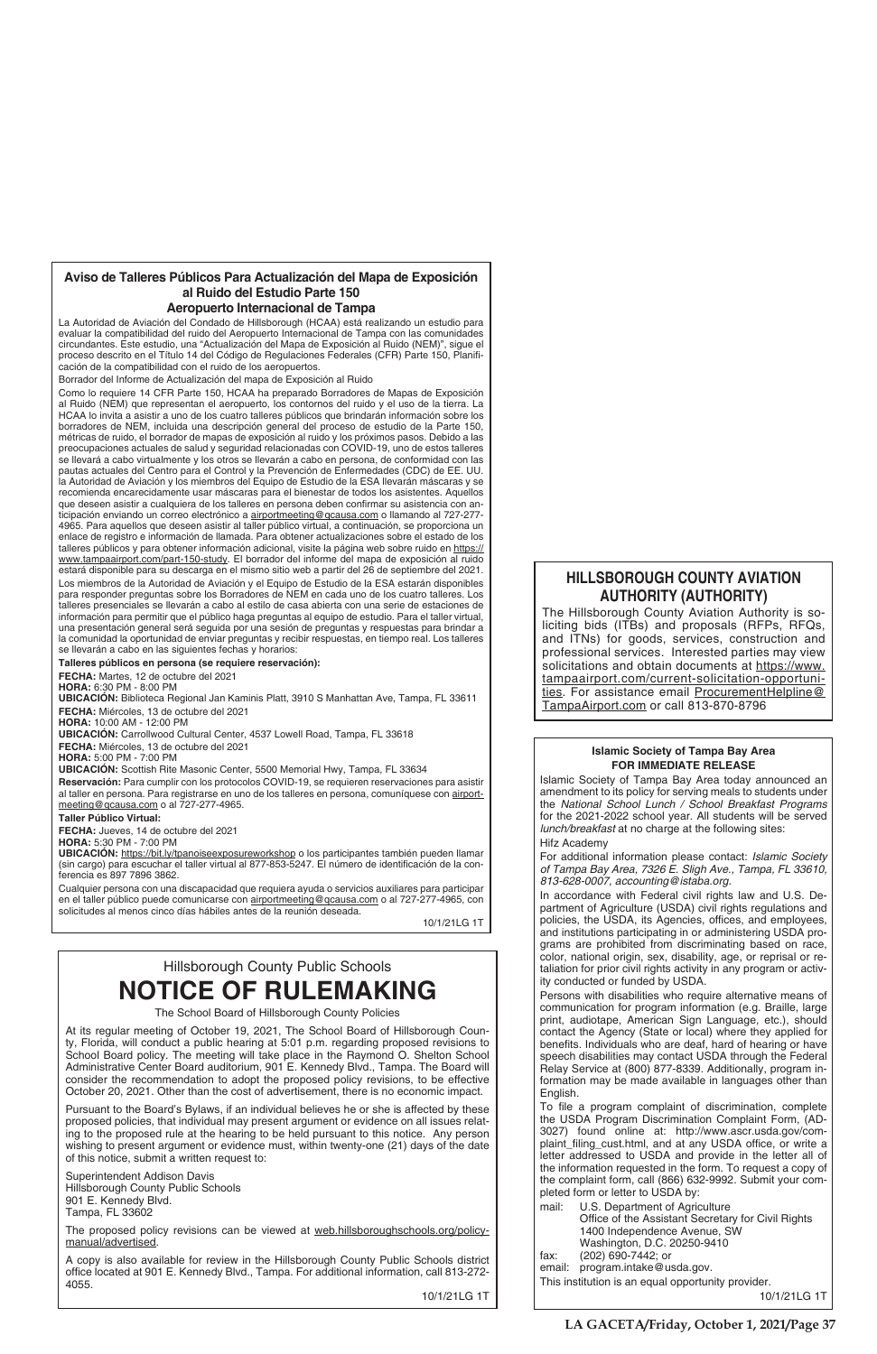# **Islamic Society of Tampa Bay Area FOR IMMEDIATE RELEASE**

Islamic Society of Tampa Bay Area today announced an amendment to its policy for serving meals to students under the *National School Lunch / School Breakfast Programs* for the 2021-2022 school year. All students will be served *lunch/breakfast* at no charge at the following sites: Hifz Academy

For additional information please contact: *Islamic Society of Tampa Bay Area, 7326 E. Sligh Ave., Tampa, FL 33610, 813-628-0007, accounting@istaba.org*.

In accordance with Federal civil rights law and U.S. Department of Agriculture (USDA) civil rights regulations and policies, the USDA, its Agencies, offices, and employees, and institutions participating in or administering USDA programs are prohibited from discriminating based on race, color, national origin, sex, disability, age, or reprisal or retaliation for prior civil rights activity in any program or activity conducted or funded by USDA.

To file a program complaint of discrimination, complete the USDA Program Discrimination Complaint Form, (AD-3027) found online at: http://www.ascr.usda.gov/complaint\_filing\_cust.html, and at any USDA office, or write a letter addressed to USDA and provide in the letter all of the information requested in the form. To request a copy of the complaint form, call (866) 632-9992. Submit your completed form or letter to USDA by:

Persons with disabilities who require alternative means of communication for program information (e.g. Braille, large print, audiotape, American Sign Language, etc.), should contact the Agency (State or local) where they applied for benefits. Individuals who are deaf, hard of hearing or have speech disabilities may contact USDA through the Federal Relay Service at (800) 877-8339. Additionally, program information may be made available in languages other than English.

The proposed policy revisions can be viewed at web.hillsboroughschools.org/policymanual/advertised.

- mail: U.S. Department of Agriculture Office of the Assistant Secretary for Civil Rights 1400 Independence Avenue, SW Washington, D.C. 20250-9410 fax: (202) 690-7442; or
- 
- email: program.intake@usda.gov.

This institution is an equal opportunity provider.

10/1/21LG 1T

# Hillsborough County Public Schools

# **NOTICE OF RULEMAKING**

The School Board of Hillsborough County Policies

At its regular meeting of October 19, 2021, The School Board of Hillsborough County, Florida, will conduct a public hearing at 5:01 p.m. regarding proposed revisions to School Board policy. The meeting will take place in the Raymond O. Shelton School Administrative Center Board auditorium, 901 E. Kennedy Blvd., Tampa. The Board will consider the recommendation to adopt the proposed policy revisions, to be effective October 20, 2021. Other than the cost of advertisement, there is no economic impact.

Pursuant to the Board's Bylaws, if an individual believes he or she is affected by these proposed policies, that individual may present argument or evidence on all issues relating to the proposed rule at the hearing to be held pursuant to this notice. Any person wishing to present argument or evidence must, within twenty-one (21) days of the date of this notice, submit a written request to:

Superintendent Addison Davis Hillsborough County Public Schools 901 E. Kennedy Blvd. Tampa, FL 33602

A copy is also available for review in the Hillsborough County Public Schools district office located at 901 E. Kennedy Blvd., Tampa. For additional information, call 813-272-4055.

**Reservación:** Para cumplir con los protocolos COVID-19, se requieren reservaciones para asistir al taller en persona. Para registrarse en uno de los talleres en persona, comuníquese con airportmeeting@qcausa.com o al 727-277-4965.

10/1/21LG 1T

# **Aviso de Talleres Públicos Para Actualización del Mapa de Exposición al Ruido del Estudio Parte 150**

# **Aeropuerto Internacional de Tampa**

La Autoridad de Aviación del Condado de Hillsborough (HCAA) está realizando un estudio para evaluar la compatibilidad del ruido del Aeropuerto Internacional de Tampa con las comunidades circundantes. Este estudio, una "Actualización del Mapa de Exposición al Ruido (NEM)", sigue el proceso descrito en el Título 14 del Código de Regulaciones Federales (CFR) Parte 150, Planificación de la compatibilidad con el ruido de los aeropuertos.

Borrador del Informe de Actualización del mapa de Exposición al Ruido

Como lo requiere 14 CFR Parte 150, HCAA ha preparado Borradores de Mapas de Exposición al Ruido (NEM) que representan el aeropuerto, los contornos del ruido y el uso de la tierra. La HCAA lo invita a asistir a uno de los cuatro talleres públicos que brindarán información sobre los borradores de NEM, incluida una descripción general del proceso de estudio de la Parte 150, métricas de ruido, el borrador de mapas de exposición al ruido y los próximos pasos. Debido a las preocupaciones actuales de salud y seguridad relacionadas con COVID-19, uno de estos talleres se llevará a cabo virtualmente y los otros se llevarán a cabo en persona, de conformidad con las pautas actuales del Centro para el Control y la Prevención de Enfermedades (CDC) de EE. UU. la Autoridad de Aviación y los miembros del Equipo de Estudio de la ESA llevarán máscaras y se recomienda encarecidamente usar máscaras para el bienestar de todos los asistentes. Aquellos que deseen asistir a cualquiera de los talleres en persona deben confirmar su asistencia con anticipación enviando un correo electrónico a airportmeeting@qcausa.com o llamando al 727-277- 4965. Para aquellos que deseen asistir al taller público virtual, a continuación, se proporciona un enlace de registro e información de llamada. Para obtener actualizaciones sobre el estado de los talleres públicos y para obtener información adicional, visite la página web sobre ruido en https:// www.tampaairport.com/part-150-study. El borrador del informe del mapa de exposición al ruido estará disponible para su descarga en el mismo sitio web a partir del 26 de septiembre del 2021. Los miembros de la Autoridad de Aviación y el Equipo de Estudio de la ESA estarán disponibles para responder preguntas sobre los Borradores de NEM en cada uno de los cuatro talleres. Los talleres presenciales se llevarán a cabo al estilo de casa abierta con una serie de estaciones de información para permitir que el público haga preguntas al equipo de estudio. Para el taller virtual, una presentación general será seguida por una sesión de preguntas y respuestas para brindar a la comunidad la oportunidad de enviar preguntas y recibir respuestas, en tiempo real. Los talleres se llevarán a cabo en las siguientes fechas y horarios:

# **Talleres públicos en persona (se requiere reservación):**

**FECHA:** Martes, 12 de octubre del 2021 **HORA:** 6:30 PM - 8:00 PM

**UBICACIÓN:** Biblioteca Regional Jan Kaminis Platt, 3910 S Manhattan Ave, Tampa, FL 33611 **FECHA:** Miércoles, 13 de octubre del 2021

**HORA:** 10:00 AM - 12:00 PM

**UBICACIÓN:** Carrollwood Cultural Center, 4537 Lowell Road, Tampa, FL 33618 **FECHA:** Miércoles, 13 de octubre del 2021

**HORA:** 5:00 PM - 7:00 PM

**UBICACIÓN:** Scottish Rite Masonic Center, 5500 Memorial Hwy, Tampa, FL 33634

# **Taller Público Virtual:**

**FECHA:** Jueves, 14 de octubre del 2021

**HORA:** 5:30 PM - 7:00 PM

**UBICACIÓN:** https://bit.ly/tpanoiseexposureworkshop o los participantes también pueden llamar (sin cargo) para escuchar el taller virtual al 877-853-5247. El número de identificación de la conferencia es 897 7896 3862.

Cualquier persona con una discapacidad que requiera ayuda o servicios auxiliares para participar en el taller público puede comunicarse con airportmeeting@qcausa.com o al 727-277-4965, con solicitudes al menos cinco días hábiles antes de la reunión deseada.

10/1/21LG 1T

# **HILLSBOROUGH COUNTY AVIATION AUTHORITY (AUTHORITY)**

The Hillsborough County Aviation Authority is soliciting bids (ITBs) and proposals (RFPs, RFQs, and ITNs) for goods, services, construction and professional services. Interested parties may view solicitations and obtain documents at https://www. tampaairport.com/current-solicitation-opportunities. For assistance email ProcurementHelpline@ TampaAirport.com or call 813-870-8796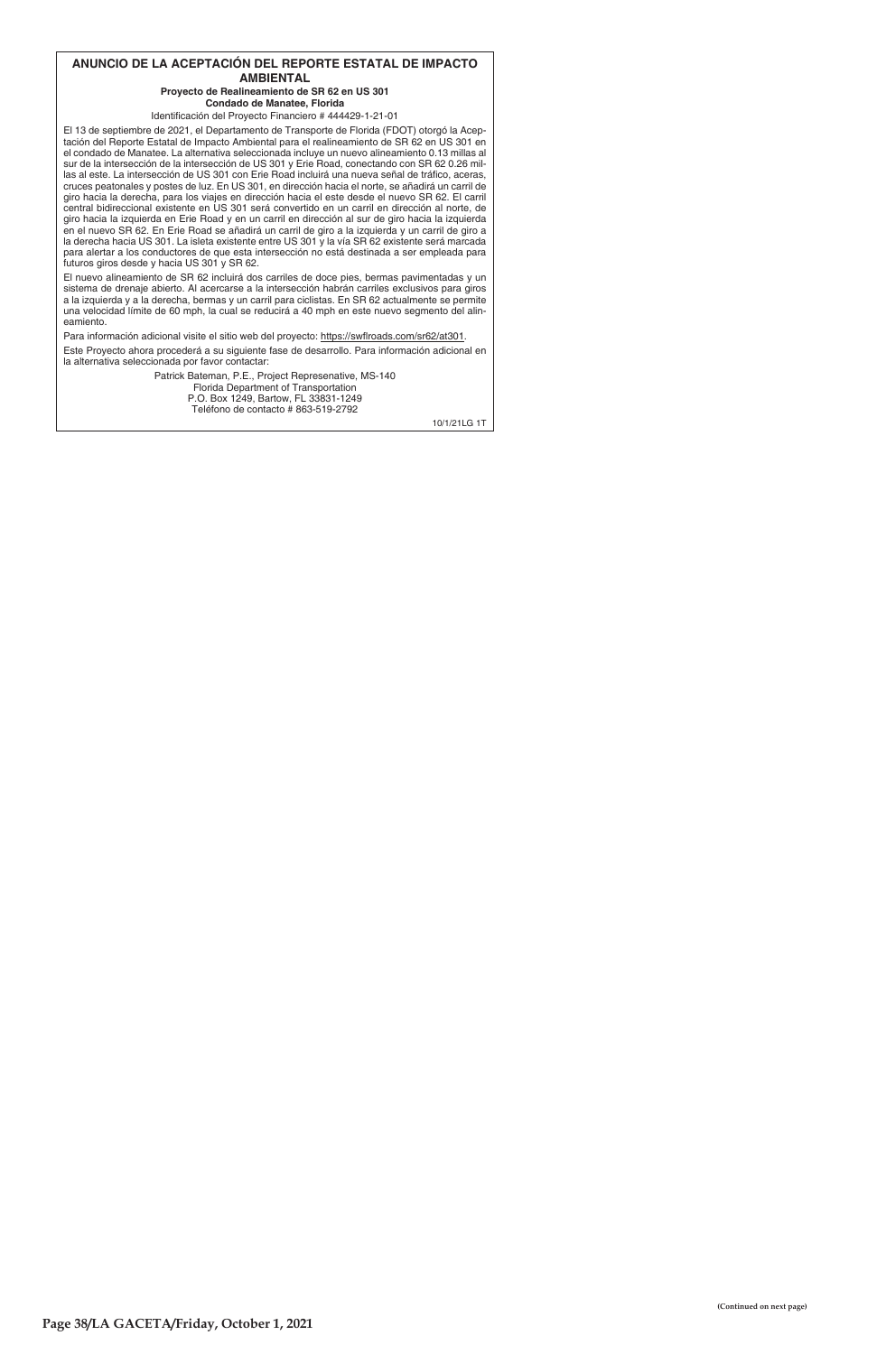# ANUNCIO DE LA ACEPTACIÓN DEL REPORTE ESTATAL DE IMPACTO **AMBIENTAL**

# Proyecto de Realineamiento de SR 62 en US 301 Condado de Manatee, Florida

Identificación del Proyecto Financiero # 444429-1-21-01

El 13 de septiembre de 2021, el Departamento de Transporte de Florida (FDOT) otorgó la Aceptación del Reporte Estatal de Impacto Ambiental para el realineamiento de SR 62 en US 301 en el condado de Manatee. La alternativa seleccionada incluye un nuevo alineamiento 0.13 millas al sur de la intersección de la intersección de US 301 y Erie Road, conectando con SR 62 0.26 millas al este. La intersección de US 301 con Erie Road incluirá una nueva señal de tráfico, aceras, cruces peatonales y postes de luz. En US 301, en dirección hacia el norte, se añadirá un carril de giro hacia la derecha, para los viajes en dirección hacia el este desde el nuevo SR 62. El carril central bidireccional existente en US 301 será convertido en un carril en dirección al norte, de giro hacia la izquierda en Erie Road y en un carril en dirección al sur de giro hacia la izquierda en el nuevo SR 62. En Erie Road se añadirá un carril de giro a la izquierda y un carril de giro a la derecha hacia US 301. La isleta existente entre US 301 y la vía SR 62 existente será marcada para alertar a los conductores de que esta intersección no está destinada a ser empleada para futuros giros desde y hacia US 301 y SR 62.

El nuevo alineamiento de SR 62 incluirá dos carriles de doce pies, bermas pavimentadas y un sistema de drenaje abierto. Al acercarse a la intersección habrán carriles exclusivos para giros a la izquierda y a la derecha, bermas y un carril para ciclistas. En SR 62 actualmente se permite una velocidad límite de 60 mph, la cual se reducirá a 40 mph en este nuevo segmento del alineamiento.

Para información adicional visite el sitio web del proyecto: https://swflroads.com/sr62/at301.

Este Proyecto ahora procederá a su siguiente fase de desarrollo. Para información adicional en la alternativa seleccionada por favor contactar:

> Patrick Bateman, P.E., Project Represenative, MS-140 Florida Department of Transportation P.O. Box 1249, Bartow, FL 33831-1249 Teléfono de contacto # 863-519-2792

> > 10/1/21LG 1T

(Continued on next page)

Page 38/LA GACETA/Friday, October 1, 2021